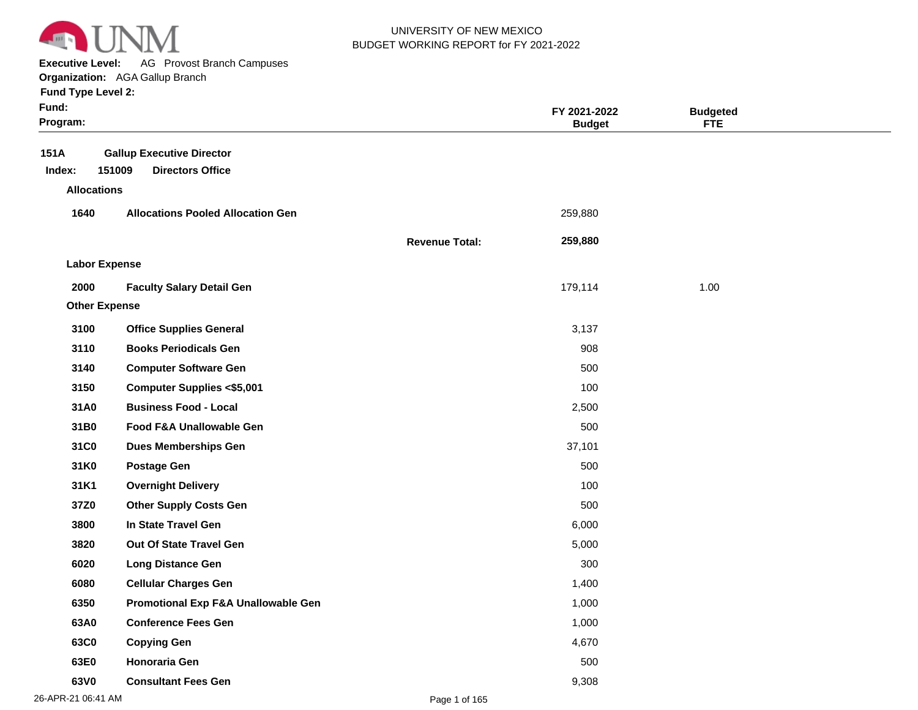

**Executive Level:** AG Provost Branch Campuses

| <b>Fund Type Level 2:</b> |  |  |  |
|---------------------------|--|--|--|
|---------------------------|--|--|--|

| Fund:<br>Program:    |                                                                       |                       | FY 2021-2022<br><b>Budget</b> | <b>Budgeted</b><br><b>FTE</b> |  |
|----------------------|-----------------------------------------------------------------------|-----------------------|-------------------------------|-------------------------------|--|
| 151A<br>Index:       | <b>Gallup Executive Director</b><br>151009<br><b>Directors Office</b> |                       |                               |                               |  |
| <b>Allocations</b>   |                                                                       |                       |                               |                               |  |
| 1640                 | <b>Allocations Pooled Allocation Gen</b>                              |                       | 259,880                       |                               |  |
|                      |                                                                       | <b>Revenue Total:</b> | 259,880                       |                               |  |
| <b>Labor Expense</b> |                                                                       |                       |                               |                               |  |
| 2000                 | <b>Faculty Salary Detail Gen</b>                                      |                       | 179,114                       | 1.00                          |  |
| <b>Other Expense</b> |                                                                       |                       |                               |                               |  |
| 3100                 | <b>Office Supplies General</b>                                        |                       | 3,137                         |                               |  |
| 3110                 | <b>Books Periodicals Gen</b>                                          |                       | 908                           |                               |  |
| 3140                 | <b>Computer Software Gen</b>                                          |                       | 500                           |                               |  |
| 3150                 | <b>Computer Supplies &lt;\$5,001</b>                                  |                       | 100                           |                               |  |
| 31A0                 | <b>Business Food - Local</b>                                          |                       | 2,500                         |                               |  |
| 31B0                 | <b>Food F&amp;A Unallowable Gen</b>                                   |                       | 500                           |                               |  |
| 31C0                 | <b>Dues Memberships Gen</b>                                           |                       | 37,101                        |                               |  |
| 31K0                 | <b>Postage Gen</b>                                                    |                       | 500                           |                               |  |
| 31K1                 | <b>Overnight Delivery</b>                                             |                       | 100                           |                               |  |
| 37Z0                 | <b>Other Supply Costs Gen</b>                                         |                       | 500                           |                               |  |
| 3800                 | In State Travel Gen                                                   |                       | 6,000                         |                               |  |
| 3820                 | <b>Out Of State Travel Gen</b>                                        |                       | 5,000                         |                               |  |
| 6020                 | <b>Long Distance Gen</b>                                              |                       | 300                           |                               |  |
| 6080                 | <b>Cellular Charges Gen</b>                                           |                       | 1,400                         |                               |  |
| 6350                 | Promotional Exp F&A Unallowable Gen                                   |                       | 1,000                         |                               |  |
| 63A0                 | <b>Conference Fees Gen</b>                                            |                       | 1,000                         |                               |  |
| 63C0                 | <b>Copying Gen</b>                                                    |                       | 4,670                         |                               |  |
| 63E0                 | Honoraria Gen                                                         |                       | 500                           |                               |  |
| 63V0                 | <b>Consultant Fees Gen</b>                                            |                       | 9,308                         |                               |  |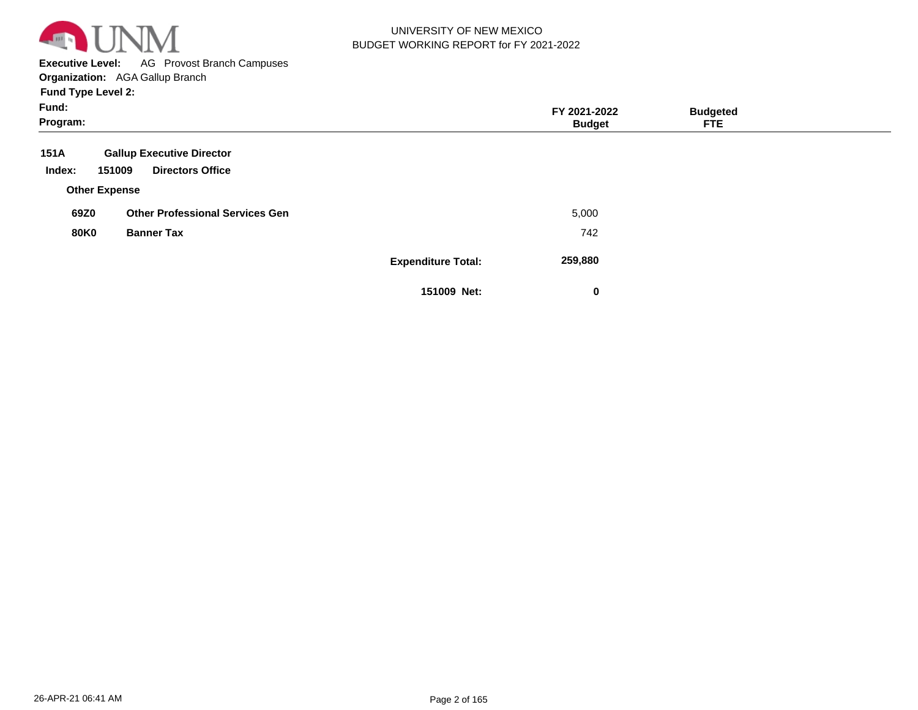

**Executive Level:** AG Provost Branch Campuses

|  |  | <b>Fund Type Level 2:</b> |  |
|--|--|---------------------------|--|
|--|--|---------------------------|--|

| Fund:<br>Program:    |                                        |                           | FY 2021-2022<br><b>Budget</b> | <b>Budgeted</b><br><b>FTE</b> |  |
|----------------------|----------------------------------------|---------------------------|-------------------------------|-------------------------------|--|
| 151A                 | <b>Gallup Executive Director</b>       |                           |                               |                               |  |
| Index:<br>151009     | <b>Directors Office</b>                |                           |                               |                               |  |
| <b>Other Expense</b> |                                        |                           |                               |                               |  |
| 69Z0                 | <b>Other Professional Services Gen</b> |                           | 5,000                         |                               |  |
| <b>80K0</b>          | <b>Banner Tax</b>                      |                           | 742                           |                               |  |
|                      |                                        | <b>Expenditure Total:</b> | 259,880                       |                               |  |
|                      |                                        | 151009 Net:               | 0                             |                               |  |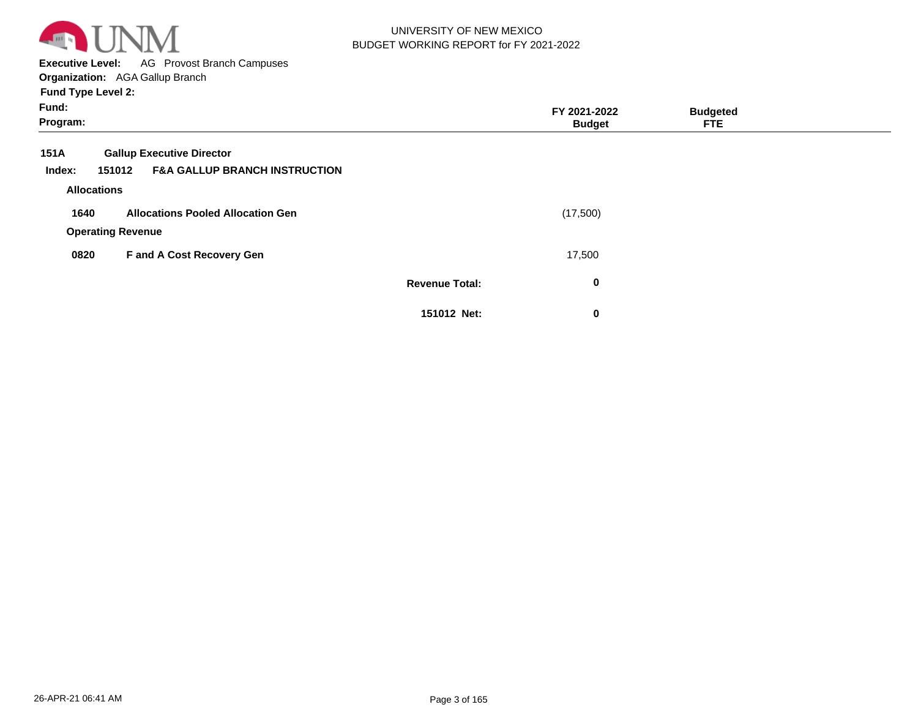

**Executive Level:** AG Provost Branch Campuses **Organization:**  AGA Gallup Branch

| Fund:<br>Program: |                          |                                          |                       | FY 2021-2022<br><b>Budget</b> | <b>Budgeted</b><br><b>FTE</b> |  |
|-------------------|--------------------------|------------------------------------------|-----------------------|-------------------------------|-------------------------------|--|
|                   |                          |                                          |                       |                               |                               |  |
| 151A              |                          | <b>Gallup Executive Director</b>         |                       |                               |                               |  |
| Index:            | 151012                   | <b>F&amp;A GALLUP BRANCH INSTRUCTION</b> |                       |                               |                               |  |
|                   | <b>Allocations</b>       |                                          |                       |                               |                               |  |
| 1640              |                          | <b>Allocations Pooled Allocation Gen</b> |                       | (17,500)                      |                               |  |
|                   | <b>Operating Revenue</b> |                                          |                       |                               |                               |  |
| 0820              |                          | F and A Cost Recovery Gen                |                       | 17,500                        |                               |  |
|                   |                          |                                          | <b>Revenue Total:</b> | $\mathbf 0$                   |                               |  |
|                   |                          |                                          | 151012 Net:           | $\mathbf 0$                   |                               |  |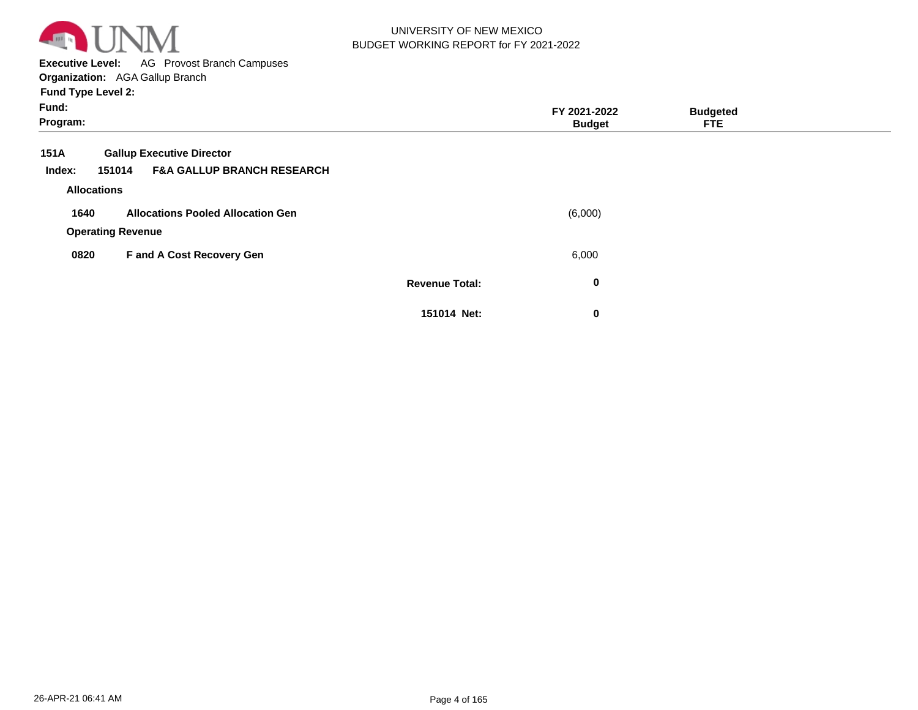

**Executive Level:** AG Provost Branch Campuses **Organization:**  AGA Gallup Branch

| Fund:<br>Program:  |                                                 |                       | FY 2021-2022<br><b>Budget</b> | <b>Budgeted</b><br><b>FTE</b> |  |
|--------------------|-------------------------------------------------|-----------------------|-------------------------------|-------------------------------|--|
| 151A               | <b>Gallup Executive Director</b>                |                       |                               |                               |  |
| Index:             | <b>F&amp;A GALLUP BRANCH RESEARCH</b><br>151014 |                       |                               |                               |  |
| <b>Allocations</b> |                                                 |                       |                               |                               |  |
| 1640               | <b>Allocations Pooled Allocation Gen</b>        |                       | (6,000)                       |                               |  |
|                    | <b>Operating Revenue</b>                        |                       |                               |                               |  |
| 0820               | F and A Cost Recovery Gen                       |                       | 6,000                         |                               |  |
|                    |                                                 | <b>Revenue Total:</b> | $\bf{0}$                      |                               |  |
|                    |                                                 | 151014 Net:           | 0                             |                               |  |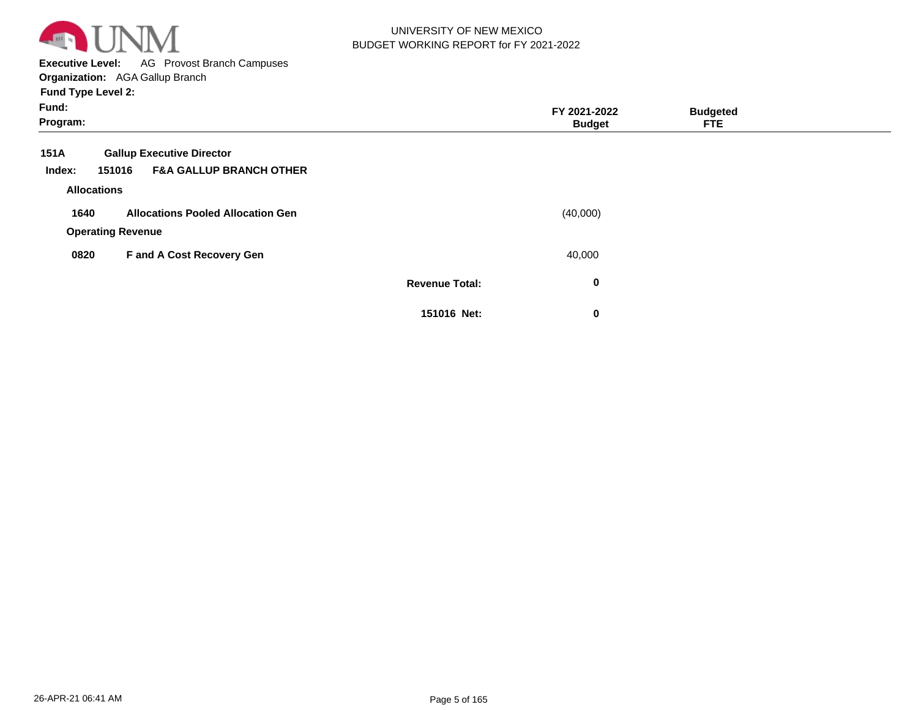

**Executive Level:** AG Provost Branch Campuses

| Fund:<br>Program:  |                                              |                       | FY 2021-2022<br><b>Budget</b> | <b>Budgeted</b><br><b>FTE</b> |  |
|--------------------|----------------------------------------------|-----------------------|-------------------------------|-------------------------------|--|
| 151A               | <b>Gallup Executive Director</b>             |                       |                               |                               |  |
| Index:             | <b>F&amp;A GALLUP BRANCH OTHER</b><br>151016 |                       |                               |                               |  |
| <b>Allocations</b> |                                              |                       |                               |                               |  |
| 1640               | <b>Allocations Pooled Allocation Gen</b>     |                       | (40,000)                      |                               |  |
|                    | <b>Operating Revenue</b>                     |                       |                               |                               |  |
| 0820               | F and A Cost Recovery Gen                    |                       | 40,000                        |                               |  |
|                    |                                              | <b>Revenue Total:</b> | 0                             |                               |  |
|                    |                                              | 151016 Net:           | 0                             |                               |  |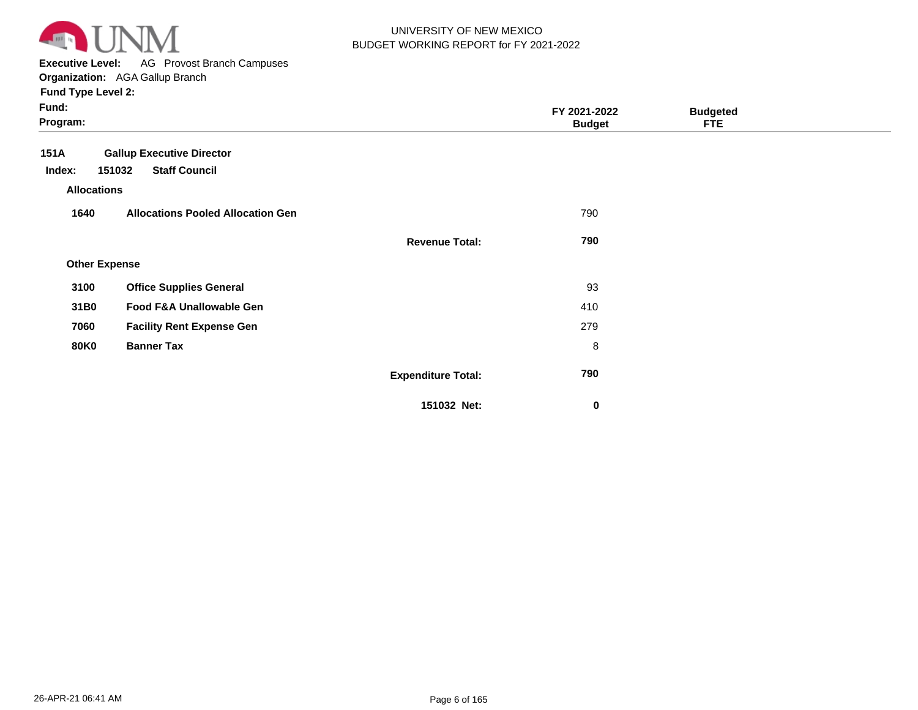

**Executive Level:** AG Provost Branch Campuses

| Fund:<br>Program:    |                                          |                           | FY 2021-2022<br><b>Budget</b> | <b>Budgeted</b><br><b>FTE</b> |  |
|----------------------|------------------------------------------|---------------------------|-------------------------------|-------------------------------|--|
| <b>151A</b>          | <b>Gallup Executive Director</b>         |                           |                               |                               |  |
| Index:               | <b>Staff Council</b><br>151032           |                           |                               |                               |  |
| <b>Allocations</b>   |                                          |                           |                               |                               |  |
| 1640                 | <b>Allocations Pooled Allocation Gen</b> |                           | 790                           |                               |  |
|                      |                                          | <b>Revenue Total:</b>     | 790                           |                               |  |
| <b>Other Expense</b> |                                          |                           |                               |                               |  |
| 3100                 | <b>Office Supplies General</b>           |                           | 93                            |                               |  |
| 31B0                 | Food F&A Unallowable Gen                 |                           | 410                           |                               |  |
| 7060                 | <b>Facility Rent Expense Gen</b>         |                           | 279                           |                               |  |
| <b>80K0</b>          | <b>Banner Tax</b>                        |                           | 8                             |                               |  |
|                      |                                          | <b>Expenditure Total:</b> | 790                           |                               |  |
|                      |                                          | 151032 Net:               | 0                             |                               |  |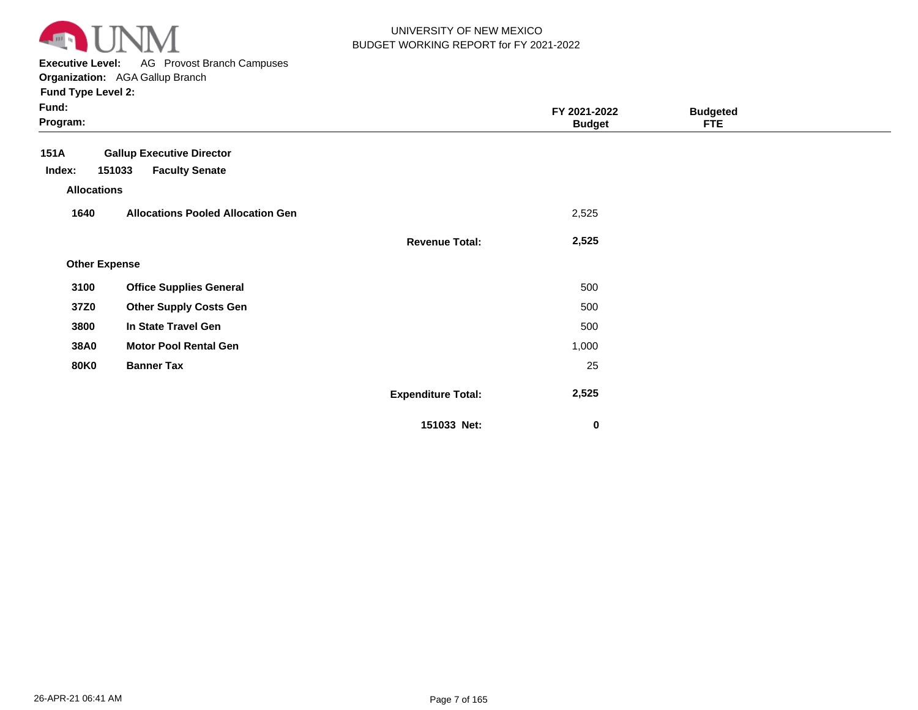

**Executive Level:** AG Provost Branch Campuses

| Fund:<br>Program:    |                                          |                           | FY 2021-2022<br><b>Budget</b> | <b>Budgeted</b><br><b>FTE</b> |  |
|----------------------|------------------------------------------|---------------------------|-------------------------------|-------------------------------|--|
| <b>151A</b>          | <b>Gallup Executive Director</b>         |                           |                               |                               |  |
| Index:               | <b>Faculty Senate</b><br>151033          |                           |                               |                               |  |
| <b>Allocations</b>   |                                          |                           |                               |                               |  |
| 1640                 | <b>Allocations Pooled Allocation Gen</b> |                           | 2,525                         |                               |  |
|                      |                                          | <b>Revenue Total:</b>     | 2,525                         |                               |  |
| <b>Other Expense</b> |                                          |                           |                               |                               |  |
| 3100                 | <b>Office Supplies General</b>           |                           | 500                           |                               |  |
| 37Z0                 | <b>Other Supply Costs Gen</b>            |                           | 500                           |                               |  |
| 3800                 | In State Travel Gen                      |                           | 500                           |                               |  |
| <b>38A0</b>          | <b>Motor Pool Rental Gen</b>             |                           | 1,000                         |                               |  |
| <b>80K0</b>          | <b>Banner Tax</b>                        |                           | 25                            |                               |  |
|                      |                                          | <b>Expenditure Total:</b> | 2,525                         |                               |  |
|                      |                                          | 151033 Net:               | 0                             |                               |  |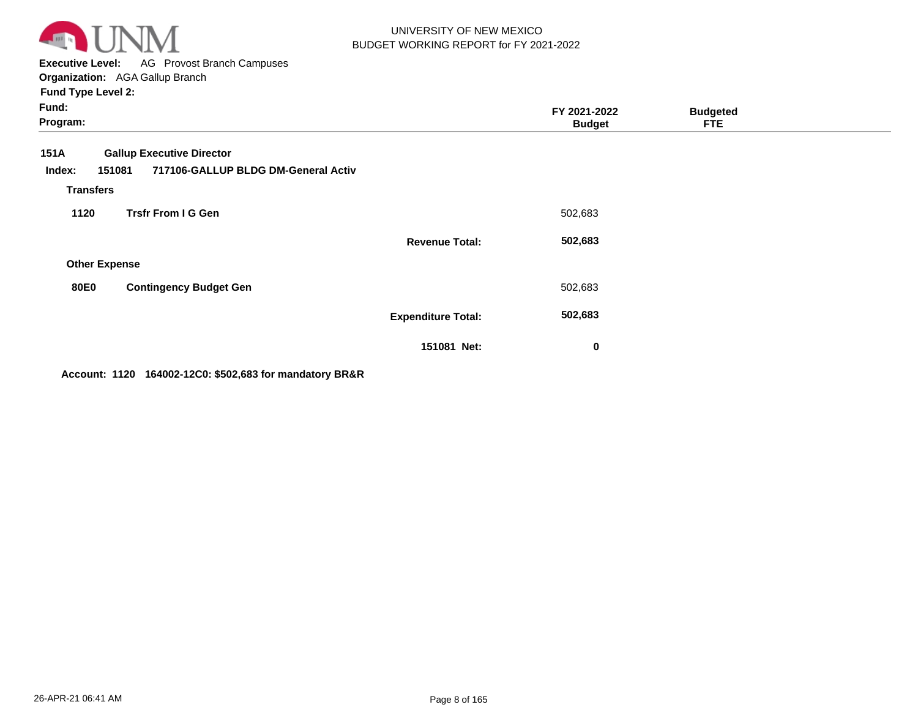

**Executive Level:** AG Provost Branch Campuses **Organization:**  AGA Gallup Branch

| <b>Fund Type Level 2:</b> |
|---------------------------|
|---------------------------|

| Fund:<br>Program:                            |                                                                         |                           | FY 2021-2022<br><b>Budget</b> | <b>Budgeted</b><br><b>FTE</b> |  |
|----------------------------------------------|-------------------------------------------------------------------------|---------------------------|-------------------------------|-------------------------------|--|
| 151A<br>151081<br>Index:<br><b>Transfers</b> | <b>Gallup Executive Director</b><br>717106-GALLUP BLDG DM-General Activ |                           |                               |                               |  |
| 1120                                         | <b>Trsfr From I G Gen</b>                                               |                           | 502,683                       |                               |  |
|                                              |                                                                         | <b>Revenue Total:</b>     | 502,683                       |                               |  |
| <b>Other Expense</b>                         |                                                                         |                           |                               |                               |  |
| <b>80E0</b>                                  | <b>Contingency Budget Gen</b>                                           |                           | 502,683                       |                               |  |
|                                              |                                                                         | <b>Expenditure Total:</b> | 502,683                       |                               |  |
|                                              |                                                                         | 151081 Net:               | $\bf{0}$                      |                               |  |

**Account: 1120 164002-12C0: \$502,683 for mandatory BR&R**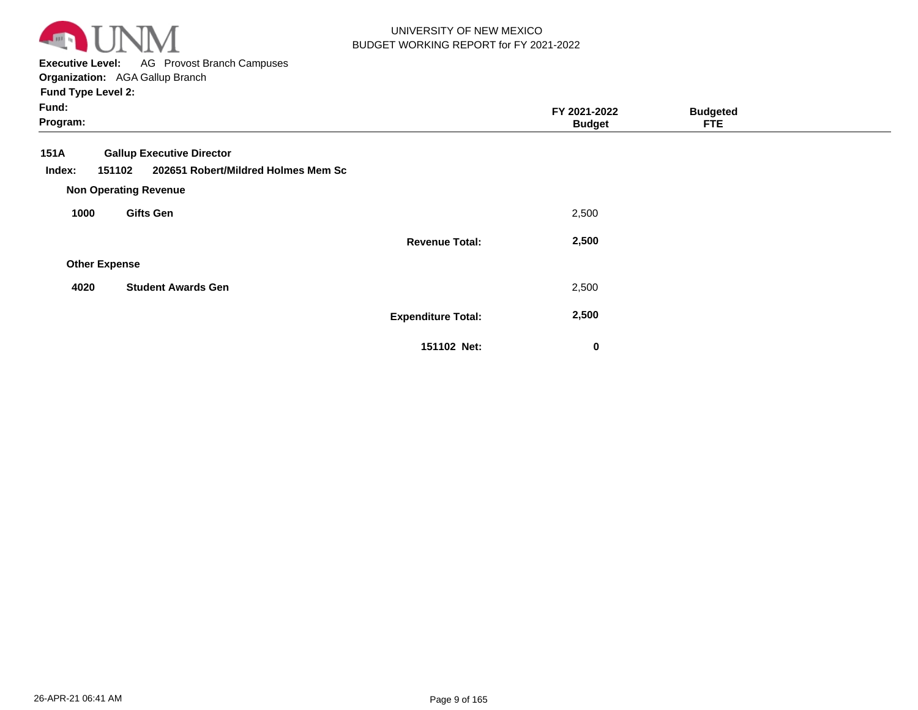

**Executive Level:** AG Provost Branch Campuses **Organization:**  AGA Gallup Branch

| Fund:<br>Program:    |                                                                                   |                           | FY 2021-2022<br><b>Budget</b> | <b>Budgeted</b><br><b>FTE</b> |  |
|----------------------|-----------------------------------------------------------------------------------|---------------------------|-------------------------------|-------------------------------|--|
| 151A<br>Index:       | <b>Gallup Executive Director</b><br>202651 Robert/Mildred Holmes Mem Sc<br>151102 |                           |                               |                               |  |
|                      | <b>Non Operating Revenue</b>                                                      |                           |                               |                               |  |
| 1000                 | <b>Gifts Gen</b>                                                                  |                           | 2,500                         |                               |  |
|                      |                                                                                   | <b>Revenue Total:</b>     | 2,500                         |                               |  |
| <b>Other Expense</b> |                                                                                   |                           |                               |                               |  |
| 4020                 | <b>Student Awards Gen</b>                                                         |                           | 2,500                         |                               |  |
|                      |                                                                                   | <b>Expenditure Total:</b> | 2,500                         |                               |  |
|                      |                                                                                   | 151102 Net:               | 0                             |                               |  |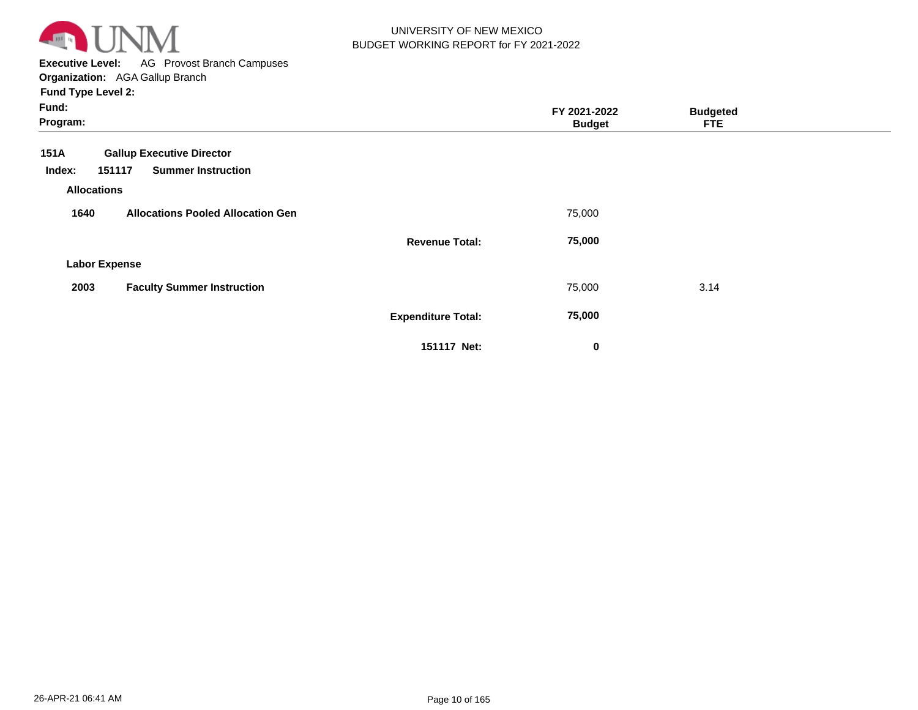

**Executive Level:** AG Provost Branch Campuses **Organization:**  AGA Gallup Branch

| Fund:<br>Program:            |                                          | FY 2021-2022<br><b>Budget</b> | <b>Budgeted</b><br><b>FTE</b> |  |
|------------------------------|------------------------------------------|-------------------------------|-------------------------------|--|
| 151A                         | <b>Gallup Executive Director</b>         |                               |                               |  |
| Index:<br><b>Allocations</b> | <b>Summer Instruction</b><br>151117      |                               |                               |  |
| 1640                         | <b>Allocations Pooled Allocation Gen</b> | 75,000                        |                               |  |
|                              | <b>Revenue Total:</b>                    | 75,000                        |                               |  |
| <b>Labor Expense</b>         |                                          |                               |                               |  |
| 2003                         | <b>Faculty Summer Instruction</b>        | 75,000                        | 3.14                          |  |
|                              | <b>Expenditure Total:</b>                | 75,000                        |                               |  |
|                              | 151117 Net:                              | $\mathbf 0$                   |                               |  |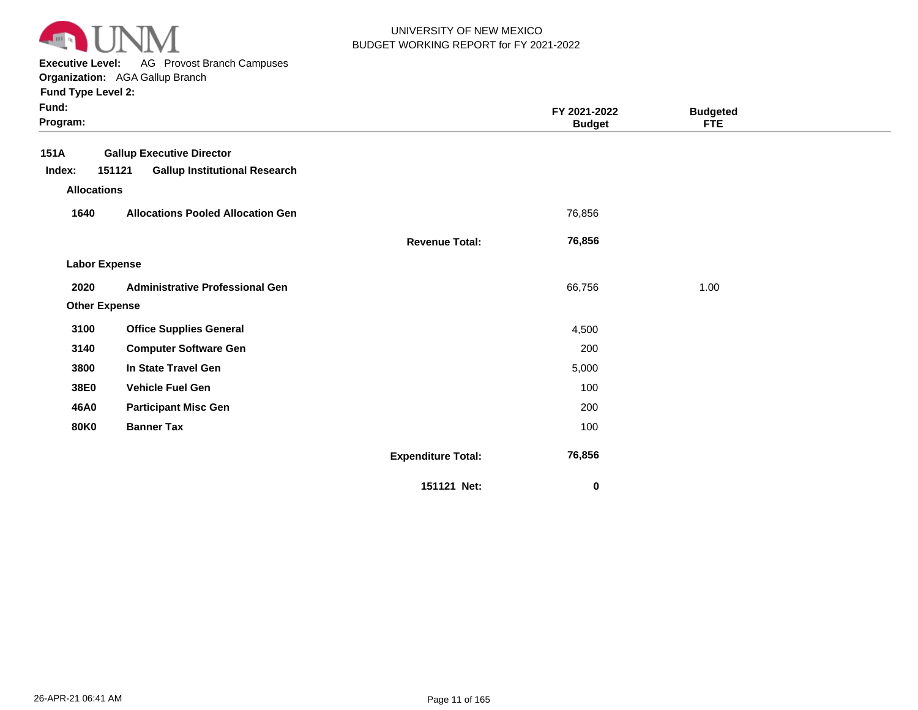

**Executive Level:** AG Provost Branch Campuses

**Organization:**  AGA Gallup Branch

| Fund:<br>Program:    |                                                |                           | FY 2021-2022<br><b>Budget</b> | <b>Budgeted</b><br><b>FTE</b> |  |
|----------------------|------------------------------------------------|---------------------------|-------------------------------|-------------------------------|--|
| <b>151A</b>          | <b>Gallup Executive Director</b>               |                           |                               |                               |  |
| Index:               | 151121<br><b>Gallup Institutional Research</b> |                           |                               |                               |  |
| <b>Allocations</b>   |                                                |                           |                               |                               |  |
| 1640                 | <b>Allocations Pooled Allocation Gen</b>       |                           | 76,856                        |                               |  |
|                      |                                                | <b>Revenue Total:</b>     | 76,856                        |                               |  |
| <b>Labor Expense</b> |                                                |                           |                               |                               |  |
| 2020                 | <b>Administrative Professional Gen</b>         |                           | 66,756                        | 1.00                          |  |
| <b>Other Expense</b> |                                                |                           |                               |                               |  |
| 3100                 | <b>Office Supplies General</b>                 |                           | 4,500                         |                               |  |
| 3140                 | <b>Computer Software Gen</b>                   |                           | 200                           |                               |  |
| 3800                 | In State Travel Gen                            |                           | 5,000                         |                               |  |
| 38E0                 | <b>Vehicle Fuel Gen</b>                        |                           | 100                           |                               |  |
| 46A0                 | <b>Participant Misc Gen</b>                    |                           | 200                           |                               |  |
| <b>80K0</b>          | <b>Banner Tax</b>                              |                           | 100                           |                               |  |
|                      |                                                | <b>Expenditure Total:</b> | 76,856                        |                               |  |
|                      |                                                | 151121 Net:               | 0                             |                               |  |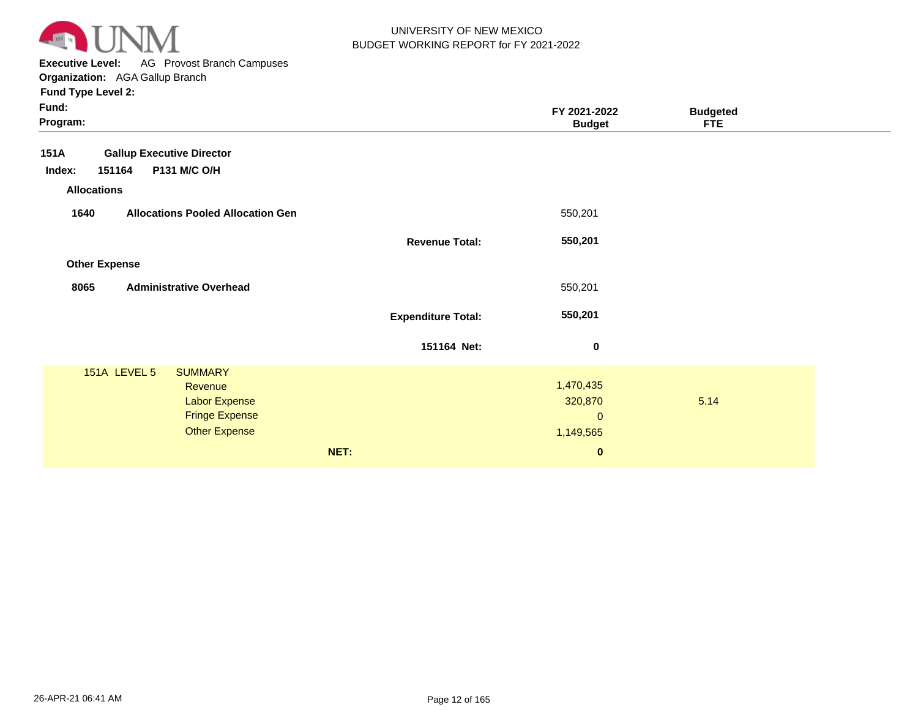

**Executive Level:** AG Provost Branch Campuses

|                           | FY 2021-2022<br><b>Budget</b>                                    | <b>Budgeted</b><br><b>FTE</b> |
|---------------------------|------------------------------------------------------------------|-------------------------------|
|                           |                                                                  |                               |
|                           | 550,201                                                          |                               |
| <b>Revenue Total:</b>     | 550,201                                                          |                               |
|                           |                                                                  |                               |
|                           | 550,201                                                          |                               |
| <b>Expenditure Total:</b> | 550,201                                                          |                               |
| 151164 Net:               | 0                                                                |                               |
| NET:                      | 1,470,435<br>320,870<br>$\mathbf{0}$<br>1,149,565<br>$\mathbf 0$ | 5.14                          |
|                           |                                                                  |                               |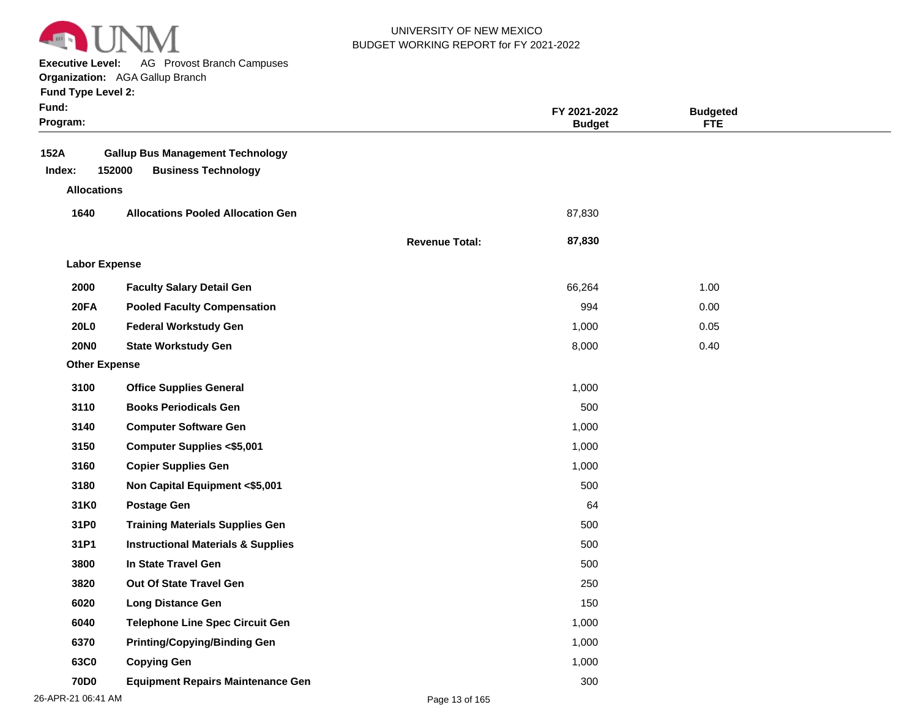

**Executive Level:** AG Provost Branch Campuses

| <b>Fund Type Level 2:</b> |
|---------------------------|
|---------------------------|

| Fund:<br>Program:    |                                                                                 |                       | FY 2021-2022<br><b>Budget</b> | <b>Budgeted</b><br><b>FTE</b> |  |
|----------------------|---------------------------------------------------------------------------------|-----------------------|-------------------------------|-------------------------------|--|
| 152A<br>Index:       | <b>Gallup Bus Management Technology</b><br>152000<br><b>Business Technology</b> |                       |                               |                               |  |
| <b>Allocations</b>   |                                                                                 |                       |                               |                               |  |
| 1640                 | <b>Allocations Pooled Allocation Gen</b>                                        |                       | 87,830                        |                               |  |
|                      |                                                                                 | <b>Revenue Total:</b> | 87,830                        |                               |  |
| <b>Labor Expense</b> |                                                                                 |                       |                               |                               |  |
| 2000                 | <b>Faculty Salary Detail Gen</b>                                                |                       | 66,264                        | 1.00                          |  |
| 20FA                 | <b>Pooled Faculty Compensation</b>                                              |                       | 994                           | 0.00                          |  |
| <b>20L0</b>          | <b>Federal Workstudy Gen</b>                                                    |                       | 1,000                         | 0.05                          |  |
| <b>20NO</b>          | <b>State Workstudy Gen</b>                                                      |                       | 8,000                         | 0.40                          |  |
| <b>Other Expense</b> |                                                                                 |                       |                               |                               |  |
| 3100                 | <b>Office Supplies General</b>                                                  |                       | 1,000                         |                               |  |
| 3110                 | <b>Books Periodicals Gen</b>                                                    |                       | 500                           |                               |  |
| 3140                 | <b>Computer Software Gen</b>                                                    |                       | 1,000                         |                               |  |
| 3150                 | <b>Computer Supplies &lt;\$5,001</b>                                            |                       | 1,000                         |                               |  |
| 3160                 | <b>Copier Supplies Gen</b>                                                      |                       | 1,000                         |                               |  |
| 3180                 | Non Capital Equipment <\$5,001                                                  |                       | 500                           |                               |  |
| 31K0                 | <b>Postage Gen</b>                                                              |                       | 64                            |                               |  |
| 31P0                 | <b>Training Materials Supplies Gen</b>                                          |                       | 500                           |                               |  |
| 31P1                 | <b>Instructional Materials &amp; Supplies</b>                                   |                       | 500                           |                               |  |
| 3800                 | In State Travel Gen                                                             |                       | 500                           |                               |  |
| 3820                 | Out Of State Travel Gen                                                         |                       | 250                           |                               |  |
| 6020                 | <b>Long Distance Gen</b>                                                        |                       | 150                           |                               |  |
| 6040                 | <b>Telephone Line Spec Circuit Gen</b>                                          |                       | 1,000                         |                               |  |
| 6370                 | <b>Printing/Copying/Binding Gen</b>                                             |                       | 1,000                         |                               |  |
| 63C0                 | <b>Copying Gen</b>                                                              |                       | 1,000                         |                               |  |
| <b>70D0</b>          | <b>Equipment Repairs Maintenance Gen</b>                                        |                       | 300                           |                               |  |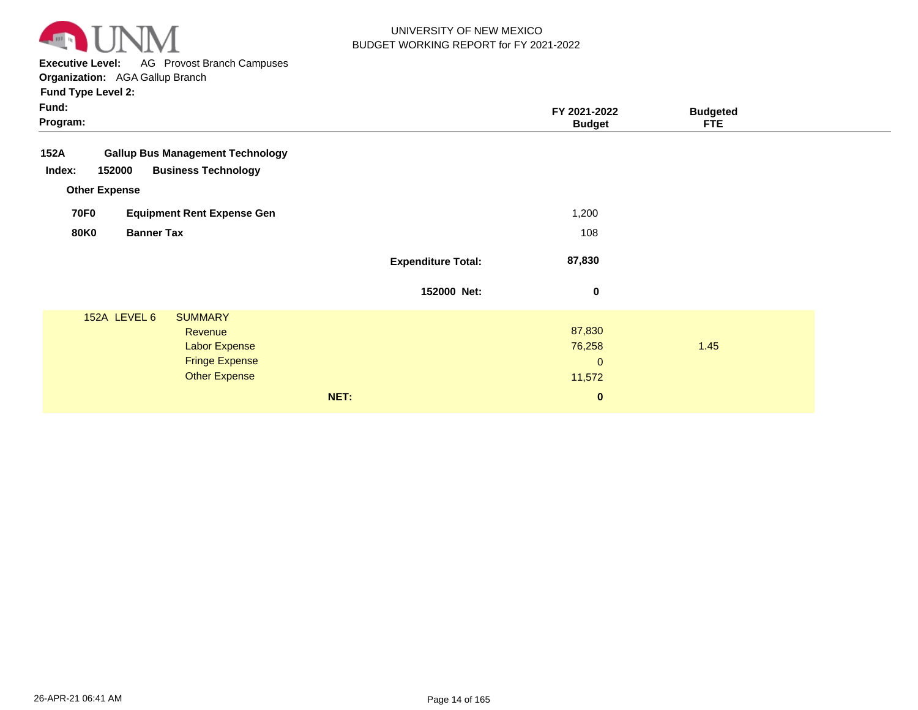

**Executive Level:** AG Provost Branch Campuses

**Organization:**  AGA Gallup Branch

| Fund:<br>Program:                                |                           | FY 2021-2022<br><b>Budget</b> | <b>Budgeted</b><br><b>FTE</b> |  |
|--------------------------------------------------|---------------------------|-------------------------------|-------------------------------|--|
| <b>Gallup Bus Management Technology</b><br>152A  |                           |                               |                               |  |
| <b>Business Technology</b><br>152000<br>Index:   |                           |                               |                               |  |
| <b>Other Expense</b>                             |                           |                               |                               |  |
| <b>70F0</b><br><b>Equipment Rent Expense Gen</b> |                           | 1,200                         |                               |  |
| <b>80K0</b><br><b>Banner Tax</b>                 |                           | 108                           |                               |  |
|                                                  | <b>Expenditure Total:</b> | 87,830                        |                               |  |
|                                                  | 152000 Net:               | 0                             |                               |  |
| 152A LEVEL 6<br><b>SUMMARY</b>                   |                           |                               |                               |  |
| Revenue                                          |                           | 87,830                        |                               |  |
| <b>Labor Expense</b>                             |                           | 76,258                        | 1.45                          |  |
| <b>Fringe Expense</b>                            |                           | $\mathbf{0}$                  |                               |  |
| <b>Other Expense</b>                             |                           | 11,572                        |                               |  |
|                                                  | NET:                      | $\bf{0}$                      |                               |  |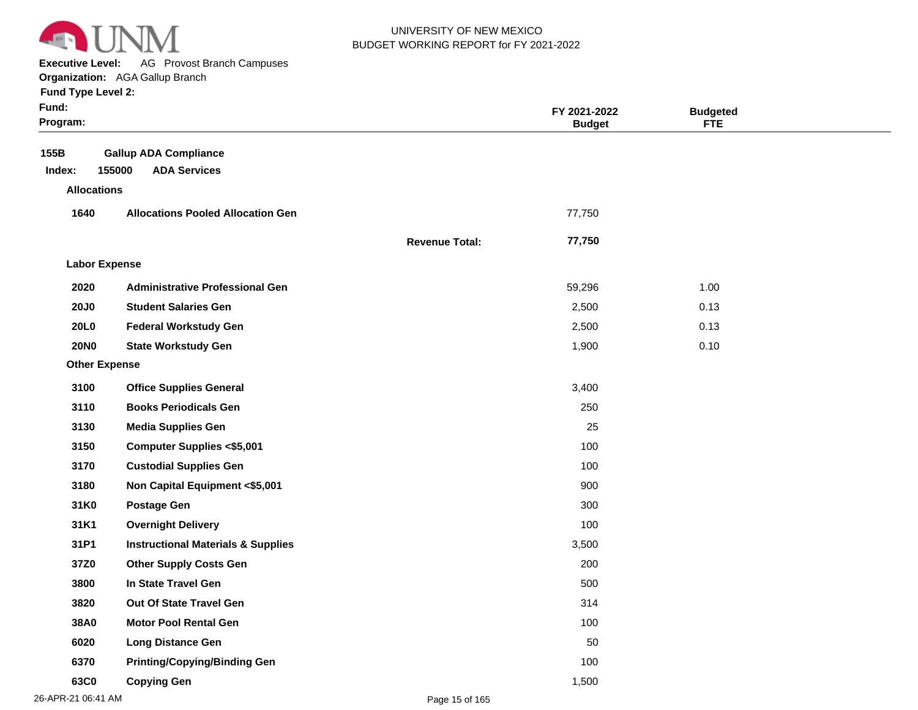

**Executive Level:** AG Provost Branch Campuses

| <b>Fund Type Level 2:</b> |  |
|---------------------------|--|
|---------------------------|--|

| Fund:<br>Program:    |                                                               |                       | FY 2021-2022<br><b>Budget</b> | <b>Budgeted</b><br><b>FTE</b> |  |
|----------------------|---------------------------------------------------------------|-----------------------|-------------------------------|-------------------------------|--|
| 155B<br>Index:       | <b>Gallup ADA Compliance</b><br>155000<br><b>ADA Services</b> |                       |                               |                               |  |
| <b>Allocations</b>   |                                                               |                       |                               |                               |  |
| 1640                 | <b>Allocations Pooled Allocation Gen</b>                      |                       | 77,750                        |                               |  |
|                      |                                                               | <b>Revenue Total:</b> | 77,750                        |                               |  |
| <b>Labor Expense</b> |                                                               |                       |                               |                               |  |
| 2020                 | <b>Administrative Professional Gen</b>                        |                       | 59,296                        | 1.00                          |  |
| <b>20J0</b>          | <b>Student Salaries Gen</b>                                   |                       | 2,500                         | 0.13                          |  |
| <b>20L0</b>          | <b>Federal Workstudy Gen</b>                                  |                       | 2,500                         | 0.13                          |  |
| <b>20NO</b>          | <b>State Workstudy Gen</b>                                    |                       | 1,900                         | 0.10                          |  |
| <b>Other Expense</b> |                                                               |                       |                               |                               |  |
| 3100                 | <b>Office Supplies General</b>                                |                       | 3,400                         |                               |  |
| 3110                 | <b>Books Periodicals Gen</b>                                  |                       | 250                           |                               |  |
| 3130                 | <b>Media Supplies Gen</b>                                     |                       | 25                            |                               |  |
| 3150                 | <b>Computer Supplies &lt;\$5,001</b>                          |                       | 100                           |                               |  |
| 3170                 | <b>Custodial Supplies Gen</b>                                 |                       | 100                           |                               |  |
| 3180                 | Non Capital Equipment <\$5,001                                |                       | 900                           |                               |  |
| 31K0                 | <b>Postage Gen</b>                                            |                       | 300                           |                               |  |
| 31K1                 | <b>Overnight Delivery</b>                                     |                       | 100                           |                               |  |
| 31P1                 | <b>Instructional Materials &amp; Supplies</b>                 |                       | 3,500                         |                               |  |
| 37Z0                 | <b>Other Supply Costs Gen</b>                                 |                       | 200                           |                               |  |
| 3800                 | In State Travel Gen                                           |                       | 500                           |                               |  |
| 3820                 | Out Of State Travel Gen                                       |                       | 314                           |                               |  |
| 38A0                 | <b>Motor Pool Rental Gen</b>                                  |                       | 100                           |                               |  |
| 6020                 | <b>Long Distance Gen</b>                                      |                       | 50                            |                               |  |
| 6370                 | <b>Printing/Copying/Binding Gen</b>                           |                       | 100                           |                               |  |
| 63C0                 | <b>Copying Gen</b>                                            |                       | 1,500                         |                               |  |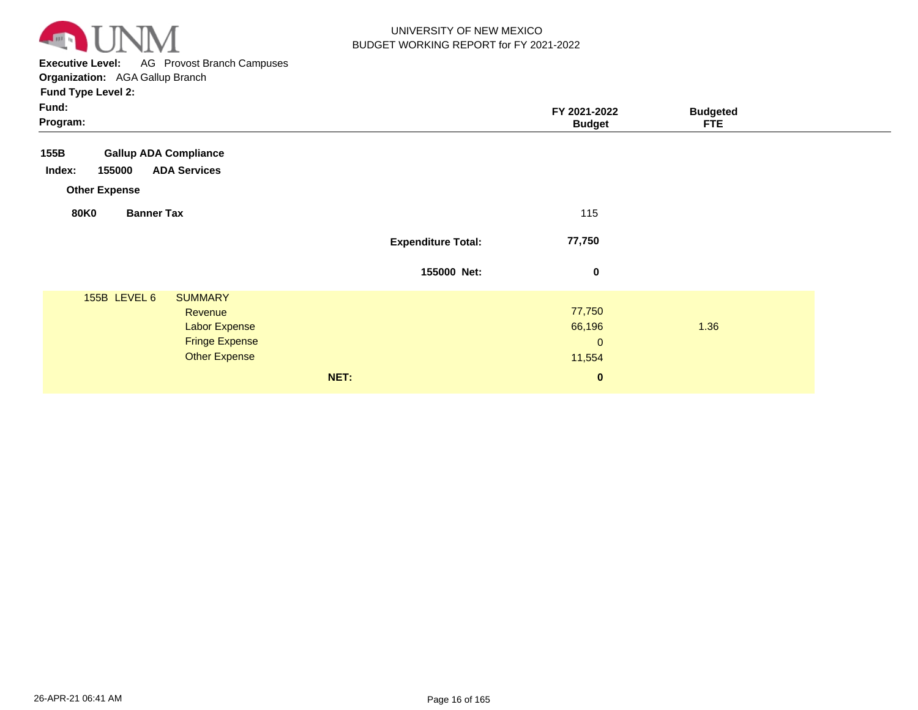

**Executive Level:** AG Provost Branch Campuses

| Fund:<br>Program:                                                                                                  |                           | FY 2021-2022<br><b>Budget</b>             | <b>Budgeted</b><br><b>FTE</b> |
|--------------------------------------------------------------------------------------------------------------------|---------------------------|-------------------------------------------|-------------------------------|
| <b>Gallup ADA Compliance</b><br>155B<br><b>ADA Services</b><br>155000<br>Index:<br><b>Other Expense</b>            |                           |                                           |                               |
| <b>80K0</b><br><b>Banner Tax</b>                                                                                   |                           | 115                                       |                               |
|                                                                                                                    | <b>Expenditure Total:</b> | 77,750                                    |                               |
|                                                                                                                    | 155000 Net:               | $\bf{0}$                                  |                               |
| 155B LEVEL 6<br><b>SUMMARY</b><br>Revenue<br><b>Labor Expense</b><br><b>Fringe Expense</b><br><b>Other Expense</b> |                           | 77,750<br>66,196<br>$\mathbf 0$<br>11,554 | 1.36                          |
|                                                                                                                    | NET:                      | $\mathbf{0}$                              |                               |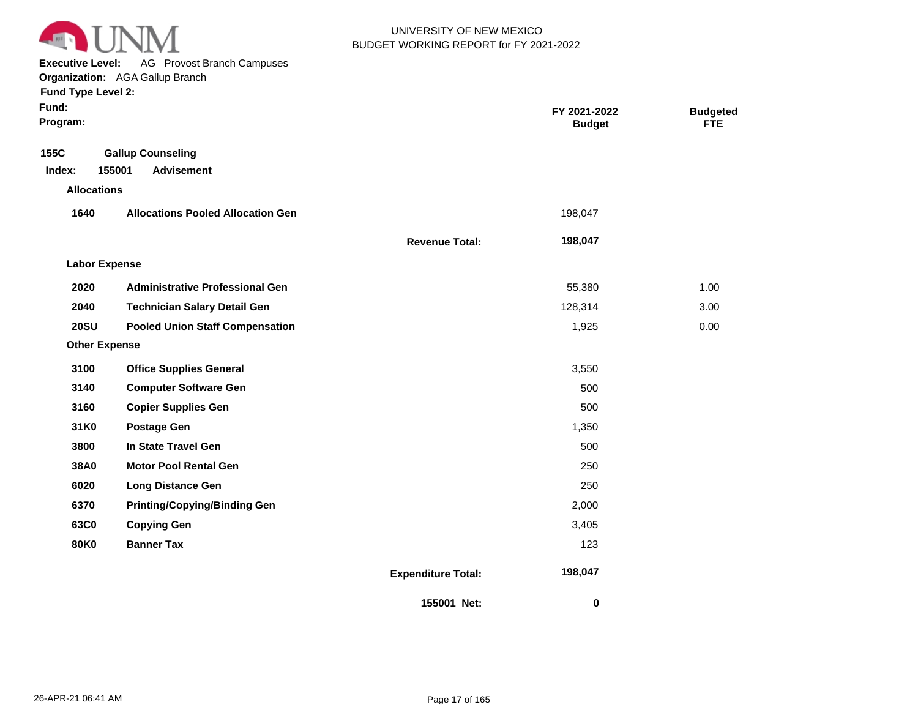

**Executive Level:** AG Provost Branch Campuses

**Organization:**  AGA Gallup Branch

| Fund Type Level 2:   |                                          |                           |                               |                               |  |
|----------------------|------------------------------------------|---------------------------|-------------------------------|-------------------------------|--|
| Fund:<br>Program:    |                                          |                           | FY 2021-2022<br><b>Budget</b> | <b>Budgeted</b><br><b>FTE</b> |  |
| 155C                 | <b>Gallup Counseling</b>                 |                           |                               |                               |  |
| Index:               | 155001<br><b>Advisement</b>              |                           |                               |                               |  |
| <b>Allocations</b>   |                                          |                           |                               |                               |  |
| 1640                 | <b>Allocations Pooled Allocation Gen</b> |                           | 198,047                       |                               |  |
|                      |                                          | <b>Revenue Total:</b>     | 198,047                       |                               |  |
| <b>Labor Expense</b> |                                          |                           |                               |                               |  |
| 2020                 | <b>Administrative Professional Gen</b>   |                           | 55,380                        | 1.00                          |  |
| 2040                 | <b>Technician Salary Detail Gen</b>      |                           | 128,314                       | 3.00                          |  |
| <b>20SU</b>          | <b>Pooled Union Staff Compensation</b>   |                           | 1,925                         | 0.00                          |  |
| <b>Other Expense</b> |                                          |                           |                               |                               |  |
| 3100                 | <b>Office Supplies General</b>           |                           | 3,550                         |                               |  |
| 3140                 | <b>Computer Software Gen</b>             |                           | 500                           |                               |  |
| 3160                 | <b>Copier Supplies Gen</b>               |                           | 500                           |                               |  |
| 31K0                 | Postage Gen                              |                           | 1,350                         |                               |  |
| 3800                 | In State Travel Gen                      |                           | 500                           |                               |  |
| 38A0                 | <b>Motor Pool Rental Gen</b>             |                           | 250                           |                               |  |
| 6020                 | <b>Long Distance Gen</b>                 |                           | 250                           |                               |  |
| 6370                 | <b>Printing/Copying/Binding Gen</b>      |                           | 2,000                         |                               |  |
| 63C0                 | <b>Copying Gen</b>                       |                           | 3,405                         |                               |  |
| <b>80K0</b>          | <b>Banner Tax</b>                        |                           | 123                           |                               |  |
|                      |                                          | <b>Expenditure Total:</b> | 198,047                       |                               |  |

**155001 Net:**

 **0** 

**Expenditure Total:**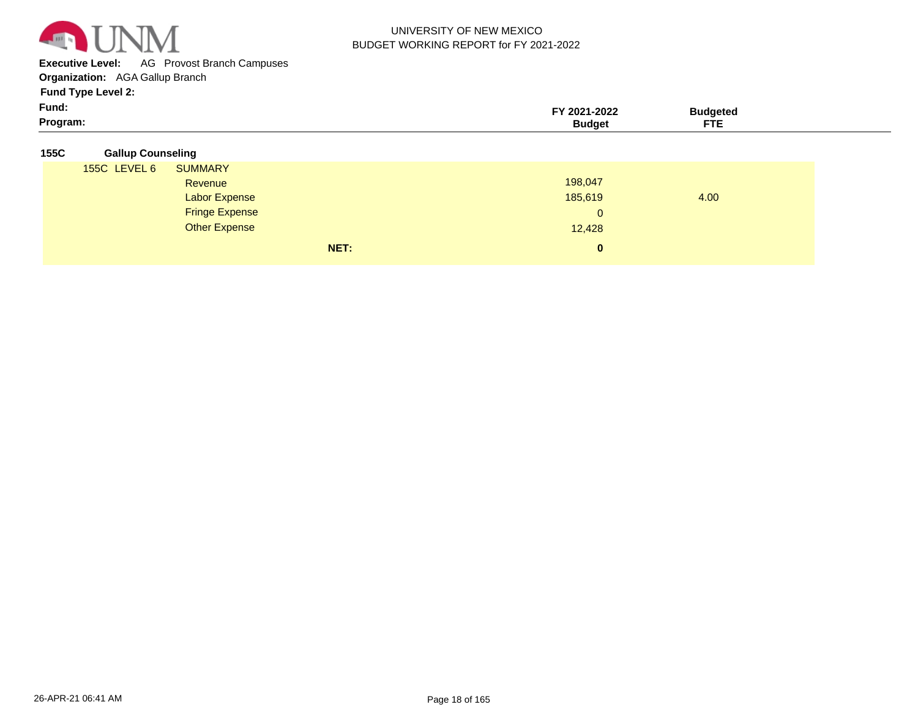

**Executive Level:** AG Provost Branch Campuses

**Organization:**  AGA Gallup Branch

| Fund:    | 2021-2022 | 3udaetea   |  |
|----------|-----------|------------|--|
| Program: | Budaet    | ETI<br>. . |  |

| 155C | <b>Gallup Counseling</b> |
|------|--------------------------|
|      |                          |

| 155C LEVEL 6 | <b>SUMMARY</b>        |      |              |      |  |
|--------------|-----------------------|------|--------------|------|--|
|              | Revenue               |      | 198,047      |      |  |
|              | <b>Labor Expense</b>  |      | 185,619      | 4.00 |  |
|              | <b>Fringe Expense</b> |      | $\mathbf{0}$ |      |  |
|              | Other Expense         |      | 12,428       |      |  |
|              |                       | NET: | $\mathbf{0}$ |      |  |
|              |                       |      |              |      |  |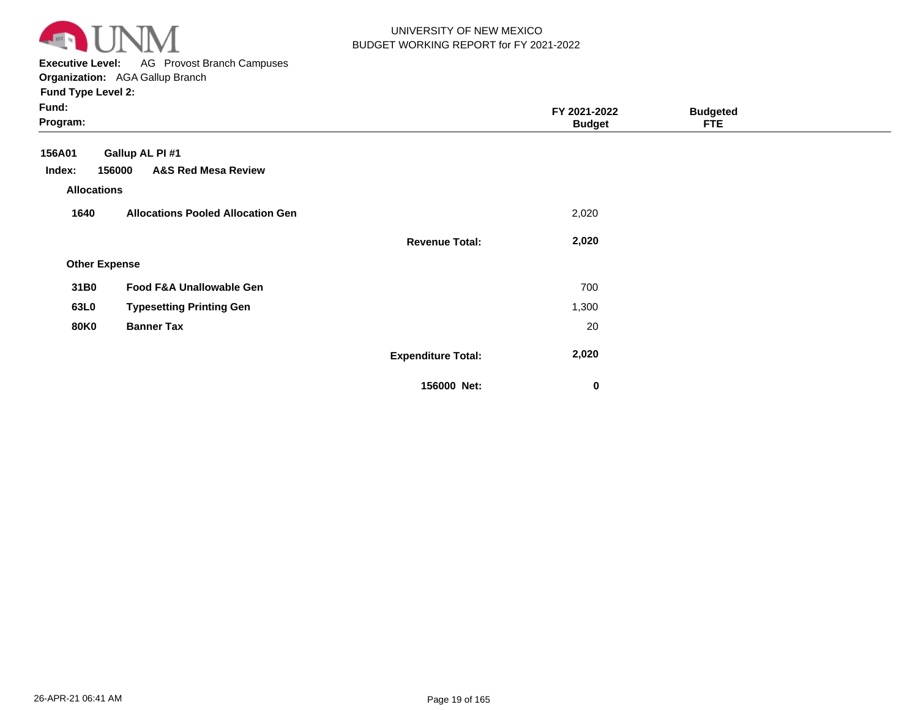

**Executive Level:** AG Provost Branch Campuses **Organization:**  AGA Gallup Branch

| Fund:<br>Program:          |                                                             |                           | FY 2021-2022<br><b>Budget</b> | <b>Budgeted</b><br><b>FTE</b> |  |
|----------------------------|-------------------------------------------------------------|---------------------------|-------------------------------|-------------------------------|--|
| 156A01<br>Index:           | Gallup AL PI #1<br><b>A&amp;S Red Mesa Review</b><br>156000 |                           |                               |                               |  |
| <b>Allocations</b><br>1640 | <b>Allocations Pooled Allocation Gen</b>                    |                           | 2,020                         |                               |  |
|                            |                                                             | <b>Revenue Total:</b>     | 2,020                         |                               |  |
| <b>Other Expense</b>       |                                                             |                           |                               |                               |  |
| 31B0                       | Food F&A Unallowable Gen                                    |                           | 700                           |                               |  |
| 63L0                       | <b>Typesetting Printing Gen</b>                             |                           | 1,300                         |                               |  |
| <b>80K0</b>                | <b>Banner Tax</b>                                           |                           | 20                            |                               |  |
|                            |                                                             | <b>Expenditure Total:</b> | 2,020                         |                               |  |
|                            |                                                             | 156000 Net:               | 0                             |                               |  |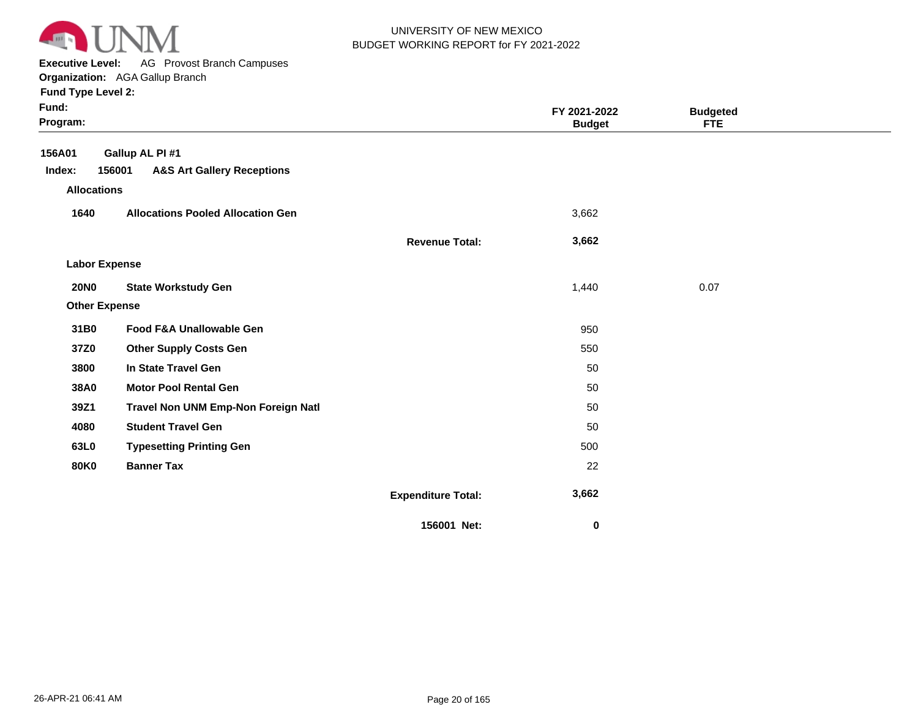

**Executive Level:** AG Provost Branch Campuses

**Organization:**  AGA Gallup Branch

| Fund:<br>Program:    |                                                 |                           | FY 2021-2022<br><b>Budget</b> | <b>Budgeted</b><br><b>FTE</b> |  |
|----------------------|-------------------------------------------------|---------------------------|-------------------------------|-------------------------------|--|
| 156A01               | Gallup AL PI #1                                 |                           |                               |                               |  |
| Index:               | 156001<br><b>A&amp;S Art Gallery Receptions</b> |                           |                               |                               |  |
| <b>Allocations</b>   |                                                 |                           |                               |                               |  |
| 1640                 | <b>Allocations Pooled Allocation Gen</b>        |                           | 3,662                         |                               |  |
|                      |                                                 | <b>Revenue Total:</b>     | 3,662                         |                               |  |
| <b>Labor Expense</b> |                                                 |                           |                               |                               |  |
| <b>20NO</b>          | <b>State Workstudy Gen</b>                      |                           | 1,440                         | 0.07                          |  |
| <b>Other Expense</b> |                                                 |                           |                               |                               |  |
| 31B0                 | Food F&A Unallowable Gen                        |                           | 950                           |                               |  |
| 37Z0                 | <b>Other Supply Costs Gen</b>                   |                           | 550                           |                               |  |
| 3800                 | In State Travel Gen                             |                           | 50                            |                               |  |
| 38A0                 | <b>Motor Pool Rental Gen</b>                    |                           | 50                            |                               |  |
| 39Z1                 | Travel Non UNM Emp-Non Foreign Natl             |                           | 50                            |                               |  |
| 4080                 | <b>Student Travel Gen</b>                       |                           | 50                            |                               |  |
| 63L0                 | <b>Typesetting Printing Gen</b>                 |                           | 500                           |                               |  |
| <b>80K0</b>          | <b>Banner Tax</b>                               |                           | 22                            |                               |  |
|                      |                                                 | <b>Expenditure Total:</b> | 3,662                         |                               |  |
|                      |                                                 | 156001 Net:               | 0                             |                               |  |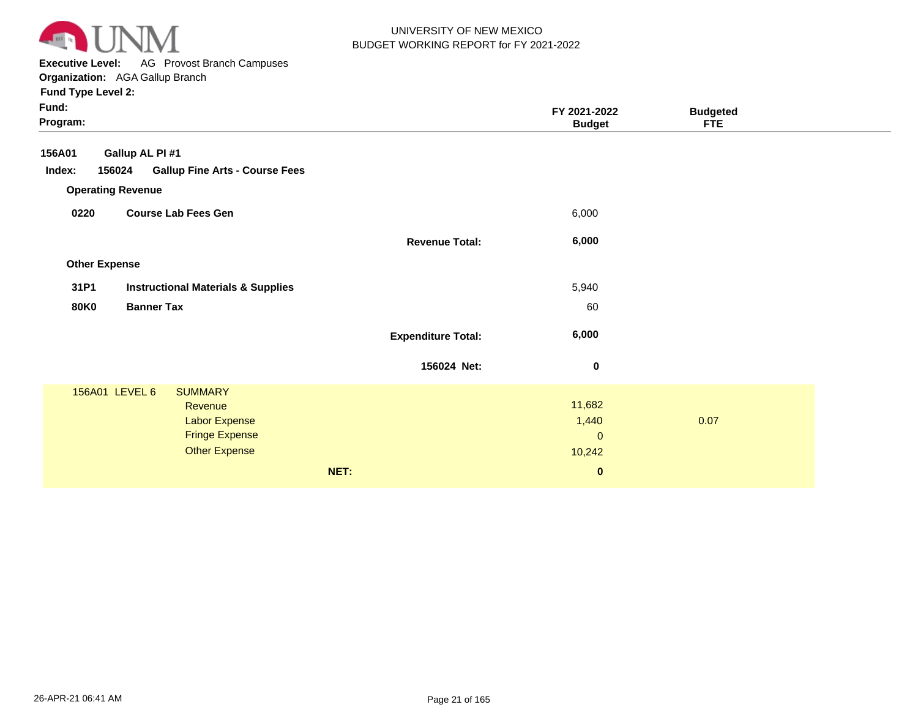

**Executive Level:** AG Provost Branch Campuses **Organization:**  AGA Gallup Branch

| Fund:<br>Program:    |                                                 |                           | FY 2021-2022<br><b>Budget</b> | <b>Budgeted</b><br><b>FTE</b> |  |
|----------------------|-------------------------------------------------|---------------------------|-------------------------------|-------------------------------|--|
| 156A01               | Gallup AL PI #1                                 |                           |                               |                               |  |
| Index:               | <b>Gallup Fine Arts - Course Fees</b><br>156024 |                           |                               |                               |  |
|                      | <b>Operating Revenue</b>                        |                           |                               |                               |  |
| 0220                 | <b>Course Lab Fees Gen</b>                      |                           | 6,000                         |                               |  |
|                      |                                                 | <b>Revenue Total:</b>     | 6,000                         |                               |  |
| <b>Other Expense</b> |                                                 |                           |                               |                               |  |
| 31P1                 | <b>Instructional Materials &amp; Supplies</b>   |                           | 5,940                         |                               |  |
| <b>80K0</b>          | <b>Banner Tax</b>                               |                           | 60                            |                               |  |
|                      |                                                 | <b>Expenditure Total:</b> | 6,000                         |                               |  |
|                      |                                                 | 156024 Net:               | $\boldsymbol{0}$              |                               |  |
|                      | 156A01 LEVEL 6<br><b>SUMMARY</b>                |                           |                               |                               |  |
|                      | Revenue                                         |                           | 11,682                        |                               |  |
|                      | <b>Labor Expense</b><br><b>Fringe Expense</b>   |                           | 1,440<br>$\mathbf{0}$         | 0.07                          |  |
|                      | <b>Other Expense</b>                            |                           | 10,242                        |                               |  |
|                      |                                                 |                           |                               |                               |  |
|                      |                                                 | NET:                      | $\bf{0}$                      |                               |  |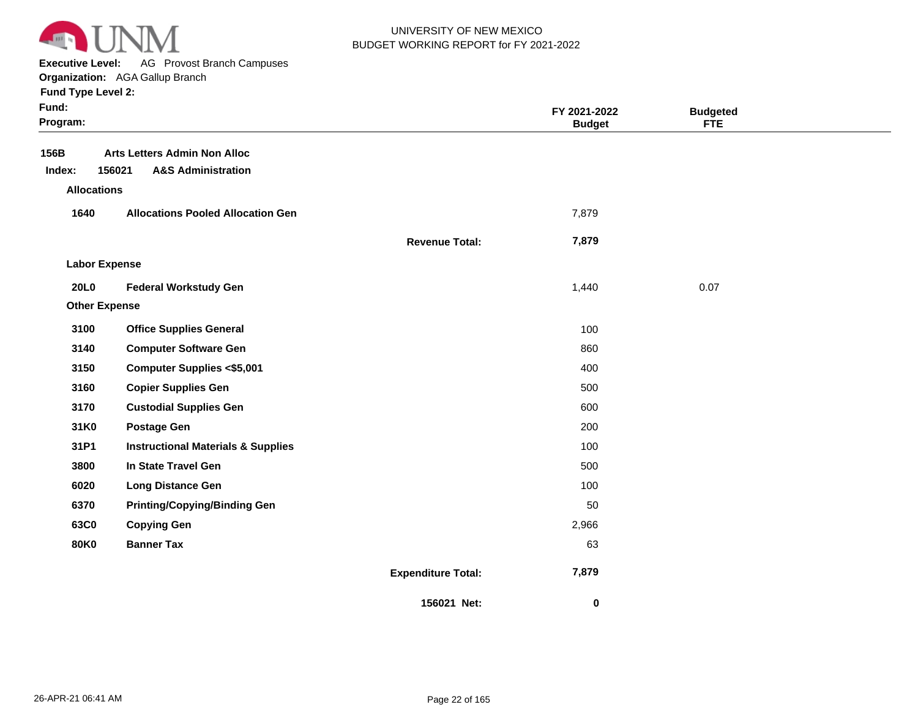

**Executive Level:** AG Provost Branch Campuses

|  | runu iype Levei z: |  |
|--|--------------------|--|
|  |                    |  |

| Fund:<br>Program:    |                                                                                |                           | FY 2021-2022<br><b>Budget</b> | <b>Budgeted</b><br><b>FTE</b> |  |
|----------------------|--------------------------------------------------------------------------------|---------------------------|-------------------------------|-------------------------------|--|
| 156B<br>Index:       | <b>Arts Letters Admin Non Alloc</b><br>156021<br><b>A&amp;S Administration</b> |                           |                               |                               |  |
| <b>Allocations</b>   |                                                                                |                           |                               |                               |  |
| 1640                 | <b>Allocations Pooled Allocation Gen</b>                                       |                           | 7,879                         |                               |  |
|                      |                                                                                | <b>Revenue Total:</b>     | 7,879                         |                               |  |
| <b>Labor Expense</b> |                                                                                |                           |                               |                               |  |
| 20L0                 | <b>Federal Workstudy Gen</b>                                                   |                           | 1,440                         | 0.07                          |  |
| <b>Other Expense</b> |                                                                                |                           |                               |                               |  |
| 3100                 | <b>Office Supplies General</b>                                                 |                           | 100                           |                               |  |
| 3140                 | <b>Computer Software Gen</b>                                                   |                           | 860                           |                               |  |
| 3150                 | <b>Computer Supplies &lt;\$5,001</b>                                           |                           | 400                           |                               |  |
| 3160                 | <b>Copier Supplies Gen</b>                                                     |                           | 500                           |                               |  |
| 3170                 | <b>Custodial Supplies Gen</b>                                                  |                           | 600                           |                               |  |
| 31K0                 | <b>Postage Gen</b>                                                             |                           | 200                           |                               |  |
| 31P1                 | <b>Instructional Materials &amp; Supplies</b>                                  |                           | 100                           |                               |  |
| 3800                 | In State Travel Gen                                                            |                           | 500                           |                               |  |
| 6020                 | <b>Long Distance Gen</b>                                                       |                           | 100                           |                               |  |
| 6370                 | <b>Printing/Copying/Binding Gen</b>                                            |                           | 50                            |                               |  |
| 63C0                 | <b>Copying Gen</b>                                                             |                           | 2,966                         |                               |  |
| <b>80K0</b>          | <b>Banner Tax</b>                                                              |                           | 63                            |                               |  |
|                      |                                                                                | <b>Expenditure Total:</b> | 7,879                         |                               |  |
|                      |                                                                                | 156021 Net:               | $\boldsymbol{0}$              |                               |  |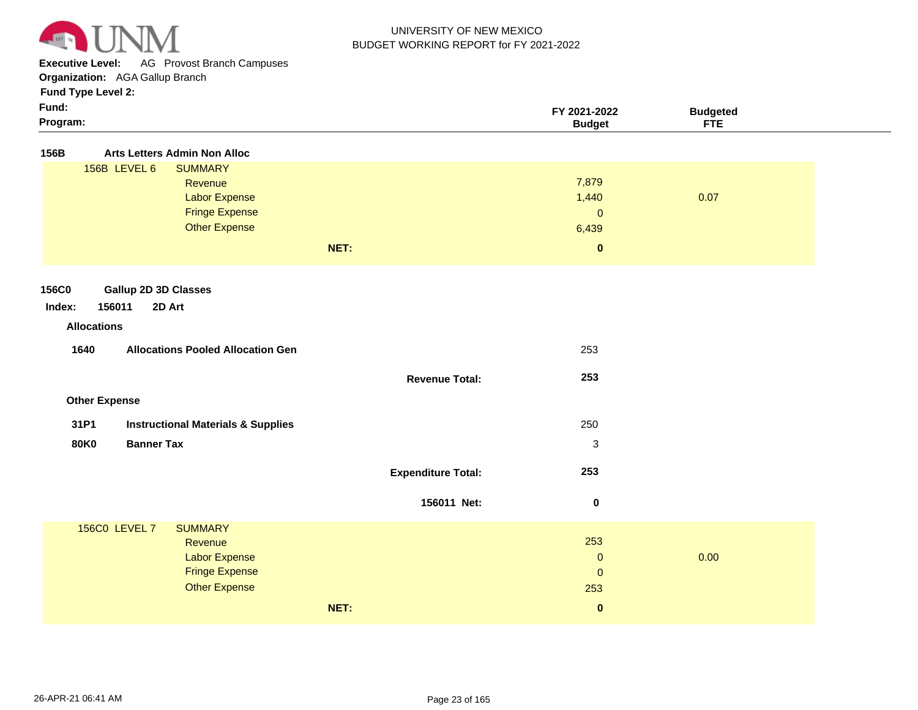

**Executive Level:** AG Provost Branch Campuses

**Organization:**  AGA Gallup Branch

| × | × |  |
|---|---|--|
|   |   |  |

| Fund:<br>Program:                                     |                           | FY 2021-2022<br><b>Budget</b> | <b>Budgeted</b><br><b>FTE</b> |  |
|-------------------------------------------------------|---------------------------|-------------------------------|-------------------------------|--|
| 156B<br><b>Arts Letters Admin Non Alloc</b>           |                           |                               |                               |  |
| 156B LEVEL 6<br><b>SUMMARY</b>                        |                           |                               |                               |  |
| Revenue                                               |                           | 7,879                         |                               |  |
| <b>Labor Expense</b>                                  |                           | 1,440                         | 0.07                          |  |
| <b>Fringe Expense</b>                                 |                           | $\pmb{0}$                     |                               |  |
| <b>Other Expense</b>                                  |                           | 6,439                         |                               |  |
|                                                       | NET:                      | $\mathbf 0$                   |                               |  |
|                                                       |                           |                               |                               |  |
| <b>Gallup 2D 3D Classes</b><br><b>156C0</b>           |                           |                               |                               |  |
| 156011<br>2D Art<br>Index:                            |                           |                               |                               |  |
| <b>Allocations</b>                                    |                           |                               |                               |  |
| 1640<br><b>Allocations Pooled Allocation Gen</b>      |                           | 253                           |                               |  |
|                                                       |                           |                               |                               |  |
|                                                       | <b>Revenue Total:</b>     | 253                           |                               |  |
|                                                       |                           |                               |                               |  |
| <b>Other Expense</b>                                  |                           |                               |                               |  |
| 31P1<br><b>Instructional Materials &amp; Supplies</b> |                           | 250                           |                               |  |
| <b>Banner Tax</b><br><b>80K0</b>                      |                           | $\ensuremath{\mathsf{3}}$     |                               |  |
|                                                       |                           |                               |                               |  |
|                                                       | <b>Expenditure Total:</b> | 253                           |                               |  |
|                                                       |                           |                               |                               |  |
|                                                       | 156011 Net:               | $\mathbf 0$                   |                               |  |
| <b>156C0 LEVEL 7</b><br><b>SUMMARY</b>                |                           |                               |                               |  |
| Revenue                                               |                           | 253                           |                               |  |
| <b>Labor Expense</b>                                  |                           | $\pmb{0}$                     | 0.00                          |  |
| <b>Fringe Expense</b>                                 |                           | $\pmb{0}$                     |                               |  |
| <b>Other Expense</b>                                  |                           | 253                           |                               |  |
|                                                       | NET:                      | $\mathbf 0$                   |                               |  |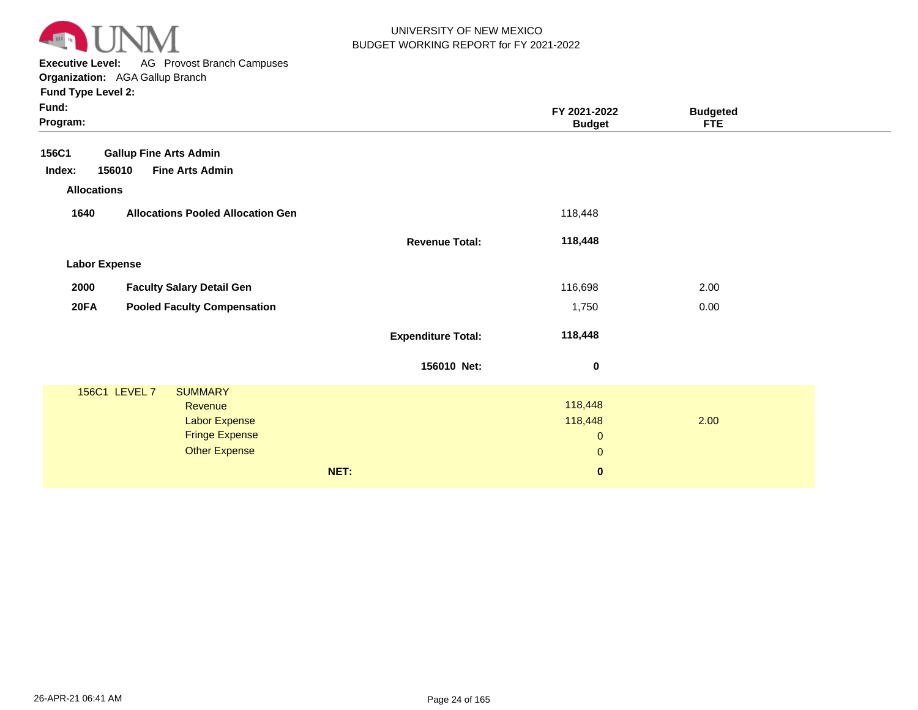

**Executive Level:** AG Provost Branch Campuses

| <b>Fund Type Level 2:</b> |  |
|---------------------------|--|
| <b>E</b> xander           |  |

| Fund:<br>Program:    |                                          |                           | FY 2021-2022<br><b>Budget</b> | <b>Budgeted</b><br><b>FTE</b> |  |
|----------------------|------------------------------------------|---------------------------|-------------------------------|-------------------------------|--|
| 156C1                | <b>Gallup Fine Arts Admin</b>            |                           |                               |                               |  |
| Index:               | 156010<br><b>Fine Arts Admin</b>         |                           |                               |                               |  |
| <b>Allocations</b>   |                                          |                           |                               |                               |  |
| 1640                 | <b>Allocations Pooled Allocation Gen</b> |                           | 118,448                       |                               |  |
|                      |                                          | <b>Revenue Total:</b>     | 118,448                       |                               |  |
| <b>Labor Expense</b> |                                          |                           |                               |                               |  |
| 2000                 | <b>Faculty Salary Detail Gen</b>         |                           | 116,698                       | 2.00                          |  |
| <b>20FA</b>          | <b>Pooled Faculty Compensation</b>       |                           | 1,750                         | 0.00                          |  |
|                      |                                          | <b>Expenditure Total:</b> | 118,448                       |                               |  |
|                      |                                          | 156010 Net:               | 0                             |                               |  |
|                      | 156C1 LEVEL 7<br><b>SUMMARY</b>          |                           |                               |                               |  |
|                      | Revenue                                  |                           | 118,448                       |                               |  |
|                      | <b>Labor Expense</b>                     |                           | 118,448                       | 2.00                          |  |
|                      | <b>Fringe Expense</b>                    |                           | $\mathbf{0}$                  |                               |  |
|                      | <b>Other Expense</b>                     |                           | $\mathbf{0}$                  |                               |  |
|                      |                                          | NET:                      | $\bf{0}$                      |                               |  |
|                      |                                          |                           |                               |                               |  |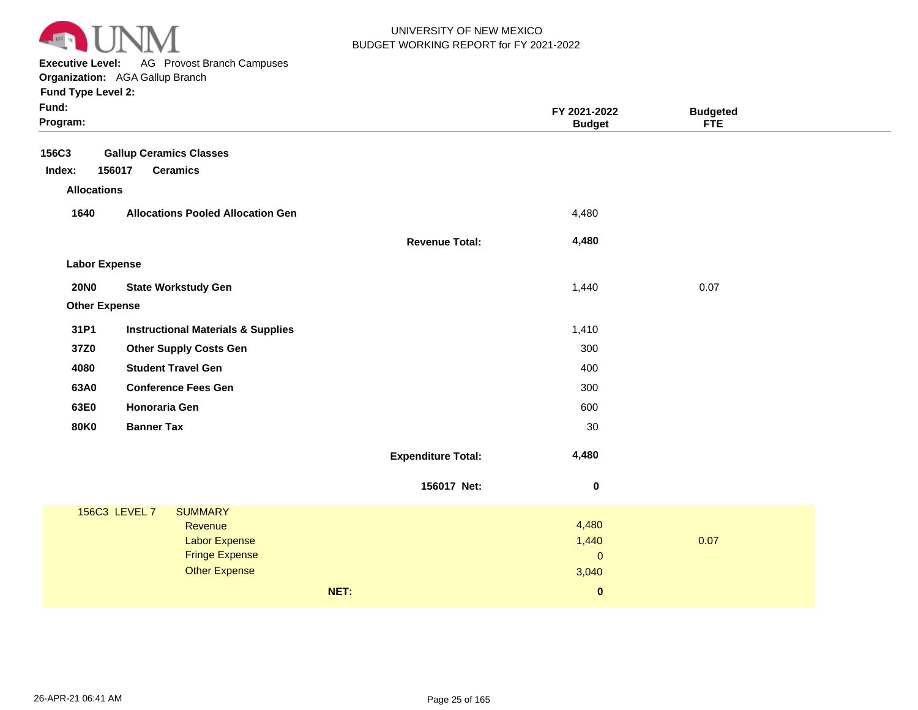

**Executive Level:** AG Provost Branch Campuses

| <b>Fund Type Level 2:</b> |  |  |  |
|---------------------------|--|--|--|
|---------------------------|--|--|--|

| Fund:<br>Program:                     |                                                                                                                     |                           | FY 2021-2022<br><b>Budget</b>                         | <b>Budgeted</b><br><b>FTE</b> |  |
|---------------------------------------|---------------------------------------------------------------------------------------------------------------------|---------------------------|-------------------------------------------------------|-------------------------------|--|
| 156C3<br>Index:<br><b>Allocations</b> | <b>Gallup Ceramics Classes</b><br>156017<br><b>Ceramics</b>                                                         |                           |                                                       |                               |  |
| 1640                                  | <b>Allocations Pooled Allocation Gen</b>                                                                            |                           | 4,480                                                 |                               |  |
|                                       |                                                                                                                     | <b>Revenue Total:</b>     | 4,480                                                 |                               |  |
| <b>Labor Expense</b>                  |                                                                                                                     |                           |                                                       |                               |  |
| <b>20NO</b>                           | <b>State Workstudy Gen</b>                                                                                          |                           | 1,440                                                 | 0.07                          |  |
| <b>Other Expense</b>                  |                                                                                                                     |                           |                                                       |                               |  |
| 31P1                                  | <b>Instructional Materials &amp; Supplies</b>                                                                       |                           | 1,410                                                 |                               |  |
| 37Z0                                  | <b>Other Supply Costs Gen</b>                                                                                       |                           | 300                                                   |                               |  |
| 4080                                  | <b>Student Travel Gen</b>                                                                                           |                           | 400                                                   |                               |  |
| 63A0                                  | <b>Conference Fees Gen</b>                                                                                          |                           | 300                                                   |                               |  |
| 63E0                                  | <b>Honoraria Gen</b>                                                                                                |                           | 600                                                   |                               |  |
| <b>80K0</b>                           | <b>Banner Tax</b>                                                                                                   |                           | 30                                                    |                               |  |
|                                       |                                                                                                                     | <b>Expenditure Total:</b> | 4,480                                                 |                               |  |
|                                       |                                                                                                                     | 156017 Net:               | $\pmb{0}$                                             |                               |  |
|                                       | 156C3 LEVEL 7<br><b>SUMMARY</b><br>Revenue<br><b>Labor Expense</b><br><b>Fringe Expense</b><br><b>Other Expense</b> | NET:                      | 4,480<br>1,440<br>$\mathbf 0$<br>3,040<br>$\mathbf 0$ | 0.07                          |  |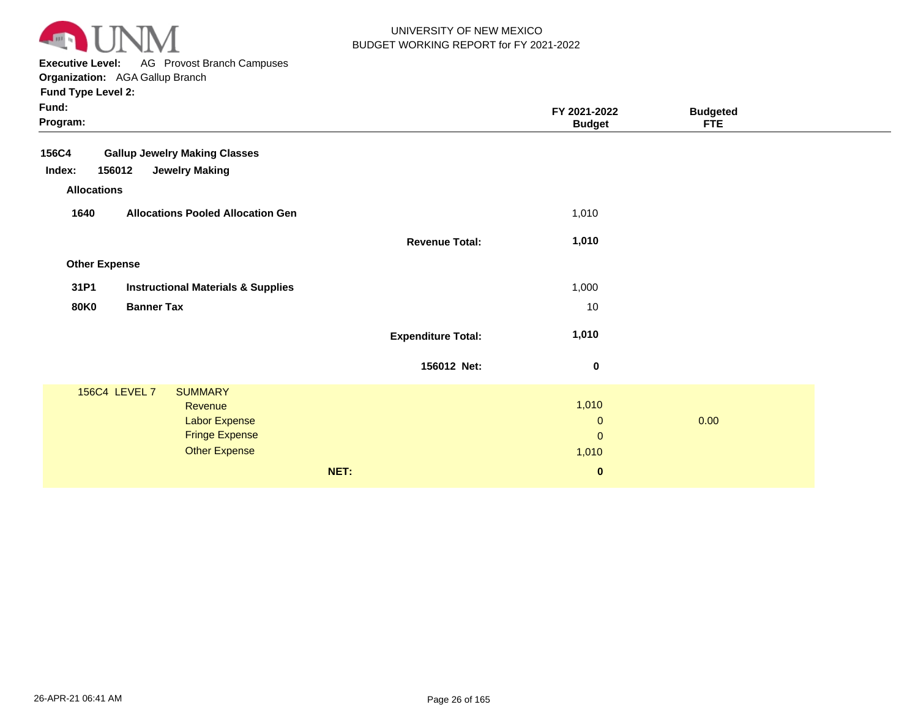

**Executive Level:** AG Provost Branch Campuses **Organization:**  AGA Gallup Branch

| Fund:<br>Program:    |                                               |                           | FY 2021-2022<br><b>Budget</b> | <b>Budgeted</b><br><b>FTE</b> |  |
|----------------------|-----------------------------------------------|---------------------------|-------------------------------|-------------------------------|--|
| <b>156C4</b>         | <b>Gallup Jewelry Making Classes</b>          |                           |                               |                               |  |
| Index:<br>156012     | <b>Jewelry Making</b>                         |                           |                               |                               |  |
| <b>Allocations</b>   |                                               |                           |                               |                               |  |
| 1640                 | <b>Allocations Pooled Allocation Gen</b>      |                           | 1,010                         |                               |  |
|                      |                                               | <b>Revenue Total:</b>     | 1,010                         |                               |  |
| <b>Other Expense</b> |                                               |                           |                               |                               |  |
| 31P1                 | <b>Instructional Materials &amp; Supplies</b> |                           | 1,000                         |                               |  |
| <b>80K0</b>          | <b>Banner Tax</b>                             |                           | 10                            |                               |  |
|                      |                                               | <b>Expenditure Total:</b> | 1,010                         |                               |  |
|                      |                                               | 156012 Net:               | $\bf{0}$                      |                               |  |
| 156C4 LEVEL 7        | <b>SUMMARY</b>                                |                           |                               |                               |  |
|                      | Revenue                                       |                           | 1,010                         |                               |  |
|                      | <b>Labor Expense</b>                          |                           | $\mathbf{0}$                  | 0.00                          |  |
|                      | <b>Fringe Expense</b>                         |                           | $\mathbf{0}$                  |                               |  |
|                      | <b>Other Expense</b>                          |                           | 1,010                         |                               |  |
|                      |                                               | NET:                      | $\bf{0}$                      |                               |  |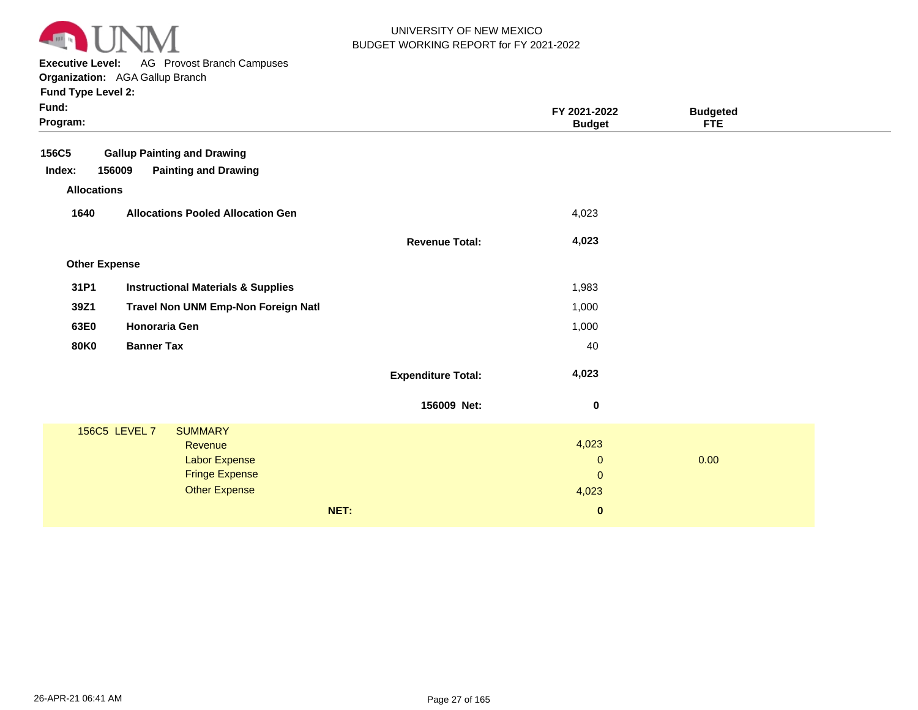

**Executive Level:** AG Provost Branch Campuses

| Fund:<br>Program:    |                                               |                           | FY 2021-2022<br><b>Budget</b> | <b>Budgeted</b><br><b>FTE</b> |  |
|----------------------|-----------------------------------------------|---------------------------|-------------------------------|-------------------------------|--|
| 156C5                | <b>Gallup Painting and Drawing</b>            |                           |                               |                               |  |
| Index:<br>156009     | <b>Painting and Drawing</b>                   |                           |                               |                               |  |
| <b>Allocations</b>   |                                               |                           |                               |                               |  |
| 1640                 | <b>Allocations Pooled Allocation Gen</b>      |                           | 4,023                         |                               |  |
|                      |                                               | <b>Revenue Total:</b>     | 4,023                         |                               |  |
| <b>Other Expense</b> |                                               |                           |                               |                               |  |
| 31P1                 | <b>Instructional Materials &amp; Supplies</b> |                           | 1,983                         |                               |  |
|                      |                                               |                           |                               |                               |  |
| 39Z1                 | Travel Non UNM Emp-Non Foreign Natl           |                           | 1,000                         |                               |  |
| 63E0                 | <b>Honoraria Gen</b>                          |                           | 1,000                         |                               |  |
| <b>80K0</b>          | <b>Banner Tax</b>                             |                           | 40                            |                               |  |
|                      |                                               | <b>Expenditure Total:</b> | 4,023                         |                               |  |
|                      |                                               | 156009 Net:               | $\bf{0}$                      |                               |  |
| 156C5 LEVEL 7        | <b>SUMMARY</b>                                |                           |                               |                               |  |
|                      | Revenue                                       |                           | 4,023                         |                               |  |
|                      | Labor Expense<br><b>Fringe Expense</b>        |                           | $\mathbf 0$<br>$\mathbf 0$    | 0.00                          |  |
|                      | <b>Other Expense</b>                          |                           | 4,023                         |                               |  |
|                      |                                               |                           |                               |                               |  |
|                      |                                               | NET:                      | $\bf{0}$                      |                               |  |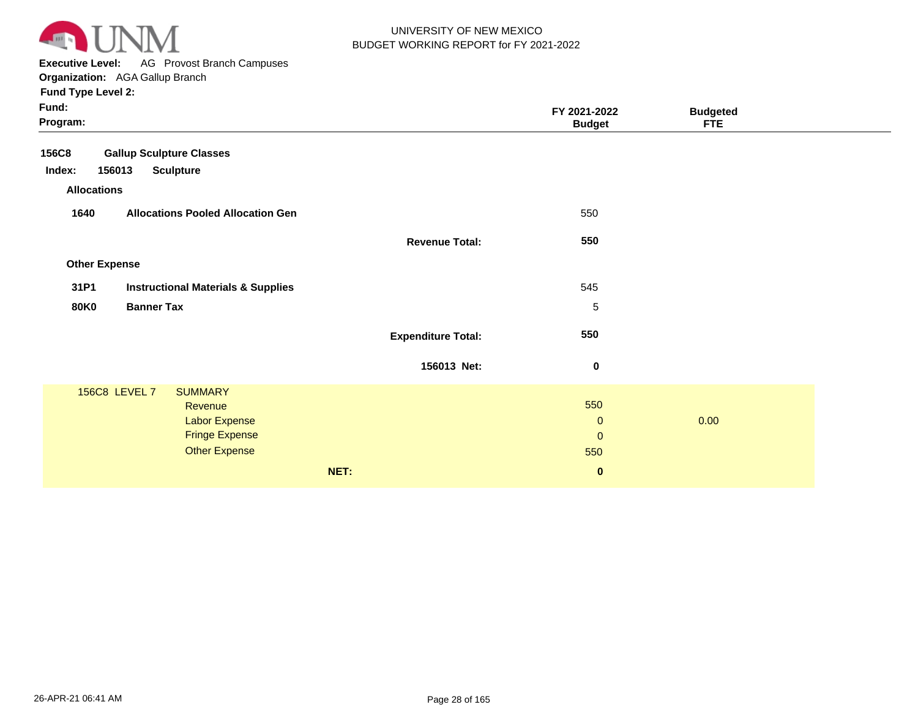

**Executive Level:** AG Provost Branch Campuses **Organization:**  AGA Gallup Branch

| Fund:<br>Program:    |                                               |                           | FY 2021-2022<br><b>Budget</b> | <b>Budgeted</b><br><b>FTE</b> |  |
|----------------------|-----------------------------------------------|---------------------------|-------------------------------|-------------------------------|--|
| <b>156C8</b>         | <b>Gallup Sculpture Classes</b>               |                           |                               |                               |  |
| Index:<br>156013     | <b>Sculpture</b>                              |                           |                               |                               |  |
| <b>Allocations</b>   |                                               |                           |                               |                               |  |
| 1640                 | <b>Allocations Pooled Allocation Gen</b>      |                           | 550                           |                               |  |
|                      |                                               | <b>Revenue Total:</b>     | 550                           |                               |  |
| <b>Other Expense</b> |                                               |                           |                               |                               |  |
| 31P1                 | <b>Instructional Materials &amp; Supplies</b> |                           | 545                           |                               |  |
| <b>80K0</b>          | <b>Banner Tax</b>                             |                           | 5                             |                               |  |
|                      |                                               | <b>Expenditure Total:</b> | 550                           |                               |  |
|                      |                                               | 156013 Net:               | $\bf{0}$                      |                               |  |
| 156C8 LEVEL 7        | <b>SUMMARY</b>                                |                           |                               |                               |  |
|                      | Revenue                                       |                           | 550                           |                               |  |
|                      | <b>Labor Expense</b>                          |                           | $\mathbf{0}$                  | 0.00                          |  |
|                      | <b>Fringe Expense</b>                         |                           | $\mathbf{0}$                  |                               |  |
|                      | <b>Other Expense</b>                          |                           | 550                           |                               |  |
|                      |                                               | NET:                      | $\bf{0}$                      |                               |  |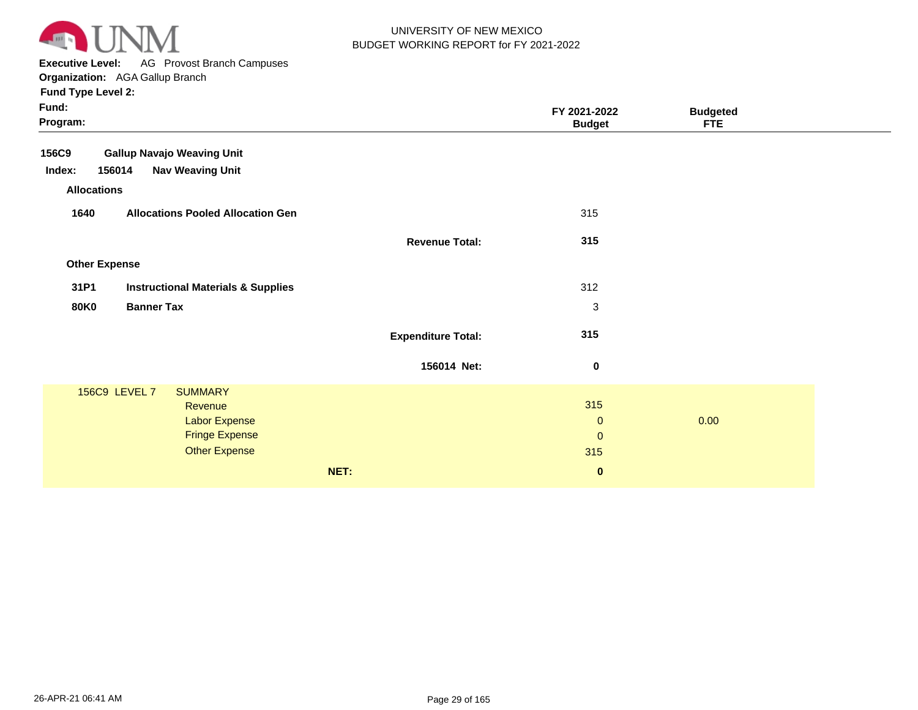

**Executive Level:** AG Provost Branch Campuses

| Fund:<br>Program:    |                                               |                           | FY 2021-2022<br><b>Budget</b> | <b>Budgeted</b><br><b>FTE</b> |  |
|----------------------|-----------------------------------------------|---------------------------|-------------------------------|-------------------------------|--|
| 156C9                | <b>Gallup Navajo Weaving Unit</b>             |                           |                               |                               |  |
| Index:<br>156014     | <b>Nav Weaving Unit</b>                       |                           |                               |                               |  |
| <b>Allocations</b>   |                                               |                           |                               |                               |  |
| 1640                 | <b>Allocations Pooled Allocation Gen</b>      |                           | 315                           |                               |  |
|                      |                                               | <b>Revenue Total:</b>     | 315                           |                               |  |
| <b>Other Expense</b> |                                               |                           |                               |                               |  |
| 31P1                 | <b>Instructional Materials &amp; Supplies</b> |                           | 312                           |                               |  |
| <b>80K0</b>          | <b>Banner Tax</b>                             |                           | $\mathbf{3}$                  |                               |  |
|                      |                                               | <b>Expenditure Total:</b> | 315                           |                               |  |
|                      |                                               | 156014 Net:               | $\pmb{0}$                     |                               |  |
| 156C9 LEVEL 7        | <b>SUMMARY</b>                                |                           |                               |                               |  |
|                      | Revenue                                       |                           | 315                           |                               |  |
|                      | <b>Labor Expense</b>                          |                           | $\mathbf{0}$                  | 0.00                          |  |
|                      | <b>Fringe Expense</b>                         |                           | $\mathbf{0}$                  |                               |  |
|                      | <b>Other Expense</b>                          |                           | 315                           |                               |  |
|                      |                                               | NET:                      | $\bf{0}$                      |                               |  |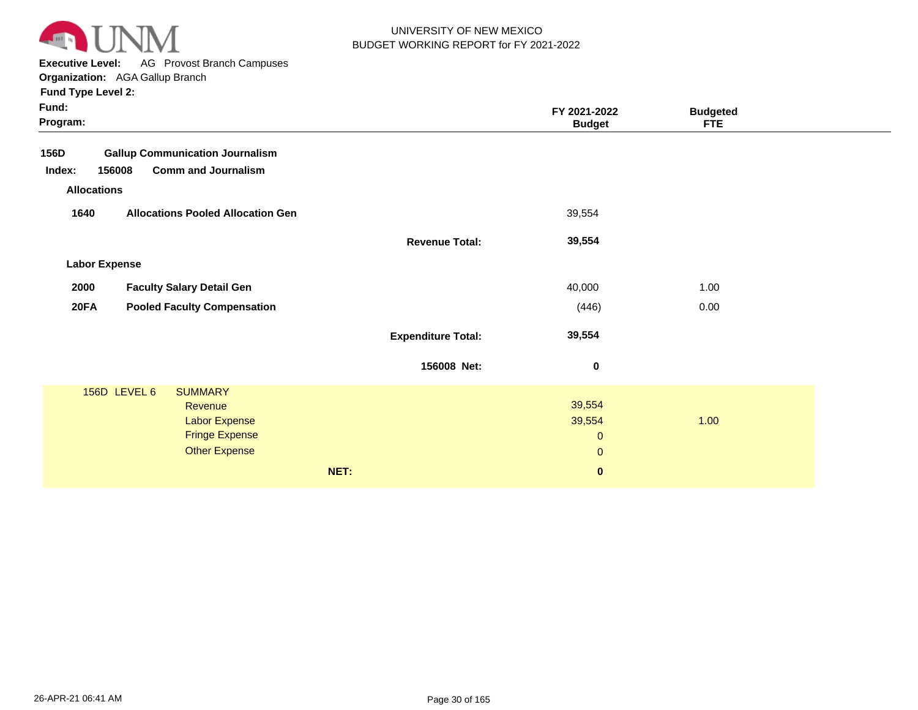

**Executive Level:** AG Provost Branch Campuses

| <b>Fund Type Level 2:</b> |  |  |
|---------------------------|--|--|
|---------------------------|--|--|

| Fund:<br>Program:                                |      | FY 2021-2022<br><b>Budget</b>       | <b>Budgeted</b><br><b>FTE</b> |  |
|--------------------------------------------------|------|-------------------------------------|-------------------------------|--|
| 156D<br><b>Gallup Communication Journalism</b>   |      |                                     |                               |  |
| <b>Comm and Journalism</b><br>156008<br>Index:   |      |                                     |                               |  |
| <b>Allocations</b>                               |      |                                     |                               |  |
| 1640<br><b>Allocations Pooled Allocation Gen</b> |      | 39,554                              |                               |  |
|                                                  |      | 39,554<br><b>Revenue Total:</b>     |                               |  |
| <b>Labor Expense</b>                             |      |                                     |                               |  |
| <b>Faculty Salary Detail Gen</b><br>2000         |      | 40,000                              | 1.00                          |  |
| 20FA<br><b>Pooled Faculty Compensation</b>       |      | (446)                               | 0.00                          |  |
|                                                  |      | 39,554<br><b>Expenditure Total:</b> |                               |  |
|                                                  |      | 156008 Net:<br>$\bf{0}$             |                               |  |
| 156D LEVEL 6<br><b>SUMMARY</b>                   |      |                                     |                               |  |
| Revenue                                          |      | 39,554                              |                               |  |
| <b>Labor Expense</b>                             |      | 39,554                              | 1.00                          |  |
| <b>Fringe Expense</b>                            |      | $\mathbf 0$                         |                               |  |
| <b>Other Expense</b>                             |      | $\mathbf{0}$                        |                               |  |
|                                                  | NET: | $\bf{0}$                            |                               |  |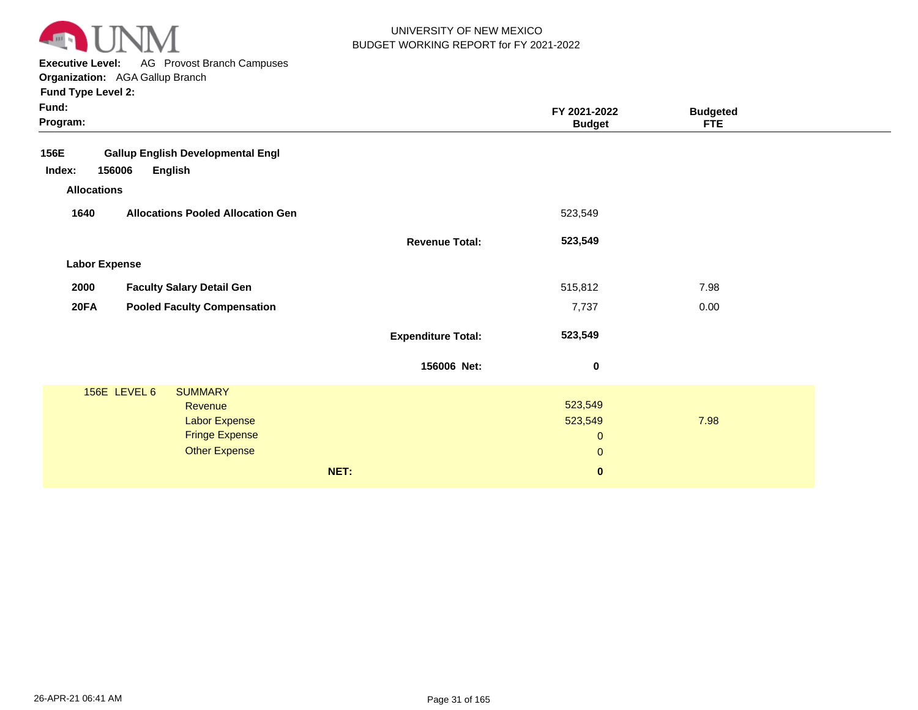

**Executive Level:** AG Provost Branch Campuses **Organization:**  AGA Gallup Branch

| Fund:<br>Program:                                 |                           | FY 2021-2022<br><b>Budget</b> | <b>Budgeted</b><br><b>FTE</b> |  |
|---------------------------------------------------|---------------------------|-------------------------------|-------------------------------|--|
| <b>Gallup English Developmental Engl</b><br>156E  |                           |                               |                               |  |
| Index:<br>156006<br><b>English</b>                |                           |                               |                               |  |
| <b>Allocations</b>                                |                           |                               |                               |  |
| 1640<br><b>Allocations Pooled Allocation Gen</b>  |                           | 523,549                       |                               |  |
|                                                   | <b>Revenue Total:</b>     | 523,549                       |                               |  |
| <b>Labor Expense</b>                              |                           |                               |                               |  |
| 2000<br><b>Faculty Salary Detail Gen</b>          |                           | 515,812                       | 7.98                          |  |
| <b>20FA</b><br><b>Pooled Faculty Compensation</b> |                           | 7,737                         | 0.00                          |  |
|                                                   | <b>Expenditure Total:</b> | 523,549                       |                               |  |
|                                                   | 156006 Net:               | $\bf{0}$                      |                               |  |
| 156E LEVEL 6<br><b>SUMMARY</b>                    |                           |                               |                               |  |
| Revenue                                           |                           | 523,549                       |                               |  |
| <b>Labor Expense</b>                              |                           | 523,549                       | 7.98                          |  |
| <b>Fringe Expense</b><br><b>Other Expense</b>     |                           | $\mathbf{0}$                  |                               |  |
|                                                   |                           | $\mathbf{0}$                  |                               |  |
| NET:                                              |                           | $\mathbf 0$                   |                               |  |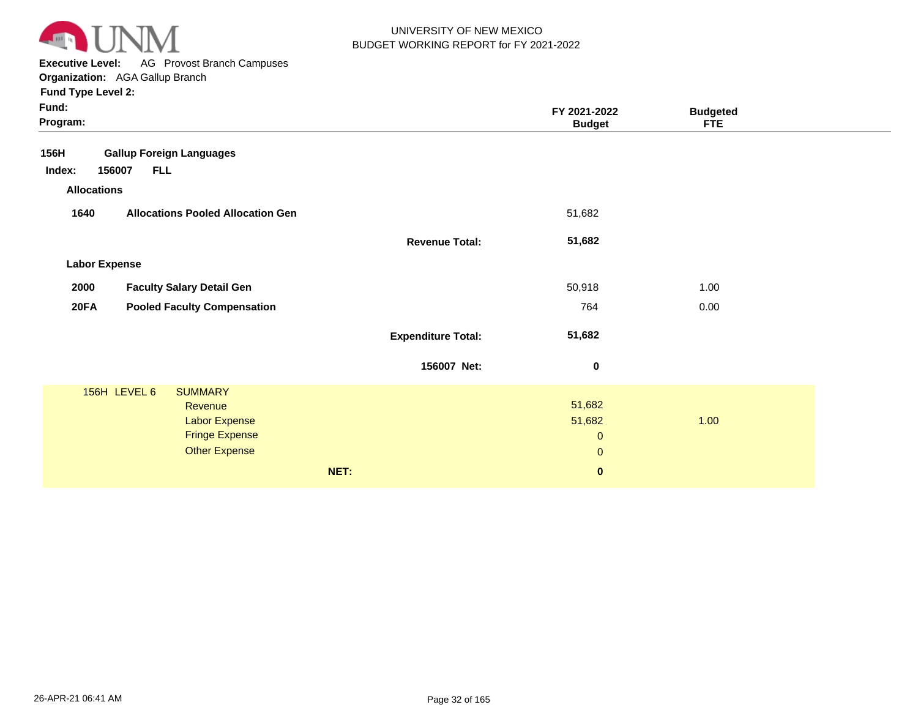

**Executive Level:** AG Provost Branch Campuses **Organization:**  AGA Gallup Branch

| Fund:<br>Program:    |                                          |                           | FY 2021-2022<br><b>Budget</b> | <b>Budgeted</b><br><b>FTE</b> |  |
|----------------------|------------------------------------------|---------------------------|-------------------------------|-------------------------------|--|
| 156H                 | <b>Gallup Foreign Languages</b>          |                           |                               |                               |  |
| 156007<br>Index:     | <b>FLL</b>                               |                           |                               |                               |  |
| <b>Allocations</b>   |                                          |                           |                               |                               |  |
| 1640                 | <b>Allocations Pooled Allocation Gen</b> |                           | 51,682                        |                               |  |
|                      |                                          | <b>Revenue Total:</b>     | 51,682                        |                               |  |
| <b>Labor Expense</b> |                                          |                           |                               |                               |  |
| 2000                 | <b>Faculty Salary Detail Gen</b>         |                           | 50,918                        | 1.00                          |  |
| <b>20FA</b>          | <b>Pooled Faculty Compensation</b>       |                           | 764                           | 0.00                          |  |
|                      |                                          | <b>Expenditure Total:</b> | 51,682                        |                               |  |
|                      |                                          | 156007 Net:               | $\pmb{0}$                     |                               |  |
| 156H LEVEL 6         | <b>SUMMARY</b>                           |                           |                               |                               |  |
|                      | Revenue                                  |                           | 51,682                        |                               |  |
|                      | <b>Labor Expense</b>                     |                           | 51,682                        | 1.00                          |  |
|                      | <b>Fringe Expense</b>                    |                           | $\mathbf{0}$                  |                               |  |
|                      | <b>Other Expense</b>                     |                           | $\mathbf 0$                   |                               |  |
|                      |                                          | NET:                      | $\pmb{0}$                     |                               |  |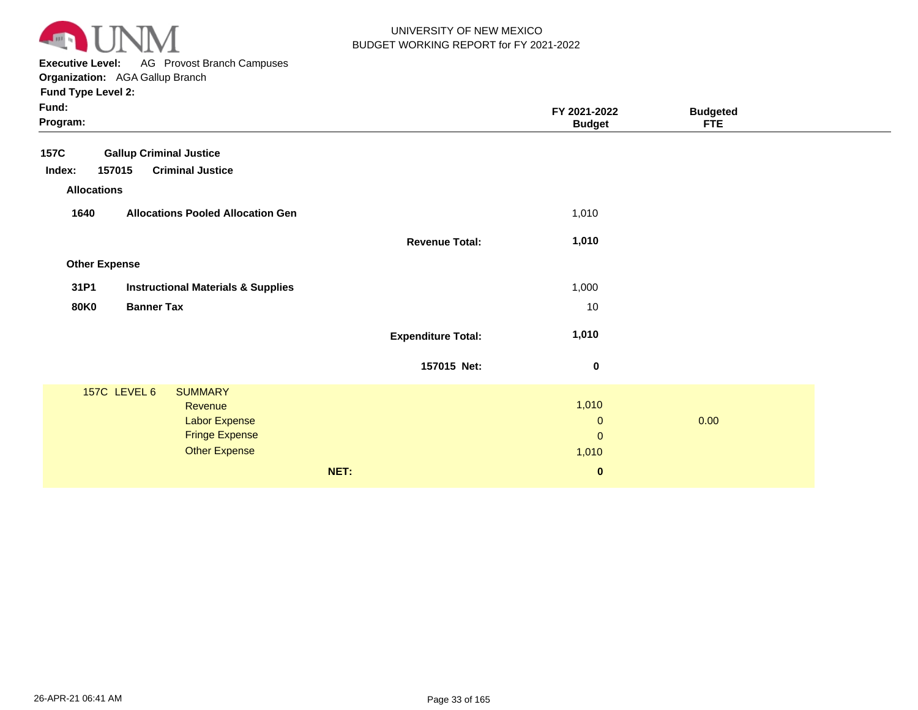

**Executive Level:** AG Provost Branch Campuses **Organization:**  AGA Gallup Branch

| Fund:<br>Program:                                     |                           | FY 2021-2022<br><b>Budget</b> | <b>Budgeted</b><br><b>FTE</b> |  |
|-------------------------------------------------------|---------------------------|-------------------------------|-------------------------------|--|
| <b>Gallup Criminal Justice</b><br><b>157C</b>         |                           |                               |                               |  |
| 157015<br><b>Criminal Justice</b><br>Index:           |                           |                               |                               |  |
| <b>Allocations</b>                                    |                           |                               |                               |  |
| 1640<br><b>Allocations Pooled Allocation Gen</b>      |                           | 1,010                         |                               |  |
|                                                       | <b>Revenue Total:</b>     | 1,010                         |                               |  |
| <b>Other Expense</b>                                  |                           |                               |                               |  |
| 31P1<br><b>Instructional Materials &amp; Supplies</b> |                           | 1,000                         |                               |  |
| <b>80K0</b><br><b>Banner Tax</b>                      |                           | 10                            |                               |  |
|                                                       | <b>Expenditure Total:</b> | 1,010                         |                               |  |
|                                                       | 157015 Net:               | $\bf{0}$                      |                               |  |
| 157C LEVEL 6<br><b>SUMMARY</b>                        |                           |                               |                               |  |
| Revenue                                               |                           | 1,010                         |                               |  |
| <b>Labor Expense</b>                                  |                           | $\mathbf{0}$                  | 0.00                          |  |
| <b>Fringe Expense</b>                                 |                           | $\mathbf{0}$                  |                               |  |
| <b>Other Expense</b>                                  |                           | 1,010                         |                               |  |
|                                                       | NET:                      | $\bf{0}$                      |                               |  |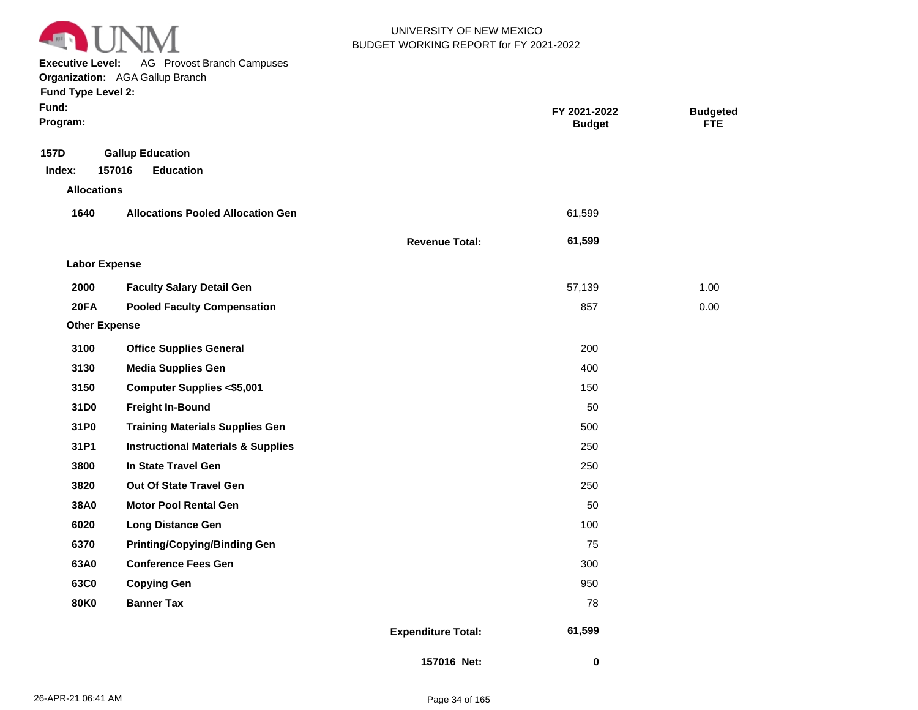

**Executive Level:** AG Provost Branch Campuses

| Fund Type Level 2:   | <b>Organization:</b> AGA Gallup Branch        |                       |                               |                        |
|----------------------|-----------------------------------------------|-----------------------|-------------------------------|------------------------|
| Fund:<br>Program:    |                                               |                       | FY 2021-2022<br><b>Budget</b> | <b>Budgeted</b><br>FTE |
| 157D                 | <b>Gallup Education</b>                       |                       |                               |                        |
| Index:               | 157016<br><b>Education</b>                    |                       |                               |                        |
| <b>Allocations</b>   |                                               |                       |                               |                        |
| 1640                 | <b>Allocations Pooled Allocation Gen</b>      |                       | 61,599                        |                        |
|                      |                                               | <b>Revenue Total:</b> | 61,599                        |                        |
| <b>Labor Expense</b> |                                               |                       |                               |                        |
| 2000                 | <b>Faculty Salary Detail Gen</b>              |                       | 57,139                        | 1.00                   |
| <b>20FA</b>          | <b>Pooled Faculty Compensation</b>            |                       | 857                           | 0.00                   |
| <b>Other Expense</b> |                                               |                       |                               |                        |
| 3100                 | <b>Office Supplies General</b>                |                       | 200                           |                        |
| 3130                 | <b>Media Supplies Gen</b>                     |                       | 400                           |                        |
| 3150                 | <b>Computer Supplies &lt;\$5,001</b>          |                       | 150                           |                        |
| 31D <sub>0</sub>     | <b>Freight In-Bound</b>                       |                       | 50                            |                        |
| 31P0                 | <b>Training Materials Supplies Gen</b>        |                       | 500                           |                        |
| 31P1                 | <b>Instructional Materials &amp; Supplies</b> |                       | 250                           |                        |
| 3800                 | In State Travel Gen                           |                       | 250                           |                        |
| 3820                 | <b>Out Of State Travel Gen</b>                |                       | 250                           |                        |

**38A0 6020 6370 63A0 63C0 80K0**

**Motor Pool Rental Gen Long Distance Gen**

**Conference Fees Gen**

**Copying Gen Banner Tax**

**Printing/Copying/Binding Gen**

**157016 Net:**

 **61,599** 

 **0** 

**Expenditure Total:**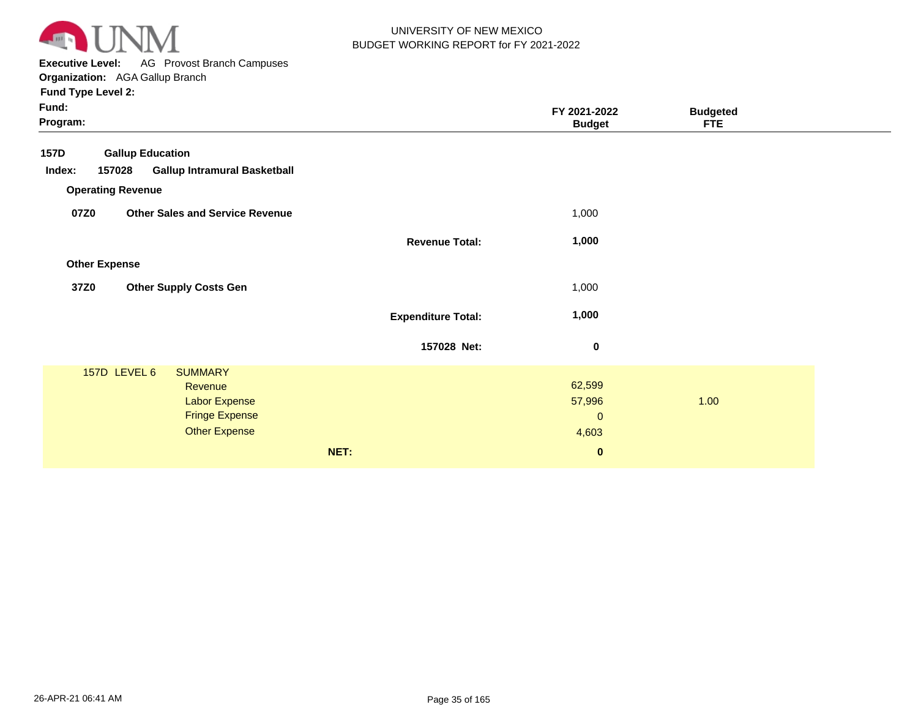

**Executive Level:** AG Provost Branch Campuses **Organization:**  AGA Gallup Branch

| Fund:<br>Program: |                          |                                        |                           | FY 2021-2022<br><b>Budget</b> | <b>Budgeted</b><br><b>FTE</b> |  |
|-------------------|--------------------------|----------------------------------------|---------------------------|-------------------------------|-------------------------------|--|
| <b>157D</b>       | <b>Gallup Education</b>  |                                        |                           |                               |                               |  |
| Index:            | 157028                   | <b>Gallup Intramural Basketball</b>    |                           |                               |                               |  |
|                   | <b>Operating Revenue</b> |                                        |                           |                               |                               |  |
| 07Z0              |                          | <b>Other Sales and Service Revenue</b> |                           | 1,000                         |                               |  |
|                   |                          |                                        | <b>Revenue Total:</b>     | 1,000                         |                               |  |
|                   | <b>Other Expense</b>     |                                        |                           |                               |                               |  |
| 37Z0              |                          | <b>Other Supply Costs Gen</b>          |                           | 1,000                         |                               |  |
|                   |                          |                                        | <b>Expenditure Total:</b> | 1,000                         |                               |  |
|                   |                          |                                        | 157028 Net:               | 0                             |                               |  |
|                   | 157D LEVEL 6             | <b>SUMMARY</b>                         |                           | 62,599                        |                               |  |
|                   |                          | Revenue<br><b>Labor Expense</b>        |                           | 57,996                        | 1.00                          |  |
|                   |                          | <b>Fringe Expense</b>                  |                           | $\mathbf 0$                   |                               |  |
|                   |                          | <b>Other Expense</b>                   |                           | 4,603                         |                               |  |
|                   |                          |                                        | NET:                      | $\pmb{0}$                     |                               |  |
|                   |                          |                                        |                           |                               |                               |  |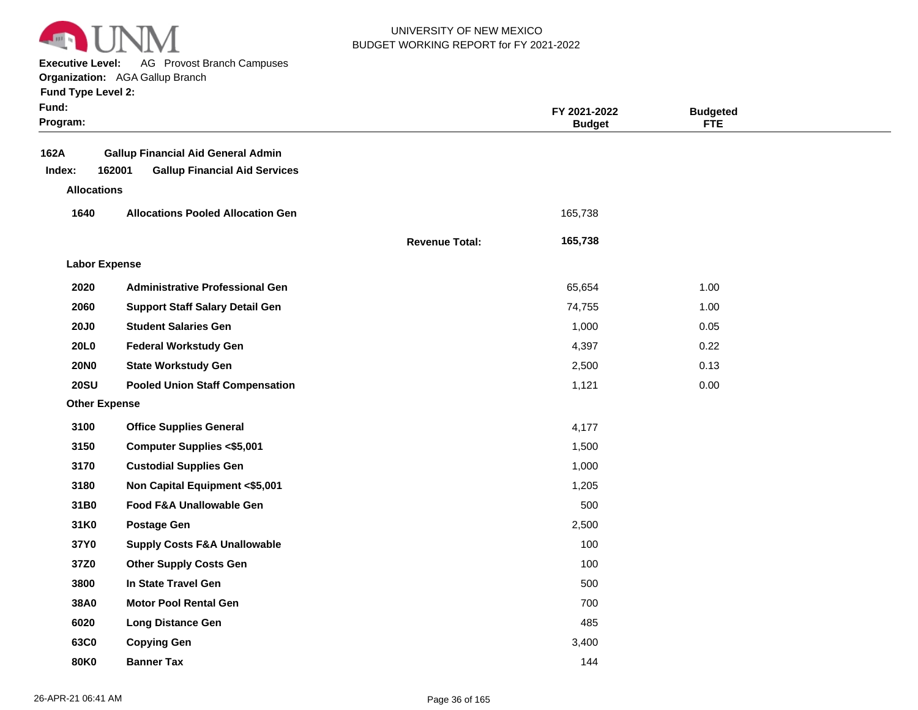

**Executive Level:** AG Provost Branch Campuses

|  | <b>Fund Type Level 2:</b> |  |
|--|---------------------------|--|
|  |                           |  |

| Fund:<br>Program:    |                                                                                             |                       | FY 2021-2022<br><b>Budget</b> | <b>Budgeted</b><br><b>FTE</b> |  |
|----------------------|---------------------------------------------------------------------------------------------|-----------------------|-------------------------------|-------------------------------|--|
| 162A<br>Index:       | <b>Gallup Financial Aid General Admin</b><br>162001<br><b>Gallup Financial Aid Services</b> |                       |                               |                               |  |
| <b>Allocations</b>   |                                                                                             |                       |                               |                               |  |
| 1640                 | <b>Allocations Pooled Allocation Gen</b>                                                    |                       | 165,738                       |                               |  |
|                      |                                                                                             | <b>Revenue Total:</b> | 165,738                       |                               |  |
| <b>Labor Expense</b> |                                                                                             |                       |                               |                               |  |
| 2020                 | <b>Administrative Professional Gen</b>                                                      |                       | 65,654                        | 1.00                          |  |
| 2060                 | <b>Support Staff Salary Detail Gen</b>                                                      |                       | 74,755                        | 1.00                          |  |
| <b>20J0</b>          | <b>Student Salaries Gen</b>                                                                 |                       | 1,000                         | 0.05                          |  |
| 20L0                 | <b>Federal Workstudy Gen</b>                                                                |                       | 4,397                         | 0.22                          |  |
| <b>20NO</b>          | <b>State Workstudy Gen</b>                                                                  |                       | 2,500                         | 0.13                          |  |
| <b>20SU</b>          | <b>Pooled Union Staff Compensation</b>                                                      |                       | 1,121                         | 0.00                          |  |
| <b>Other Expense</b> |                                                                                             |                       |                               |                               |  |
| 3100                 | <b>Office Supplies General</b>                                                              |                       | 4,177                         |                               |  |
| 3150                 | <b>Computer Supplies &lt;\$5,001</b>                                                        |                       | 1,500                         |                               |  |
| 3170                 | <b>Custodial Supplies Gen</b>                                                               |                       | 1,000                         |                               |  |
| 3180                 | Non Capital Equipment <\$5,001                                                              |                       | 1,205                         |                               |  |
| 31B0                 | Food F&A Unallowable Gen                                                                    |                       | 500                           |                               |  |
| 31K0                 | <b>Postage Gen</b>                                                                          |                       | 2,500                         |                               |  |
| 37Y0                 | <b>Supply Costs F&amp;A Unallowable</b>                                                     |                       | 100                           |                               |  |
| 37Z0                 | <b>Other Supply Costs Gen</b>                                                               |                       | 100                           |                               |  |
| 3800                 | In State Travel Gen                                                                         |                       | 500                           |                               |  |
| 38A0                 | <b>Motor Pool Rental Gen</b>                                                                |                       | 700                           |                               |  |
| 6020                 | <b>Long Distance Gen</b>                                                                    |                       | 485                           |                               |  |
| 63C0                 | <b>Copying Gen</b>                                                                          |                       | 3,400                         |                               |  |
| <b>80K0</b>          | <b>Banner Tax</b>                                                                           |                       | 144                           |                               |  |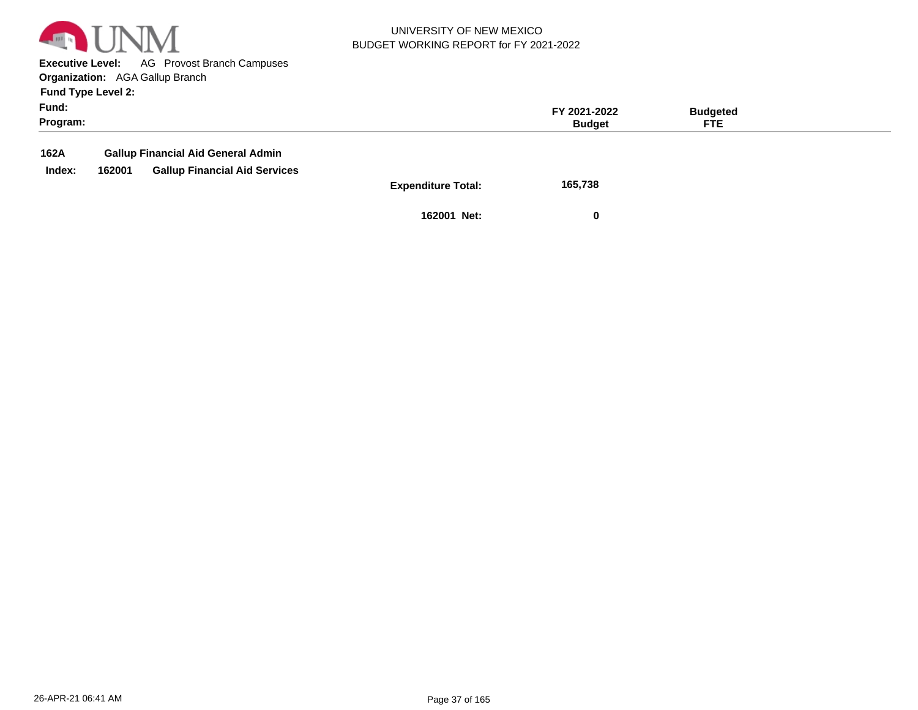

**Executive Level:** AG Provost Branch Campuses **Organization:**  AGA Gallup Branch

**Fund Type Level 2:**

| Fund:<br>Program: |        |                                           |                    | FY 2021-2022<br><b>Budget</b> | <b>Budgeted</b><br>FTE. |  |
|-------------------|--------|-------------------------------------------|--------------------|-------------------------------|-------------------------|--|
| 162A              |        | <b>Gallup Financial Aid General Admin</b> |                    |                               |                         |  |
| Index:            | 162001 | <b>Gallup Financial Aid Services</b>      |                    |                               |                         |  |
|                   |        |                                           | Expenditure Total: | 165 738                       |                         |  |

**Expenditure Total: 165,738** 

**162001 Net: 0**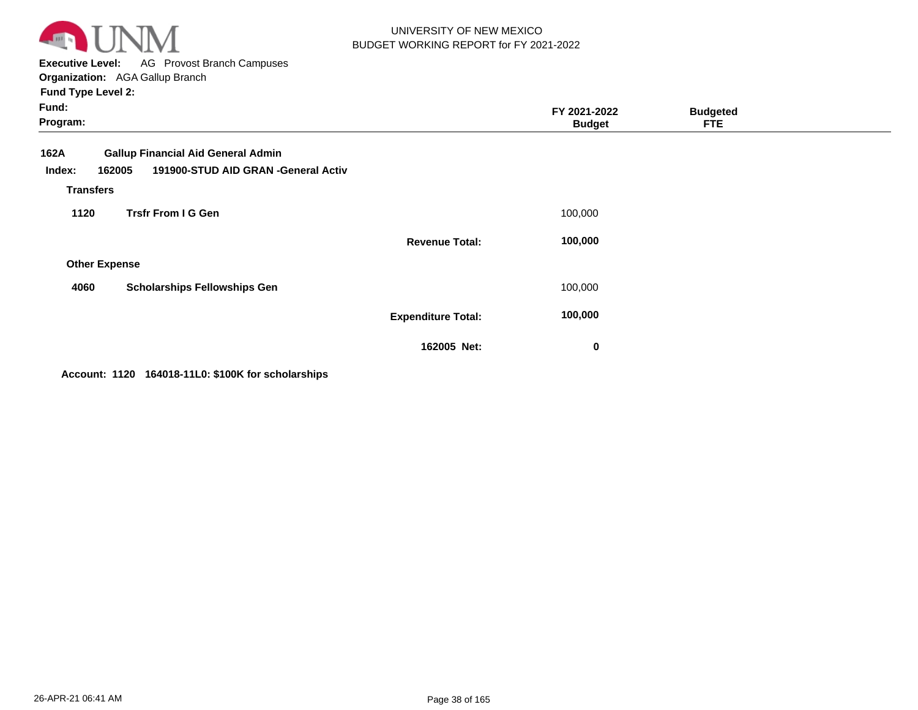

**Executive Level:** AG Provost Branch Campuses **Organization:**  AGA Gallup Branch

| <b>Fund Type Level 2:</b> |
|---------------------------|
|---------------------------|

| Fund:<br>Program:                                                                                                                |                           | FY 2021-2022<br><b>Budget</b> | <b>Budgeted</b><br><b>FTE</b> |  |
|----------------------------------------------------------------------------------------------------------------------------------|---------------------------|-------------------------------|-------------------------------|--|
| <b>Gallup Financial Aid General Admin</b><br>162A<br>191900-STUD AID GRAN -General Activ<br>162005<br>Index:<br><b>Transfers</b> |                           |                               |                               |  |
| <b>Trsfr From I G Gen</b><br>1120                                                                                                |                           | 100,000                       |                               |  |
|                                                                                                                                  | <b>Revenue Total:</b>     | 100,000                       |                               |  |
| <b>Other Expense</b>                                                                                                             |                           |                               |                               |  |
| <b>Scholarships Fellowships Gen</b><br>4060                                                                                      |                           | 100,000                       |                               |  |
|                                                                                                                                  | <b>Expenditure Total:</b> | 100,000                       |                               |  |
|                                                                                                                                  | 162005 Net:               | 0                             |                               |  |

**Account: 1120 164018-11L0: \$100K for scholarships**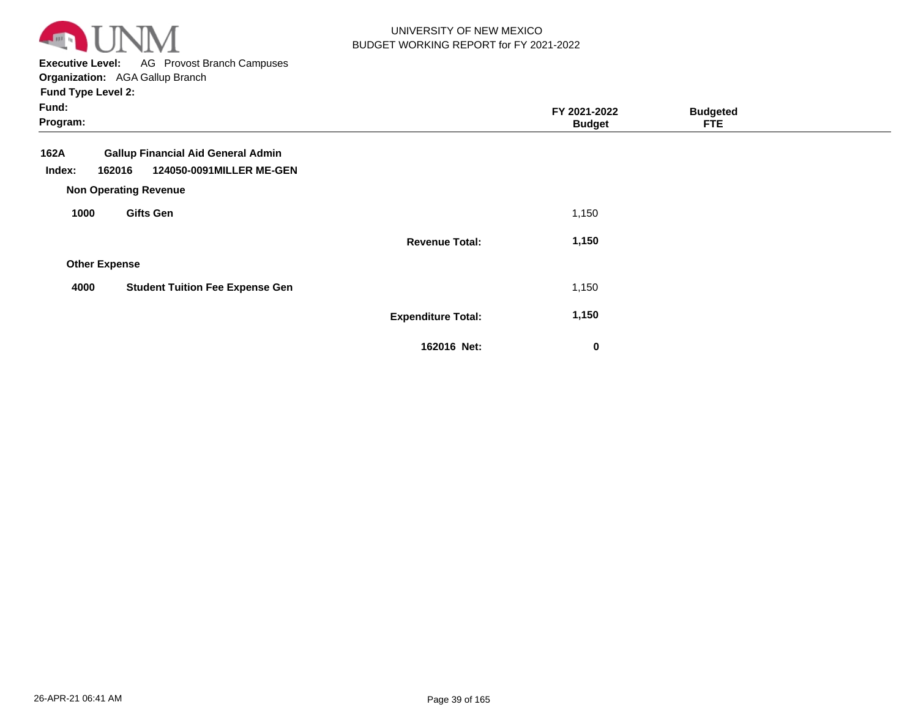

**Executive Level:** AG Provost Branch Campuses **Organization:**  AGA Gallup Branch

| Fund:<br>Program:    |                                                                                                                 |                           | FY 2021-2022<br><b>Budget</b> | <b>Budgeted</b><br><b>FTE</b> |  |
|----------------------|-----------------------------------------------------------------------------------------------------------------|---------------------------|-------------------------------|-------------------------------|--|
| 162A<br>Index:       | <b>Gallup Financial Aid General Admin</b><br>124050-0091MILLER ME-GEN<br>162016<br><b>Non Operating Revenue</b> |                           |                               |                               |  |
| 1000                 | <b>Gifts Gen</b>                                                                                                |                           | 1,150                         |                               |  |
|                      |                                                                                                                 | <b>Revenue Total:</b>     | 1,150                         |                               |  |
| <b>Other Expense</b> |                                                                                                                 |                           |                               |                               |  |
| 4000                 | <b>Student Tuition Fee Expense Gen</b>                                                                          |                           | 1,150                         |                               |  |
|                      |                                                                                                                 | <b>Expenditure Total:</b> | 1,150                         |                               |  |
|                      |                                                                                                                 | 162016 Net:               | 0                             |                               |  |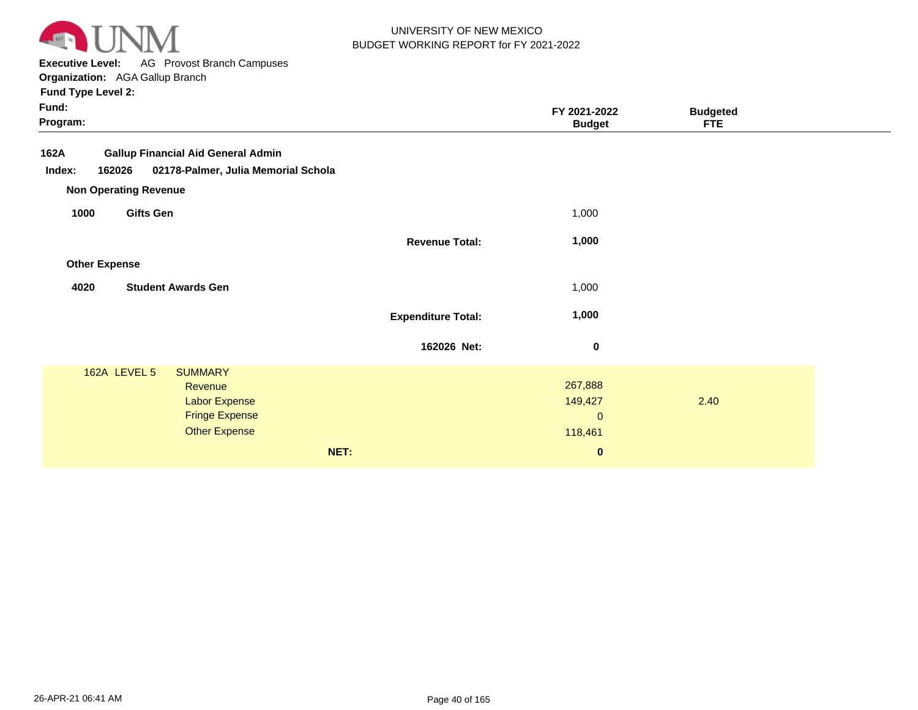

**Executive Level:** AG Provost Branch Campuses **Organization:**  AGA Gallup Branch

| Fund:<br>Program:                                                                                                                            |                           | FY 2021-2022<br><b>Budget</b>                             | <b>Budgeted</b><br><b>FTE</b> |  |
|----------------------------------------------------------------------------------------------------------------------------------------------|---------------------------|-----------------------------------------------------------|-------------------------------|--|
| <b>Gallup Financial Aid General Admin</b><br>162A<br>02178-Palmer, Julia Memorial Schola<br>162026<br>Index:<br><b>Non Operating Revenue</b> |                           |                                                           |                               |  |
| <b>Gifts Gen</b><br>1000                                                                                                                     |                           | 1,000                                                     |                               |  |
|                                                                                                                                              | <b>Revenue Total:</b>     | 1,000                                                     |                               |  |
| <b>Other Expense</b>                                                                                                                         |                           |                                                           |                               |  |
| <b>Student Awards Gen</b><br>4020                                                                                                            |                           | 1,000                                                     |                               |  |
|                                                                                                                                              | <b>Expenditure Total:</b> | 1,000                                                     |                               |  |
|                                                                                                                                              | 162026 Net:               | $\bf{0}$                                                  |                               |  |
| 162A LEVEL 5<br><b>SUMMARY</b><br>Revenue<br><b>Labor Expense</b><br><b>Fringe Expense</b><br><b>Other Expense</b><br>NET:                   |                           | 267,888<br>149,427<br>$\mathbf{0}$<br>118,461<br>$\bf{0}$ | 2.40                          |  |
|                                                                                                                                              |                           |                                                           |                               |  |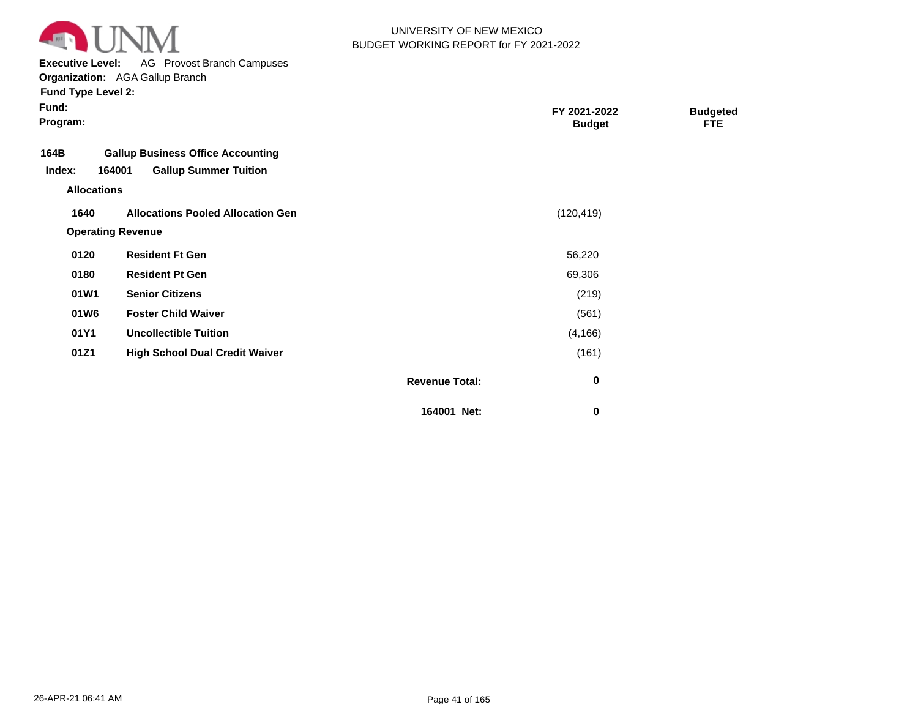

**Executive Level:** AG Provost Branch Campuses

**Organization:**  AGA Gallup Branch

| <b>Fund Type Level 2:</b> |  |  |  |
|---------------------------|--|--|--|
|---------------------------|--|--|--|

| Fund:<br>Program:            |                                          |                       | FY 2021-2022<br><b>Budget</b> | <b>Budgeted</b><br><b>FTE</b> |  |
|------------------------------|------------------------------------------|-----------------------|-------------------------------|-------------------------------|--|
| 164B                         | <b>Gallup Business Office Accounting</b> |                       |                               |                               |  |
| Index:<br><b>Allocations</b> | 164001<br><b>Gallup Summer Tuition</b>   |                       |                               |                               |  |
| 1640                         | <b>Allocations Pooled Allocation Gen</b> |                       | (120, 419)                    |                               |  |
|                              | <b>Operating Revenue</b>                 |                       |                               |                               |  |
| 0120                         | <b>Resident Ft Gen</b>                   |                       | 56,220                        |                               |  |
| 0180                         | <b>Resident Pt Gen</b>                   |                       | 69,306                        |                               |  |
| 01W1                         | <b>Senior Citizens</b>                   |                       | (219)                         |                               |  |
| 01W6                         | <b>Foster Child Waiver</b>               |                       | (561)                         |                               |  |
| 01Y1                         | <b>Uncollectible Tuition</b>             |                       | (4, 166)                      |                               |  |
| 01Z1                         | <b>High School Dual Credit Waiver</b>    |                       | (161)                         |                               |  |
|                              |                                          | <b>Revenue Total:</b> | $\bf{0}$                      |                               |  |
|                              |                                          | 164001 Net:           | 0                             |                               |  |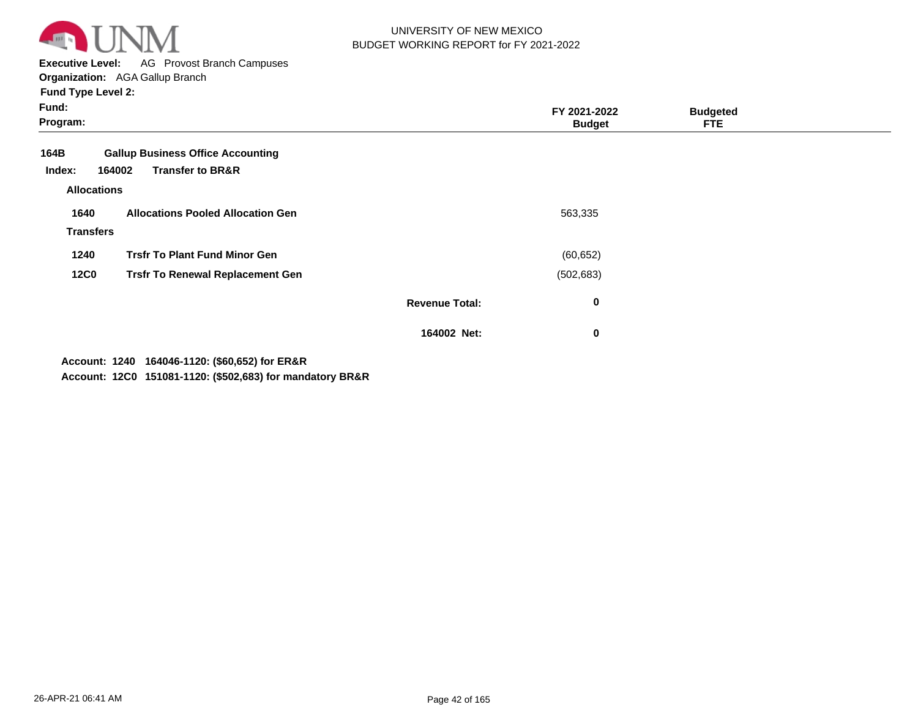

**Executive Level:** AG Provost Branch Campuses **Organization:**  AGA Gallup Branch

**Fund Type Level 2:**

| Fund:<br>Program:                    |                                                                                   |                       | FY 2021-2022<br><b>Budget</b> | <b>Budgeted</b><br><b>FTE</b> |  |
|--------------------------------------|-----------------------------------------------------------------------------------|-----------------------|-------------------------------|-------------------------------|--|
| 164B<br>Index:<br><b>Allocations</b> | <b>Gallup Business Office Accounting</b><br>164002<br><b>Transfer to BR&amp;R</b> |                       |                               |                               |  |
| 1640<br><b>Transfers</b>             | <b>Allocations Pooled Allocation Gen</b>                                          |                       | 563,335                       |                               |  |
| 1240                                 | <b>Trsfr To Plant Fund Minor Gen</b>                                              |                       | (60, 652)                     |                               |  |
| <b>12C0</b>                          | <b>Trsfr To Renewal Replacement Gen</b>                                           |                       | (502, 683)                    |                               |  |
|                                      |                                                                                   | <b>Revenue Total:</b> | 0                             |                               |  |
|                                      |                                                                                   | 164002 Net:           | $\mathbf 0$                   |                               |  |

**1240 164046-1120: (\$60,652) for ER&R Account:**

**12C0 151081-1120: (\$502,683) for mandatory BR&R Account:**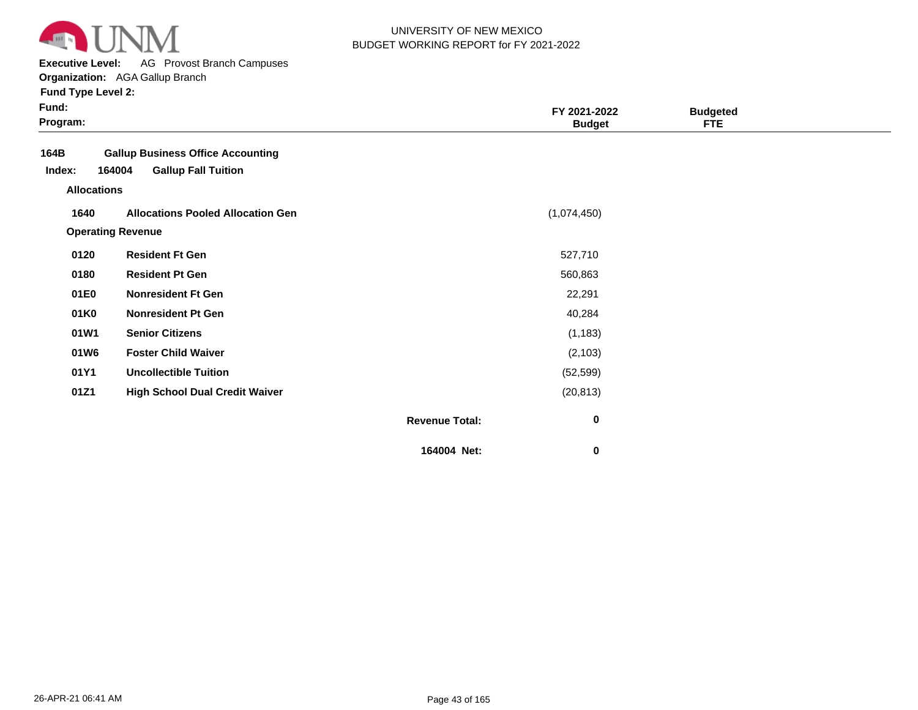

**Executive Level:** AG Provost Branch Campuses

**Organization:**  AGA Gallup Branch

| Fund Type Level 2:                 |                                          |                       |                               |                               |  |
|------------------------------------|------------------------------------------|-----------------------|-------------------------------|-------------------------------|--|
| Fund:<br>Program:                  |                                          |                       | FY 2021-2022<br><b>Budget</b> | <b>Budgeted</b><br><b>FTE</b> |  |
| 164B                               | <b>Gallup Business Office Accounting</b> |                       |                               |                               |  |
| 164004<br>Index:                   | <b>Gallup Fall Tuition</b>               |                       |                               |                               |  |
| <b>Allocations</b>                 |                                          |                       |                               |                               |  |
| 1640                               | <b>Allocations Pooled Allocation Gen</b> |                       | (1,074,450)                   |                               |  |
| <b>Operating Revenue</b>           |                                          |                       |                               |                               |  |
| 0120<br><b>Resident Ft Gen</b>     |                                          |                       | 527,710                       |                               |  |
| 0180<br><b>Resident Pt Gen</b>     |                                          |                       | 560,863                       |                               |  |
| 01E0<br><b>Nonresident Ft Gen</b>  |                                          |                       | 22,291                        |                               |  |
| <b>Nonresident Pt Gen</b><br>01K0  |                                          |                       | 40,284                        |                               |  |
| <b>Senior Citizens</b><br>01W1     |                                          |                       | (1, 183)                      |                               |  |
| <b>Foster Child Waiver</b><br>01W6 |                                          |                       | (2, 103)                      |                               |  |
| 01Y1                               | <b>Uncollectible Tuition</b>             |                       | (52, 599)                     |                               |  |
| 01Z1                               | <b>High School Dual Credit Waiver</b>    |                       | (20, 813)                     |                               |  |
|                                    |                                          | <b>Revenue Total:</b> | 0                             |                               |  |

**164004 Net:**

 **0**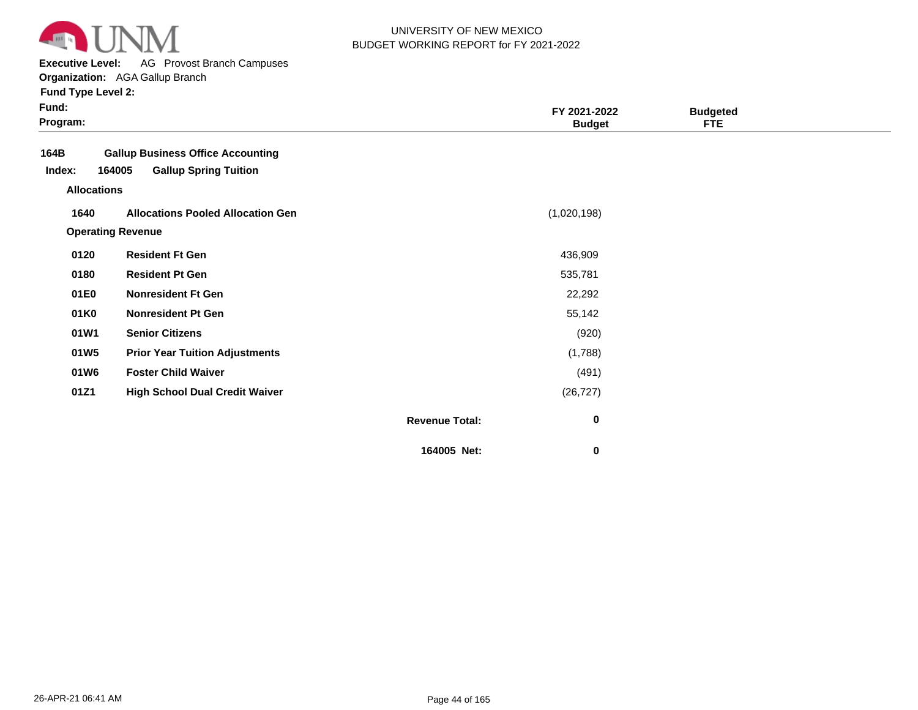

**Executive Level:** AG Provost Branch Campuses

**Organization:**  AGA Gallup Branch

| <b>Fund Type Level 2:</b> |  |
|---------------------------|--|
|---------------------------|--|

| Fund:<br>Program:  |                                          | FY 2021-2022<br><b>Budget</b>        | <b>Budgeted</b><br><b>FTE</b> |  |
|--------------------|------------------------------------------|--------------------------------------|-------------------------------|--|
| 164B               | <b>Gallup Business Office Accounting</b> |                                      |                               |  |
| Index:             | 164005<br><b>Gallup Spring Tuition</b>   |                                      |                               |  |
| <b>Allocations</b> |                                          |                                      |                               |  |
| 1640               | <b>Allocations Pooled Allocation Gen</b> | (1,020,198)                          |                               |  |
|                    | <b>Operating Revenue</b>                 |                                      |                               |  |
| 0120               | <b>Resident Ft Gen</b>                   | 436,909                              |                               |  |
| 0180               | <b>Resident Pt Gen</b>                   | 535,781                              |                               |  |
| 01E0               | <b>Nonresident Ft Gen</b>                | 22,292                               |                               |  |
| 01K0               | <b>Nonresident Pt Gen</b>                | 55,142                               |                               |  |
| 01W1               | <b>Senior Citizens</b>                   | (920)                                |                               |  |
| 01W5               | <b>Prior Year Tuition Adjustments</b>    | (1,788)                              |                               |  |
| 01W6               | <b>Foster Child Waiver</b>               | (491)                                |                               |  |
| 01Z1               | <b>High School Dual Credit Waiver</b>    | (26, 727)                            |                               |  |
|                    |                                          | $\mathbf 0$<br><b>Revenue Total:</b> |                               |  |
|                    |                                          | 164005 Net:<br>0                     |                               |  |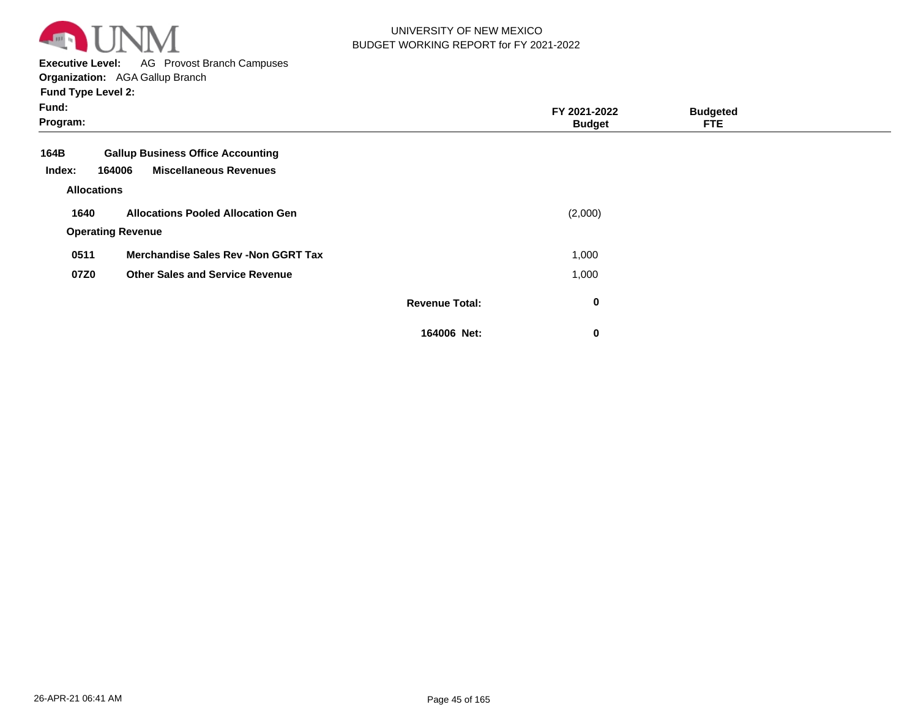

**Executive Level:** AG Provost Branch Campuses

**Organization:**  AGA Gallup Branch

| Fund:<br>Program:  |                                             |                       | FY 2021-2022<br><b>Budget</b> | <b>Budgeted</b><br><b>FTE</b> |  |
|--------------------|---------------------------------------------|-----------------------|-------------------------------|-------------------------------|--|
| 164B               | <b>Gallup Business Office Accounting</b>    |                       |                               |                               |  |
| Index:             | <b>Miscellaneous Revenues</b><br>164006     |                       |                               |                               |  |
| <b>Allocations</b> |                                             |                       |                               |                               |  |
| 1640               | <b>Allocations Pooled Allocation Gen</b>    |                       | (2,000)                       |                               |  |
|                    | <b>Operating Revenue</b>                    |                       |                               |                               |  |
| 0511               | <b>Merchandise Sales Rev - Non GGRT Tax</b> |                       | 1,000                         |                               |  |
| 07Z0               | <b>Other Sales and Service Revenue</b>      |                       | 1,000                         |                               |  |
|                    |                                             | <b>Revenue Total:</b> | $\mathbf 0$                   |                               |  |
|                    |                                             | 164006 Net:           | $\mathbf 0$                   |                               |  |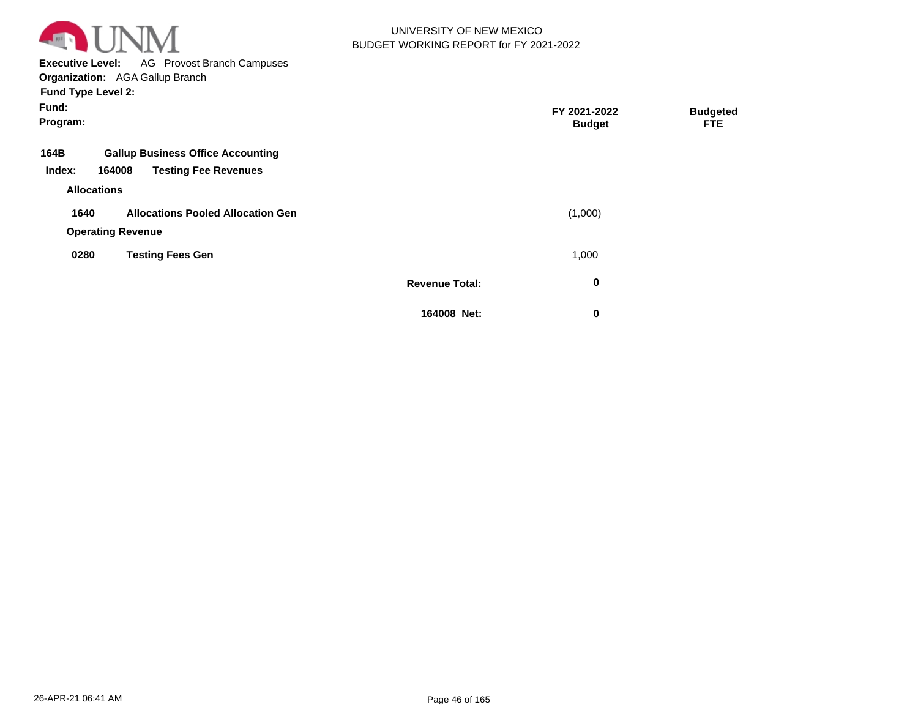

**Executive Level:** AG Provost Branch Campuses

**Organization:**  AGA Gallup Branch

| Fund:<br>Program:  |                                          |                       | FY 2021-2022<br><b>Budget</b> | <b>Budgeted</b><br><b>FTE</b> |  |
|--------------------|------------------------------------------|-----------------------|-------------------------------|-------------------------------|--|
| 164B               | <b>Gallup Business Office Accounting</b> |                       |                               |                               |  |
| Index:             | <b>Testing Fee Revenues</b><br>164008    |                       |                               |                               |  |
| <b>Allocations</b> |                                          |                       |                               |                               |  |
| 1640               | <b>Allocations Pooled Allocation Gen</b> |                       | (1,000)                       |                               |  |
|                    | <b>Operating Revenue</b>                 |                       |                               |                               |  |
| 0280               | <b>Testing Fees Gen</b>                  |                       | 1,000                         |                               |  |
|                    |                                          | <b>Revenue Total:</b> | $\bf{0}$                      |                               |  |
|                    |                                          | 164008 Net:           | $\mathbf 0$                   |                               |  |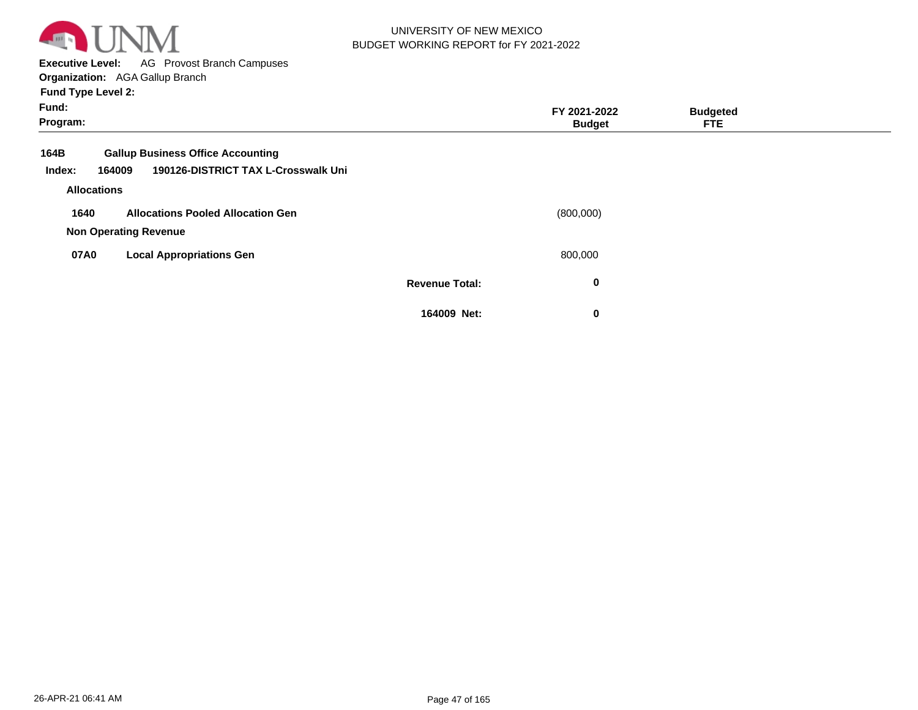

**Executive Level:** AG Provost Branch Campuses

**Organization:**  AGA Gallup Branch

| Fund:<br>Program:                                                                                           |                       | FY 2021-2022<br><b>Budget</b> | <b>Budgeted</b><br><b>FTE</b> |  |
|-------------------------------------------------------------------------------------------------------------|-----------------------|-------------------------------|-------------------------------|--|
| <b>Gallup Business Office Accounting</b><br>164B<br>190126-DISTRICT TAX L-Crosswalk Uni<br>Index:<br>164009 |                       |                               |                               |  |
| <b>Allocations</b>                                                                                          |                       |                               |                               |  |
| <b>Allocations Pooled Allocation Gen</b><br>1640                                                            |                       | (800,000)                     |                               |  |
| <b>Non Operating Revenue</b>                                                                                |                       |                               |                               |  |
| 07A0<br><b>Local Appropriations Gen</b>                                                                     |                       | 800,000                       |                               |  |
|                                                                                                             | <b>Revenue Total:</b> | 0                             |                               |  |
|                                                                                                             | 164009 Net:           | 0                             |                               |  |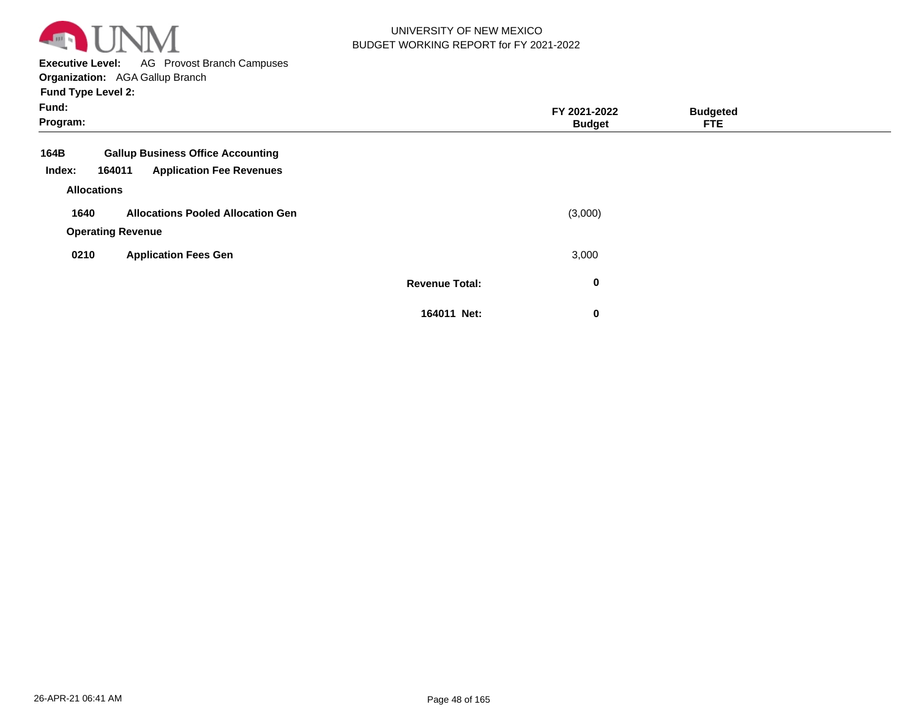

**Executive Level:** AG Provost Branch Campuses

**Organization:**  AGA Gallup Branch

| Fund:<br>Program:                                                                                       |                       | FY 2021-2022<br><b>Budget</b> | <b>Budgeted</b><br><b>FTE</b> |  |
|---------------------------------------------------------------------------------------------------------|-----------------------|-------------------------------|-------------------------------|--|
| <b>Gallup Business Office Accounting</b><br>164B<br><b>Application Fee Revenues</b><br>164011<br>Index: |                       |                               |                               |  |
| <b>Allocations</b>                                                                                      |                       |                               |                               |  |
| 1640<br><b>Allocations Pooled Allocation Gen</b><br><b>Operating Revenue</b>                            |                       | (3,000)                       |                               |  |
| 0210<br><b>Application Fees Gen</b>                                                                     |                       | 3,000                         |                               |  |
|                                                                                                         | <b>Revenue Total:</b> | 0                             |                               |  |
|                                                                                                         | 164011 Net:           | 0                             |                               |  |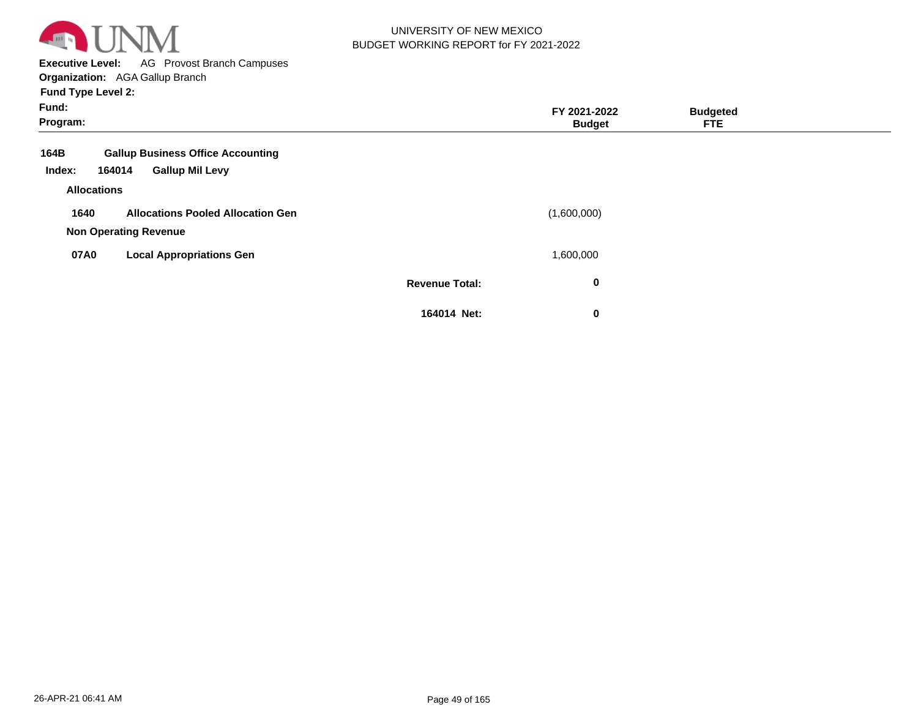

**Executive Level:** AG Provost Branch Campuses **Organization:**  AGA Gallup Branch

| Fund:<br>Program:                                                                              |                       | FY 2021-2022<br><b>Budget</b> | <b>Budgeted</b><br><b>FTE</b> |  |
|------------------------------------------------------------------------------------------------|-----------------------|-------------------------------|-------------------------------|--|
| 164B<br><b>Gallup Business Office Accounting</b><br><b>Gallup Mil Levy</b><br>Index:<br>164014 |                       |                               |                               |  |
| <b>Allocations</b>                                                                             |                       |                               |                               |  |
| 1640<br><b>Allocations Pooled Allocation Gen</b><br><b>Non Operating Revenue</b>               |                       | (1,600,000)                   |                               |  |
| 07A0<br><b>Local Appropriations Gen</b>                                                        |                       | 1,600,000                     |                               |  |
|                                                                                                | <b>Revenue Total:</b> | 0                             |                               |  |
|                                                                                                | 164014 Net:           | 0                             |                               |  |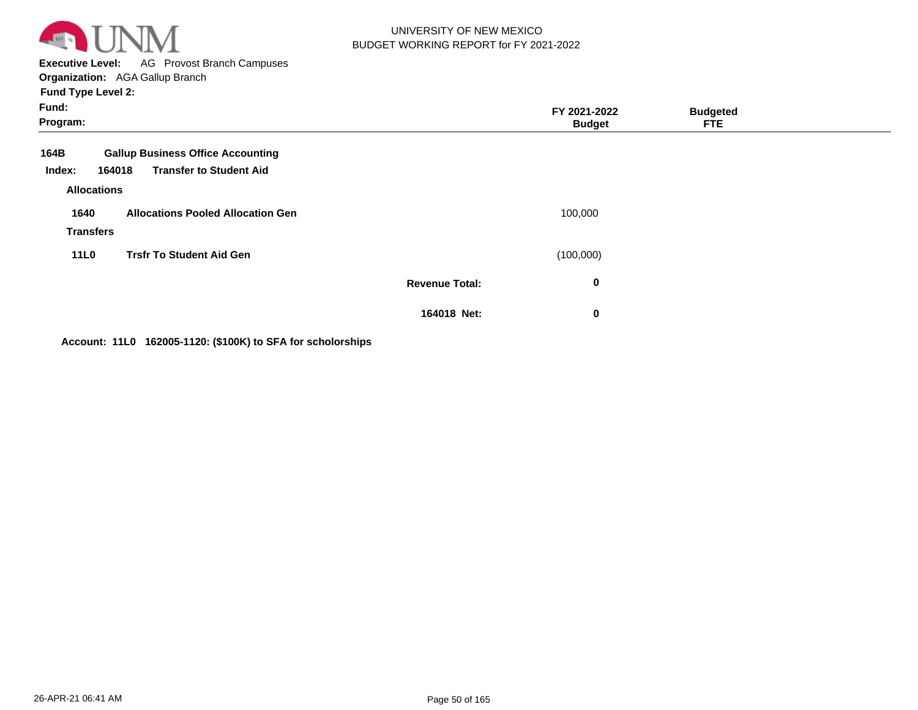

**Executive Level:** AG Provost Branch Campuses **Organization:**  AGA Gallup Branch

**Fund Type Level 2:**

| Fund:<br>Program:                    |                                                                                      |                       | FY 2021-2022<br><b>Budget</b> | <b>Budgeted</b><br><b>FTE</b> |  |
|--------------------------------------|--------------------------------------------------------------------------------------|-----------------------|-------------------------------|-------------------------------|--|
| 164B<br>Index:<br><b>Allocations</b> | <b>Gallup Business Office Accounting</b><br><b>Transfer to Student Aid</b><br>164018 |                       |                               |                               |  |
| 1640<br><b>Transfers</b>             | <b>Allocations Pooled Allocation Gen</b>                                             |                       | 100,000                       |                               |  |
| <b>11L0</b>                          | <b>Trsfr To Student Aid Gen</b>                                                      |                       | (100,000)                     |                               |  |
|                                      |                                                                                      | <b>Revenue Total:</b> | 0                             |                               |  |
|                                      |                                                                                      | 164018 Net:           | $\bf{0}$                      |                               |  |

**Account: 11L0 162005-1120: (\$100K) to SFA for scholorships**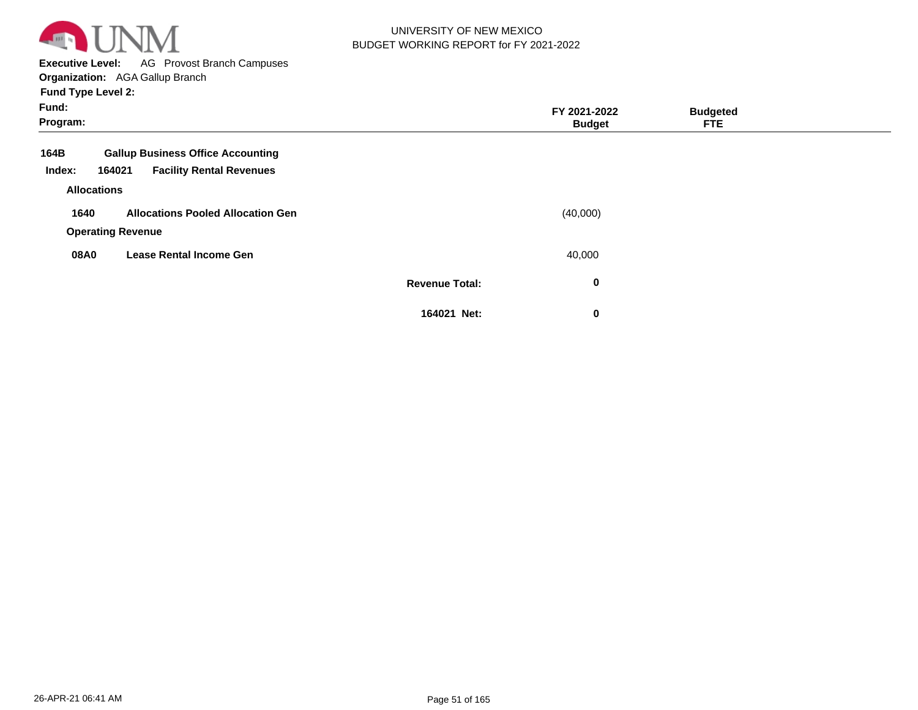

**Executive Level:** AG Provost Branch Campuses

**Organization:**  AGA Gallup Branch

| Fund:<br>Program: |                                           |                       | FY 2021-2022<br><b>Budget</b> | <b>Budgeted</b><br><b>FTE</b> |  |
|-------------------|-------------------------------------------|-----------------------|-------------------------------|-------------------------------|--|
| 164B              | <b>Gallup Business Office Accounting</b>  |                       |                               |                               |  |
| Index:            | <b>Facility Rental Revenues</b><br>164021 |                       |                               |                               |  |
|                   | <b>Allocations</b>                        |                       |                               |                               |  |
| 1640              | <b>Allocations Pooled Allocation Gen</b>  |                       | (40,000)                      |                               |  |
|                   | <b>Operating Revenue</b>                  |                       |                               |                               |  |
| 08A0              | <b>Lease Rental Income Gen</b>            |                       | 40,000                        |                               |  |
|                   |                                           | <b>Revenue Total:</b> | 0                             |                               |  |
|                   |                                           | 164021 Net:           | 0                             |                               |  |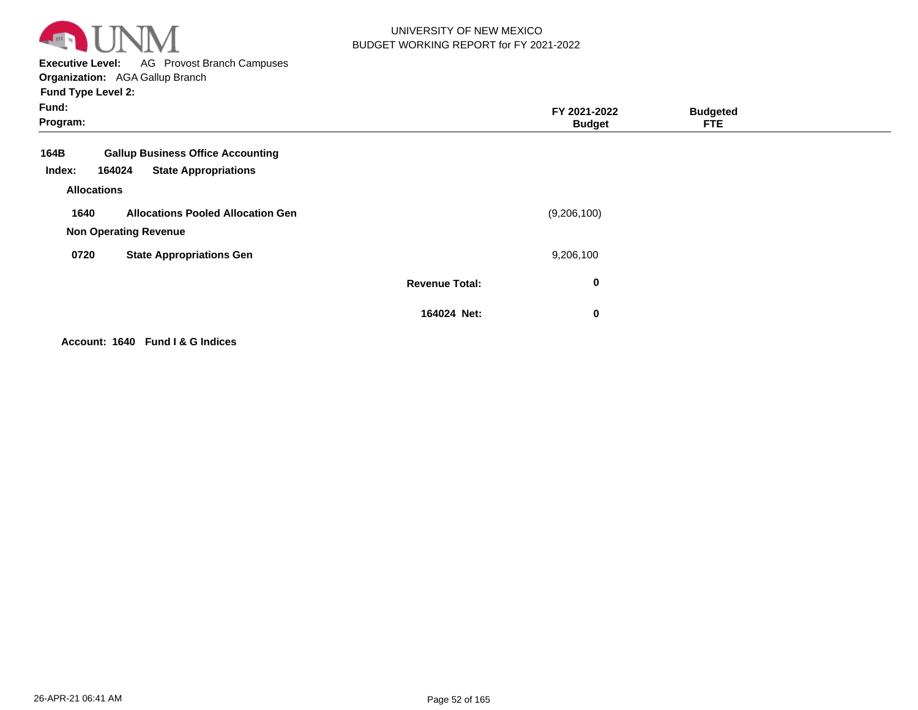

**Executive Level:** AG Provost Branch Campuses **Organization:**  AGA Gallup Branch

**Fund Type Level 2:**

| Fund:<br>Program:                                                                                                         |                       | FY 2021-2022<br><b>Budget</b> | <b>Budgeted</b><br><b>FTE</b> |  |
|---------------------------------------------------------------------------------------------------------------------------|-----------------------|-------------------------------|-------------------------------|--|
| <b>Gallup Business Office Accounting</b><br>164B<br><b>State Appropriations</b><br>164024<br>Index:<br><b>Allocations</b> |                       |                               |                               |  |
| <b>Allocations Pooled Allocation Gen</b><br>1640<br><b>Non Operating Revenue</b>                                          |                       | (9,206,100)                   |                               |  |
| 0720<br><b>State Appropriations Gen</b>                                                                                   |                       | 9,206,100                     |                               |  |
|                                                                                                                           | <b>Revenue Total:</b> | 0                             |                               |  |
|                                                                                                                           | 164024 Net:           | 0                             |                               |  |

**Account: 1640 Fund I & G Indices**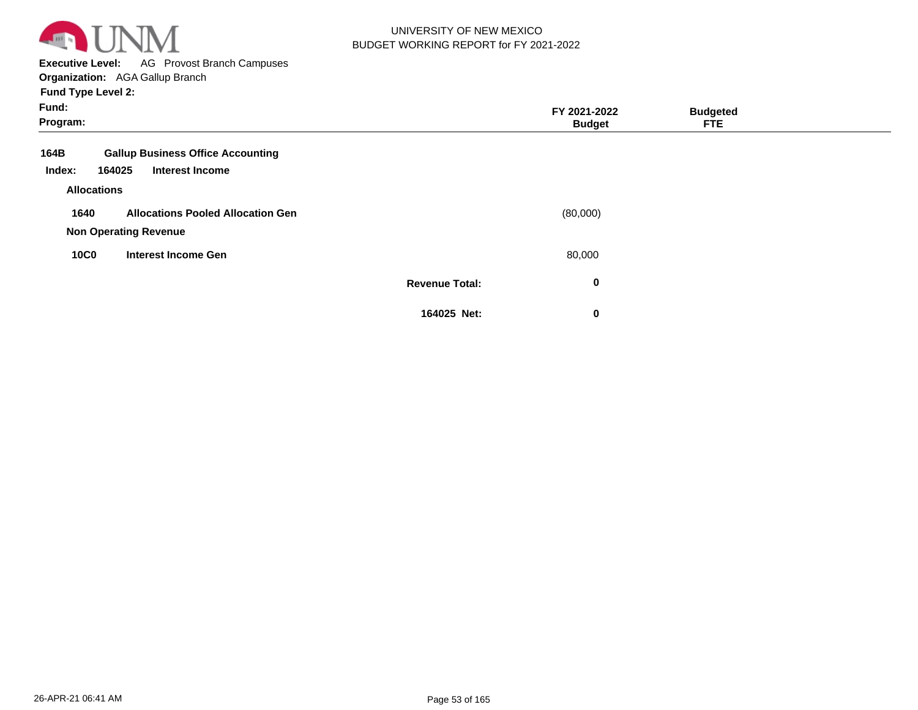

**Executive Level:** AG Provost Branch Campuses **Organization:**  AGA Gallup Branch

| Fund:<br>Program:                    |                                                                    |                       | FY 2021-2022<br><b>Budget</b> | <b>Budgeted</b><br><b>FTE</b> |  |
|--------------------------------------|--------------------------------------------------------------------|-----------------------|-------------------------------|-------------------------------|--|
| 164B<br>164025<br>Index:             | <b>Gallup Business Office Accounting</b><br><b>Interest Income</b> |                       |                               |                               |  |
| <b>Allocations</b>                   |                                                                    |                       |                               |                               |  |
| 1640<br><b>Non Operating Revenue</b> | <b>Allocations Pooled Allocation Gen</b>                           |                       | (80,000)                      |                               |  |
| <b>10C0</b>                          | <b>Interest Income Gen</b>                                         |                       | 80,000                        |                               |  |
|                                      |                                                                    | <b>Revenue Total:</b> | 0                             |                               |  |
|                                      |                                                                    | 164025 Net:           | 0                             |                               |  |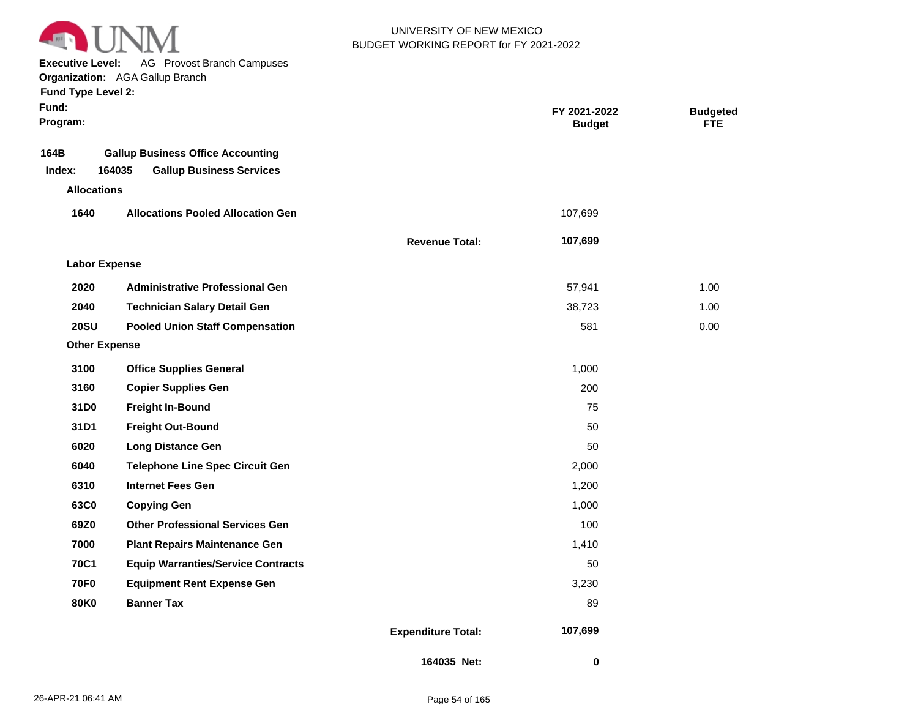

**Executive Level:** AG Provost Branch Campuses

**Organization:**  AGA Gallup Branch

| Fund Type Level 2:   | <b>Urganization:</b> AGA Gallup Branch    |                       |                               |                        |  |
|----------------------|-------------------------------------------|-----------------------|-------------------------------|------------------------|--|
| Fund:<br>Program:    |                                           |                       | FY 2021-2022<br><b>Budget</b> | <b>Budgeted</b><br>FTE |  |
| 164B                 | <b>Gallup Business Office Accounting</b>  |                       |                               |                        |  |
| Index:               | 164035<br><b>Gallup Business Services</b> |                       |                               |                        |  |
| <b>Allocations</b>   |                                           |                       |                               |                        |  |
| 1640                 | <b>Allocations Pooled Allocation Gen</b>  |                       | 107,699                       |                        |  |
|                      |                                           | <b>Revenue Total:</b> | 107,699                       |                        |  |
| <b>Labor Expense</b> |                                           |                       |                               |                        |  |
| 2020                 | <b>Administrative Professional Gen</b>    |                       | 57,941                        | 1.00                   |  |
| 2040                 | <b>Technician Salary Detail Gen</b>       |                       | 38,723                        | 1.00                   |  |
| <b>20SU</b>          | <b>Pooled Union Staff Compensation</b>    |                       | 581                           | 0.00                   |  |
| <b>Other Expense</b> |                                           |                       |                               |                        |  |
| 3100                 | <b>Office Supplies General</b>            |                       | 1,000                         |                        |  |
| 3160                 | <b>Copier Supplies Gen</b>                |                       | 200                           |                        |  |
| 31D <sub>0</sub>     | <b>Freight In-Bound</b>                   |                       | 75                            |                        |  |
| 31D1                 | <b>Freight Out-Bound</b>                  |                       | 50                            |                        |  |
| 6020                 | <b>Long Distance Gen</b>                  |                       | 50                            |                        |  |
| 6040                 | <b>Telephone Line Spec Circuit Gen</b>    |                       | 2,000                         |                        |  |
| 6310                 | <b>Internet Fees Gen</b>                  |                       | 1,200                         |                        |  |
| 63C0                 | <b>Copying Gen</b>                        |                       | 1,000                         |                        |  |
| 69Z0                 | <b>Other Professional Services Gen</b>    |                       | 100                           |                        |  |
| 7000                 | <b>Plant Repairs Maintenance Gen</b>      |                       | 1,410                         |                        |  |
| <b>70C1</b>          | <b>Equip Warranties/Service Contracts</b> |                       | 50                            |                        |  |

**70F0 80K0 Equipment Rent Expense Gen Banner Tax**

**Expenditure Total:**

**164035 Net:**

 **107,699** 

 **0** 

 3,230 89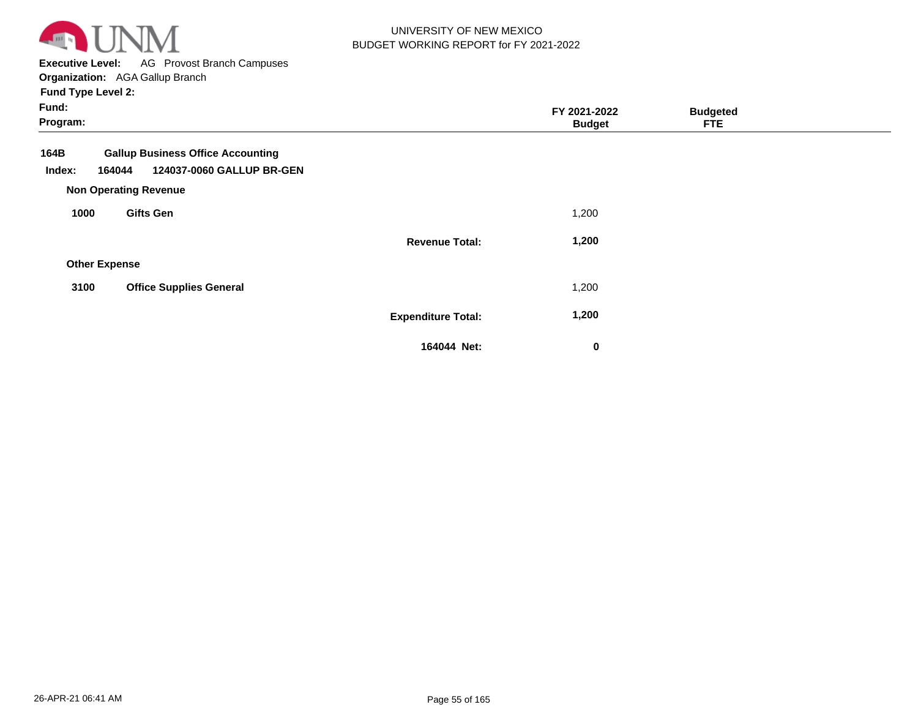

**Executive Level:** AG Provost Branch Campuses

| Fund:<br>Program:    |                                                                                                                 |                           | FY 2021-2022<br><b>Budget</b> | <b>Budgeted</b><br><b>FTE</b> |  |
|----------------------|-----------------------------------------------------------------------------------------------------------------|---------------------------|-------------------------------|-------------------------------|--|
| 164B<br>Index:       | <b>Gallup Business Office Accounting</b><br>124037-0060 GALLUP BR-GEN<br>164044<br><b>Non Operating Revenue</b> |                           |                               |                               |  |
| 1000                 | <b>Gifts Gen</b>                                                                                                |                           | 1,200                         |                               |  |
|                      |                                                                                                                 | <b>Revenue Total:</b>     | 1,200                         |                               |  |
| <b>Other Expense</b> |                                                                                                                 |                           |                               |                               |  |
| 3100                 | <b>Office Supplies General</b>                                                                                  |                           | 1,200                         |                               |  |
|                      |                                                                                                                 | <b>Expenditure Total:</b> | 1,200                         |                               |  |
|                      |                                                                                                                 | 164044 Net:               | $\bf{0}$                      |                               |  |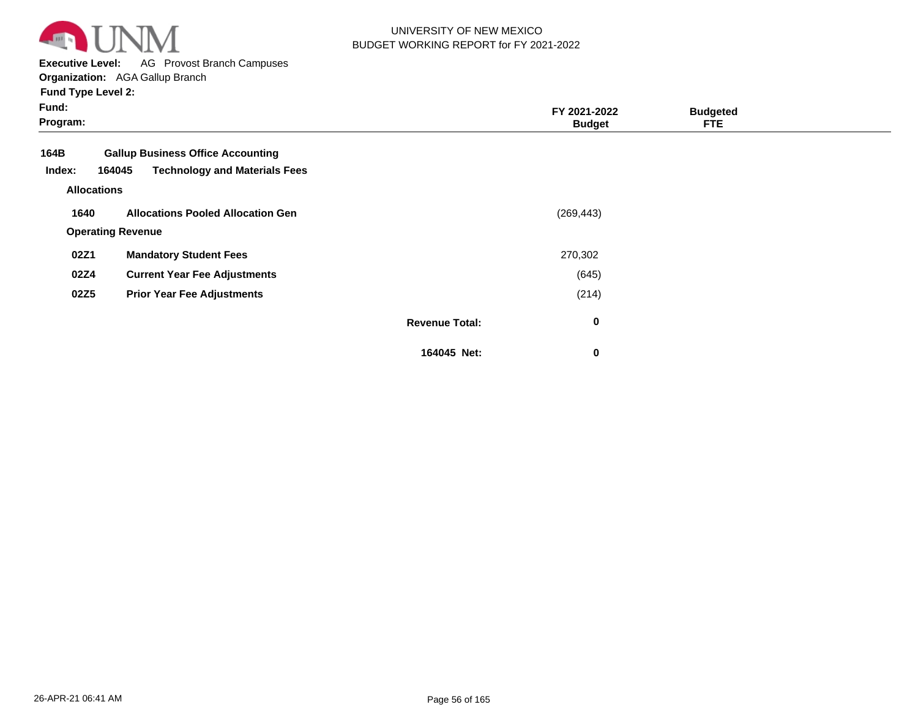

**Executive Level:** AG Provost Branch Campuses

**Organization:**  AGA Gallup Branch

| Fund:<br>Program:  |                                                                                            |                       | FY 2021-2022<br><b>Budget</b> | <b>Budgeted</b><br><b>FTE</b> |  |
|--------------------|--------------------------------------------------------------------------------------------|-----------------------|-------------------------------|-------------------------------|--|
| 164B<br>Index:     | <b>Gallup Business Office Accounting</b><br><b>Technology and Materials Fees</b><br>164045 |                       |                               |                               |  |
| <b>Allocations</b> |                                                                                            |                       |                               |                               |  |
| 1640               | <b>Allocations Pooled Allocation Gen</b>                                                   |                       | (269, 443)                    |                               |  |
|                    | <b>Operating Revenue</b>                                                                   |                       |                               |                               |  |
| 02Z1               | <b>Mandatory Student Fees</b>                                                              |                       | 270,302                       |                               |  |
| 02Z4               | <b>Current Year Fee Adjustments</b>                                                        |                       | (645)                         |                               |  |
| 02Z5               | <b>Prior Year Fee Adjustments</b>                                                          |                       | (214)                         |                               |  |
|                    |                                                                                            | <b>Revenue Total:</b> | $\bf{0}$                      |                               |  |
|                    |                                                                                            | 164045 Net:           | 0                             |                               |  |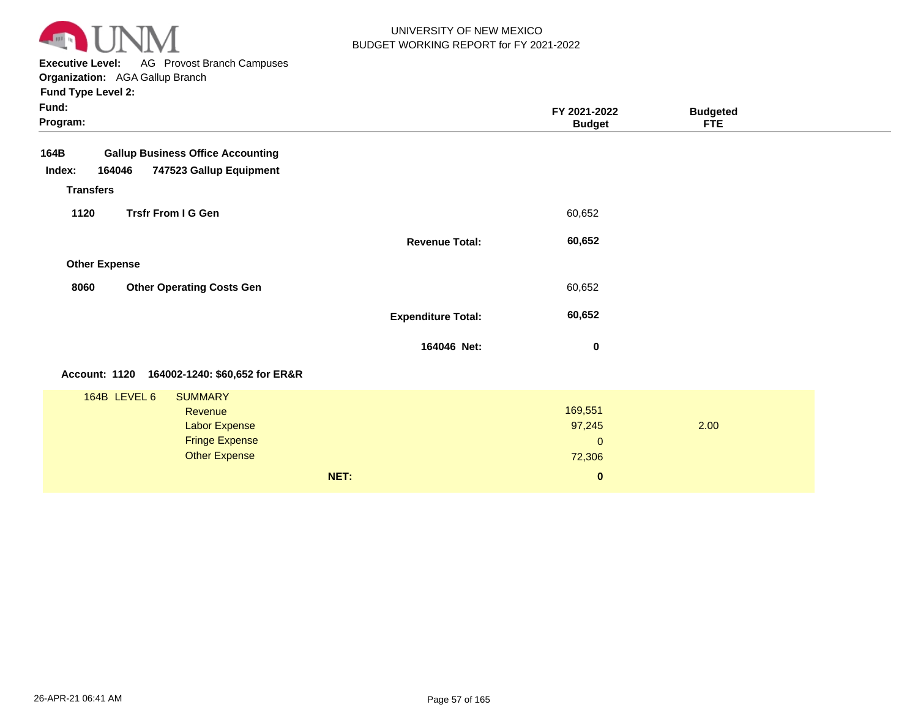

**Executive Level:** AG Provost Branch Campuses **Organization:**  AGA Gallup Branch

**Program: Fund: Budgeted FTE FY 2021-2022 Budget Fund Type Level 2: 164B Gallup Business Office Accounting Revenue Transfers Other Expense 164046 747523 Gallup Equipment Revenue Total: Expenditure Total: 60,652 60,652 Index: 1120 8060 Trsfr From I G Gen Other Operating Costs Gen 164046 Net:** 60,652 60,652  **0** 

#### **Account: 1120 164002-1240: \$60,652 for ER&R**

| 164B LEVEL 6 | <b>SUMMARY</b>        |      |                |      |  |
|--------------|-----------------------|------|----------------|------|--|
|              | Revenue               |      | 169,551        |      |  |
|              | <b>Labor Expense</b>  |      | 97,245         | 2.00 |  |
|              | <b>Fringe Expense</b> |      | $\overline{0}$ |      |  |
|              | <b>Other Expense</b>  |      | 72,306         |      |  |
|              |                       | NET: | $\mathbf{0}$   |      |  |
|              |                       |      |                |      |  |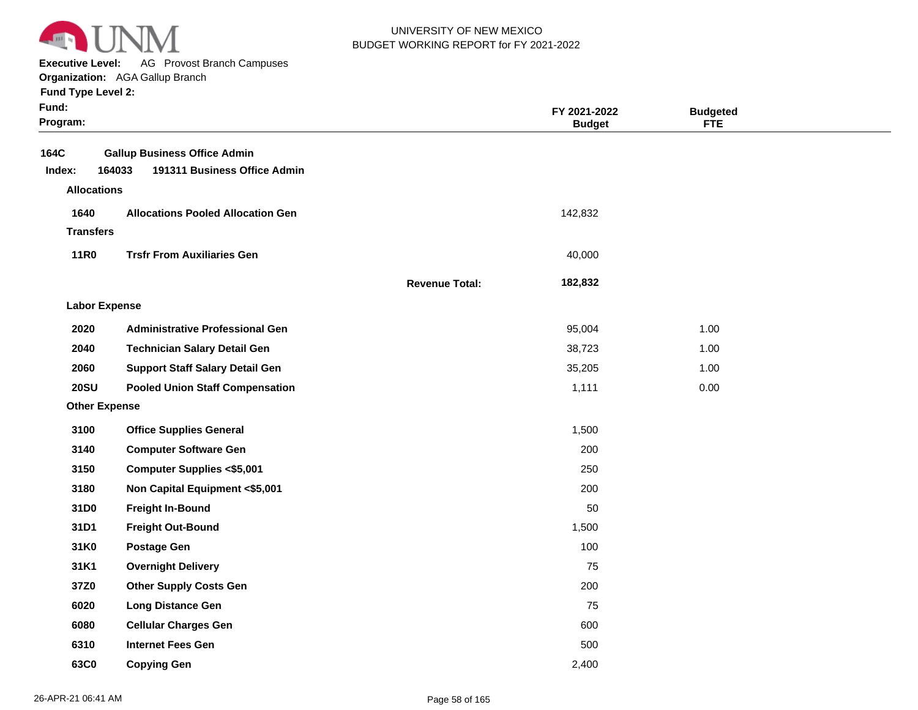

**Executive Level:** AG Provost Branch Campuses

**Organization:**  AGA Gallup Branch

|  | <b>Fund Type Level 2:</b> |  |
|--|---------------------------|--|
|--|---------------------------|--|

| Fund:<br>Program:    |                                                                               |                       | FY 2021-2022<br><b>Budget</b> | <b>Budgeted</b><br><b>FTE</b> |  |
|----------------------|-------------------------------------------------------------------------------|-----------------------|-------------------------------|-------------------------------|--|
| 164C<br>Index:       | <b>Gallup Business Office Admin</b><br>164033<br>191311 Business Office Admin |                       |                               |                               |  |
| <b>Allocations</b>   |                                                                               |                       |                               |                               |  |
| 1640                 | <b>Allocations Pooled Allocation Gen</b>                                      |                       | 142,832                       |                               |  |
| <b>Transfers</b>     |                                                                               |                       |                               |                               |  |
| <b>11R0</b>          | <b>Trsfr From Auxiliaries Gen</b>                                             |                       | 40,000                        |                               |  |
|                      |                                                                               | <b>Revenue Total:</b> | 182,832                       |                               |  |
| <b>Labor Expense</b> |                                                                               |                       |                               |                               |  |
| 2020                 | <b>Administrative Professional Gen</b>                                        |                       | 95,004                        | 1.00                          |  |
| 2040                 | <b>Technician Salary Detail Gen</b>                                           |                       | 38,723                        | 1.00                          |  |
| 2060                 | <b>Support Staff Salary Detail Gen</b>                                        |                       | 35,205                        | 1.00                          |  |
| <b>20SU</b>          | <b>Pooled Union Staff Compensation</b>                                        |                       | 1,111                         | 0.00                          |  |
| <b>Other Expense</b> |                                                                               |                       |                               |                               |  |
| 3100                 | <b>Office Supplies General</b>                                                |                       | 1,500                         |                               |  |
| 3140                 | <b>Computer Software Gen</b>                                                  |                       | 200                           |                               |  |
| 3150                 | <b>Computer Supplies &lt;\$5,001</b>                                          |                       | 250                           |                               |  |
| 3180                 | Non Capital Equipment <\$5,001                                                |                       | 200                           |                               |  |
| 31D0                 | <b>Freight In-Bound</b>                                                       |                       | 50                            |                               |  |
| 31D1                 | <b>Freight Out-Bound</b>                                                      |                       | 1,500                         |                               |  |
| 31K0                 | <b>Postage Gen</b>                                                            |                       | 100                           |                               |  |
| 31K1                 | <b>Overnight Delivery</b>                                                     |                       | 75                            |                               |  |
| 37Z0                 | <b>Other Supply Costs Gen</b>                                                 |                       | 200                           |                               |  |
| 6020                 | <b>Long Distance Gen</b>                                                      |                       | 75                            |                               |  |
| 6080                 | <b>Cellular Charges Gen</b>                                                   |                       | 600                           |                               |  |
| 6310                 | <b>Internet Fees Gen</b>                                                      |                       | 500                           |                               |  |
| 63C0                 | <b>Copying Gen</b>                                                            |                       | 2,400                         |                               |  |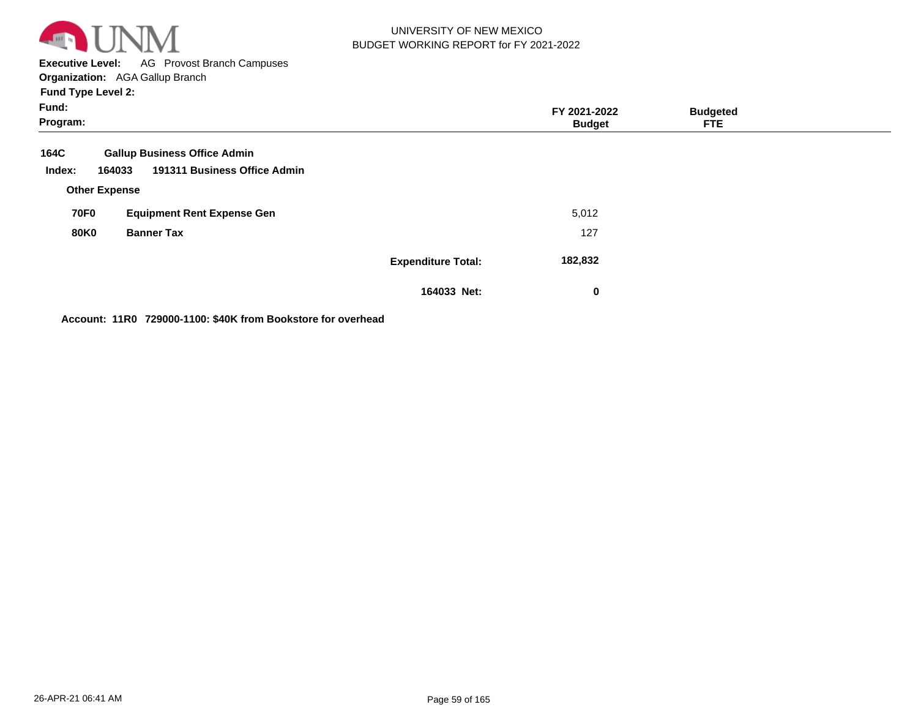

**Executive Level:** AG Provost Branch Campuses

**Organization:**  AGA Gallup Branch **Fund Type Level 2:**

| Fund:<br>Program:    |                                        |                           | FY 2021-2022<br><b>Budget</b> | <b>Budgeted</b><br>FTE. |  |
|----------------------|----------------------------------------|---------------------------|-------------------------------|-------------------------|--|
| 164C                 | <b>Gallup Business Office Admin</b>    |                           |                               |                         |  |
| Index:               | 191311 Business Office Admin<br>164033 |                           |                               |                         |  |
| <b>Other Expense</b> |                                        |                           |                               |                         |  |
| <b>70F0</b>          | <b>Equipment Rent Expense Gen</b>      |                           | 5,012                         |                         |  |
| <b>80K0</b>          | <b>Banner Tax</b>                      |                           | 127                           |                         |  |
|                      |                                        | <b>Expenditure Total:</b> | 182,832                       |                         |  |
|                      |                                        | 164033 Net:               | 0                             |                         |  |

**Account: 11R0 729000-1100: \$40K from Bookstore for overhead**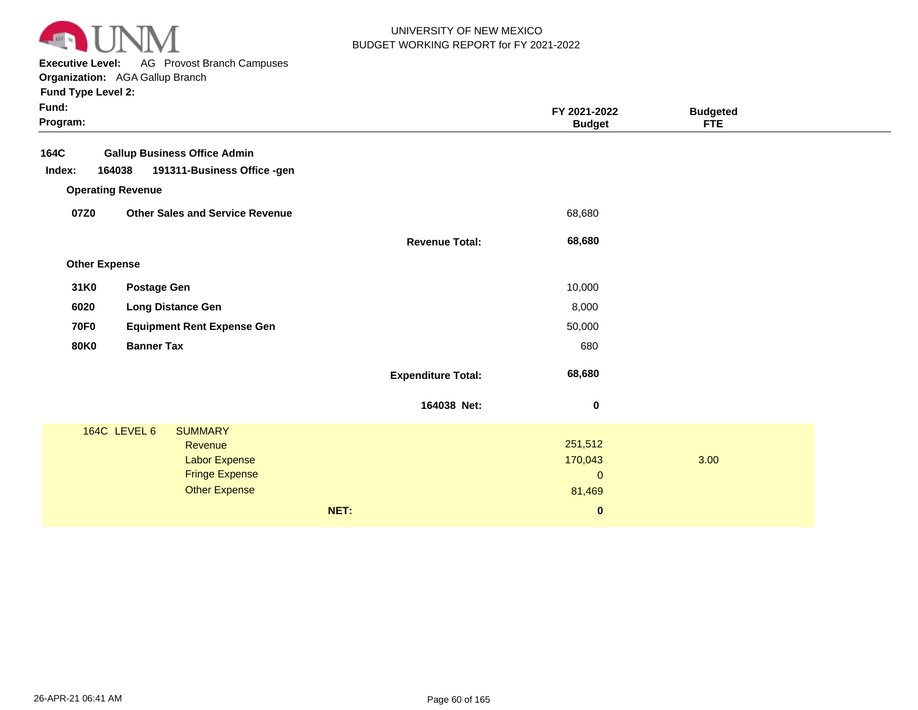

**Executive Level:** AG Provost Branch Campuses

**Organization:**  AGA Gallup Branch

| <b>Fund Type Level 2:</b> |  |
|---------------------------|--|
|---------------------------|--|

| Fund:<br>Program:    |                                        |                           | FY 2021-2022<br><b>Budget</b> | <b>Budgeted</b><br><b>FTE</b> |  |
|----------------------|----------------------------------------|---------------------------|-------------------------------|-------------------------------|--|
| 164C                 | <b>Gallup Business Office Admin</b>    |                           |                               |                               |  |
| Index:               | 164038<br>191311-Business Office -gen  |                           |                               |                               |  |
|                      | <b>Operating Revenue</b>               |                           |                               |                               |  |
| 07Z0                 | <b>Other Sales and Service Revenue</b> |                           | 68,680                        |                               |  |
|                      |                                        | <b>Revenue Total:</b>     | 68,680                        |                               |  |
| <b>Other Expense</b> |                                        |                           |                               |                               |  |
| 31K0                 | <b>Postage Gen</b>                     |                           | 10,000                        |                               |  |
| 6020                 | <b>Long Distance Gen</b>               |                           | 8,000                         |                               |  |
| <b>70F0</b>          | <b>Equipment Rent Expense Gen</b>      |                           | 50,000                        |                               |  |
| <b>80K0</b>          | <b>Banner Tax</b>                      |                           | 680                           |                               |  |
|                      |                                        | <b>Expenditure Total:</b> | 68,680                        |                               |  |
|                      |                                        | 164038 Net:               | $\mathbf 0$                   |                               |  |
|                      | 164C LEVEL 6<br><b>SUMMARY</b>         |                           |                               |                               |  |
|                      | Revenue                                |                           | 251,512                       |                               |  |
|                      | Labor Expense<br><b>Fringe Expense</b> |                           | 170,043<br>$\mathbf{0}$       | 3.00                          |  |
|                      | <b>Other Expense</b>                   |                           | 81,469                        |                               |  |
|                      |                                        | NET:                      |                               |                               |  |
|                      |                                        |                           | $\pmb{0}$                     |                               |  |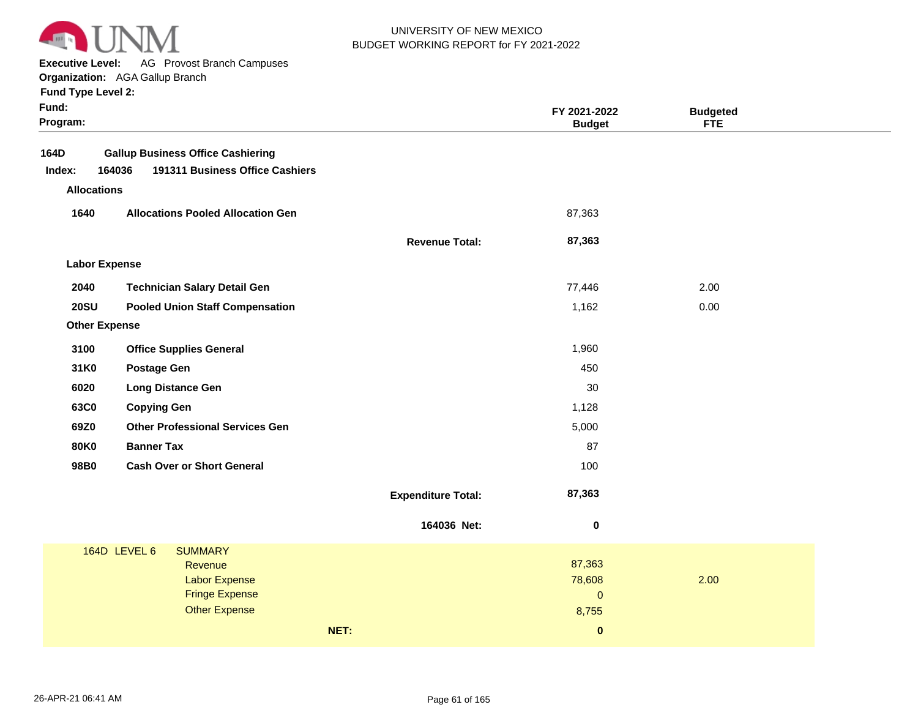

**Executive Level:** AG Provost Branch Campuses

#### **Organization:**  AGA Gallup Branch

| <b>Fund Type Level 2:</b> |  |
|---------------------------|--|
|---------------------------|--|

| 164D<br><b>Gallup Business Office Cashiering</b><br>164036<br>191311 Business Office Cashiers<br>Index:<br><b>Allocations</b><br>1640<br><b>Allocations Pooled Allocation Gen</b><br>87,363<br>87,363<br><b>Revenue Total:</b><br><b>Labor Expense</b><br>2040<br><b>Technician Salary Detail Gen</b><br>77,446<br>2.00<br><b>20SU</b><br><b>Pooled Union Staff Compensation</b><br>1,162<br>0.00<br><b>Other Expense</b><br>3100<br><b>Office Supplies General</b><br>1,960<br>31K0<br><b>Postage Gen</b><br>450<br>6020<br>30<br><b>Long Distance Gen</b><br>63C0<br>1,128<br><b>Copying Gen</b><br><b>Other Professional Services Gen</b><br>69Z0<br>5,000<br><b>80K0</b><br><b>Banner Tax</b><br>87<br>98B0<br><b>Cash Over or Short General</b><br>100<br>87,363<br><b>Expenditure Total:</b><br>164036 Net:<br>0<br>164D LEVEL 6<br><b>SUMMARY</b><br>87,363<br>Revenue<br>78,608<br>2.00<br><b>Labor Expense</b><br><b>Fringe Expense</b><br>$\pmb{0}$ | Fund:<br>Program: |                      | FY 2021-2022<br><b>Budget</b> | <b>Budgeted</b><br><b>FTE</b> |  |
|---------------------------------------------------------------------------------------------------------------------------------------------------------------------------------------------------------------------------------------------------------------------------------------------------------------------------------------------------------------------------------------------------------------------------------------------------------------------------------------------------------------------------------------------------------------------------------------------------------------------------------------------------------------------------------------------------------------------------------------------------------------------------------------------------------------------------------------------------------------------------------------------------------------------------------------------------------------|-------------------|----------------------|-------------------------------|-------------------------------|--|
|                                                                                                                                                                                                                                                                                                                                                                                                                                                                                                                                                                                                                                                                                                                                                                                                                                                                                                                                                               |                   |                      |                               |                               |  |
|                                                                                                                                                                                                                                                                                                                                                                                                                                                                                                                                                                                                                                                                                                                                                                                                                                                                                                                                                               |                   |                      |                               |                               |  |
|                                                                                                                                                                                                                                                                                                                                                                                                                                                                                                                                                                                                                                                                                                                                                                                                                                                                                                                                                               |                   |                      |                               |                               |  |
|                                                                                                                                                                                                                                                                                                                                                                                                                                                                                                                                                                                                                                                                                                                                                                                                                                                                                                                                                               |                   |                      |                               |                               |  |
|                                                                                                                                                                                                                                                                                                                                                                                                                                                                                                                                                                                                                                                                                                                                                                                                                                                                                                                                                               |                   |                      |                               |                               |  |
|                                                                                                                                                                                                                                                                                                                                                                                                                                                                                                                                                                                                                                                                                                                                                                                                                                                                                                                                                               |                   |                      |                               |                               |  |
|                                                                                                                                                                                                                                                                                                                                                                                                                                                                                                                                                                                                                                                                                                                                                                                                                                                                                                                                                               |                   |                      |                               |                               |  |
|                                                                                                                                                                                                                                                                                                                                                                                                                                                                                                                                                                                                                                                                                                                                                                                                                                                                                                                                                               |                   |                      |                               |                               |  |
|                                                                                                                                                                                                                                                                                                                                                                                                                                                                                                                                                                                                                                                                                                                                                                                                                                                                                                                                                               |                   |                      |                               |                               |  |
|                                                                                                                                                                                                                                                                                                                                                                                                                                                                                                                                                                                                                                                                                                                                                                                                                                                                                                                                                               |                   |                      |                               |                               |  |
|                                                                                                                                                                                                                                                                                                                                                                                                                                                                                                                                                                                                                                                                                                                                                                                                                                                                                                                                                               |                   |                      |                               |                               |  |
|                                                                                                                                                                                                                                                                                                                                                                                                                                                                                                                                                                                                                                                                                                                                                                                                                                                                                                                                                               |                   |                      |                               |                               |  |
|                                                                                                                                                                                                                                                                                                                                                                                                                                                                                                                                                                                                                                                                                                                                                                                                                                                                                                                                                               |                   |                      |                               |                               |  |
|                                                                                                                                                                                                                                                                                                                                                                                                                                                                                                                                                                                                                                                                                                                                                                                                                                                                                                                                                               |                   |                      |                               |                               |  |
|                                                                                                                                                                                                                                                                                                                                                                                                                                                                                                                                                                                                                                                                                                                                                                                                                                                                                                                                                               |                   |                      |                               |                               |  |
|                                                                                                                                                                                                                                                                                                                                                                                                                                                                                                                                                                                                                                                                                                                                                                                                                                                                                                                                                               |                   |                      |                               |                               |  |
|                                                                                                                                                                                                                                                                                                                                                                                                                                                                                                                                                                                                                                                                                                                                                                                                                                                                                                                                                               |                   |                      |                               |                               |  |
|                                                                                                                                                                                                                                                                                                                                                                                                                                                                                                                                                                                                                                                                                                                                                                                                                                                                                                                                                               |                   |                      |                               |                               |  |
|                                                                                                                                                                                                                                                                                                                                                                                                                                                                                                                                                                                                                                                                                                                                                                                                                                                                                                                                                               |                   |                      |                               |                               |  |
|                                                                                                                                                                                                                                                                                                                                                                                                                                                                                                                                                                                                                                                                                                                                                                                                                                                                                                                                                               |                   |                      |                               |                               |  |
|                                                                                                                                                                                                                                                                                                                                                                                                                                                                                                                                                                                                                                                                                                                                                                                                                                                                                                                                                               |                   |                      |                               |                               |  |
|                                                                                                                                                                                                                                                                                                                                                                                                                                                                                                                                                                                                                                                                                                                                                                                                                                                                                                                                                               |                   | <b>Other Expense</b> | 8,755                         |                               |  |
| NET:<br>$\mathbf{0}$                                                                                                                                                                                                                                                                                                                                                                                                                                                                                                                                                                                                                                                                                                                                                                                                                                                                                                                                          |                   |                      |                               |                               |  |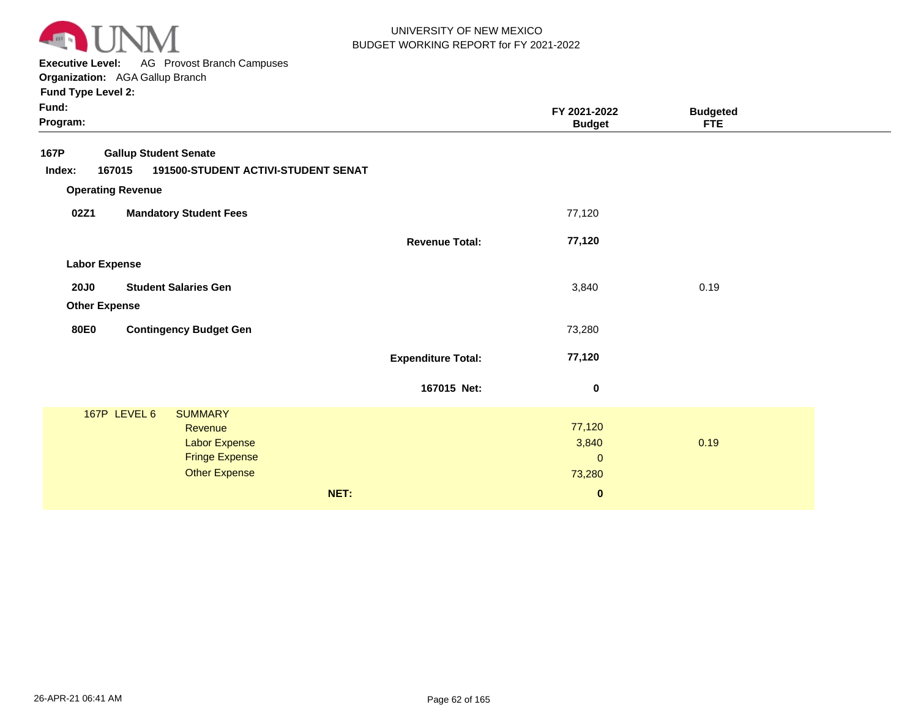

**Executive Level:** AG Provost Branch Campuses

**Organization:**  AGA Gallup Branch

|                                     | FY 2021-2022<br><b>Budget</b> | <b>Budgeted</b><br><b>FTE</b>                                             |              |
|-------------------------------------|-------------------------------|---------------------------------------------------------------------------|--------------|
|                                     |                               |                                                                           |              |
| 191500-STUDENT ACTIVI-STUDENT SENAT |                               |                                                                           |              |
|                                     |                               |                                                                           |              |
|                                     | 77,120                        |                                                                           |              |
| <b>Revenue Total:</b>               | 77,120                        |                                                                           |              |
|                                     |                               |                                                                           |              |
|                                     |                               |                                                                           |              |
|                                     |                               |                                                                           |              |
|                                     |                               |                                                                           |              |
|                                     |                               |                                                                           |              |
| <b>Expenditure Total:</b>           | 77,120                        |                                                                           |              |
| 167015 Net:                         | 0                             |                                                                           |              |
|                                     |                               |                                                                           |              |
|                                     |                               |                                                                           |              |
|                                     |                               |                                                                           |              |
|                                     |                               |                                                                           |              |
|                                     |                               |                                                                           |              |
|                                     |                               |                                                                           |              |
|                                     |                               | 3,840<br>73,280<br>77,120<br>3,840<br>$\mathbf{0}$<br>73,280<br>$\pmb{0}$ | 0.19<br>0.19 |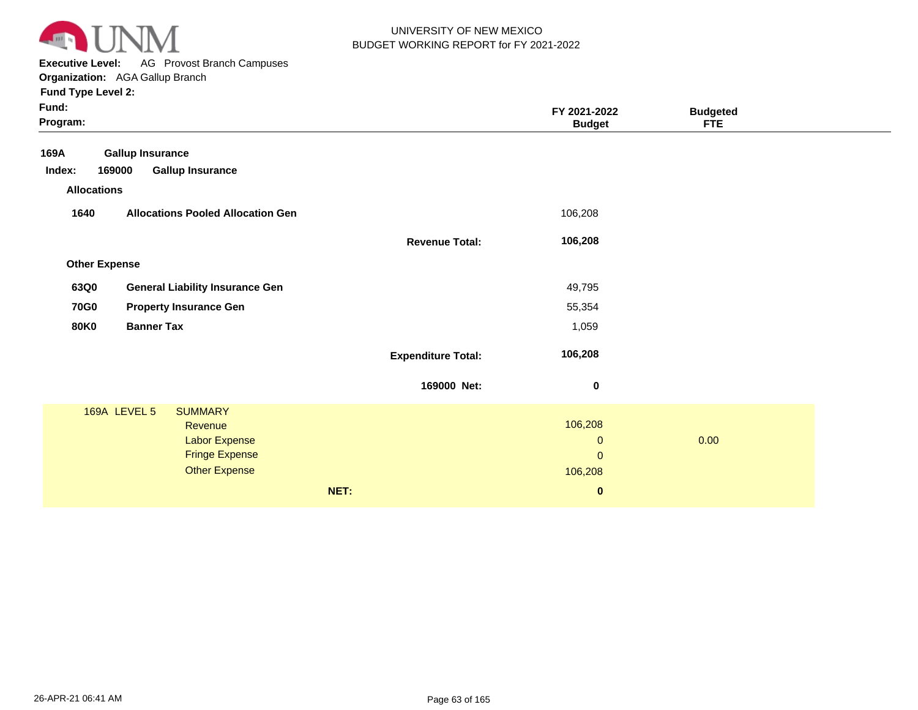

**Executive Level:** AG Provost Branch Campuses **Organization:**  AGA Gallup Branch

|                                          |                                                                | FY 2021-2022<br><b>Budget</b> | <b>Budgeted</b><br>FTE             |      |
|------------------------------------------|----------------------------------------------------------------|-------------------------------|------------------------------------|------|
| <b>Gallup Insurance</b>                  |                                                                |                               |                                    |      |
| <b>Gallup Insurance</b><br>169000        |                                                                |                               |                                    |      |
| <b>Allocations</b>                       |                                                                |                               |                                    |      |
| <b>Allocations Pooled Allocation Gen</b> |                                                                | 106,208                       |                                    |      |
|                                          | <b>Revenue Total:</b>                                          | 106,208                       |                                    |      |
| <b>Other Expense</b>                     |                                                                |                               |                                    |      |
| <b>General Liability Insurance Gen</b>   |                                                                | 49,795                        |                                    |      |
| <b>Property Insurance Gen</b>            |                                                                | 55,354                        |                                    |      |
| <b>Banner Tax</b>                        |                                                                | 1,059                         |                                    |      |
|                                          | <b>Expenditure Total:</b>                                      | 106,208                       |                                    |      |
|                                          | 169000 Net:                                                    | $\bf{0}$                      |                                    |      |
| 169A LEVEL 5<br><b>SUMMARY</b>           |                                                                |                               |                                    |      |
| Revenue                                  |                                                                |                               |                                    |      |
|                                          |                                                                | $\mathbf 0$                   |                                    |      |
|                                          |                                                                |                               |                                    |      |
|                                          |                                                                |                               |                                    |      |
|                                          | NET:                                                           | $\bf{0}$                      |                                    |      |
|                                          | Labor Expense<br><b>Fringe Expense</b><br><b>Other Expense</b> |                               | 106,208<br>$\mathbf{0}$<br>106,208 | 0.00 |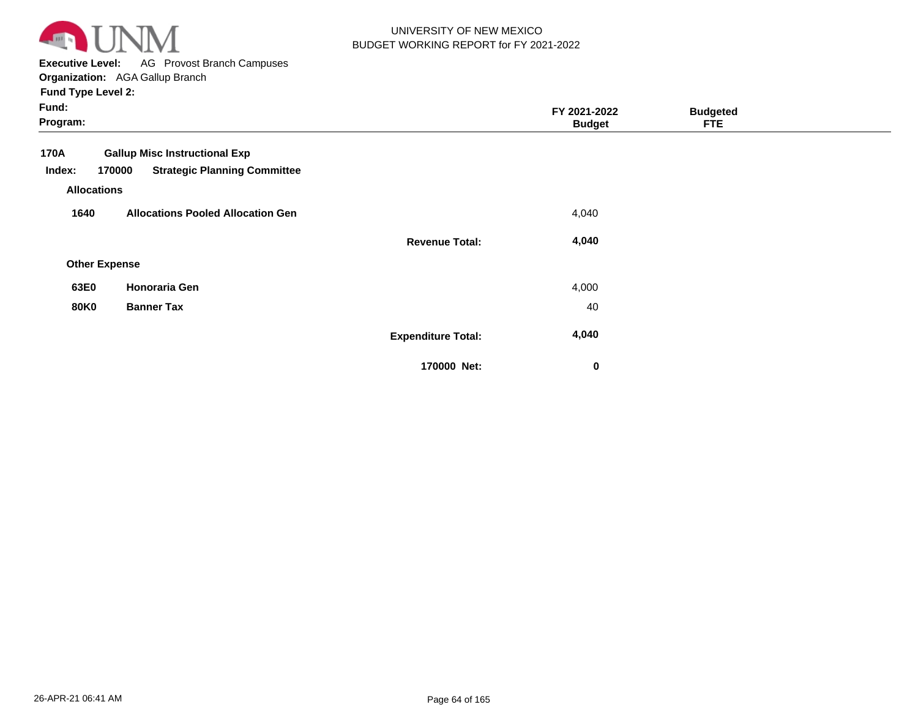

**Executive Level:** AG Provost Branch Campuses

| Fund:<br>Program:                                                                                                             |                           | FY 2021-2022<br><b>Budget</b> | <b>Budgeted</b><br><b>FTE</b> |  |
|-------------------------------------------------------------------------------------------------------------------------------|---------------------------|-------------------------------|-------------------------------|--|
| 170A<br><b>Gallup Misc Instructional Exp</b><br><b>Strategic Planning Committee</b><br>170000<br>Index:<br><b>Allocations</b> |                           |                               |                               |  |
| <b>Allocations Pooled Allocation Gen</b><br>1640                                                                              |                           | 4,040                         |                               |  |
|                                                                                                                               | <b>Revenue Total:</b>     | 4,040                         |                               |  |
| <b>Other Expense</b>                                                                                                          |                           |                               |                               |  |
| Honoraria Gen<br>63E0                                                                                                         |                           | 4,000                         |                               |  |
| <b>80K0</b><br><b>Banner Tax</b>                                                                                              |                           | 40                            |                               |  |
|                                                                                                                               | <b>Expenditure Total:</b> | 4,040                         |                               |  |
|                                                                                                                               | 170000 Net:               | $\bf{0}$                      |                               |  |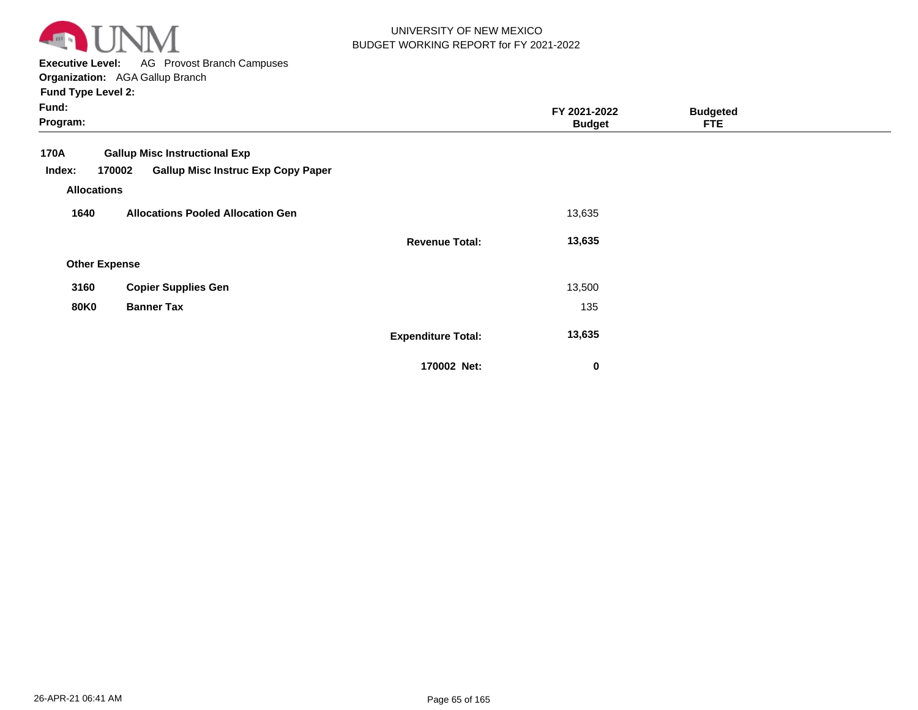

**Executive Level:** AG Provost Branch Campuses

| Fund:<br>Program:          |                                                                                             |                           | FY 2021-2022<br><b>Budget</b> | <b>Budgeted</b><br><b>FTE</b> |  |
|----------------------------|---------------------------------------------------------------------------------------------|---------------------------|-------------------------------|-------------------------------|--|
| 170A<br>Index:             | <b>Gallup Misc Instructional Exp</b><br><b>Gallup Misc Instruc Exp Copy Paper</b><br>170002 |                           |                               |                               |  |
| <b>Allocations</b><br>1640 | <b>Allocations Pooled Allocation Gen</b>                                                    |                           | 13,635                        |                               |  |
|                            |                                                                                             | <b>Revenue Total:</b>     | 13,635                        |                               |  |
| <b>Other Expense</b>       |                                                                                             |                           |                               |                               |  |
| 3160                       | <b>Copier Supplies Gen</b>                                                                  |                           | 13,500                        |                               |  |
| <b>80K0</b>                | <b>Banner Tax</b>                                                                           |                           | 135                           |                               |  |
|                            |                                                                                             | <b>Expenditure Total:</b> | 13,635                        |                               |  |
|                            |                                                                                             | 170002 Net:               | $\bf{0}$                      |                               |  |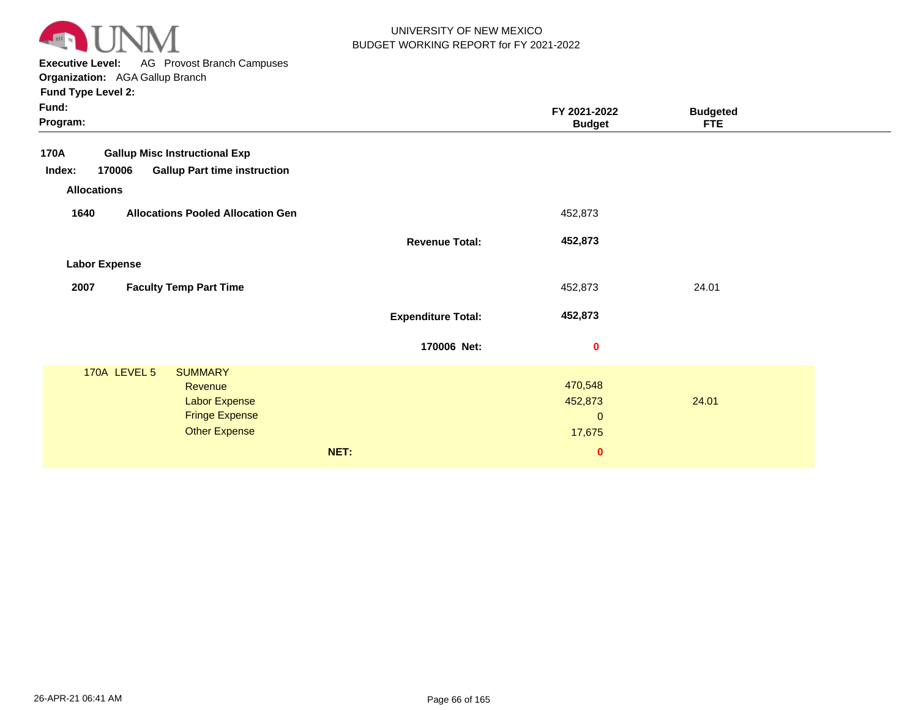

**Executive Level:** AG Provost Branch Campuses

| Fund:<br>Program:                                                                                                             |                           | FY 2021-2022<br><b>Budget</b>                            | <b>Budgeted</b><br><b>FTE</b> |  |
|-------------------------------------------------------------------------------------------------------------------------------|---------------------------|----------------------------------------------------------|-------------------------------|--|
| <b>Gallup Misc Instructional Exp</b><br>170A<br>170006<br><b>Gallup Part time instruction</b><br>Index:<br><b>Allocations</b> |                           |                                                          |                               |  |
| <b>Allocations Pooled Allocation Gen</b><br>1640                                                                              |                           | 452,873                                                  |                               |  |
|                                                                                                                               | <b>Revenue Total:</b>     | 452,873                                                  |                               |  |
| <b>Labor Expense</b>                                                                                                          |                           |                                                          |                               |  |
| 2007<br><b>Faculty Temp Part Time</b>                                                                                         |                           | 452,873                                                  | 24.01                         |  |
|                                                                                                                               | <b>Expenditure Total:</b> | 452,873                                                  |                               |  |
|                                                                                                                               | 170006 Net:               | 0                                                        |                               |  |
| 170A LEVEL 5<br><b>SUMMARY</b><br><b>Revenue</b><br><b>Labor Expense</b><br><b>Fringe Expense</b><br><b>Other Expense</b>     | NET:                      | 470,548<br>452,873<br>$\mathbf{0}$<br>17,675<br>$\bf{0}$ | 24.01                         |  |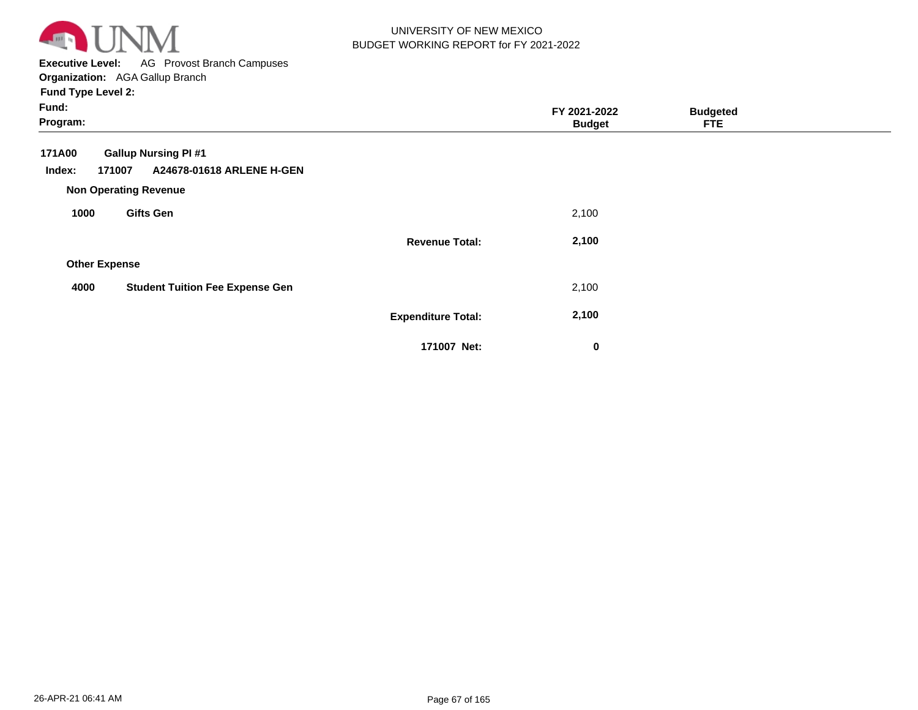

**Executive Level:** AG Provost Branch Campuses **Organization:**  AGA Gallup Branch

| Fund:<br>Program:    |                                                                                                    |                           | FY 2021-2022<br><b>Budget</b> | <b>Budgeted</b><br><b>FTE</b> |  |
|----------------------|----------------------------------------------------------------------------------------------------|---------------------------|-------------------------------|-------------------------------|--|
| 171A00<br>Index:     | <b>Gallup Nursing PI #1</b><br>A24678-01618 ARLENE H-GEN<br>171007<br><b>Non Operating Revenue</b> |                           |                               |                               |  |
| 1000                 | <b>Gifts Gen</b>                                                                                   |                           | 2,100                         |                               |  |
|                      |                                                                                                    | <b>Revenue Total:</b>     | 2,100                         |                               |  |
| <b>Other Expense</b> |                                                                                                    |                           |                               |                               |  |
| 4000                 | <b>Student Tuition Fee Expense Gen</b>                                                             |                           | 2,100                         |                               |  |
|                      |                                                                                                    | <b>Expenditure Total:</b> | 2,100                         |                               |  |
|                      |                                                                                                    | 171007 Net:               | 0                             |                               |  |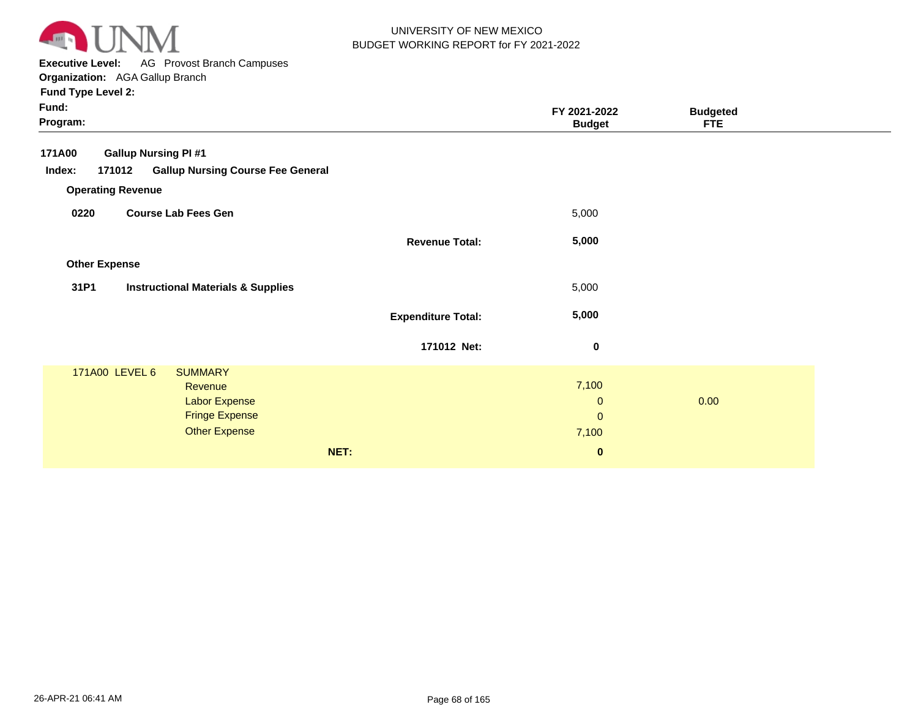

**Executive Level:** AG Provost Branch Campuses **Organization:**  AGA Gallup Branch

| Fund:<br>Program:        |                                                                                                                      |                           | FY 2021-2022<br><b>Budget</b>                 | <b>Budgeted</b><br><b>FTE</b> |  |
|--------------------------|----------------------------------------------------------------------------------------------------------------------|---------------------------|-----------------------------------------------|-------------------------------|--|
| 171A00                   | <b>Gallup Nursing PI #1</b>                                                                                          |                           |                                               |                               |  |
| Index:                   | <b>Gallup Nursing Course Fee General</b><br>171012                                                                   |                           |                                               |                               |  |
| <b>Operating Revenue</b> |                                                                                                                      |                           |                                               |                               |  |
| 0220                     | <b>Course Lab Fees Gen</b>                                                                                           |                           | 5,000                                         |                               |  |
|                          |                                                                                                                      | <b>Revenue Total:</b>     | 5,000                                         |                               |  |
| <b>Other Expense</b>     |                                                                                                                      |                           |                                               |                               |  |
| 31P1                     | <b>Instructional Materials &amp; Supplies</b>                                                                        |                           | 5,000                                         |                               |  |
|                          |                                                                                                                      | <b>Expenditure Total:</b> | 5,000                                         |                               |  |
|                          |                                                                                                                      | 171012 Net:               | $\mathbf 0$                                   |                               |  |
|                          | 171A00 LEVEL 6<br><b>SUMMARY</b><br>Revenue<br><b>Labor Expense</b><br><b>Fringe Expense</b><br><b>Other Expense</b> |                           | 7,100<br>$\mathbf 0$<br>$\mathbf{0}$<br>7,100 | 0.00                          |  |
|                          |                                                                                                                      | NET:                      | $\bf{0}$                                      |                               |  |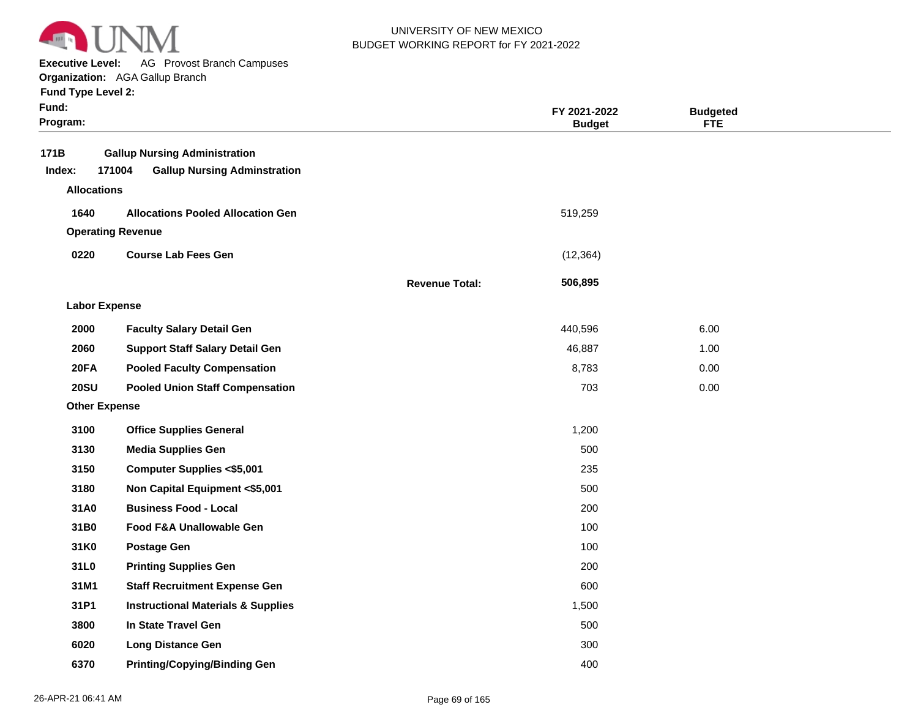

**Executive Level:** AG Provost Branch Campuses

**Organization:**  AGA Gallup Branch

|  | <b>Fund Type Level 2:</b> |  |
|--|---------------------------|--|
|--|---------------------------|--|

| Fund:<br>Program:                    |                                                                                       |                       | FY 2021-2022<br><b>Budget</b> | <b>Budgeted</b><br><b>FTE</b> |  |
|--------------------------------------|---------------------------------------------------------------------------------------|-----------------------|-------------------------------|-------------------------------|--|
| 171B<br>Index:<br><b>Allocations</b> | <b>Gallup Nursing Administration</b><br>171004<br><b>Gallup Nursing Adminstration</b> |                       |                               |                               |  |
|                                      |                                                                                       |                       |                               |                               |  |
| 1640                                 | <b>Allocations Pooled Allocation Gen</b><br><b>Operating Revenue</b>                  |                       | 519,259                       |                               |  |
|                                      |                                                                                       |                       |                               |                               |  |
| 0220                                 | <b>Course Lab Fees Gen</b>                                                            |                       | (12, 364)                     |                               |  |
|                                      |                                                                                       | <b>Revenue Total:</b> | 506,895                       |                               |  |
| <b>Labor Expense</b>                 |                                                                                       |                       |                               |                               |  |
| 2000                                 | <b>Faculty Salary Detail Gen</b>                                                      |                       | 440,596                       | 6.00                          |  |
| 2060                                 | <b>Support Staff Salary Detail Gen</b>                                                |                       | 46,887                        | 1.00                          |  |
| <b>20FA</b>                          | <b>Pooled Faculty Compensation</b>                                                    |                       | 8,783                         | 0.00                          |  |
| <b>20SU</b>                          | <b>Pooled Union Staff Compensation</b>                                                |                       | 703                           | 0.00                          |  |
| <b>Other Expense</b>                 |                                                                                       |                       |                               |                               |  |
| 3100                                 | <b>Office Supplies General</b>                                                        |                       | 1,200                         |                               |  |
| 3130                                 | <b>Media Supplies Gen</b>                                                             |                       | 500                           |                               |  |
| 3150                                 | <b>Computer Supplies &lt;\$5,001</b>                                                  |                       | 235                           |                               |  |
| 3180                                 | Non Capital Equipment <\$5,001                                                        |                       | 500                           |                               |  |
| 31A0                                 | <b>Business Food - Local</b>                                                          |                       | 200                           |                               |  |
| 31B0                                 | <b>Food F&amp;A Unallowable Gen</b>                                                   |                       | 100                           |                               |  |
| 31K0                                 | <b>Postage Gen</b>                                                                    |                       | 100                           |                               |  |
| 31L0                                 | <b>Printing Supplies Gen</b>                                                          |                       | 200                           |                               |  |
| 31M1                                 | <b>Staff Recruitment Expense Gen</b>                                                  |                       | 600                           |                               |  |
| 31P1                                 | <b>Instructional Materials &amp; Supplies</b>                                         |                       | 1,500                         |                               |  |
| 3800                                 | In State Travel Gen                                                                   |                       | 500                           |                               |  |
| 6020                                 | <b>Long Distance Gen</b>                                                              |                       | 300                           |                               |  |
| 6370                                 | <b>Printing/Copying/Binding Gen</b>                                                   |                       | 400                           |                               |  |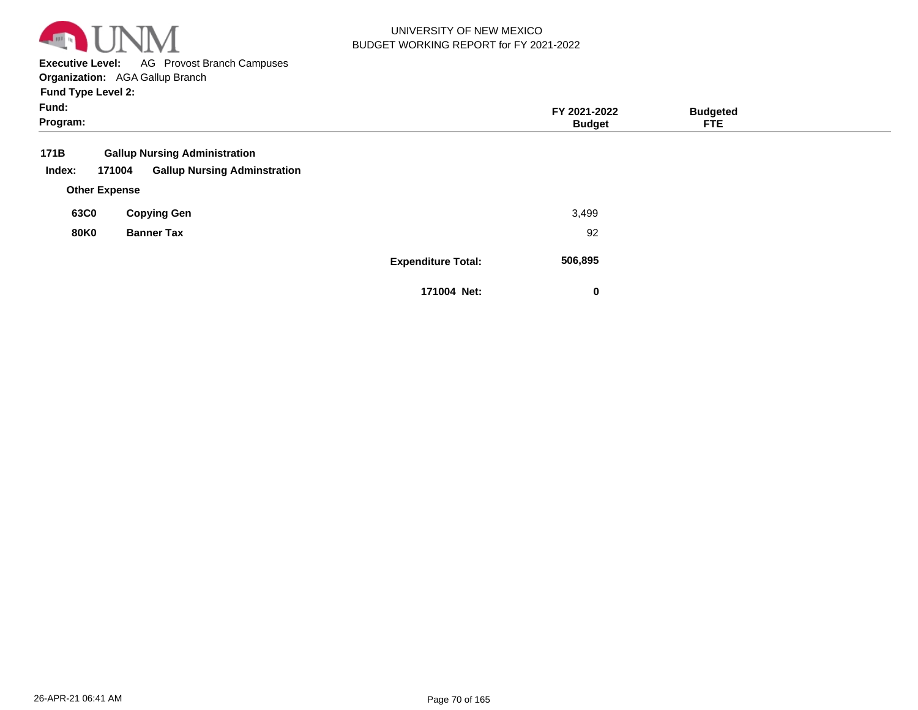

**Executive Level:** AG Provost Branch Campuses

**Organization:**  AGA Gallup Branch

| Fund:       |                                               |                           | FY 2021-2022  | <b>Budgeted</b> |  |
|-------------|-----------------------------------------------|---------------------------|---------------|-----------------|--|
| Program:    |                                               |                           | <b>Budget</b> | <b>FTE</b>      |  |
| 171B        | <b>Gallup Nursing Administration</b>          |                           |               |                 |  |
| Index:      | <b>Gallup Nursing Adminstration</b><br>171004 |                           |               |                 |  |
|             | <b>Other Expense</b>                          |                           |               |                 |  |
| 63C0        | <b>Copying Gen</b>                            |                           | 3,499         |                 |  |
| <b>80K0</b> | <b>Banner Tax</b>                             |                           | 92            |                 |  |
|             |                                               | <b>Expenditure Total:</b> | 506,895       |                 |  |
|             |                                               | 171004 Net:               | 0             |                 |  |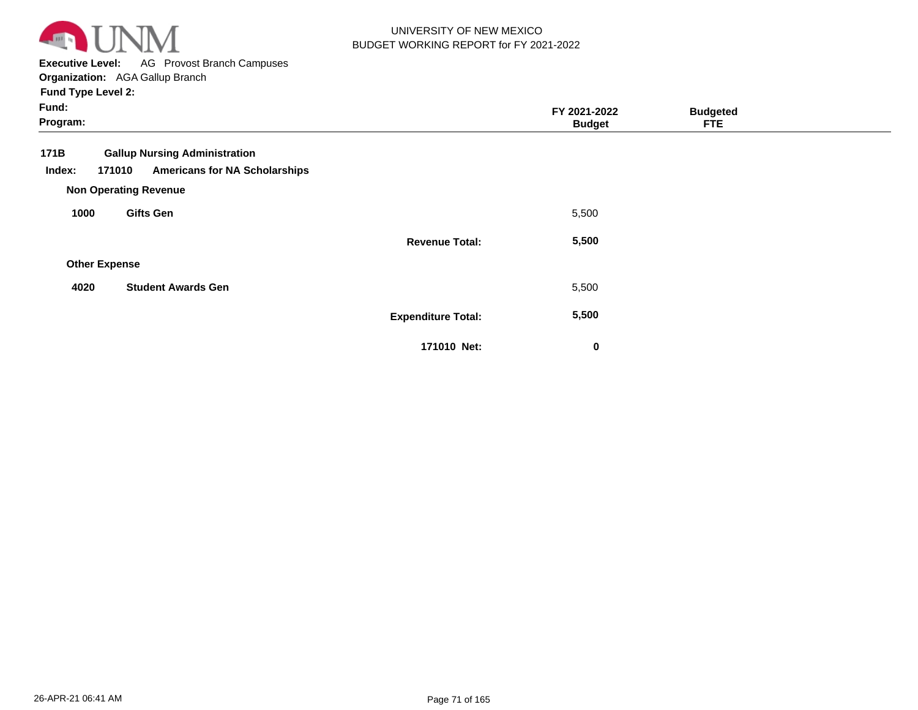

**Executive Level:** AG Provost Branch Campuses

| Fund:<br>Program:    |                                                                                                                        |                           | FY 2021-2022<br><b>Budget</b> | <b>Budgeted</b><br><b>FTE</b> |  |
|----------------------|------------------------------------------------------------------------------------------------------------------------|---------------------------|-------------------------------|-------------------------------|--|
| 171B<br>Index:       | <b>Gallup Nursing Administration</b><br><b>Americans for NA Scholarships</b><br>171010<br><b>Non Operating Revenue</b> |                           |                               |                               |  |
| 1000                 | <b>Gifts Gen</b>                                                                                                       |                           | 5,500                         |                               |  |
|                      |                                                                                                                        | <b>Revenue Total:</b>     | 5,500                         |                               |  |
| <b>Other Expense</b> |                                                                                                                        |                           |                               |                               |  |
| 4020                 | <b>Student Awards Gen</b>                                                                                              |                           | 5,500                         |                               |  |
|                      |                                                                                                                        | <b>Expenditure Total:</b> | 5,500                         |                               |  |
|                      |                                                                                                                        | 171010 Net:               | 0                             |                               |  |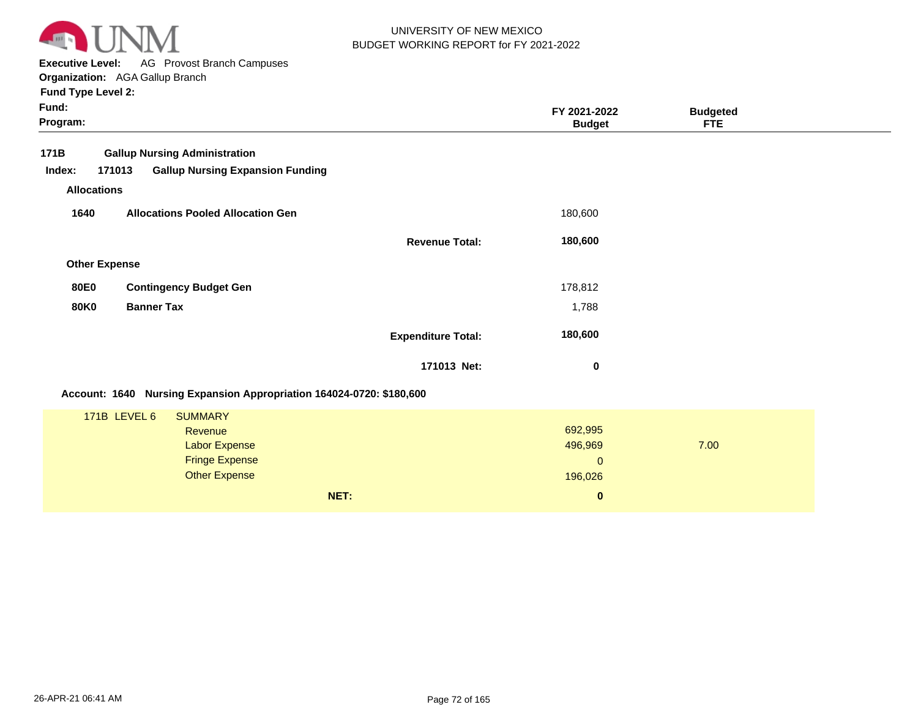

**Executive Level:** AG Provost Branch Campuses **Organization:**  AGA Gallup Branch

| Fund:<br>Program:                                                    |                           | FY 2021-2022<br><b>Budget</b> | <b>Budgeted</b><br><b>FTE</b> |  |
|----------------------------------------------------------------------|---------------------------|-------------------------------|-------------------------------|--|
| 171B<br><b>Gallup Nursing Administration</b>                         |                           |                               |                               |  |
| 171013<br><b>Gallup Nursing Expansion Funding</b><br>Index:          |                           |                               |                               |  |
| <b>Allocations</b>                                                   |                           |                               |                               |  |
| <b>Allocations Pooled Allocation Gen</b><br>1640                     |                           | 180,600                       |                               |  |
|                                                                      | <b>Revenue Total:</b>     | 180,600                       |                               |  |
| <b>Other Expense</b>                                                 |                           |                               |                               |  |
| <b>Contingency Budget Gen</b><br><b>80E0</b>                         |                           | 178,812                       |                               |  |
| <b>80K0</b><br><b>Banner Tax</b>                                     |                           | 1,788                         |                               |  |
|                                                                      | <b>Expenditure Total:</b> | 180,600                       |                               |  |
|                                                                      | 171013 Net:               | 0                             |                               |  |
| Account: 1640 Nursing Expansion Appropriation 164024-0720: \$180,600 |                           |                               |                               |  |
| <b>171B LEVEL 6</b><br><b>SUMMARY</b>                                |                           |                               |                               |  |
| Revenue<br><b>Labor Expense</b>                                      |                           | 692,995<br>496,969            | 7.00                          |  |
| <b>Fringe Expense</b>                                                |                           | $\mathbf{0}$                  |                               |  |
| <b>Other Expense</b>                                                 |                           | 196,026                       |                               |  |
|                                                                      | NET:                      | $\pmb{0}$                     |                               |  |
|                                                                      |                           |                               |                               |  |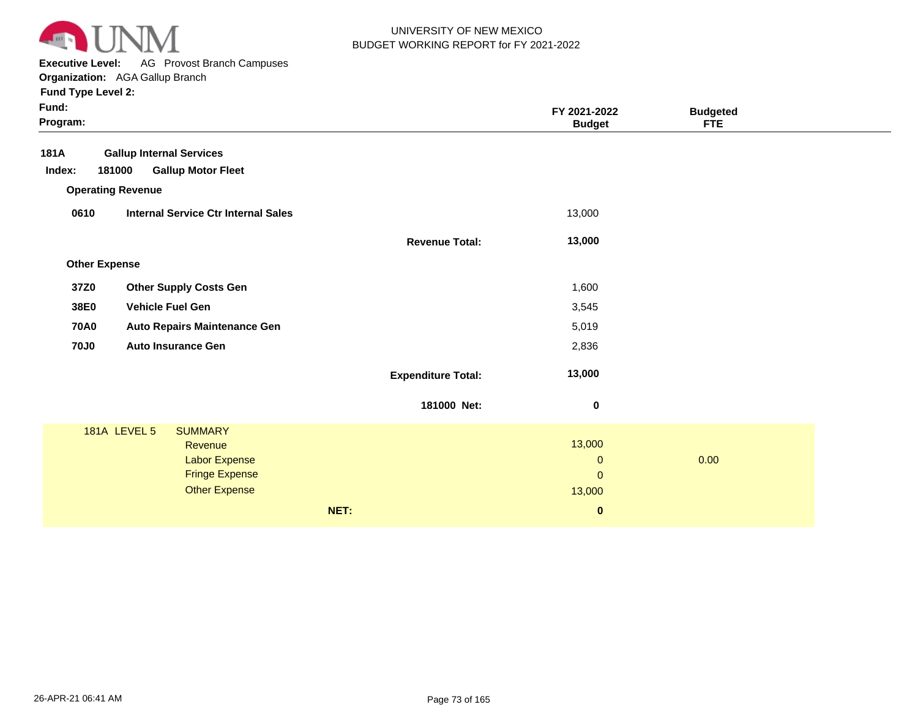

**Executive Level:** AG Provost Branch Campuses

| Fund:<br>Program:        |                                               |                           | FY 2021-2022<br><b>Budget</b> | <b>Budgeted</b><br><b>FTE</b> |  |
|--------------------------|-----------------------------------------------|---------------------------|-------------------------------|-------------------------------|--|
| 181A                     | <b>Gallup Internal Services</b>               |                           |                               |                               |  |
| 181000<br>Index:         | <b>Gallup Motor Fleet</b>                     |                           |                               |                               |  |
| <b>Operating Revenue</b> |                                               |                           |                               |                               |  |
| 0610                     | <b>Internal Service Ctr Internal Sales</b>    |                           | 13,000                        |                               |  |
|                          |                                               | <b>Revenue Total:</b>     | 13,000                        |                               |  |
| <b>Other Expense</b>     |                                               |                           |                               |                               |  |
| 37Z0                     | <b>Other Supply Costs Gen</b>                 |                           | 1,600                         |                               |  |
| 38E0                     | <b>Vehicle Fuel Gen</b>                       |                           | 3,545                         |                               |  |
| <b>70A0</b>              | <b>Auto Repairs Maintenance Gen</b>           |                           | 5,019                         |                               |  |
| <b>70J0</b>              | <b>Auto Insurance Gen</b>                     |                           | 2,836                         |                               |  |
|                          |                                               |                           |                               |                               |  |
|                          |                                               | <b>Expenditure Total:</b> | 13,000                        |                               |  |
|                          |                                               | 181000 Net:               | $\mathbf 0$                   |                               |  |
|                          | <b>181A LEVEL 5</b><br><b>SUMMARY</b>         |                           |                               |                               |  |
|                          | Revenue                                       |                           | 13,000                        |                               |  |
|                          | Labor Expense                                 |                           | $\mathbf{0}$                  | 0.00                          |  |
|                          | <b>Fringe Expense</b><br><b>Other Expense</b> |                           | $\pmb{0}$<br>13,000           |                               |  |
|                          |                                               |                           |                               |                               |  |
|                          |                                               | NET:                      | $\bf{0}$                      |                               |  |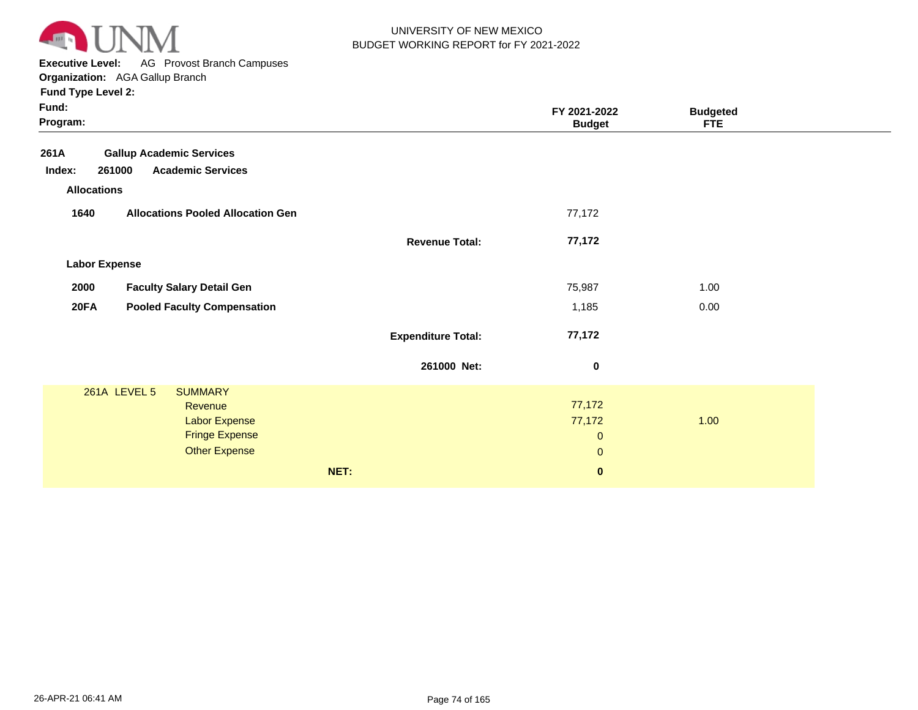

**Executive Level:** AG Provost Branch Campuses

**Organization:**  AGA Gallup Branch

| Fund:<br>Program:    |                                               |                           | FY 2021-2022<br><b>Budget</b> | <b>Budgeted</b><br><b>FTE</b> |  |
|----------------------|-----------------------------------------------|---------------------------|-------------------------------|-------------------------------|--|
| 261A                 | <b>Gallup Academic Services</b>               |                           |                               |                               |  |
| Index:               | <b>Academic Services</b><br>261000            |                           |                               |                               |  |
| <b>Allocations</b>   |                                               |                           |                               |                               |  |
| 1640                 | <b>Allocations Pooled Allocation Gen</b>      |                           | 77,172                        |                               |  |
|                      |                                               | <b>Revenue Total:</b>     | 77,172                        |                               |  |
| <b>Labor Expense</b> |                                               |                           |                               |                               |  |
| 2000                 | <b>Faculty Salary Detail Gen</b>              |                           | 75,987                        | 1.00                          |  |
| <b>20FA</b>          | <b>Pooled Faculty Compensation</b>            |                           | 1,185                         | 0.00                          |  |
|                      |                                               | <b>Expenditure Total:</b> | 77,172                        |                               |  |
|                      |                                               | 261000 Net:               | 0                             |                               |  |
|                      | 261A LEVEL 5<br><b>SUMMARY</b>                |                           |                               |                               |  |
|                      | Revenue                                       |                           | 77,172                        |                               |  |
|                      | <b>Labor Expense</b><br><b>Fringe Expense</b> |                           | 77,172<br>$\mathbf{0}$        | 1.00                          |  |
|                      | <b>Other Expense</b>                          |                           | $\pmb{0}$                     |                               |  |
|                      |                                               |                           |                               |                               |  |
|                      |                                               | NET:                      | $\mathbf 0$                   |                               |  |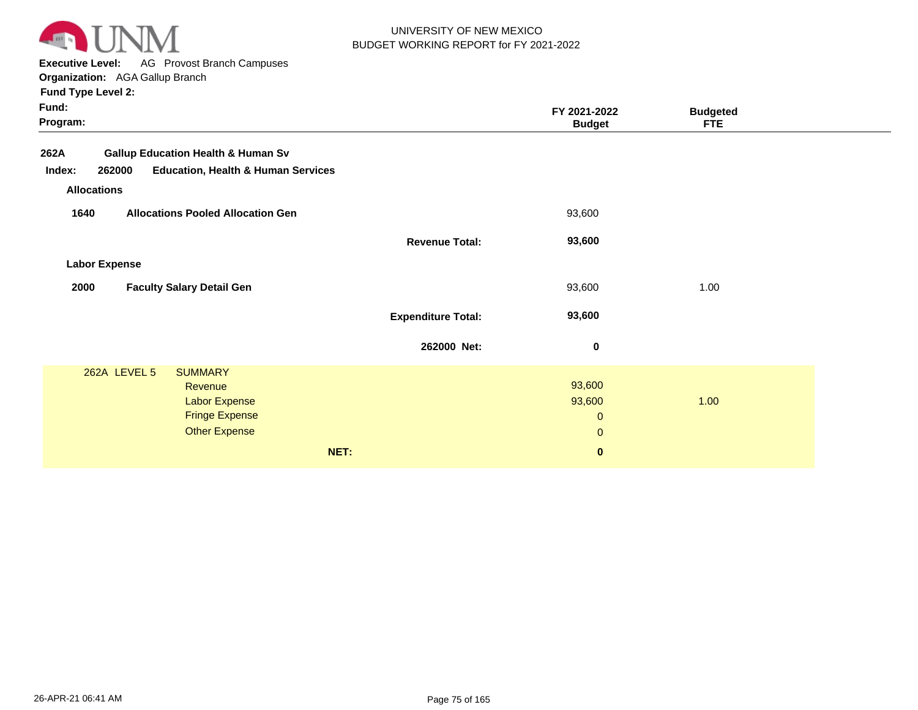

**Executive Level:** AG Provost Branch Campuses

| runu Type Leverz: |  |
|-------------------|--|
|                   |  |

|                           | FY 2021-2022<br><b>Budget</b>                     | <b>Budgeted</b><br><b>FTE</b> |  |
|---------------------------|---------------------------------------------------|-------------------------------|--|
|                           |                                                   |                               |  |
|                           |                                                   |                               |  |
|                           | 93,600                                            |                               |  |
| <b>Revenue Total:</b>     | 93,600                                            |                               |  |
|                           |                                                   |                               |  |
|                           | 93,600                                            | 1.00                          |  |
| <b>Expenditure Total:</b> | 93,600                                            |                               |  |
| 262000 Net:               | $\mathbf 0$                                       |                               |  |
|                           | 93,600<br>93,600<br>$\boldsymbol{0}$<br>$\pmb{0}$ | 1.00                          |  |
|                           |                                                   |                               |  |
|                           | NET:                                              | $\mathbf 0$                   |  |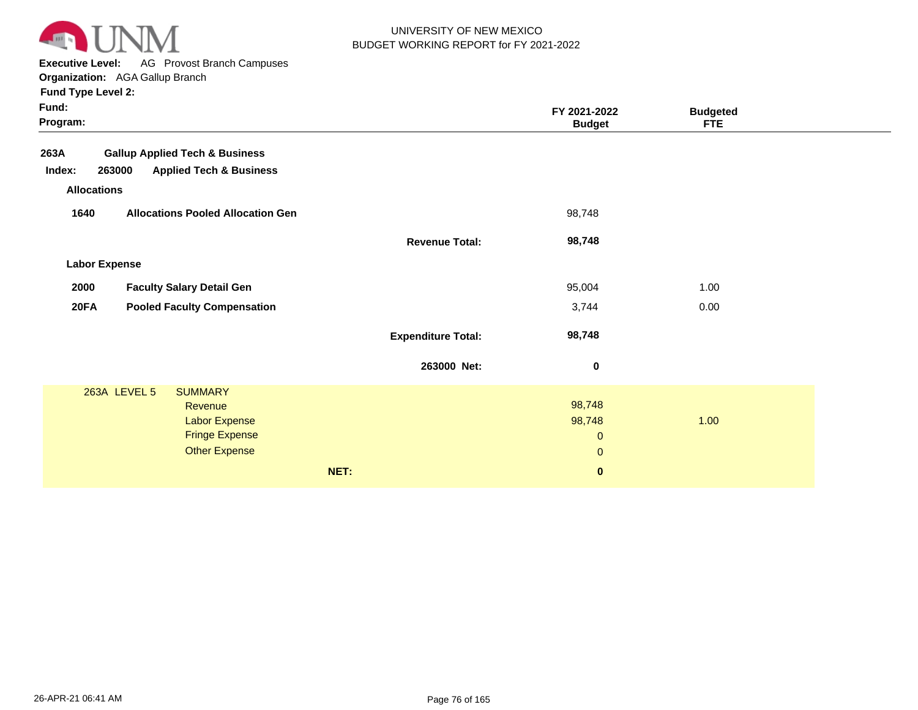

**Executive Level:** AG Provost Branch Campuses

**Organization:**  AGA Gallup Branch

| <b>Fund Type Level 2:</b> |  |  |  |
|---------------------------|--|--|--|
|---------------------------|--|--|--|

| Fund:<br>Program:  |                                               |                           | FY 2021-2022<br><b>Budget</b> | <b>Budgeted</b><br><b>FTE</b> |  |
|--------------------|-----------------------------------------------|---------------------------|-------------------------------|-------------------------------|--|
| 263A               | <b>Gallup Applied Tech &amp; Business</b>     |                           |                               |                               |  |
| Index:             | <b>Applied Tech &amp; Business</b><br>263000  |                           |                               |                               |  |
| <b>Allocations</b> |                                               |                           |                               |                               |  |
| 1640               | <b>Allocations Pooled Allocation Gen</b>      |                           | 98,748                        |                               |  |
|                    |                                               | <b>Revenue Total:</b>     | 98,748                        |                               |  |
|                    | <b>Labor Expense</b>                          |                           |                               |                               |  |
| 2000               | <b>Faculty Salary Detail Gen</b>              |                           | 95,004                        | 1.00                          |  |
| <b>20FA</b>        | <b>Pooled Faculty Compensation</b>            |                           | 3,744                         | 0.00                          |  |
|                    |                                               | <b>Expenditure Total:</b> | 98,748                        |                               |  |
|                    |                                               | 263000 Net:               | $\bf{0}$                      |                               |  |
|                    | 263A LEVEL 5<br><b>SUMMARY</b>                |                           |                               |                               |  |
|                    | Revenue                                       |                           | 98,748<br>98,748              | 1.00                          |  |
|                    | <b>Labor Expense</b><br><b>Fringe Expense</b> |                           |                               |                               |  |
|                    | <b>Other Expense</b>                          |                           | $\mathbf{0}$<br>$\pmb{0}$     |                               |  |
|                    |                                               |                           |                               |                               |  |
|                    |                                               | NET:                      | $\bf{0}$                      |                               |  |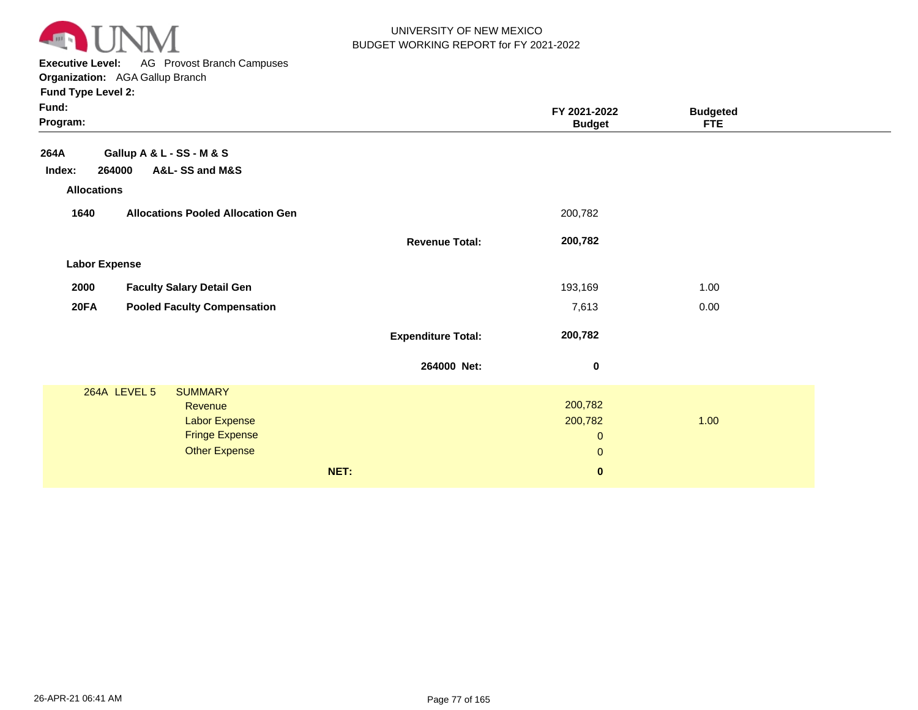

**Executive Level:** AG Provost Branch Campuses

**Organization:**  AGA Gallup Branch

| Fund:<br>Program:    |                                          |                           | FY 2021-2022<br><b>Budget</b> | <b>Budgeted</b><br><b>FTE</b> |  |
|----------------------|------------------------------------------|---------------------------|-------------------------------|-------------------------------|--|
| 264A                 | Gallup A & L - SS - M & S                |                           |                               |                               |  |
| Index:               | 264000<br>A&L-SS and M&S                 |                           |                               |                               |  |
| <b>Allocations</b>   |                                          |                           |                               |                               |  |
| 1640                 | <b>Allocations Pooled Allocation Gen</b> |                           | 200,782                       |                               |  |
|                      |                                          | <b>Revenue Total:</b>     | 200,782                       |                               |  |
| <b>Labor Expense</b> |                                          |                           |                               |                               |  |
| 2000                 | <b>Faculty Salary Detail Gen</b>         |                           | 193,169                       | 1.00                          |  |
| <b>20FA</b>          | <b>Pooled Faculty Compensation</b>       |                           | 7,613                         | 0.00                          |  |
|                      |                                          | <b>Expenditure Total:</b> | 200,782                       |                               |  |
|                      |                                          | 264000 Net:               | $\bf{0}$                      |                               |  |
|                      | 264A LEVEL 5<br><b>SUMMARY</b>           |                           |                               |                               |  |
|                      | Revenue<br><b>Labor Expense</b>          |                           | 200,782<br>200,782            | 1.00                          |  |
|                      | <b>Fringe Expense</b>                    |                           | $\mathbf 0$                   |                               |  |
|                      | <b>Other Expense</b>                     |                           | $\pmb{0}$                     |                               |  |
|                      |                                          |                           |                               |                               |  |
|                      |                                          | NET:                      | $\bf{0}$                      |                               |  |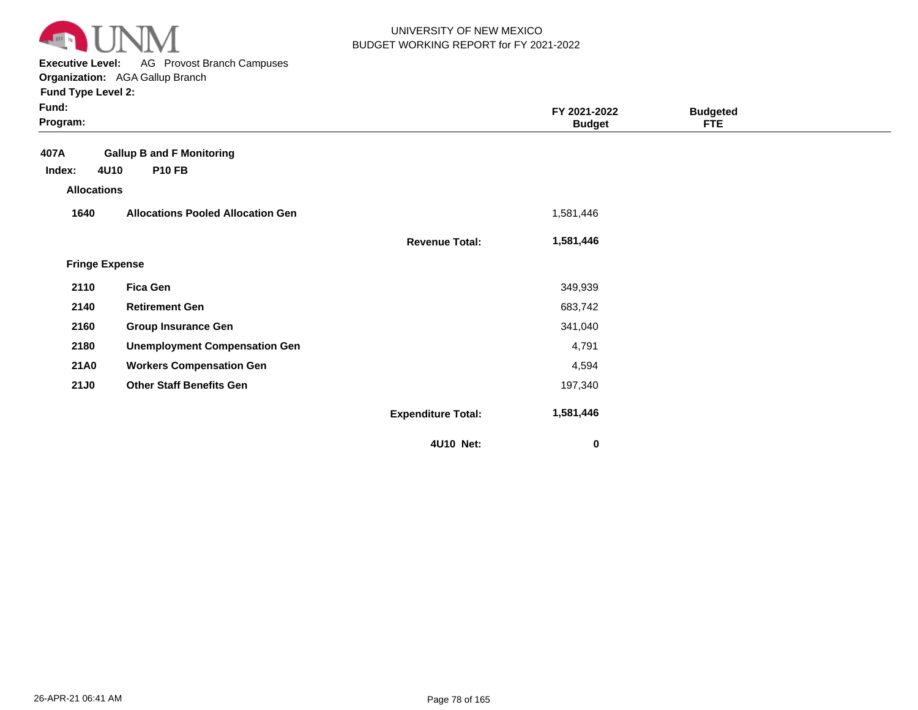

**Executive Level:** AG Provost Branch Campuses **Organization:**  AGA Gallup Branch

| Fund:<br>Program:     |                                          |                           | FY 2021-2022<br><b>Budget</b> | <b>Budgeted</b><br><b>FTE</b> |  |
|-----------------------|------------------------------------------|---------------------------|-------------------------------|-------------------------------|--|
| 407A                  | <b>Gallup B and F Monitoring</b>         |                           |                               |                               |  |
| 4U10<br>Index:        | <b>P10 FB</b>                            |                           |                               |                               |  |
| <b>Allocations</b>    |                                          |                           |                               |                               |  |
| 1640                  | <b>Allocations Pooled Allocation Gen</b> |                           | 1,581,446                     |                               |  |
|                       |                                          | <b>Revenue Total:</b>     | 1,581,446                     |                               |  |
| <b>Fringe Expense</b> |                                          |                           |                               |                               |  |
| 2110                  | <b>Fica Gen</b>                          |                           | 349,939                       |                               |  |
| 2140                  | <b>Retirement Gen</b>                    |                           | 683,742                       |                               |  |
| 2160                  | <b>Group Insurance Gen</b>               |                           | 341,040                       |                               |  |
| 2180                  | <b>Unemployment Compensation Gen</b>     |                           | 4,791                         |                               |  |
| <b>21A0</b>           | <b>Workers Compensation Gen</b>          |                           | 4,594                         |                               |  |
| <b>21J0</b>           | <b>Other Staff Benefits Gen</b>          |                           | 197,340                       |                               |  |
|                       |                                          | <b>Expenditure Total:</b> | 1,581,446                     |                               |  |
|                       |                                          | 4U10 Net:                 | 0                             |                               |  |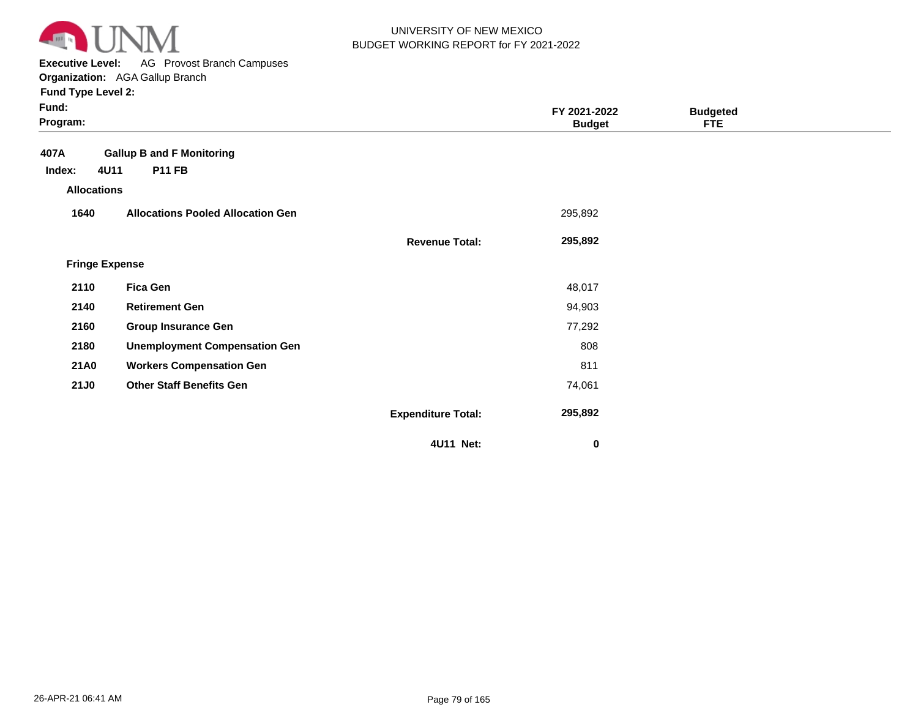

**Executive Level:** AG Provost Branch Campuses **Organization:**  AGA Gallup Branch

| Fund:<br>Program:     |                                          |                           | FY 2021-2022<br><b>Budget</b> | <b>Budgeted</b><br><b>FTE</b> |  |
|-----------------------|------------------------------------------|---------------------------|-------------------------------|-------------------------------|--|
| 407A                  | <b>Gallup B and F Monitoring</b>         |                           |                               |                               |  |
| 4U11<br>Index:        | <b>P11 FB</b>                            |                           |                               |                               |  |
| <b>Allocations</b>    |                                          |                           |                               |                               |  |
| 1640                  | <b>Allocations Pooled Allocation Gen</b> |                           | 295,892                       |                               |  |
|                       |                                          | <b>Revenue Total:</b>     | 295,892                       |                               |  |
| <b>Fringe Expense</b> |                                          |                           |                               |                               |  |
| 2110                  | <b>Fica Gen</b>                          |                           | 48,017                        |                               |  |
| 2140                  | <b>Retirement Gen</b>                    |                           | 94,903                        |                               |  |
| 2160                  | <b>Group Insurance Gen</b>               |                           | 77,292                        |                               |  |
| 2180                  | <b>Unemployment Compensation Gen</b>     |                           | 808                           |                               |  |
| <b>21A0</b>           | <b>Workers Compensation Gen</b>          |                           | 811                           |                               |  |
| <b>21J0</b>           | <b>Other Staff Benefits Gen</b>          |                           | 74,061                        |                               |  |
|                       |                                          | <b>Expenditure Total:</b> | 295,892                       |                               |  |
|                       |                                          | 4U11 Net:                 | 0                             |                               |  |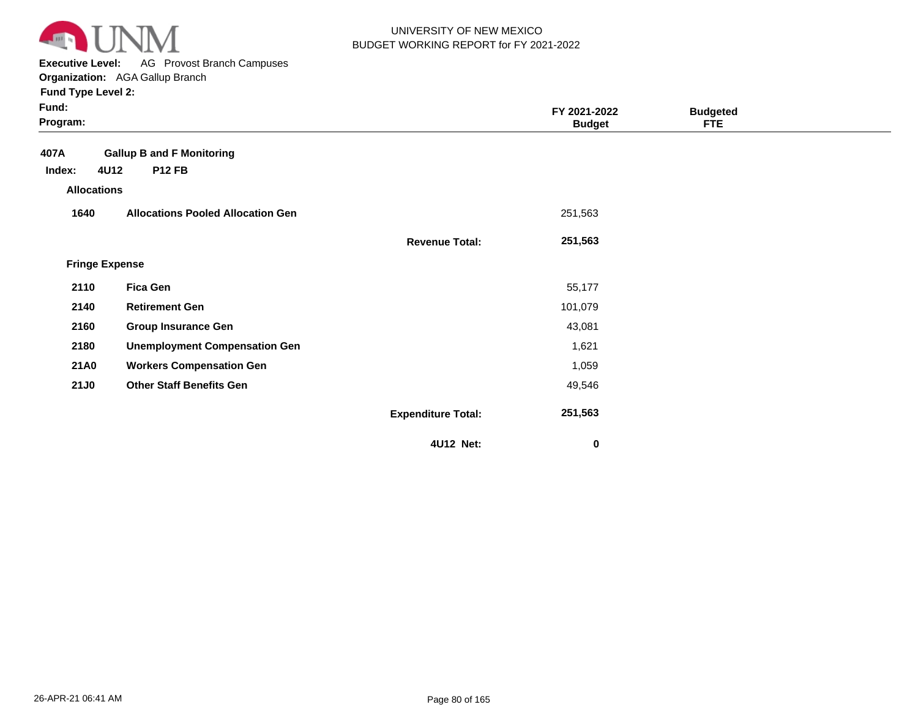

**Executive Level:** AG Provost Branch Campuses

| Fund:<br>Program:     |                                          |                           | FY 2021-2022<br><b>Budget</b> | <b>Budgeted</b><br><b>FTE</b> |  |
|-----------------------|------------------------------------------|---------------------------|-------------------------------|-------------------------------|--|
| 407A                  | <b>Gallup B and F Monitoring</b>         |                           |                               |                               |  |
| 4U12<br>Index:        | <b>P12 FB</b>                            |                           |                               |                               |  |
| <b>Allocations</b>    |                                          |                           |                               |                               |  |
| 1640                  | <b>Allocations Pooled Allocation Gen</b> |                           | 251,563                       |                               |  |
|                       |                                          | <b>Revenue Total:</b>     | 251,563                       |                               |  |
| <b>Fringe Expense</b> |                                          |                           |                               |                               |  |
| 2110                  | <b>Fica Gen</b>                          |                           | 55,177                        |                               |  |
| 2140                  | <b>Retirement Gen</b>                    |                           | 101,079                       |                               |  |
| 2160                  | <b>Group Insurance Gen</b>               |                           | 43,081                        |                               |  |
| 2180                  | <b>Unemployment Compensation Gen</b>     |                           | 1,621                         |                               |  |
| <b>21A0</b>           | <b>Workers Compensation Gen</b>          |                           | 1,059                         |                               |  |
| <b>21J0</b>           | <b>Other Staff Benefits Gen</b>          |                           | 49,546                        |                               |  |
|                       |                                          | <b>Expenditure Total:</b> | 251,563                       |                               |  |
|                       |                                          | 4U12 Net:                 | $\mathbf 0$                   |                               |  |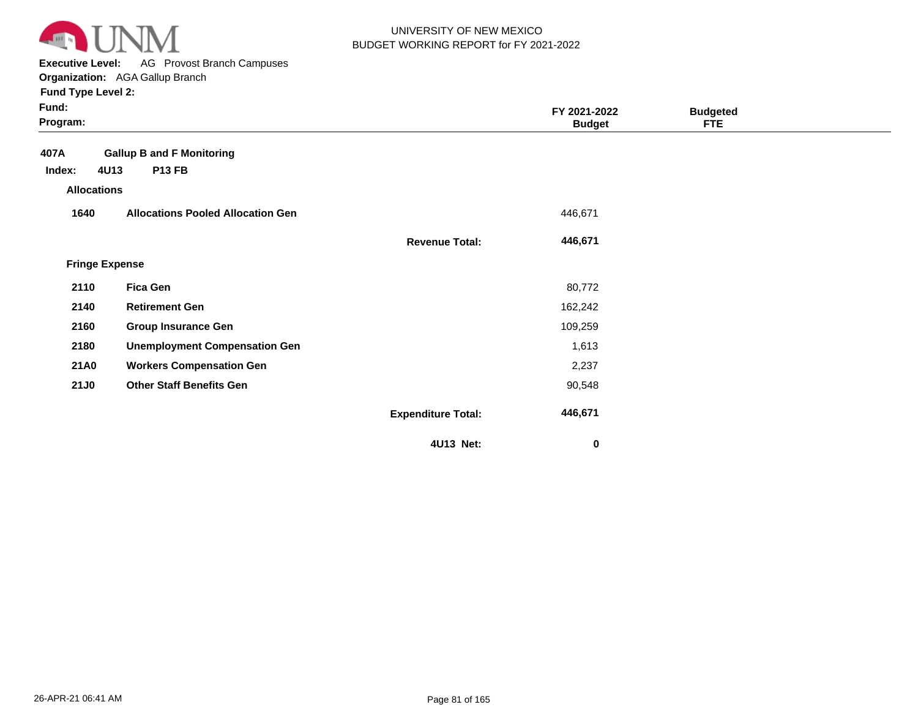

**Executive Level:** AG Provost Branch Campuses **Organization:**  AGA Gallup Branch

| Fund:<br>Program:     |                                          |                           | FY 2021-2022<br><b>Budget</b> | <b>Budgeted</b><br><b>FTE</b> |  |
|-----------------------|------------------------------------------|---------------------------|-------------------------------|-------------------------------|--|
| 407A                  | <b>Gallup B and F Monitoring</b>         |                           |                               |                               |  |
| 4U13<br>Index:        | <b>P13 FB</b>                            |                           |                               |                               |  |
| <b>Allocations</b>    |                                          |                           |                               |                               |  |
| 1640                  | <b>Allocations Pooled Allocation Gen</b> |                           | 446,671                       |                               |  |
|                       |                                          | <b>Revenue Total:</b>     | 446,671                       |                               |  |
| <b>Fringe Expense</b> |                                          |                           |                               |                               |  |
| 2110                  | <b>Fica Gen</b>                          |                           | 80,772                        |                               |  |
| 2140                  | <b>Retirement Gen</b>                    |                           | 162,242                       |                               |  |
| 2160                  | <b>Group Insurance Gen</b>               |                           | 109,259                       |                               |  |
| 2180                  | <b>Unemployment Compensation Gen</b>     |                           | 1,613                         |                               |  |
| <b>21A0</b>           | <b>Workers Compensation Gen</b>          |                           | 2,237                         |                               |  |
| <b>21J0</b>           | <b>Other Staff Benefits Gen</b>          |                           | 90,548                        |                               |  |
|                       |                                          | <b>Expenditure Total:</b> | 446,671                       |                               |  |
|                       |                                          | 4U13 Net:                 | 0                             |                               |  |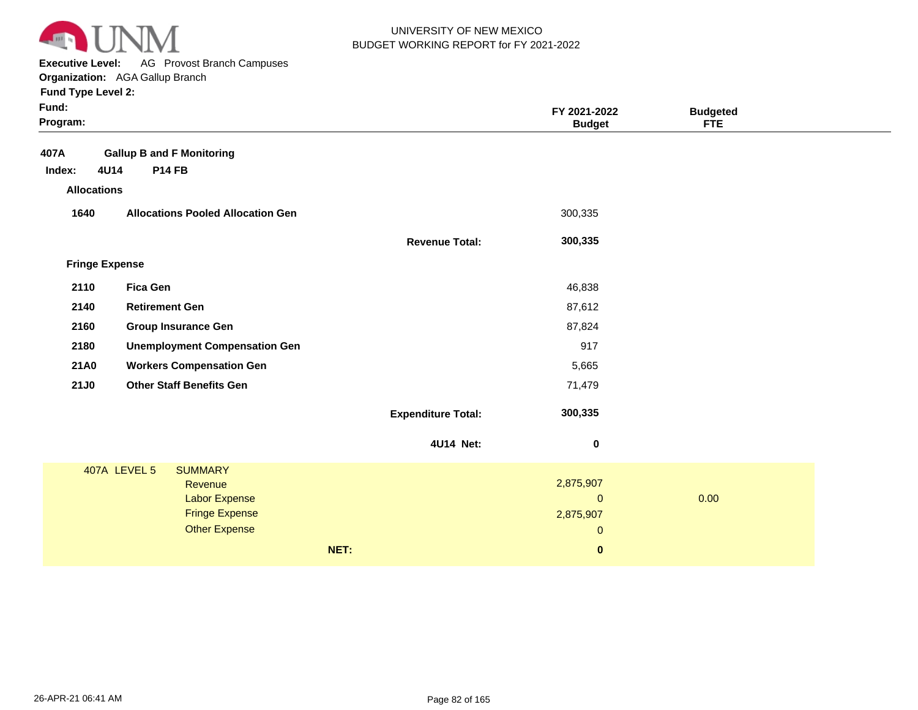

**Executive Level:** AG Provost Branch Campuses **Organization:**  AGA Gallup Branch

| Fund:<br>Program:     |                                          |                           | FY 2021-2022<br><b>Budget</b> | <b>Budgeted</b><br><b>FTE</b> |
|-----------------------|------------------------------------------|---------------------------|-------------------------------|-------------------------------|
| 407A                  | <b>Gallup B and F Monitoring</b>         |                           |                               |                               |
| 4U14<br>Index:        | <b>P14 FB</b>                            |                           |                               |                               |
| <b>Allocations</b>    |                                          |                           |                               |                               |
| 1640                  | <b>Allocations Pooled Allocation Gen</b> |                           | 300,335                       |                               |
|                       |                                          | <b>Revenue Total:</b>     | 300,335                       |                               |
| <b>Fringe Expense</b> |                                          |                           |                               |                               |
| 2110                  | <b>Fica Gen</b>                          |                           | 46,838                        |                               |
| 2140                  | <b>Retirement Gen</b>                    |                           | 87,612                        |                               |
| 2160                  | <b>Group Insurance Gen</b>               |                           | 87,824                        |                               |
| 2180                  | <b>Unemployment Compensation Gen</b>     |                           | 917                           |                               |
| <b>21A0</b>           | <b>Workers Compensation Gen</b>          |                           | 5,665                         |                               |
| <b>21J0</b>           | <b>Other Staff Benefits Gen</b>          |                           | 71,479                        |                               |
|                       |                                          | <b>Expenditure Total:</b> | 300,335                       |                               |
|                       |                                          | 4U14 Net:                 | $\pmb{0}$                     |                               |
|                       | 407A LEVEL 5<br><b>SUMMARY</b>           |                           |                               |                               |
|                       | Revenue                                  |                           | 2,875,907                     |                               |
|                       | <b>Labor Expense</b>                     |                           | $\mathbf 0$                   | 0.00                          |
|                       | <b>Fringe Expense</b>                    |                           | 2,875,907                     |                               |
|                       | <b>Other Expense</b>                     |                           | $\mathbf 0$                   |                               |
|                       |                                          | NET:                      | $\bf{0}$                      |                               |
|                       |                                          |                           |                               |                               |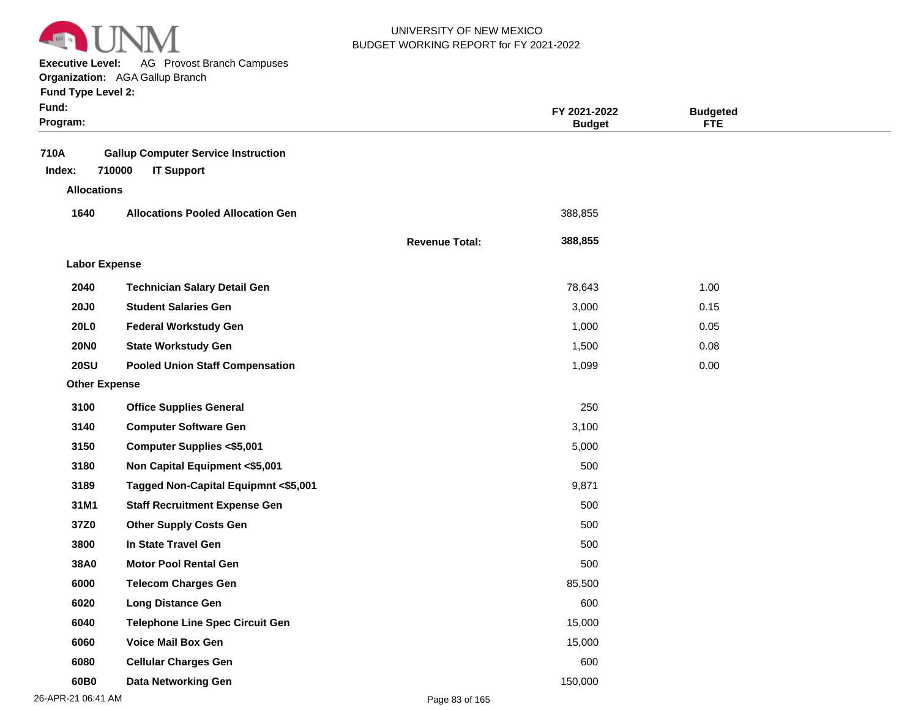

**Executive Level:** AG Provost Branch Campuses **Organization:**  AGA Gallup Branch

| Fund:<br>Program:    |                                                                           |                       | FY 2021-2022<br><b>Budget</b> | <b>Budgeted</b><br><b>FTE</b> |  |
|----------------------|---------------------------------------------------------------------------|-----------------------|-------------------------------|-------------------------------|--|
| 710A<br>Index:       | <b>Gallup Computer Service Instruction</b><br>710000<br><b>IT Support</b> |                       |                               |                               |  |
| <b>Allocations</b>   |                                                                           |                       |                               |                               |  |
| 1640                 | <b>Allocations Pooled Allocation Gen</b>                                  |                       | 388,855                       |                               |  |
|                      |                                                                           | <b>Revenue Total:</b> | 388,855                       |                               |  |
| <b>Labor Expense</b> |                                                                           |                       |                               |                               |  |
| 2040                 | <b>Technician Salary Detail Gen</b>                                       |                       | 78,643                        | 1.00                          |  |
| <b>20J0</b>          | <b>Student Salaries Gen</b>                                               |                       | 3,000                         | 0.15                          |  |
| 20L0                 | <b>Federal Workstudy Gen</b>                                              |                       | 1,000                         | 0.05                          |  |
| <b>20NO</b>          | <b>State Workstudy Gen</b>                                                |                       | 1,500                         | 0.08                          |  |
| <b>20SU</b>          | <b>Pooled Union Staff Compensation</b>                                    |                       | 1,099                         | 0.00                          |  |
| <b>Other Expense</b> |                                                                           |                       |                               |                               |  |
| 3100                 | <b>Office Supplies General</b>                                            |                       | 250                           |                               |  |
| 3140                 | <b>Computer Software Gen</b>                                              |                       | 3,100                         |                               |  |
| 3150                 | <b>Computer Supplies &lt;\$5,001</b>                                      |                       | 5,000                         |                               |  |
| 3180                 | Non Capital Equipment <\$5,001                                            |                       | 500                           |                               |  |
| 3189                 | Tagged Non-Capital Equipmnt <\$5,001                                      |                       | 9,871                         |                               |  |
| 31M1                 | <b>Staff Recruitment Expense Gen</b>                                      |                       | 500                           |                               |  |
| 37Z0                 | <b>Other Supply Costs Gen</b>                                             |                       | 500                           |                               |  |
| 3800                 | In State Travel Gen                                                       |                       | 500                           |                               |  |
| 38A0                 | <b>Motor Pool Rental Gen</b>                                              |                       | 500                           |                               |  |
| 6000                 | <b>Telecom Charges Gen</b>                                                |                       | 85,500                        |                               |  |
| 6020                 | <b>Long Distance Gen</b>                                                  |                       | 600                           |                               |  |
| 6040                 | <b>Telephone Line Spec Circuit Gen</b>                                    |                       | 15,000                        |                               |  |
| 6060                 | <b>Voice Mail Box Gen</b>                                                 |                       | 15,000                        |                               |  |
| 6080                 | <b>Cellular Charges Gen</b>                                               |                       | 600                           |                               |  |
| 60B <sub>0</sub>     | <b>Data Networking Gen</b>                                                |                       | 150,000                       |                               |  |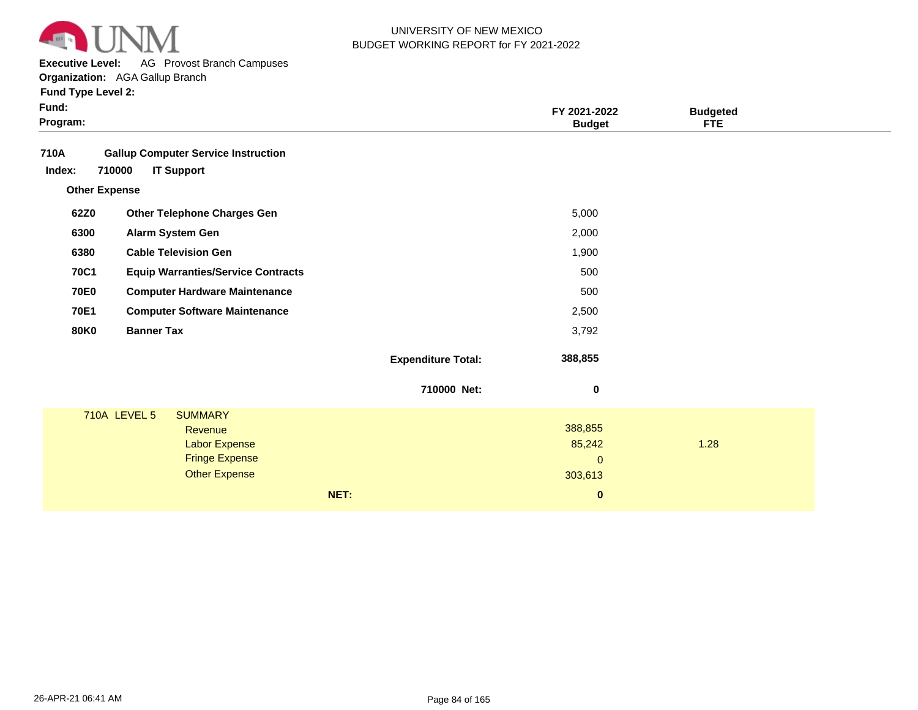

**Executive Level:** AG Provost Branch Campuses

**Organization:**  AGA Gallup Branch

| <b>Fund Type Level 2:</b> |  |
|---------------------------|--|
|---------------------------|--|

| Fund:<br>Program:    |                                                                           |                           | FY 2021-2022<br><b>Budget</b> | <b>Budgeted</b><br><b>FTE</b> |  |
|----------------------|---------------------------------------------------------------------------|---------------------------|-------------------------------|-------------------------------|--|
| 710A<br>Index:       | <b>Gallup Computer Service Instruction</b><br>710000<br><b>IT Support</b> |                           |                               |                               |  |
| <b>Other Expense</b> |                                                                           |                           |                               |                               |  |
| 62Z0                 | <b>Other Telephone Charges Gen</b>                                        |                           | 5,000                         |                               |  |
| 6300                 | Alarm System Gen                                                          |                           | 2,000                         |                               |  |
| 6380                 | <b>Cable Television Gen</b>                                               |                           | 1,900                         |                               |  |
| <b>70C1</b>          | <b>Equip Warranties/Service Contracts</b>                                 |                           | 500                           |                               |  |
| <b>70E0</b>          | <b>Computer Hardware Maintenance</b>                                      |                           | 500                           |                               |  |
| 70E1                 | <b>Computer Software Maintenance</b>                                      |                           | 2,500                         |                               |  |
| <b>80K0</b>          | <b>Banner Tax</b>                                                         |                           | 3,792                         |                               |  |
|                      |                                                                           | <b>Expenditure Total:</b> | 388,855                       |                               |  |
|                      |                                                                           | 710000 Net:               | 0                             |                               |  |
|                      | <b>710A LEVEL 5</b><br><b>SUMMARY</b>                                     |                           |                               |                               |  |
|                      | Revenue                                                                   |                           | 388,855                       |                               |  |
|                      | <b>Labor Expense</b>                                                      |                           | 85,242                        | 1.28                          |  |
|                      | <b>Fringe Expense</b><br><b>Other Expense</b>                             |                           | $\mathbf{0}$                  |                               |  |
|                      |                                                                           |                           | 303,613                       |                               |  |
|                      |                                                                           | NET:                      | $\bf{0}$                      |                               |  |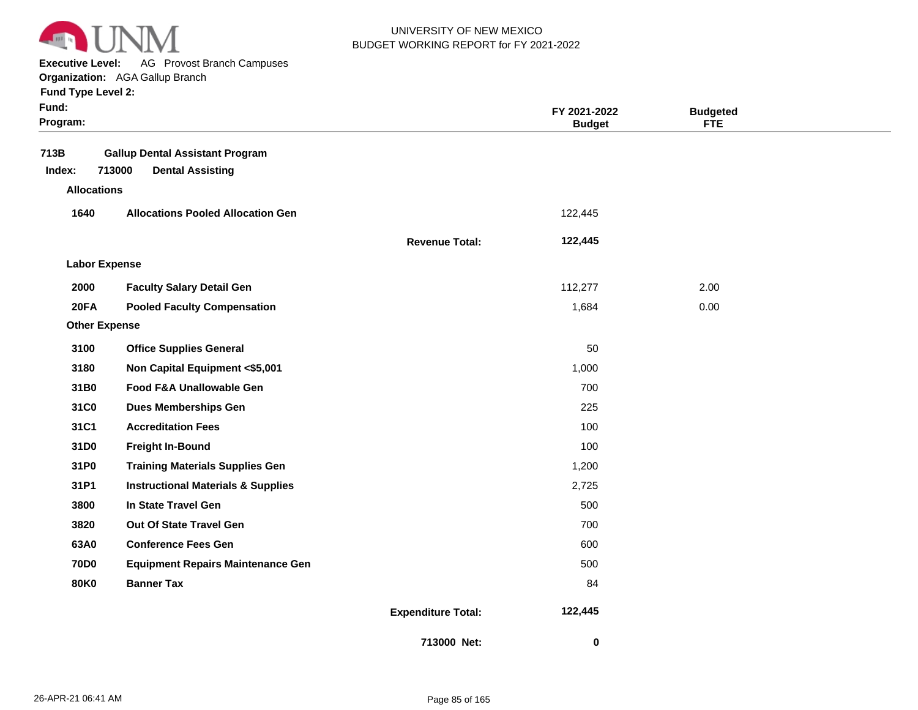

**Executive Level:** AG Provost Branch Campuses

| Fund:<br>Program:    |                                                                             |                           | FY 2021-2022<br><b>Budget</b> | <b>Budgeted</b><br><b>FTE</b> |  |
|----------------------|-----------------------------------------------------------------------------|---------------------------|-------------------------------|-------------------------------|--|
| 713B<br>Index:       | <b>Gallup Dental Assistant Program</b><br>713000<br><b>Dental Assisting</b> |                           |                               |                               |  |
| <b>Allocations</b>   |                                                                             |                           |                               |                               |  |
| 1640                 | <b>Allocations Pooled Allocation Gen</b>                                    |                           | 122,445                       |                               |  |
|                      |                                                                             | <b>Revenue Total:</b>     | 122,445                       |                               |  |
| <b>Labor Expense</b> |                                                                             |                           |                               |                               |  |
| 2000                 | <b>Faculty Salary Detail Gen</b>                                            |                           | 112,277                       | 2.00                          |  |
| <b>20FA</b>          | <b>Pooled Faculty Compensation</b>                                          |                           | 1,684                         | 0.00                          |  |
| <b>Other Expense</b> |                                                                             |                           |                               |                               |  |
| 3100                 | <b>Office Supplies General</b>                                              |                           | 50                            |                               |  |
| 3180                 | Non Capital Equipment <\$5,001                                              |                           | 1,000                         |                               |  |
| 31B0                 | Food F&A Unallowable Gen                                                    |                           | 700                           |                               |  |
| 31C0                 | <b>Dues Memberships Gen</b>                                                 |                           | 225                           |                               |  |
| 31C1                 | <b>Accreditation Fees</b>                                                   |                           | 100                           |                               |  |
| 31D0                 | <b>Freight In-Bound</b>                                                     |                           | 100                           |                               |  |
| 31P0                 | <b>Training Materials Supplies Gen</b>                                      |                           | 1,200                         |                               |  |
| 31P1                 | <b>Instructional Materials &amp; Supplies</b>                               |                           | 2,725                         |                               |  |
| 3800                 | In State Travel Gen                                                         |                           | 500                           |                               |  |
| 3820                 | Out Of State Travel Gen                                                     |                           | 700                           |                               |  |
| 63A0                 | <b>Conference Fees Gen</b>                                                  |                           | 600                           |                               |  |
| <b>70D0</b>          | <b>Equipment Repairs Maintenance Gen</b>                                    |                           | 500                           |                               |  |
| <b>80K0</b>          | <b>Banner Tax</b>                                                           |                           | 84                            |                               |  |
|                      |                                                                             | <b>Expenditure Total:</b> | 122,445                       |                               |  |
|                      |                                                                             | 713000 Net:               | 0                             |                               |  |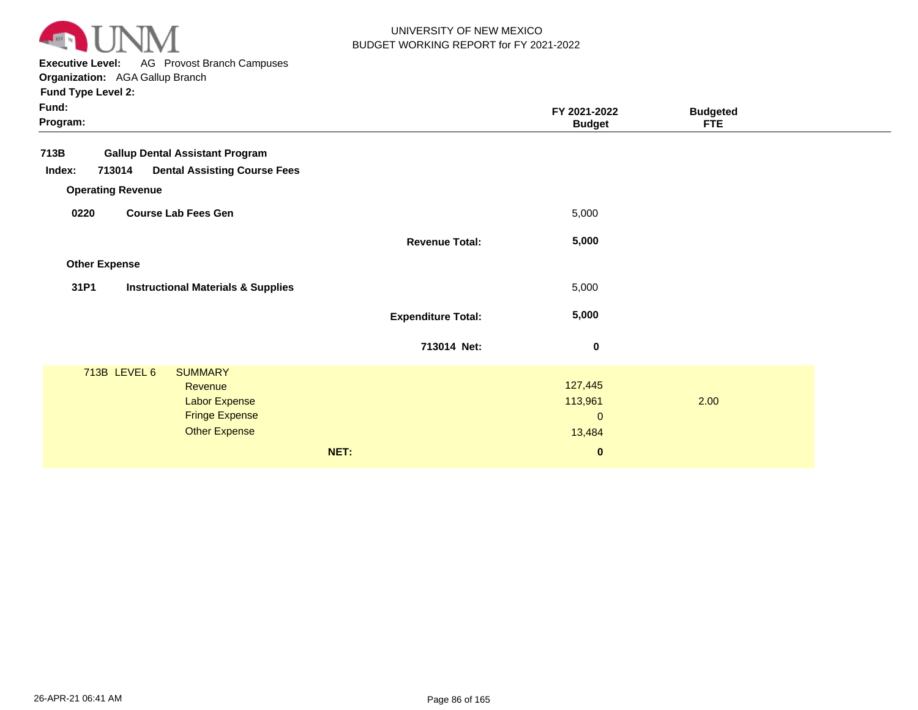

**Executive Level:** AG Provost Branch Campuses

| Fund:<br>Program:                                                                                                                     |                           | FY 2021-2022<br><b>Budget</b>                            | <b>Budgeted</b><br><b>FTE</b> |  |
|---------------------------------------------------------------------------------------------------------------------------------------|---------------------------|----------------------------------------------------------|-------------------------------|--|
| 713B<br><b>Gallup Dental Assistant Program</b><br><b>Dental Assisting Course Fees</b><br>713014<br>Index:<br><b>Operating Revenue</b> |                           |                                                          |                               |  |
| <b>Course Lab Fees Gen</b><br>0220                                                                                                    |                           | 5,000                                                    |                               |  |
|                                                                                                                                       | <b>Revenue Total:</b>     | 5,000                                                    |                               |  |
| <b>Other Expense</b>                                                                                                                  |                           |                                                          |                               |  |
| 31P1<br><b>Instructional Materials &amp; Supplies</b>                                                                                 |                           | 5,000                                                    |                               |  |
|                                                                                                                                       | <b>Expenditure Total:</b> | 5,000                                                    |                               |  |
|                                                                                                                                       | 713014 Net:               | $\bf{0}$                                                 |                               |  |
| 713B LEVEL 6<br><b>SUMMARY</b><br>Revenue<br><b>Labor Expense</b><br><b>Fringe Expense</b><br><b>Other Expense</b>                    | NET:                      | 127,445<br>113,961<br>$\mathbf 0$<br>13,484<br>$\pmb{0}$ | 2.00                          |  |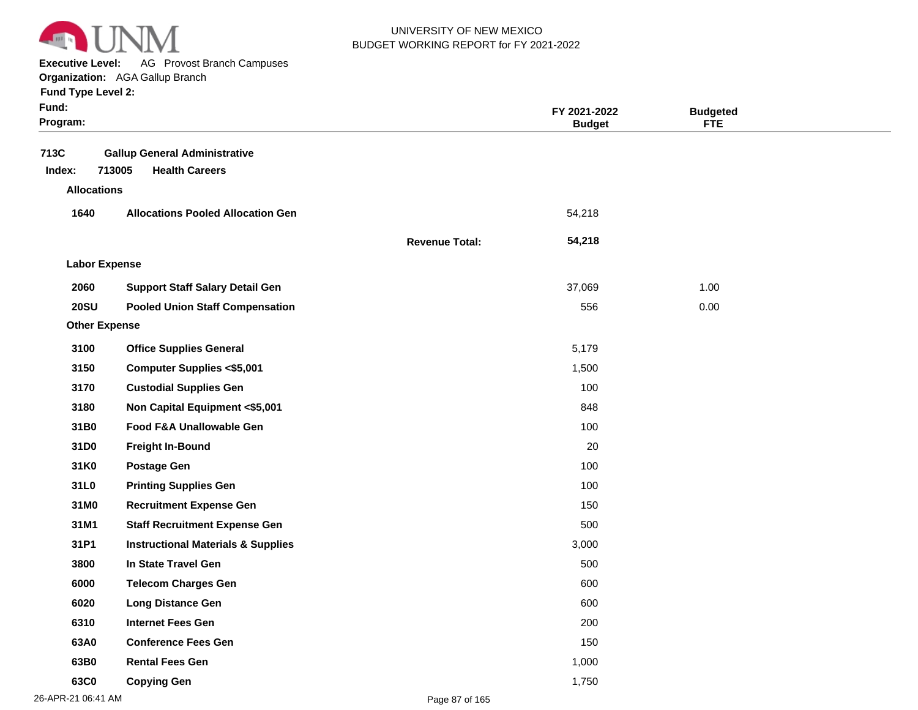

**Executive Level:** AG Provost Branch Campuses

| Fund:<br>Program:  |                                                                         |                       | FY 2021-2022<br><b>Budget</b> | <b>Budgeted</b><br><b>FTE</b> |  |
|--------------------|-------------------------------------------------------------------------|-----------------------|-------------------------------|-------------------------------|--|
| 713C<br>Index:     | <b>Gallup General Administrative</b><br>713005<br><b>Health Careers</b> |                       |                               |                               |  |
| <b>Allocations</b> |                                                                         |                       |                               |                               |  |
| 1640               | <b>Allocations Pooled Allocation Gen</b>                                |                       | 54,218                        |                               |  |
|                    |                                                                         | <b>Revenue Total:</b> | 54,218                        |                               |  |
|                    | <b>Labor Expense</b>                                                    |                       |                               |                               |  |
| 2060               | <b>Support Staff Salary Detail Gen</b>                                  |                       | 37,069                        | 1.00                          |  |
| <b>20SU</b>        | <b>Pooled Union Staff Compensation</b>                                  |                       | 556                           | 0.00                          |  |
|                    | <b>Other Expense</b>                                                    |                       |                               |                               |  |
| 3100               | <b>Office Supplies General</b>                                          |                       | 5,179                         |                               |  |
| 3150               | <b>Computer Supplies &lt;\$5,001</b>                                    |                       | 1,500                         |                               |  |
| 3170               | <b>Custodial Supplies Gen</b>                                           |                       | 100                           |                               |  |
| 3180               | Non Capital Equipment <\$5,001                                          |                       | 848                           |                               |  |
| 31B0               | Food F&A Unallowable Gen                                                |                       | 100                           |                               |  |
| 31D0               | <b>Freight In-Bound</b>                                                 |                       | 20                            |                               |  |
| 31K0               | <b>Postage Gen</b>                                                      |                       | 100                           |                               |  |
| 31L0               | <b>Printing Supplies Gen</b>                                            |                       | 100                           |                               |  |
| 31M0               | <b>Recruitment Expense Gen</b>                                          |                       | 150                           |                               |  |
| 31M1               | <b>Staff Recruitment Expense Gen</b>                                    |                       | 500                           |                               |  |
| 31P1               | <b>Instructional Materials &amp; Supplies</b>                           |                       | 3,000                         |                               |  |
| 3800               | In State Travel Gen                                                     |                       | 500                           |                               |  |
| 6000               | <b>Telecom Charges Gen</b>                                              |                       | 600                           |                               |  |
| 6020               | <b>Long Distance Gen</b>                                                |                       | 600                           |                               |  |
| 6310               | <b>Internet Fees Gen</b>                                                |                       | 200                           |                               |  |
| 63A0               | <b>Conference Fees Gen</b>                                              |                       | 150                           |                               |  |
| 63B0               | <b>Rental Fees Gen</b>                                                  |                       | 1,000                         |                               |  |
| 63C0               | <b>Copying Gen</b>                                                      |                       | 1,750                         |                               |  |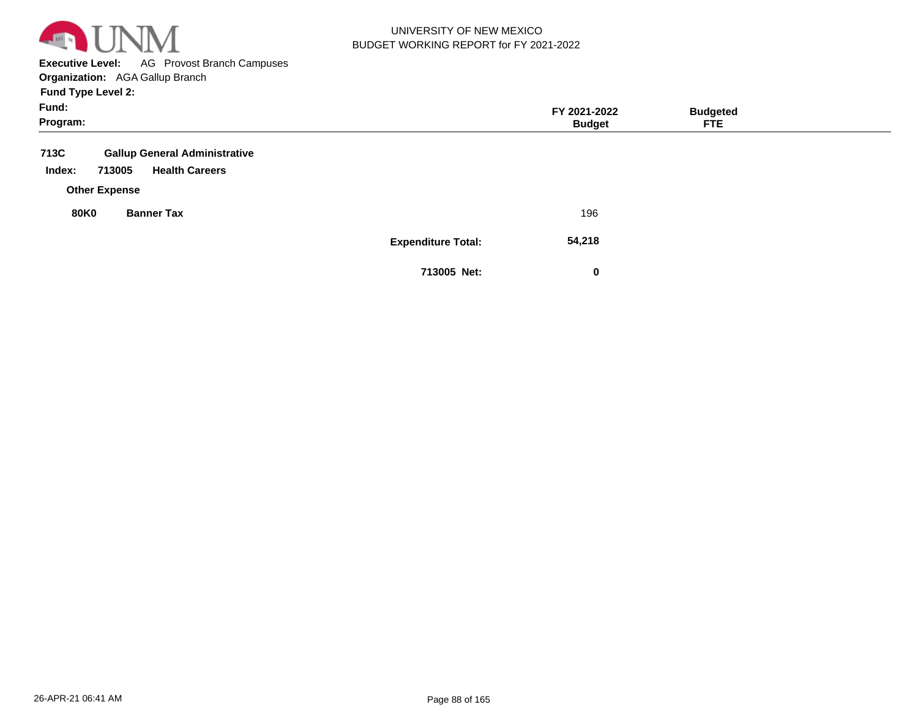

**Executive Level:** AG Provost Branch Campuses **Organization:**  AGA Gallup Branch **Fund Type Level 2:**

| .<br>Fund:<br>Program:                                                                                            |                           | FY 2021-2022<br><b>Budget</b> | <b>Budgeted</b><br><b>FTE</b> |  |
|-------------------------------------------------------------------------------------------------------------------|---------------------------|-------------------------------|-------------------------------|--|
| 713C<br><b>Gallup General Administrative</b><br><b>Health Careers</b><br>713005<br>Index:<br><b>Other Expense</b> |                           |                               |                               |  |
| <b>80K0</b><br><b>Banner Tax</b>                                                                                  |                           | 196                           |                               |  |
|                                                                                                                   | <b>Expenditure Total:</b> | 54,218                        |                               |  |
|                                                                                                                   | 713005 Net:               | 0                             |                               |  |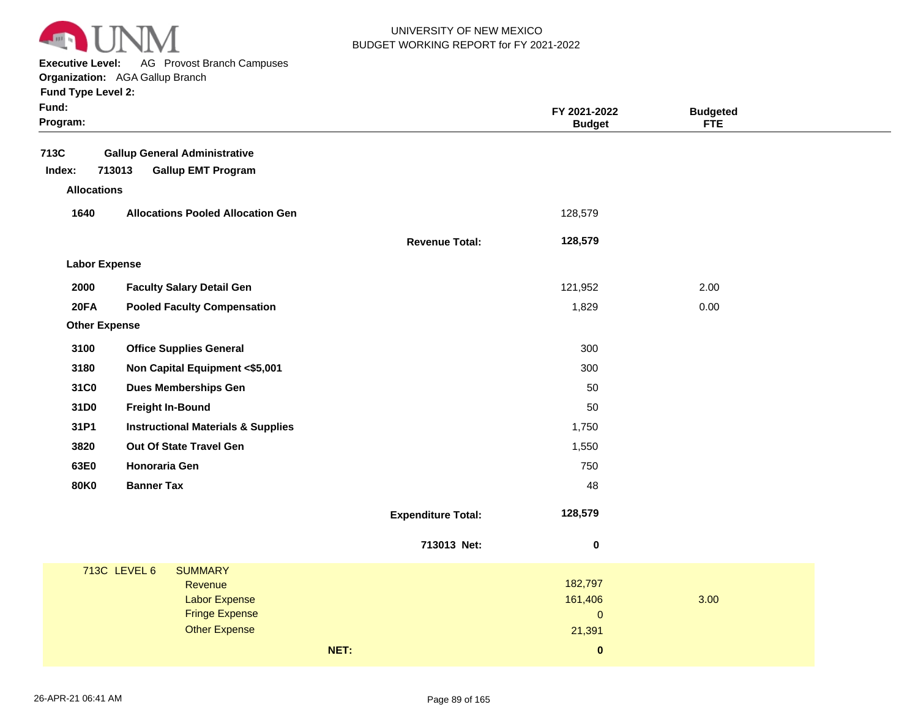

**Executive Level:** AG Provost Branch Campuses

**Organization:**  AGA Gallup Branch

|  | <b>Fund Type Level 2:</b> |  |
|--|---------------------------|--|
|  |                           |  |

| 713C<br><b>Gallup General Administrative</b>          |                                 |
|-------------------------------------------------------|---------------------------------|
| 713013<br><b>Gallup EMT Program</b><br>Index:         |                                 |
| <b>Allocations</b>                                    |                                 |
| 1640<br><b>Allocations Pooled Allocation Gen</b>      | 128,579                         |
| <b>Revenue Total:</b>                                 | 128,579                         |
| <b>Labor Expense</b>                                  |                                 |
| 2000<br><b>Faculty Salary Detail Gen</b>              | 2.00<br>121,952                 |
| <b>20FA</b><br><b>Pooled Faculty Compensation</b>     | 1,829<br>0.00                   |
| <b>Other Expense</b>                                  |                                 |
| 3100<br><b>Office Supplies General</b>                | 300                             |
| 3180<br>Non Capital Equipment <\$5,001                | 300                             |
| 31C0<br><b>Dues Memberships Gen</b>                   | 50                              |
| <b>Freight In-Bound</b><br>31D0                       | 50                              |
| 31P1<br><b>Instructional Materials &amp; Supplies</b> | 1,750                           |
| Out Of State Travel Gen<br>3820                       | 1,550                           |
| 63E0<br>Honoraria Gen                                 | 750                             |
| <b>80K0</b><br><b>Banner Tax</b>                      | 48                              |
| <b>Expenditure Total:</b>                             | 128,579                         |
| 713013 Net:                                           | $\bf{0}$                        |
| <b>713C LEVEL 6</b><br><b>SUMMARY</b>                 |                                 |
| Revenue                                               | 182,797                         |
| <b>Labor Expense</b><br><b>Fringe Expense</b>         | 161,406<br>3.00<br>$\mathbf{0}$ |
| <b>Other Expense</b>                                  | 21,391                          |
|                                                       |                                 |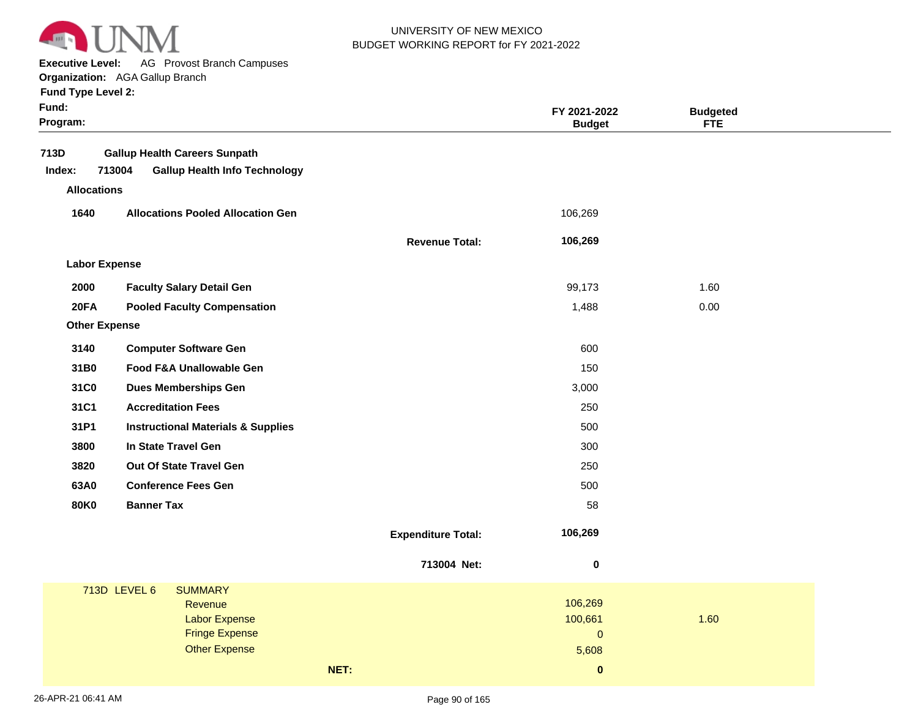

**Executive Level:** AG Provost Branch Campuses

**Organization:**  AGA Gallup Branch

| <b>Fund Type Level 2:</b> |  |
|---------------------------|--|
|---------------------------|--|

| Fund:<br>Program:    |                                                |                           | FY 2021-2022<br><b>Budget</b> | <b>Budgeted</b><br><b>FTE</b> |  |
|----------------------|------------------------------------------------|---------------------------|-------------------------------|-------------------------------|--|
| 713D                 | <b>Gallup Health Careers Sunpath</b>           |                           |                               |                               |  |
| Index:               | 713004<br><b>Gallup Health Info Technology</b> |                           |                               |                               |  |
| <b>Allocations</b>   |                                                |                           |                               |                               |  |
| 1640                 | <b>Allocations Pooled Allocation Gen</b>       |                           | 106,269                       |                               |  |
|                      |                                                | <b>Revenue Total:</b>     | 106,269                       |                               |  |
| <b>Labor Expense</b> |                                                |                           |                               |                               |  |
| 2000                 | <b>Faculty Salary Detail Gen</b>               |                           | 99,173                        | 1.60                          |  |
| <b>20FA</b>          | <b>Pooled Faculty Compensation</b>             |                           | 1,488                         | 0.00                          |  |
| <b>Other Expense</b> |                                                |                           |                               |                               |  |
| 3140                 | <b>Computer Software Gen</b>                   |                           | 600                           |                               |  |
| 31B0                 | Food F&A Unallowable Gen                       |                           | 150                           |                               |  |
| 31C0                 | <b>Dues Memberships Gen</b>                    |                           | 3,000                         |                               |  |
| 31C1                 | <b>Accreditation Fees</b>                      |                           | 250                           |                               |  |
| 31P1                 | <b>Instructional Materials &amp; Supplies</b>  |                           | 500                           |                               |  |
| 3800                 | In State Travel Gen                            |                           | 300                           |                               |  |
| 3820                 | Out Of State Travel Gen                        |                           | 250                           |                               |  |
| 63A0                 | <b>Conference Fees Gen</b>                     |                           | 500                           |                               |  |
| <b>80K0</b>          | <b>Banner Tax</b>                              |                           | 58                            |                               |  |
|                      |                                                | <b>Expenditure Total:</b> | 106,269                       |                               |  |
|                      |                                                | 713004 Net:               | 0                             |                               |  |
|                      | 713D LEVEL 6<br><b>SUMMARY</b>                 |                           |                               |                               |  |
|                      | Revenue                                        |                           | 106,269<br>100,661            | 1.60                          |  |
|                      | <b>Labor Expense</b><br><b>Fringe Expense</b>  |                           | $\mathsf{O}\xspace$           |                               |  |
|                      | <b>Other Expense</b>                           |                           | 5,608                         |                               |  |
|                      |                                                | NET:                      | $\bf{0}$                      |                               |  |
|                      |                                                |                           |                               |                               |  |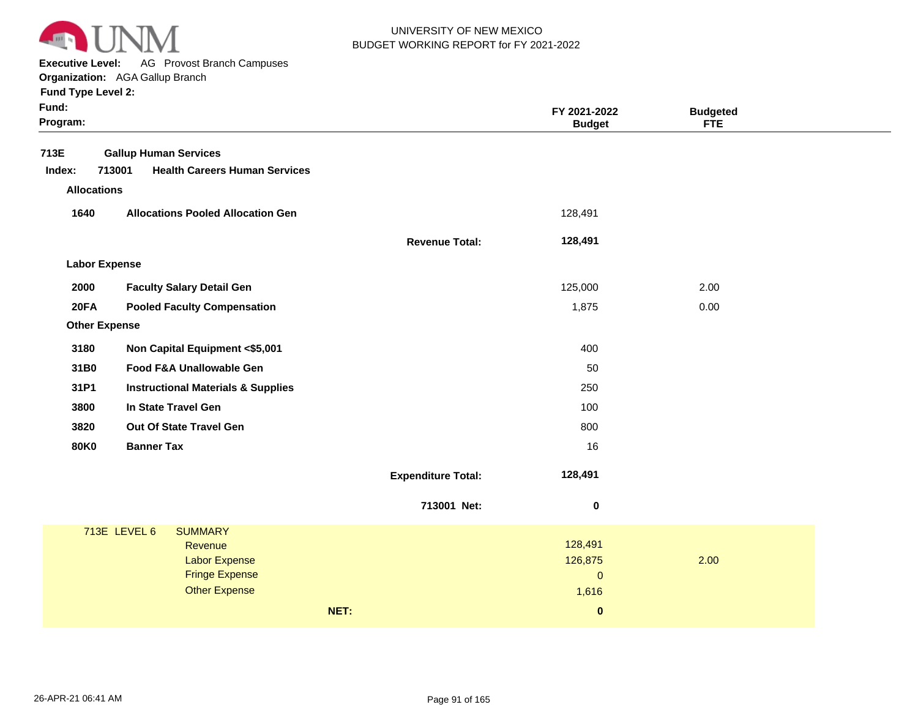

**Executive Level:** AG Provost Branch Campuses

**Organization:**  AGA Gallup Branch

| 713E<br><b>Gallup Human Services</b><br>713001<br><b>Health Careers Human Services</b><br>Index:<br><b>Allocations</b> |      |
|------------------------------------------------------------------------------------------------------------------------|------|
|                                                                                                                        |      |
|                                                                                                                        |      |
|                                                                                                                        |      |
| 1640<br><b>Allocations Pooled Allocation Gen</b><br>128,491                                                            |      |
| 128,491<br><b>Revenue Total:</b>                                                                                       |      |
| <b>Labor Expense</b>                                                                                                   |      |
| 2000<br><b>Faculty Salary Detail Gen</b><br>125,000                                                                    | 2.00 |
| <b>20FA</b><br><b>Pooled Faculty Compensation</b><br>1,875                                                             | 0.00 |
| <b>Other Expense</b>                                                                                                   |      |
| 3180<br>Non Capital Equipment <\$5,001<br>400                                                                          |      |
| 31B0<br>Food F&A Unallowable Gen<br>50                                                                                 |      |
| 31P1<br><b>Instructional Materials &amp; Supplies</b><br>250                                                           |      |
| 3800<br>In State Travel Gen<br>100                                                                                     |      |
| Out Of State Travel Gen<br>3820<br>800                                                                                 |      |
| <b>Banner Tax</b><br><b>80K0</b><br>16                                                                                 |      |
| 128,491<br><b>Expenditure Total:</b>                                                                                   |      |
| 713001 Net:<br>$\pmb{0}$                                                                                               |      |
| 713E LEVEL 6<br><b>SUMMARY</b>                                                                                         |      |
| 128,491<br>Revenue<br><b>Labor Expense</b><br>126,875                                                                  | 2.00 |
| <b>Fringe Expense</b><br>$\pmb{0}$                                                                                     |      |
| <b>Other Expense</b><br>1,616                                                                                          |      |
| NET:<br>$\pmb{0}$                                                                                                      |      |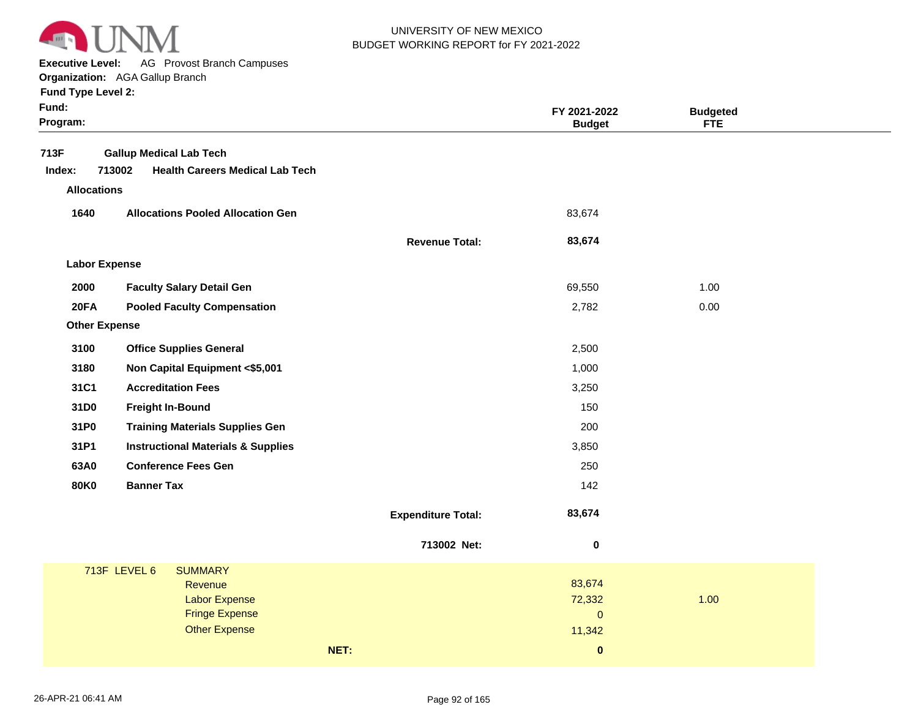

**Executive Level:** AG Provost Branch Campuses

**Organization:**  AGA Gallup Branch

| Fund:<br>Program:    |                                                                                    |                           | FY 2021-2022<br><b>Budget</b> | <b>Budgeted</b><br>FTE |
|----------------------|------------------------------------------------------------------------------------|---------------------------|-------------------------------|------------------------|
| 713F<br>Index:       | <b>Gallup Medical Lab Tech</b><br>713002<br><b>Health Careers Medical Lab Tech</b> |                           |                               |                        |
| <b>Allocations</b>   |                                                                                    |                           |                               |                        |
| 1640                 | <b>Allocations Pooled Allocation Gen</b>                                           |                           | 83,674                        |                        |
|                      |                                                                                    | <b>Revenue Total:</b>     | 83,674                        |                        |
| <b>Labor Expense</b> |                                                                                    |                           |                               |                        |
| 2000                 | <b>Faculty Salary Detail Gen</b>                                                   |                           | 69,550                        | 1.00                   |
| <b>20FA</b>          | <b>Pooled Faculty Compensation</b>                                                 |                           | 2,782                         | 0.00                   |
| <b>Other Expense</b> |                                                                                    |                           |                               |                        |
| 3100                 | <b>Office Supplies General</b>                                                     |                           | 2,500                         |                        |
| 3180                 | Non Capital Equipment <\$5,001                                                     |                           | 1,000                         |                        |
| 31C1                 | <b>Accreditation Fees</b>                                                          |                           | 3,250                         |                        |
| 31D0                 | <b>Freight In-Bound</b>                                                            |                           | 150                           |                        |
| 31P0                 | <b>Training Materials Supplies Gen</b>                                             |                           | 200                           |                        |
| 31P1                 | <b>Instructional Materials &amp; Supplies</b>                                      |                           | 3,850                         |                        |
| 63A0                 | <b>Conference Fees Gen</b>                                                         |                           | 250                           |                        |
| <b>80K0</b>          | <b>Banner Tax</b>                                                                  |                           | 142                           |                        |
|                      |                                                                                    | <b>Expenditure Total:</b> | 83,674                        |                        |
|                      |                                                                                    | 713002 Net:               | $\pmb{0}$                     |                        |
|                      | 713F LEVEL 6<br><b>SUMMARY</b>                                                     |                           |                               |                        |
|                      | Revenue<br><b>Labor Expense</b>                                                    |                           | 83,674<br>72,332              | 1.00                   |
|                      | <b>Fringe Expense</b>                                                              |                           | $\mathbf 0$                   |                        |
|                      | <b>Other Expense</b>                                                               |                           | 11,342                        |                        |
|                      | NET:                                                                               |                           | $\bf{0}$                      |                        |
|                      |                                                                                    |                           |                               |                        |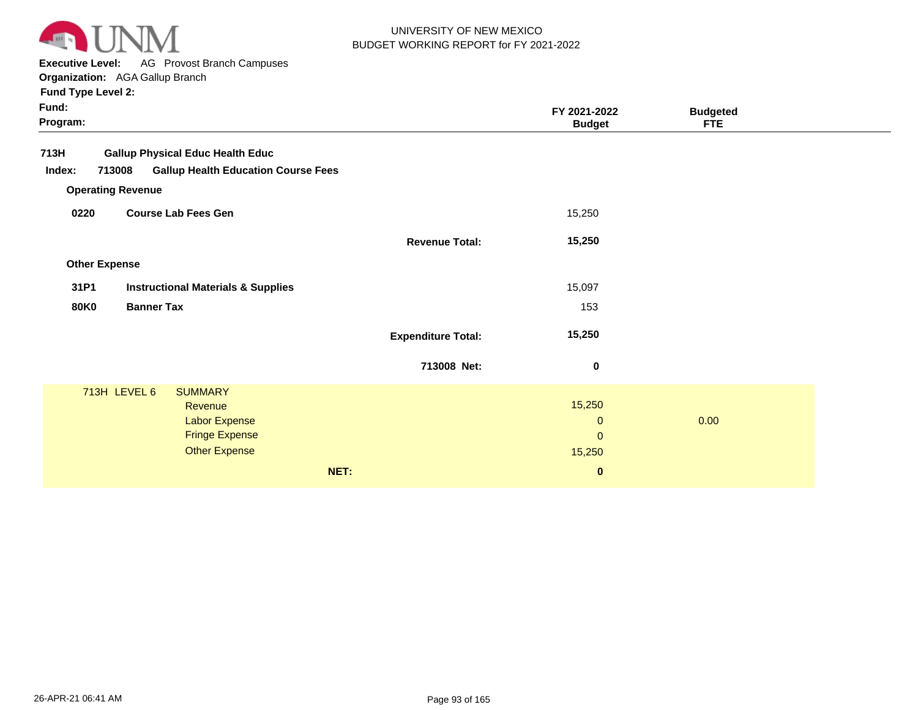

**Executive Level:** AG Provost Branch Campuses

**Organization:**  AGA Gallup Branch

| Fund:<br>Program:    |                                                      |                           | FY 2021-2022<br><b>Budget</b> | <b>Budgeted</b><br><b>FTE</b> |
|----------------------|------------------------------------------------------|---------------------------|-------------------------------|-------------------------------|
| 713H                 | <b>Gallup Physical Educ Health Educ</b>              |                           |                               |                               |
| Index:               | <b>Gallup Health Education Course Fees</b><br>713008 |                           |                               |                               |
|                      | <b>Operating Revenue</b>                             |                           |                               |                               |
| 0220                 | <b>Course Lab Fees Gen</b>                           |                           | 15,250                        |                               |
|                      |                                                      | <b>Revenue Total:</b>     | 15,250                        |                               |
| <b>Other Expense</b> |                                                      |                           |                               |                               |
| 31P1                 | <b>Instructional Materials &amp; Supplies</b>        |                           | 15,097                        |                               |
| <b>80K0</b>          | <b>Banner Tax</b>                                    |                           | 153                           |                               |
|                      |                                                      | <b>Expenditure Total:</b> | 15,250                        |                               |
|                      |                                                      | 713008 Net:               | $\mathbf 0$                   |                               |
|                      | 713H LEVEL 6<br><b>SUMMARY</b>                       |                           |                               |                               |
|                      | Revenue                                              |                           | 15,250                        |                               |
|                      | Labor Expense                                        |                           | $\mathbf{0}$                  | 0.00                          |
|                      | <b>Fringe Expense</b>                                |                           | $\pmb{0}$                     |                               |
|                      | <b>Other Expense</b>                                 |                           | 15,250                        |                               |
|                      |                                                      | NET:                      | $\boldsymbol{0}$              |                               |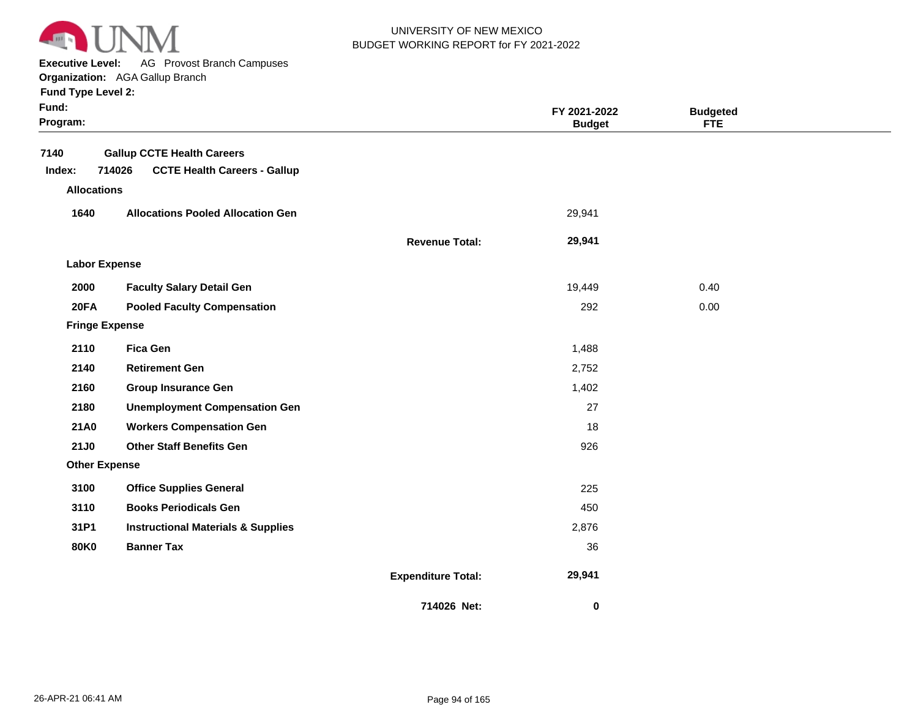

**Executive Level:** AG Provost Branch Campuses

**Organization:**  AGA Gallup Branch

| Fund:<br>Program:     |                                               |                           | FY 2021-2022<br><b>Budget</b> | <b>Budgeted</b><br><b>FTE</b> |  |
|-----------------------|-----------------------------------------------|---------------------------|-------------------------------|-------------------------------|--|
| 7140                  | <b>Gallup CCTE Health Careers</b>             |                           |                               |                               |  |
| Index:                | 714026<br><b>CCTE Health Careers - Gallup</b> |                           |                               |                               |  |
| <b>Allocations</b>    |                                               |                           |                               |                               |  |
| 1640                  | <b>Allocations Pooled Allocation Gen</b>      |                           | 29,941                        |                               |  |
|                       |                                               | <b>Revenue Total:</b>     | 29,941                        |                               |  |
| <b>Labor Expense</b>  |                                               |                           |                               |                               |  |
| 2000                  | <b>Faculty Salary Detail Gen</b>              |                           | 19,449                        | 0.40                          |  |
| <b>20FA</b>           | <b>Pooled Faculty Compensation</b>            |                           | 292                           | 0.00                          |  |
| <b>Fringe Expense</b> |                                               |                           |                               |                               |  |
| 2110                  | <b>Fica Gen</b>                               |                           | 1,488                         |                               |  |
| 2140                  | <b>Retirement Gen</b>                         |                           | 2,752                         |                               |  |
| 2160                  | <b>Group Insurance Gen</b>                    |                           | 1,402                         |                               |  |
| 2180                  | <b>Unemployment Compensation Gen</b>          |                           | 27                            |                               |  |
| <b>21A0</b>           | <b>Workers Compensation Gen</b>               |                           | 18                            |                               |  |
| <b>21J0</b>           | <b>Other Staff Benefits Gen</b>               |                           | 926                           |                               |  |
| <b>Other Expense</b>  |                                               |                           |                               |                               |  |
| 3100                  | <b>Office Supplies General</b>                |                           | 225                           |                               |  |
| 3110                  | <b>Books Periodicals Gen</b>                  |                           | 450                           |                               |  |
| 31P1                  | <b>Instructional Materials &amp; Supplies</b> |                           | 2,876                         |                               |  |
| <b>80K0</b>           | <b>Banner Tax</b>                             |                           | 36                            |                               |  |
|                       |                                               | <b>Expenditure Total:</b> | 29,941                        |                               |  |
|                       |                                               | 714026 Net:               | 0                             |                               |  |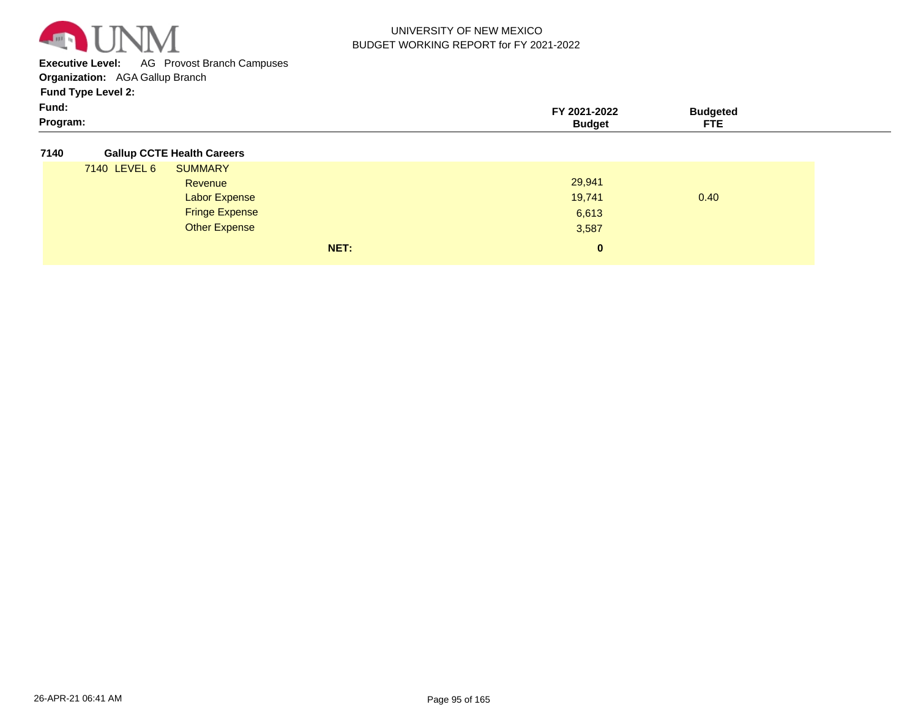

**Executive Level:** AG Provost Branch Campuses

**Organization:**  AGA Gallup Branch

**Fund Type Level 2:**

| Fund:    | -2022<br>m<br>-w |                   |  |
|----------|------------------|-------------------|--|
| Program: |                  | ___<br>---<br>. . |  |

#### **7140 Gallup CCTE Health Careers**

|              | NET:                  | $\mathbf{0}$ |      |
|--------------|-----------------------|--------------|------|
|              | <b>Other Expense</b>  | 3,587        |      |
|              | <b>Fringe Expense</b> | 6,613        |      |
|              | <b>Labor Expense</b>  | 19,741       | 0.40 |
|              | Revenue               | 29,941       |      |
| 7140 LEVEL 6 | <b>SUMMARY</b>        |              |      |
|              | .                     |              |      |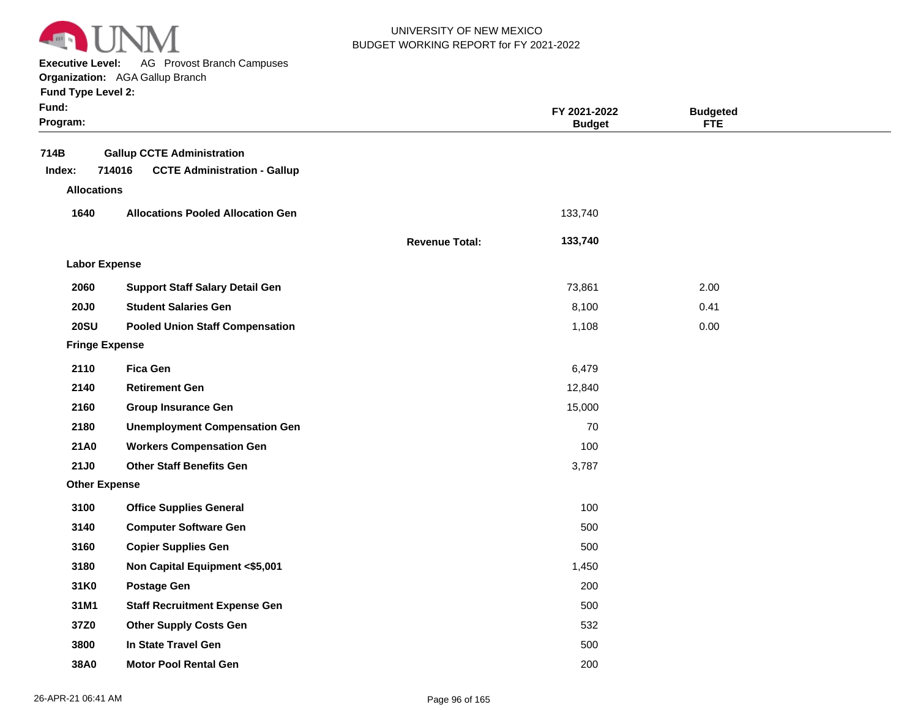

**Executive Level:** AG Provost Branch Campuses

**Organization:**  AGA Gallup Branch

| <b>Fund Type Level 2:</b> |  |  |  |
|---------------------------|--|--|--|
|---------------------------|--|--|--|

| Fund:<br>Program:     |                                                                                    |                       | FY 2021-2022<br><b>Budget</b> | <b>Budgeted</b><br><b>FTE</b> |  |
|-----------------------|------------------------------------------------------------------------------------|-----------------------|-------------------------------|-------------------------------|--|
| 714B<br>Index:        | <b>Gallup CCTE Administration</b><br>714016<br><b>CCTE Administration - Gallup</b> |                       |                               |                               |  |
| <b>Allocations</b>    |                                                                                    |                       |                               |                               |  |
| 1640                  | <b>Allocations Pooled Allocation Gen</b>                                           |                       | 133,740                       |                               |  |
|                       |                                                                                    | <b>Revenue Total:</b> | 133,740                       |                               |  |
| <b>Labor Expense</b>  |                                                                                    |                       |                               |                               |  |
| 2060                  | <b>Support Staff Salary Detail Gen</b>                                             |                       | 73,861                        | 2.00                          |  |
| <b>20J0</b>           | <b>Student Salaries Gen</b>                                                        |                       | 8,100                         | 0.41                          |  |
| <b>20SU</b>           | <b>Pooled Union Staff Compensation</b>                                             |                       | 1,108                         | 0.00                          |  |
| <b>Fringe Expense</b> |                                                                                    |                       |                               |                               |  |
| 2110                  | <b>Fica Gen</b>                                                                    |                       | 6,479                         |                               |  |
| 2140                  | <b>Retirement Gen</b>                                                              |                       | 12,840                        |                               |  |
| 2160                  | <b>Group Insurance Gen</b>                                                         |                       | 15,000                        |                               |  |
| 2180                  | <b>Unemployment Compensation Gen</b>                                               |                       | 70                            |                               |  |
| 21A0                  | <b>Workers Compensation Gen</b>                                                    |                       | 100                           |                               |  |
| 21J0                  | <b>Other Staff Benefits Gen</b>                                                    |                       | 3,787                         |                               |  |
| <b>Other Expense</b>  |                                                                                    |                       |                               |                               |  |
| 3100                  | <b>Office Supplies General</b>                                                     |                       | 100                           |                               |  |
| 3140                  | <b>Computer Software Gen</b>                                                       |                       | 500                           |                               |  |
| 3160                  | <b>Copier Supplies Gen</b>                                                         |                       | 500                           |                               |  |
| 3180                  | Non Capital Equipment <\$5,001                                                     |                       | 1,450                         |                               |  |
| 31K0                  | <b>Postage Gen</b>                                                                 |                       | 200                           |                               |  |
| 31M1                  | <b>Staff Recruitment Expense Gen</b>                                               |                       | 500                           |                               |  |
| 37Z0                  | <b>Other Supply Costs Gen</b>                                                      |                       | 532                           |                               |  |
| 3800                  | In State Travel Gen                                                                |                       | 500                           |                               |  |
| 38A0                  | <b>Motor Pool Rental Gen</b>                                                       |                       | 200                           |                               |  |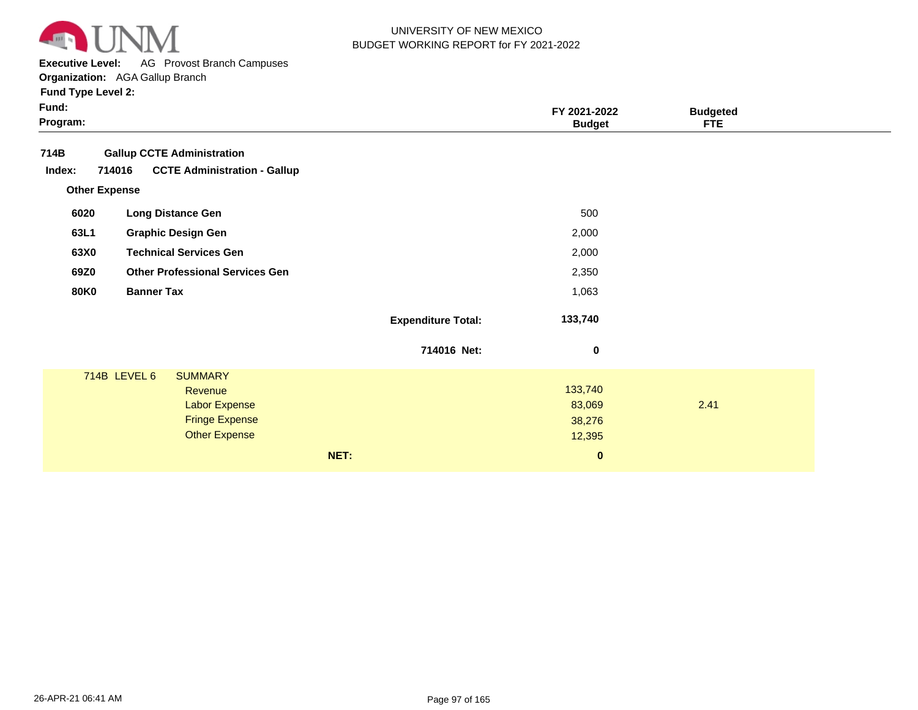

**Executive Level:** AG Provost Branch Campuses

**Organization:**  AGA Gallup Branch

| Fund:<br>Program:    |                                               |                           | FY 2021-2022<br><b>Budget</b> | <b>Budgeted</b><br><b>FTE</b> |  |
|----------------------|-----------------------------------------------|---------------------------|-------------------------------|-------------------------------|--|
| 714B                 | <b>Gallup CCTE Administration</b>             |                           |                               |                               |  |
| Index:               | 714016<br><b>CCTE Administration - Gallup</b> |                           |                               |                               |  |
| <b>Other Expense</b> |                                               |                           |                               |                               |  |
| 6020                 | <b>Long Distance Gen</b>                      |                           | 500                           |                               |  |
| 63L1                 | <b>Graphic Design Gen</b>                     |                           | 2,000                         |                               |  |
| 63X0                 | <b>Technical Services Gen</b>                 |                           | 2,000                         |                               |  |
| 69Z0                 | <b>Other Professional Services Gen</b>        |                           | 2,350                         |                               |  |
| <b>80K0</b>          | <b>Banner Tax</b>                             |                           | 1,063                         |                               |  |
|                      |                                               | <b>Expenditure Total:</b> | 133,740                       |                               |  |
|                      |                                               | 714016 Net:               | $\pmb{0}$                     |                               |  |
|                      | 714B LEVEL 6<br><b>SUMMARY</b><br>Revenue     |                           | 133,740                       |                               |  |
|                      | <b>Labor Expense</b>                          |                           | 83,069                        | 2.41                          |  |
|                      | <b>Fringe Expense</b><br><b>Other Expense</b> |                           | 38,276<br>12,395              |                               |  |
|                      |                                               | NET:                      | $\bf{0}$                      |                               |  |
|                      |                                               |                           |                               |                               |  |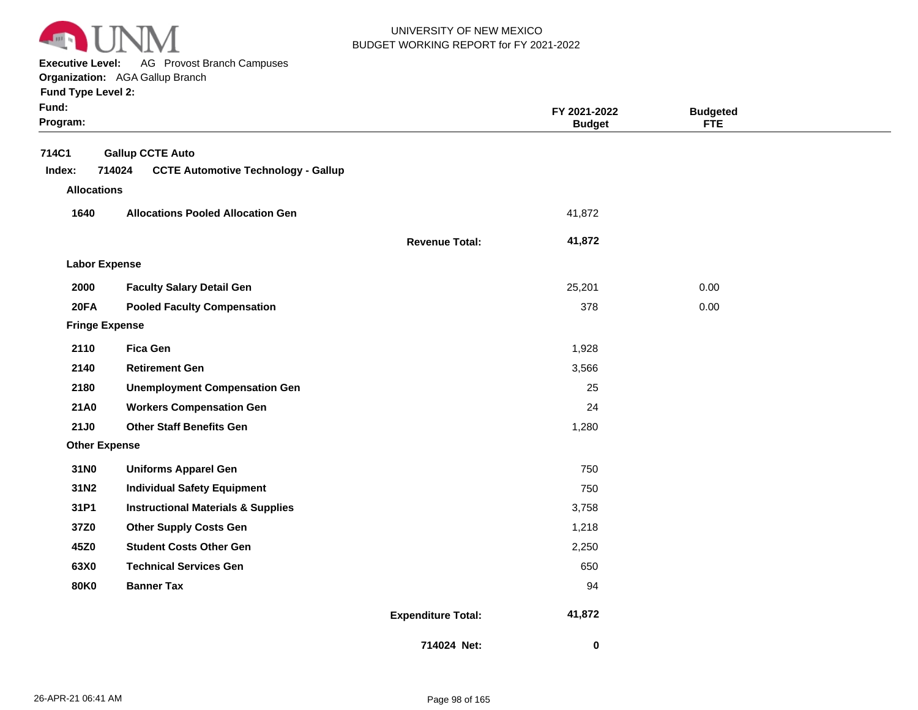

**Executive Level:** AG Provost Branch Campuses

**Organization:**  AGA Gallup Branch

| Fund:<br>Program:                     |                                                                                 |                           | FY 2021-2022<br><b>Budget</b> | <b>Budgeted</b><br><b>FTE</b> |  |
|---------------------------------------|---------------------------------------------------------------------------------|---------------------------|-------------------------------|-------------------------------|--|
| 714C1<br>Index:<br><b>Allocations</b> | <b>Gallup CCTE Auto</b><br>714024<br><b>CCTE Automotive Technology - Gallup</b> |                           |                               |                               |  |
| 1640                                  | <b>Allocations Pooled Allocation Gen</b>                                        |                           | 41,872                        |                               |  |
|                                       |                                                                                 | <b>Revenue Total:</b>     | 41,872                        |                               |  |
| <b>Labor Expense</b>                  |                                                                                 |                           |                               |                               |  |
|                                       |                                                                                 |                           |                               |                               |  |
| 2000                                  | <b>Faculty Salary Detail Gen</b>                                                |                           | 25,201                        | 0.00                          |  |
| <b>20FA</b>                           | <b>Pooled Faculty Compensation</b>                                              |                           | 378                           | 0.00                          |  |
| <b>Fringe Expense</b>                 |                                                                                 |                           |                               |                               |  |
| 2110                                  | <b>Fica Gen</b>                                                                 |                           | 1,928                         |                               |  |
| 2140                                  | <b>Retirement Gen</b>                                                           |                           | 3,566                         |                               |  |
| 2180                                  | <b>Unemployment Compensation Gen</b>                                            |                           | 25                            |                               |  |
| 21A0                                  | <b>Workers Compensation Gen</b>                                                 |                           | 24                            |                               |  |
| 21J0                                  | <b>Other Staff Benefits Gen</b>                                                 |                           | 1,280                         |                               |  |
| <b>Other Expense</b>                  |                                                                                 |                           |                               |                               |  |
| 31N0                                  | <b>Uniforms Apparel Gen</b>                                                     |                           | 750                           |                               |  |
| 31N2                                  | <b>Individual Safety Equipment</b>                                              |                           | 750                           |                               |  |
| 31P1                                  | <b>Instructional Materials &amp; Supplies</b>                                   |                           | 3,758                         |                               |  |
| 37Z0                                  | <b>Other Supply Costs Gen</b>                                                   |                           | 1,218                         |                               |  |
| 45Z0                                  | <b>Student Costs Other Gen</b>                                                  |                           | 2,250                         |                               |  |
| 63X0                                  | <b>Technical Services Gen</b>                                                   |                           | 650                           |                               |  |
| <b>80K0</b>                           | <b>Banner Tax</b>                                                               |                           | 94                            |                               |  |
|                                       |                                                                                 | <b>Expenditure Total:</b> | 41,872                        |                               |  |
|                                       |                                                                                 | 714024 Net:               | $\mathbf 0$                   |                               |  |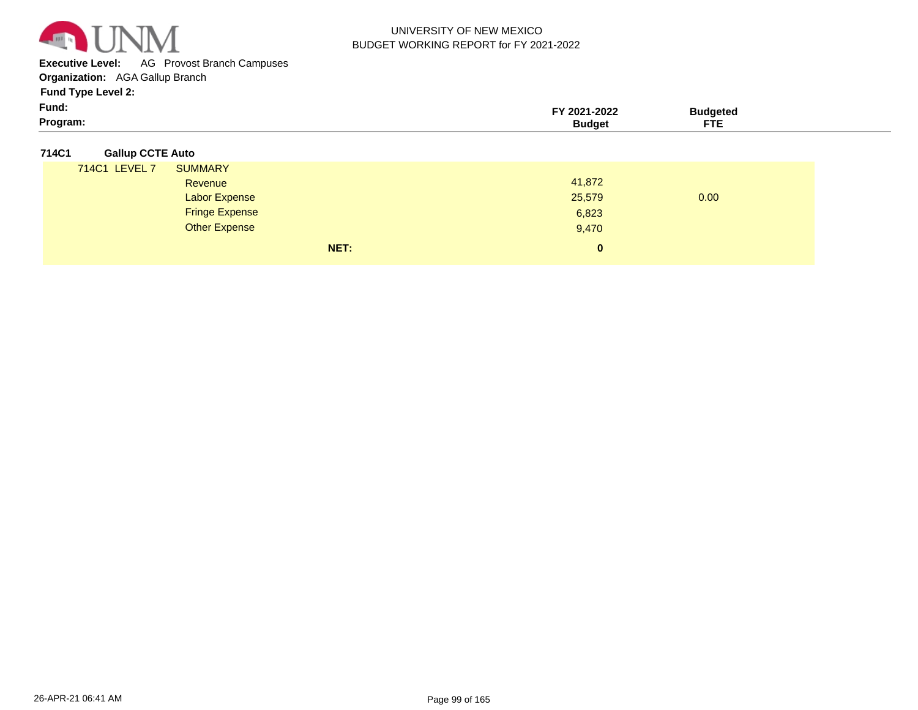

**Executive Level:** AG Provost Branch Campuses

**Organization:**  AGA Gallup Branch

**Fund Type Level 2:**

| Fund.    | -2022<br>202 | ldeted |  |
|----------|--------------|--------|--|
| Program: |              | ---    |  |

### **714C1 Gallup CCTE Auto**

| 714C1 LEVEL 7 | <b>SUMMARY</b>        |              |      |
|---------------|-----------------------|--------------|------|
|               | Revenue               | 41,872       |      |
|               | <b>Labor Expense</b>  | 25,579       | 0.00 |
|               | <b>Fringe Expense</b> | 6,823        |      |
|               | Other Expense         | 9,470        |      |
|               | NET:                  | $\mathbf{0}$ |      |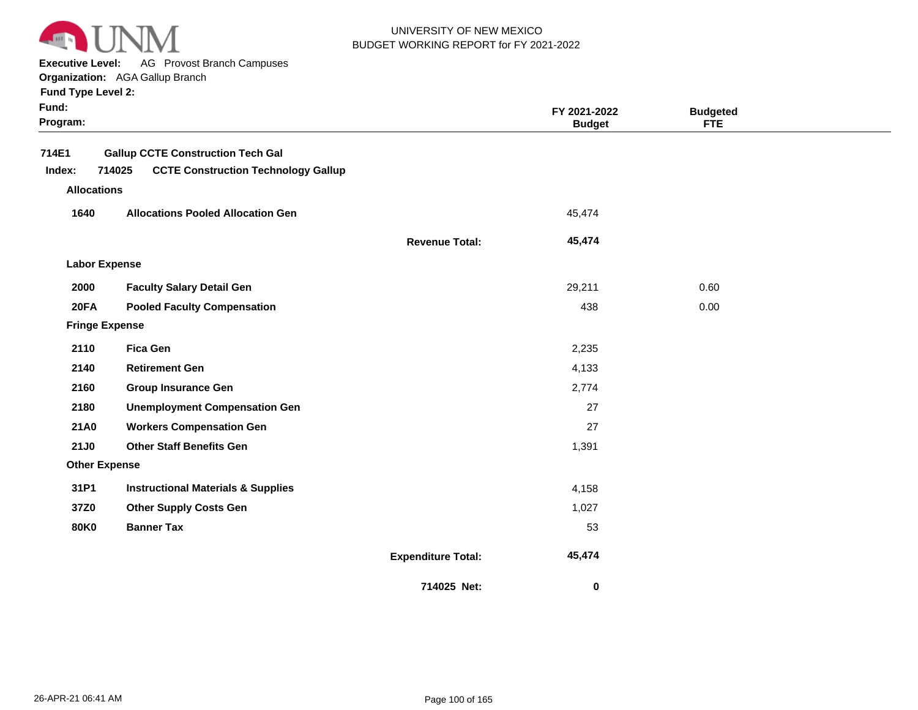

**Executive Level:** AG Provost Branch Campuses

**Organization:**  AGA Gallup Branch

| Fund:<br>Program: |                                                                                                  |                           | FY 2021-2022<br><b>Budget</b> | <b>Budgeted</b><br><b>FTE</b> |  |
|-------------------|--------------------------------------------------------------------------------------------------|---------------------------|-------------------------------|-------------------------------|--|
| 714E1<br>Index:   | <b>Gallup CCTE Construction Tech Gal</b><br>714025<br><b>CCTE Construction Technology Gallup</b> |                           |                               |                               |  |
|                   | <b>Allocations</b>                                                                               |                           |                               |                               |  |
| 1640              | <b>Allocations Pooled Allocation Gen</b>                                                         |                           | 45,474                        |                               |  |
|                   |                                                                                                  | <b>Revenue Total:</b>     | 45,474                        |                               |  |
|                   | <b>Labor Expense</b>                                                                             |                           |                               |                               |  |
| 2000              | <b>Faculty Salary Detail Gen</b>                                                                 |                           | 29,211                        | 0.60                          |  |
| 20FA              | <b>Pooled Faculty Compensation</b>                                                               |                           | 438                           | 0.00                          |  |
|                   | <b>Fringe Expense</b>                                                                            |                           |                               |                               |  |
| 2110              | <b>Fica Gen</b>                                                                                  |                           | 2,235                         |                               |  |
| 2140              | <b>Retirement Gen</b>                                                                            |                           | 4,133                         |                               |  |
| 2160              | <b>Group Insurance Gen</b>                                                                       |                           | 2,774                         |                               |  |
| 2180              | <b>Unemployment Compensation Gen</b>                                                             |                           | 27                            |                               |  |
| 21A0              | <b>Workers Compensation Gen</b>                                                                  |                           | 27                            |                               |  |
| 21J0              | <b>Other Staff Benefits Gen</b>                                                                  |                           | 1,391                         |                               |  |
|                   | <b>Other Expense</b>                                                                             |                           |                               |                               |  |
| 31P1              | <b>Instructional Materials &amp; Supplies</b>                                                    |                           | 4,158                         |                               |  |
| 37Z0              | <b>Other Supply Costs Gen</b>                                                                    |                           | 1,027                         |                               |  |
| <b>80K0</b>       | <b>Banner Tax</b>                                                                                |                           | 53                            |                               |  |
|                   |                                                                                                  | <b>Expenditure Total:</b> | 45,474                        |                               |  |
|                   |                                                                                                  | 714025 Net:               | $\bf{0}$                      |                               |  |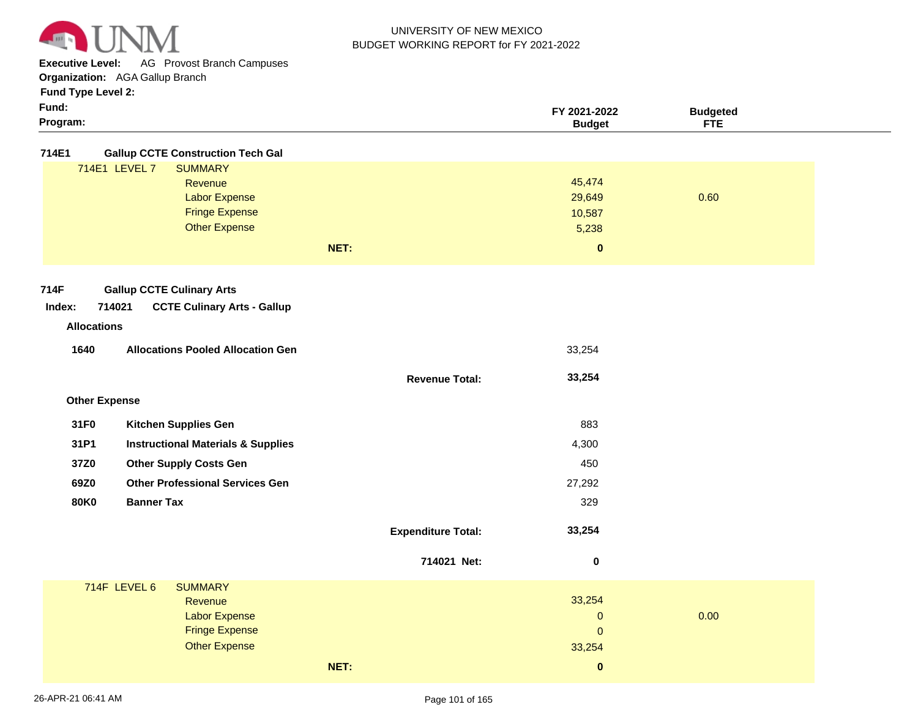

**Executive Level:** AG Provost Branch Campuses

**Organization:**  AGA Gallup Branch **Fund Type Level 2:**

| Funa ⊺ype ∟eve <b>r</b> |  |  |
|-------------------------|--|--|
|-------------------------|--|--|

| Program:     | Budget       | ETD<br>1⊑ |  |
|--------------|--------------|-----------|--|
| - -<br>Fund: | FY 2021-2022 | Budaeteo  |  |

**714E1 Gallup CCTE Construction Tech Gal**

|               |                       | NET: | 0      |      |
|---------------|-----------------------|------|--------|------|
|               | <b>Other Expense</b>  |      | 5,238  |      |
|               | <b>Fringe Expense</b> |      | 10,587 |      |
|               | <b>Labor Expense</b>  |      | 29,649 | 0.60 |
|               | Revenue               |      | 45,474 |      |
| 714E1 LEVEL 7 | <b>SUMMARY</b>        |      |        |      |
|               |                       |      |        |      |

**Revenue Total:**

 **33,254** 

#### **714F Gallup CCTE Culinary Arts**

| Index: | 714021 | <b>CCTE Culinary Arts - Gallup</b> |
|--------|--------|------------------------------------|
|--------|--------|------------------------------------|

# **Revenue Allocations**

| <b>Allocations Pooled Allocation Gen</b><br>1640 | 33.254 |
|--------------------------------------------------|--------|
|--------------------------------------------------|--------|

| <b>Other Expense</b> |
|----------------------|

| 31F <sub>0</sub> | <b>Kitchen Supplies Gen</b>                   | 883    |
|------------------|-----------------------------------------------|--------|
| 31P1             | <b>Instructional Materials &amp; Supplies</b> | 4,300  |
| 37Z0             | <b>Other Supply Costs Gen</b>                 | 450    |
| 69Z0             | <b>Other Professional Services Gen</b>        | 27.292 |
| 80K0             | <b>Banner Tax</b>                             | 329    |
|                  |                                               |        |

| <b>Expenditure Total:</b> | 33,254 |
|---------------------------|--------|
|                           |        |

|              |                                                                                                    | 714021 Net: | 0                                                |      |
|--------------|----------------------------------------------------------------------------------------------------|-------------|--------------------------------------------------|------|
| 714F LEVEL 6 | <b>SUMMARY</b><br>Revenue<br><b>Labor Expense</b><br><b>Fringe Expense</b><br><b>Other Expense</b> |             | 33,254<br>$\mathbf{0}$<br>$\mathbf{0}$<br>33,254 | 0.00 |
|              |                                                                                                    | NET:        | $\bf{0}$                                         |      |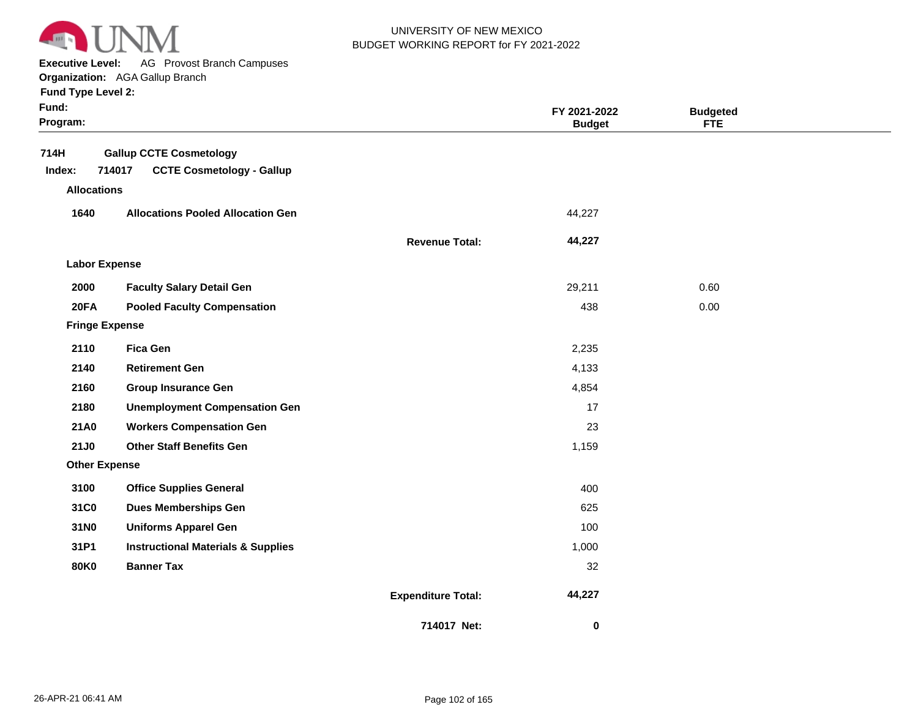

**Executive Level:** AG Provost Branch Campuses

**Organization:**  AGA Gallup Branch

| Fund:<br>Program:     |                                               |                           | FY 2021-2022<br><b>Budget</b> | <b>Budgeted</b><br><b>FTE</b> |  |
|-----------------------|-----------------------------------------------|---------------------------|-------------------------------|-------------------------------|--|
| 714H                  | <b>Gallup CCTE Cosmetology</b>                |                           |                               |                               |  |
| Index:                | <b>CCTE Cosmetology - Gallup</b><br>714017    |                           |                               |                               |  |
| <b>Allocations</b>    |                                               |                           |                               |                               |  |
| 1640                  | <b>Allocations Pooled Allocation Gen</b>      |                           | 44,227                        |                               |  |
|                       |                                               | <b>Revenue Total:</b>     | 44,227                        |                               |  |
| <b>Labor Expense</b>  |                                               |                           |                               |                               |  |
| 2000                  | <b>Faculty Salary Detail Gen</b>              |                           | 29,211                        | 0.60                          |  |
| 20FA                  | <b>Pooled Faculty Compensation</b>            |                           | 438                           | 0.00                          |  |
| <b>Fringe Expense</b> |                                               |                           |                               |                               |  |
| 2110                  | <b>Fica Gen</b>                               |                           | 2,235                         |                               |  |
| 2140                  | <b>Retirement Gen</b>                         |                           | 4,133                         |                               |  |
| 2160                  | <b>Group Insurance Gen</b>                    |                           | 4,854                         |                               |  |
| 2180                  | <b>Unemployment Compensation Gen</b>          |                           | 17                            |                               |  |
| 21A0                  | <b>Workers Compensation Gen</b>               |                           | 23                            |                               |  |
| <b>21J0</b>           | <b>Other Staff Benefits Gen</b>               |                           | 1,159                         |                               |  |
| <b>Other Expense</b>  |                                               |                           |                               |                               |  |
| 3100                  | <b>Office Supplies General</b>                |                           | 400                           |                               |  |
| 31C0                  | <b>Dues Memberships Gen</b>                   |                           | 625                           |                               |  |
| 31N0                  | <b>Uniforms Apparel Gen</b>                   |                           | 100                           |                               |  |
| 31P1                  | <b>Instructional Materials &amp; Supplies</b> |                           | 1,000                         |                               |  |
| <b>80K0</b>           | <b>Banner Tax</b>                             |                           | 32                            |                               |  |
|                       |                                               | <b>Expenditure Total:</b> | 44,227                        |                               |  |
|                       |                                               | 714017 Net:               | 0                             |                               |  |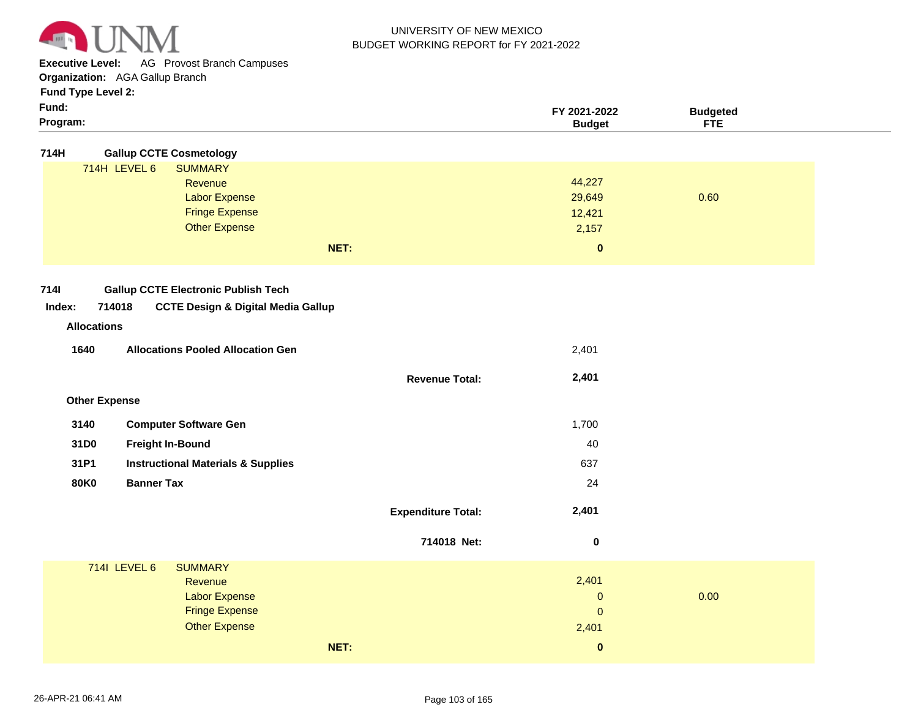

**Executive Level:** AG Provost Branch Campuses

**Organization:**  AGA Gallup Branch

| Program: | Budα∈        | $\sim$<br><b>CERS</b><br><b>FIL</b> |  |
|----------|--------------|-------------------------------------|--|
| Fund:    | FY 2021-2022 | ∵'daeteo<br>.                       |  |
| . .      |              |                                     |  |

| <b>Gallup CCTE Cosmetology</b><br>714H                                                                                                               |                           |                                                  |      |
|------------------------------------------------------------------------------------------------------------------------------------------------------|---------------------------|--------------------------------------------------|------|
| 714H LEVEL 6<br><b>SUMMARY</b><br>Revenue<br><b>Labor Expense</b><br><b>Fringe Expense</b><br><b>Other Expense</b><br>NET:                           |                           | 44,227<br>29,649<br>12,421<br>2,157<br>$\pmb{0}$ | 0.60 |
| <b>7141</b><br><b>Gallup CCTE Electronic Publish Tech</b><br>714018<br>Index:<br><b>CCTE Design &amp; Digital Media Gallup</b><br><b>Allocations</b> |                           |                                                  |      |
| 1640<br><b>Allocations Pooled Allocation Gen</b>                                                                                                     |                           | 2,401                                            |      |
|                                                                                                                                                      | <b>Revenue Total:</b>     | 2,401                                            |      |
| <b>Other Expense</b>                                                                                                                                 |                           |                                                  |      |
| 3140<br><b>Computer Software Gen</b>                                                                                                                 |                           | 1,700                                            |      |
| 31D0<br><b>Freight In-Bound</b>                                                                                                                      |                           | 40                                               |      |
| 31P1<br><b>Instructional Materials &amp; Supplies</b>                                                                                                |                           | 637                                              |      |
| <b>Banner Tax</b><br><b>80K0</b>                                                                                                                     |                           | 24                                               |      |
|                                                                                                                                                      | <b>Expenditure Total:</b> | 2,401                                            |      |
|                                                                                                                                                      | 714018 Net:               | $\pmb{0}$                                        |      |
| 7141 LEVEL 6<br><b>SUMMARY</b><br>Revenue<br><b>Labor Expense</b><br><b>Fringe Expense</b><br><b>Other Expense</b>                                   |                           | 2,401<br>$\mathbf 0$<br>$\mathbf 0$<br>2,401     | 0.00 |
| NET:                                                                                                                                                 |                           | $\pmb{0}$                                        |      |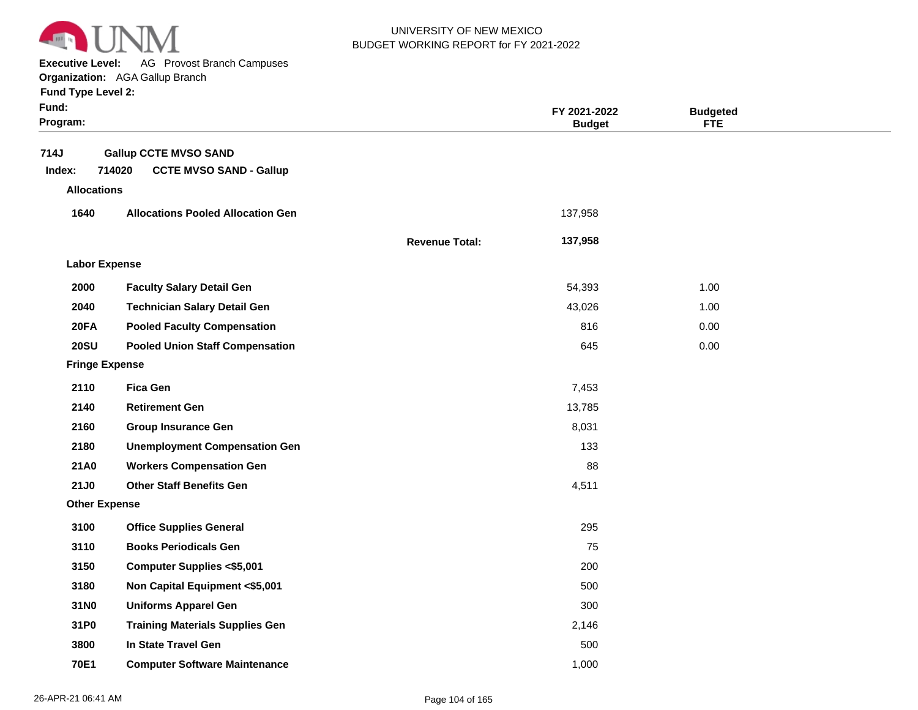

**Executive Level:** AG Provost Branch Campuses

#### **Organization:**  AGA Gallup Branch

| Fund:<br>Program:    |                                          |                       | FY 2021-2022<br><b>Budget</b> | <b>Budgeted</b><br><b>FTE</b> |  |
|----------------------|------------------------------------------|-----------------------|-------------------------------|-------------------------------|--|
| 714J                 | <b>Gallup CCTE MVSO SAND</b>             |                       |                               |                               |  |
| Index:               | 714020<br><b>CCTE MVSO SAND - Gallup</b> |                       |                               |                               |  |
| <b>Allocations</b>   |                                          |                       |                               |                               |  |
| 1640                 | <b>Allocations Pooled Allocation Gen</b> |                       | 137,958                       |                               |  |
|                      |                                          | <b>Revenue Total:</b> | 137,958                       |                               |  |
| <b>Labor Expense</b> |                                          |                       |                               |                               |  |
| 2000                 | <b>Faculty Salary Detail Gen</b>         |                       | 54,393                        | 1.00                          |  |
| 2040                 | <b>Technician Salary Detail Gen</b>      |                       | 43,026                        | 1.00                          |  |
| 20FA                 | <b>Pooled Faculty Compensation</b>       |                       | 816                           | 0.00                          |  |
| <b>20SU</b>          | <b>Pooled Union Staff Compensation</b>   |                       | 645                           | 0.00                          |  |
|                      | <b>Fringe Expense</b>                    |                       |                               |                               |  |
| 2110                 | <b>Fica Gen</b>                          |                       | 7,453                         |                               |  |
| 2140                 | <b>Retirement Gen</b>                    |                       | 13,785                        |                               |  |
| 2160                 | <b>Group Insurance Gen</b>               |                       | 8,031                         |                               |  |
| 2180                 | <b>Unemployment Compensation Gen</b>     |                       | 133                           |                               |  |
| <b>21A0</b>          | <b>Workers Compensation Gen</b>          |                       | 88                            |                               |  |
| 21J0                 | <b>Other Staff Benefits Gen</b>          |                       | 4,511                         |                               |  |
| <b>Other Expense</b> |                                          |                       |                               |                               |  |
| 3100                 | <b>Office Supplies General</b>           |                       | 295                           |                               |  |
| 3110                 | <b>Books Periodicals Gen</b>             |                       | 75                            |                               |  |
| 3150                 | <b>Computer Supplies &lt;\$5,001</b>     |                       | 200                           |                               |  |
| 3180                 | Non Capital Equipment <\$5,001           |                       | 500                           |                               |  |
| 31N0                 | <b>Uniforms Apparel Gen</b>              |                       | 300                           |                               |  |
| 31P0                 | <b>Training Materials Supplies Gen</b>   |                       | 2,146                         |                               |  |
| 3800                 | In State Travel Gen                      |                       | 500                           |                               |  |
| 70E1                 | <b>Computer Software Maintenance</b>     |                       | 1,000                         |                               |  |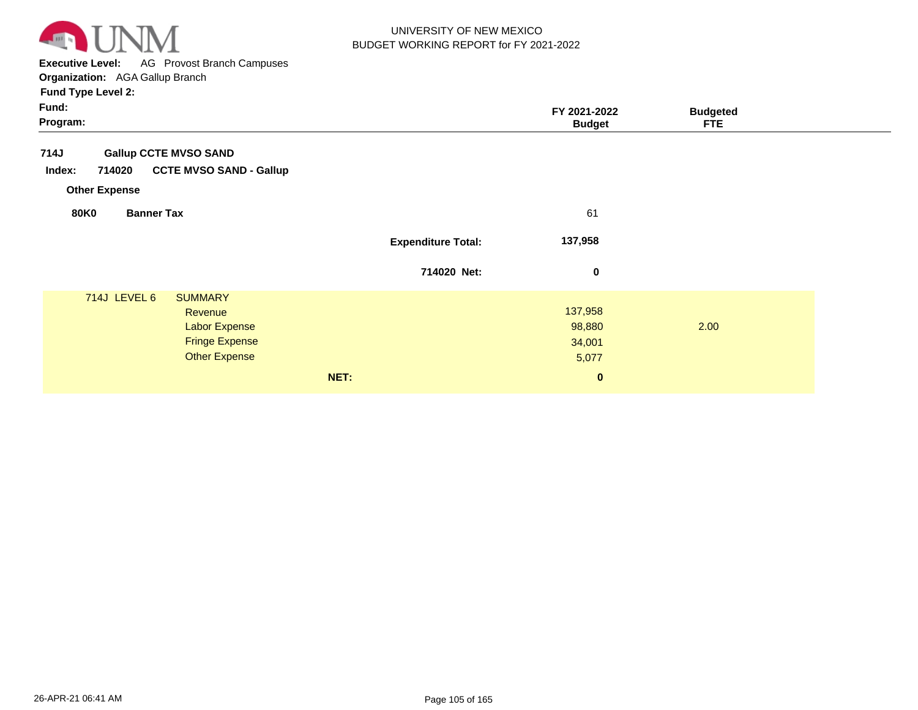

**Executive Level:** AG Provost Branch Campuses

| Fund:<br>Program:                                                                                                  |                           | FY 2021-2022<br><b>Budget</b>        | <b>Budgeted</b><br><b>FTE</b> |
|--------------------------------------------------------------------------------------------------------------------|---------------------------|--------------------------------------|-------------------------------|
| 714J<br><b>Gallup CCTE MVSO SAND</b><br><b>CCTE MVSO SAND - Gallup</b><br>714020<br>Index:                         |                           |                                      |                               |
| <b>Other Expense</b><br><b>80K0</b><br><b>Banner Tax</b>                                                           |                           | 61                                   |                               |
|                                                                                                                    | <b>Expenditure Total:</b> | 137,958                              |                               |
|                                                                                                                    | 714020 Net:               | $\bf{0}$                             |                               |
| 714J LEVEL 6<br><b>SUMMARY</b><br>Revenue<br><b>Labor Expense</b><br><b>Fringe Expense</b><br><b>Other Expense</b> |                           | 137,958<br>98,880<br>34,001<br>5,077 | 2.00                          |
|                                                                                                                    | NET:                      | $\pmb{0}$                            |                               |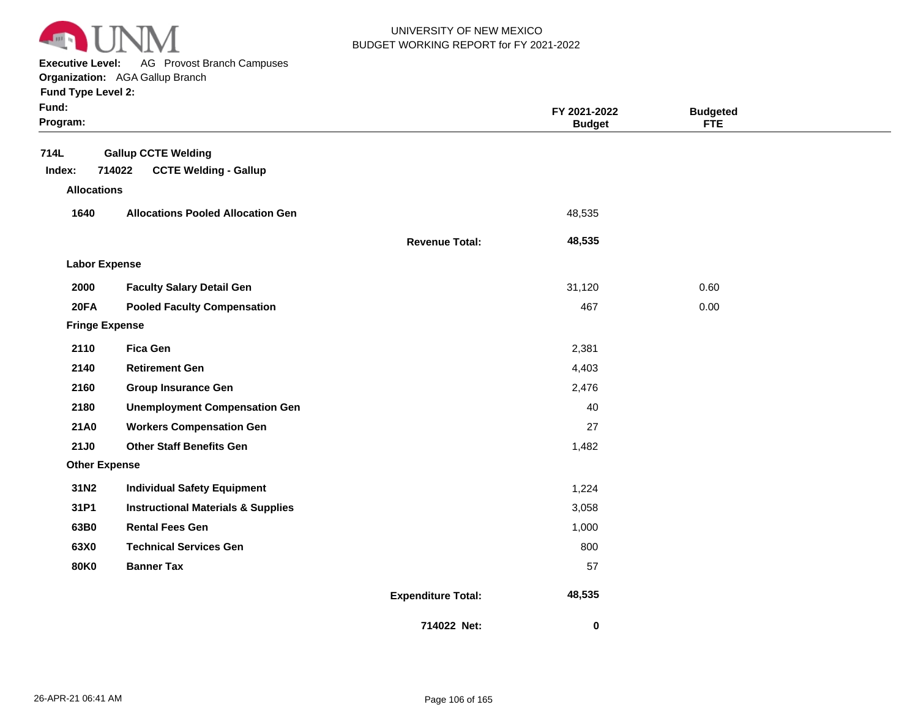

**Executive Level:** AG Provost Branch Campuses

**Organization:**  AGA Gallup Branch

|  |  | <b>Fund Type Level 2:</b> |  |
|--|--|---------------------------|--|
|--|--|---------------------------|--|

| Fund:<br>Program:     |                                                                      |                           | FY 2021-2022<br><b>Budget</b> | <b>Budgeted</b><br><b>FTE</b> |  |
|-----------------------|----------------------------------------------------------------------|---------------------------|-------------------------------|-------------------------------|--|
| 714L<br>Index:        | <b>Gallup CCTE Welding</b><br>714022<br><b>CCTE Welding - Gallup</b> |                           |                               |                               |  |
| <b>Allocations</b>    |                                                                      |                           |                               |                               |  |
| 1640                  | <b>Allocations Pooled Allocation Gen</b>                             |                           | 48,535                        |                               |  |
|                       |                                                                      | <b>Revenue Total:</b>     | 48,535                        |                               |  |
| <b>Labor Expense</b>  |                                                                      |                           |                               |                               |  |
| 2000                  | <b>Faculty Salary Detail Gen</b>                                     |                           | 31,120                        | 0.60                          |  |
| <b>20FA</b>           | <b>Pooled Faculty Compensation</b>                                   |                           | 467                           | 0.00                          |  |
| <b>Fringe Expense</b> |                                                                      |                           |                               |                               |  |
| 2110                  | <b>Fica Gen</b>                                                      |                           | 2,381                         |                               |  |
| 2140                  | <b>Retirement Gen</b>                                                |                           | 4,403                         |                               |  |
| 2160                  | <b>Group Insurance Gen</b>                                           |                           | 2,476                         |                               |  |
| 2180                  | <b>Unemployment Compensation Gen</b>                                 |                           | 40                            |                               |  |
| 21A0                  | <b>Workers Compensation Gen</b>                                      |                           | 27                            |                               |  |
| <b>21J0</b>           | <b>Other Staff Benefits Gen</b>                                      |                           | 1,482                         |                               |  |
| <b>Other Expense</b>  |                                                                      |                           |                               |                               |  |
| 31N2                  | <b>Individual Safety Equipment</b>                                   |                           | 1,224                         |                               |  |
| 31P1                  | <b>Instructional Materials &amp; Supplies</b>                        |                           | 3,058                         |                               |  |
| 63B0                  | <b>Rental Fees Gen</b>                                               |                           | 1,000                         |                               |  |
| 63X0                  | <b>Technical Services Gen</b>                                        |                           | 800                           |                               |  |
| <b>80K0</b>           | <b>Banner Tax</b>                                                    |                           | 57                            |                               |  |
|                       |                                                                      | <b>Expenditure Total:</b> | 48,535                        |                               |  |
|                       |                                                                      | 714022 Net:               | $\bf{0}$                      |                               |  |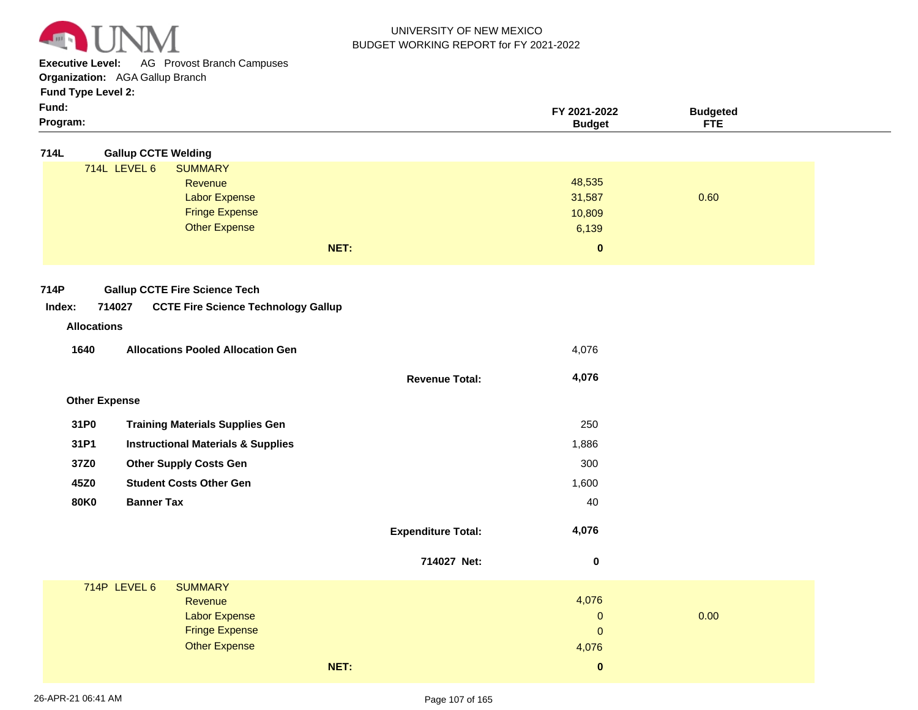

**Executive Level:** AG Provost Branch Campuses

**Organization:**  AGA Gallup Branch

**Fund Type Level 2:**

| ×<br>× |
|--------|
|--------|

| Fund:<br>Program:    |                                               |                           | FY 2021-2022<br><b>Budget</b> | <b>Budgeted</b><br><b>FTE</b> |  |
|----------------------|-----------------------------------------------|---------------------------|-------------------------------|-------------------------------|--|
| 714L                 | <b>Gallup CCTE Welding</b>                    |                           |                               |                               |  |
|                      | 714L LEVEL 6<br><b>SUMMARY</b>                |                           |                               |                               |  |
|                      | Revenue                                       |                           | 48,535                        |                               |  |
|                      | <b>Labor Expense</b>                          |                           | 31,587                        | 0.60                          |  |
|                      | <b>Fringe Expense</b>                         |                           | 10,809                        |                               |  |
|                      | <b>Other Expense</b>                          |                           | 6,139                         |                               |  |
|                      | NET:                                          |                           | $\pmb{0}$                     |                               |  |
| 714P                 | <b>Gallup CCTE Fire Science Tech</b>          |                           |                               |                               |  |
| Index:               | 714027                                        |                           |                               |                               |  |
|                      | <b>CCTE Fire Science Technology Gallup</b>    |                           |                               |                               |  |
| <b>Allocations</b>   |                                               |                           |                               |                               |  |
| 1640                 | <b>Allocations Pooled Allocation Gen</b>      |                           | 4,076                         |                               |  |
|                      |                                               | <b>Revenue Total:</b>     | 4,076                         |                               |  |
| <b>Other Expense</b> |                                               |                           |                               |                               |  |
| 31P0                 | <b>Training Materials Supplies Gen</b>        |                           | 250                           |                               |  |
| 31P1                 | <b>Instructional Materials &amp; Supplies</b> |                           | 1,886                         |                               |  |
| 37Z0                 | <b>Other Supply Costs Gen</b>                 |                           | 300                           |                               |  |
| 45Z0                 | <b>Student Costs Other Gen</b>                |                           | 1,600                         |                               |  |
| <b>80K0</b>          | <b>Banner Tax</b>                             |                           | 40                            |                               |  |
|                      |                                               | <b>Expenditure Total:</b> | 4,076                         |                               |  |
|                      |                                               | 714027 Net:               | $\boldsymbol{0}$              |                               |  |
|                      | 714P LEVEL 6<br><b>SUMMARY</b>                |                           |                               |                               |  |
|                      | Revenue                                       |                           | 4,076                         |                               |  |
|                      | <b>Labor Expense</b>                          |                           | 0                             | 0.00                          |  |
|                      | <b>Fringe Expense</b>                         |                           | $\pmb{0}$                     |                               |  |
|                      | <b>Other Expense</b>                          |                           | 4,076                         |                               |  |

**NET:**

 **0**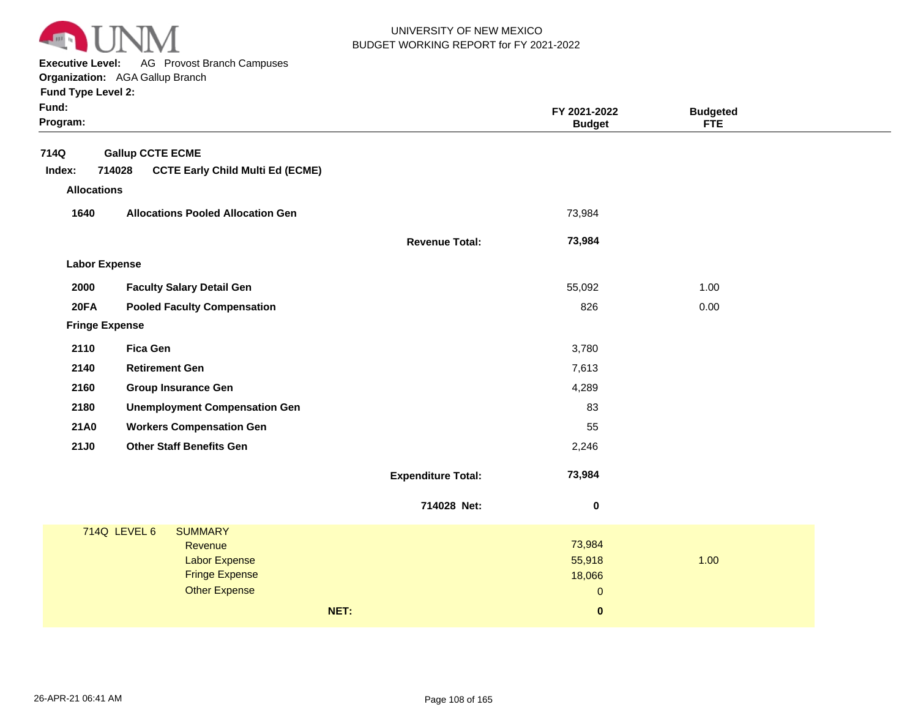

**Executive Level:** AG Provost Branch Campuses

**Organization:**  AGA Gallup Branch

| Fund:<br>Program:     |                                          |                           | FY 2021-2022<br><b>Budget</b> | <b>Budgeted</b><br><b>FTE</b> |  |
|-----------------------|------------------------------------------|---------------------------|-------------------------------|-------------------------------|--|
| 714Q                  | <b>Gallup CCTE ECME</b>                  |                           |                               |                               |  |
| 714028<br>Index:      | <b>CCTE Early Child Multi Ed (ECME)</b>  |                           |                               |                               |  |
| <b>Allocations</b>    |                                          |                           |                               |                               |  |
| 1640                  | <b>Allocations Pooled Allocation Gen</b> |                           | 73,984                        |                               |  |
|                       |                                          | <b>Revenue Total:</b>     | 73,984                        |                               |  |
| <b>Labor Expense</b>  |                                          |                           |                               |                               |  |
| 2000                  | <b>Faculty Salary Detail Gen</b>         |                           | 55,092                        | 1.00                          |  |
| <b>20FA</b>           | <b>Pooled Faculty Compensation</b>       |                           | 826                           | 0.00                          |  |
| <b>Fringe Expense</b> |                                          |                           |                               |                               |  |
| 2110                  | <b>Fica Gen</b>                          |                           | 3,780                         |                               |  |
| 2140                  | <b>Retirement Gen</b>                    |                           | 7,613                         |                               |  |
| 2160                  | <b>Group Insurance Gen</b>               |                           | 4,289                         |                               |  |
| 2180                  | <b>Unemployment Compensation Gen</b>     |                           | 83                            |                               |  |
| 21A0                  | <b>Workers Compensation Gen</b>          |                           | 55                            |                               |  |
| 21J0                  | <b>Other Staff Benefits Gen</b>          |                           | 2,246                         |                               |  |
|                       |                                          | <b>Expenditure Total:</b> | 73,984                        |                               |  |
|                       |                                          | 714028 Net:               | $\boldsymbol{0}$              |                               |  |
| 714Q LEVEL 6          | <b>SUMMARY</b>                           |                           |                               |                               |  |
|                       | Revenue<br><b>Labor Expense</b>          |                           | 73,984<br>55,918              | 1.00                          |  |
|                       | <b>Fringe Expense</b>                    |                           | 18,066                        |                               |  |
|                       | <b>Other Expense</b>                     |                           | $\pmb{0}$                     |                               |  |
|                       |                                          | NET:                      | $\mathbf{0}$                  |                               |  |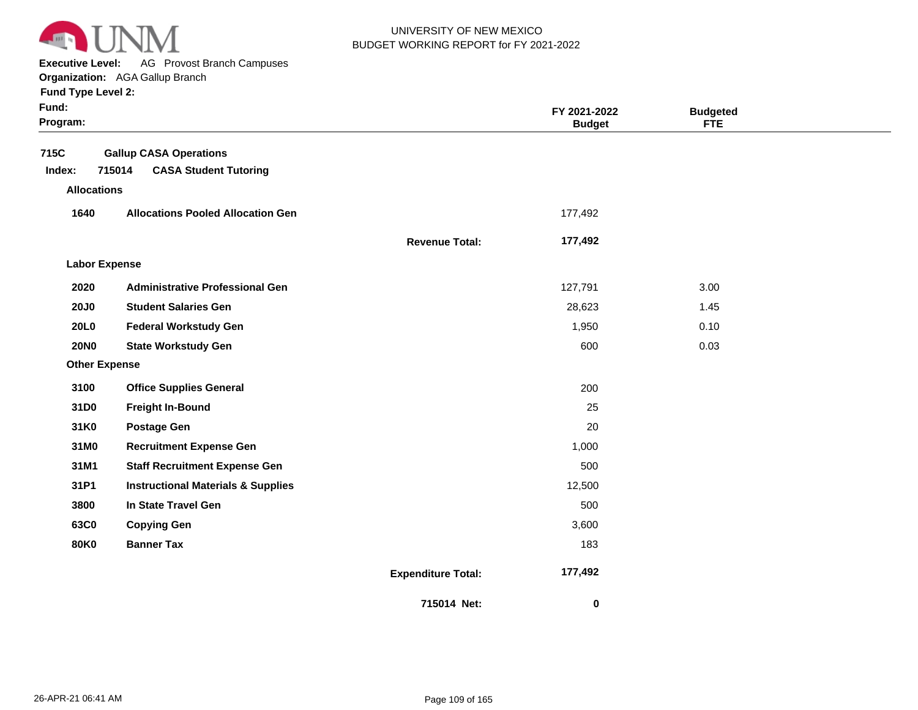

**Executive Level:** AG Provost Branch Campuses

**Organization:**  AGA Gallup Branch

| Fund:<br>Program:    |                                               |                           | FY 2021-2022<br><b>Budget</b> | <b>Budgeted</b><br><b>FTE</b> |  |
|----------------------|-----------------------------------------------|---------------------------|-------------------------------|-------------------------------|--|
| 715C                 | <b>Gallup CASA Operations</b>                 |                           |                               |                               |  |
| Index:               | 715014<br><b>CASA Student Tutoring</b>        |                           |                               |                               |  |
| <b>Allocations</b>   |                                               |                           |                               |                               |  |
| 1640                 | <b>Allocations Pooled Allocation Gen</b>      |                           | 177,492                       |                               |  |
|                      |                                               | <b>Revenue Total:</b>     | 177,492                       |                               |  |
| <b>Labor Expense</b> |                                               |                           |                               |                               |  |
| 2020                 | <b>Administrative Professional Gen</b>        |                           | 127,791                       | 3.00                          |  |
| <b>20J0</b>          | <b>Student Salaries Gen</b>                   |                           | 28,623                        | 1.45                          |  |
| 20L0                 | <b>Federal Workstudy Gen</b>                  |                           | 1,950                         | 0.10                          |  |
| <b>20NO</b>          | <b>State Workstudy Gen</b>                    |                           | 600                           | 0.03                          |  |
| <b>Other Expense</b> |                                               |                           |                               |                               |  |
| 3100                 | <b>Office Supplies General</b>                |                           | 200                           |                               |  |
| 31D0                 | <b>Freight In-Bound</b>                       |                           | 25                            |                               |  |
| 31K0                 | <b>Postage Gen</b>                            |                           | 20                            |                               |  |
| 31M0                 | <b>Recruitment Expense Gen</b>                |                           | 1,000                         |                               |  |
| 31M1                 | <b>Staff Recruitment Expense Gen</b>          |                           | 500                           |                               |  |
| 31P1                 | <b>Instructional Materials &amp; Supplies</b> |                           | 12,500                        |                               |  |
| 3800                 | In State Travel Gen                           |                           | 500                           |                               |  |
| 63C0                 | <b>Copying Gen</b>                            |                           | 3,600                         |                               |  |
| <b>80K0</b>          | <b>Banner Tax</b>                             |                           | 183                           |                               |  |
|                      |                                               | <b>Expenditure Total:</b> | 177,492                       |                               |  |
|                      |                                               | 715014 Net:               | 0                             |                               |  |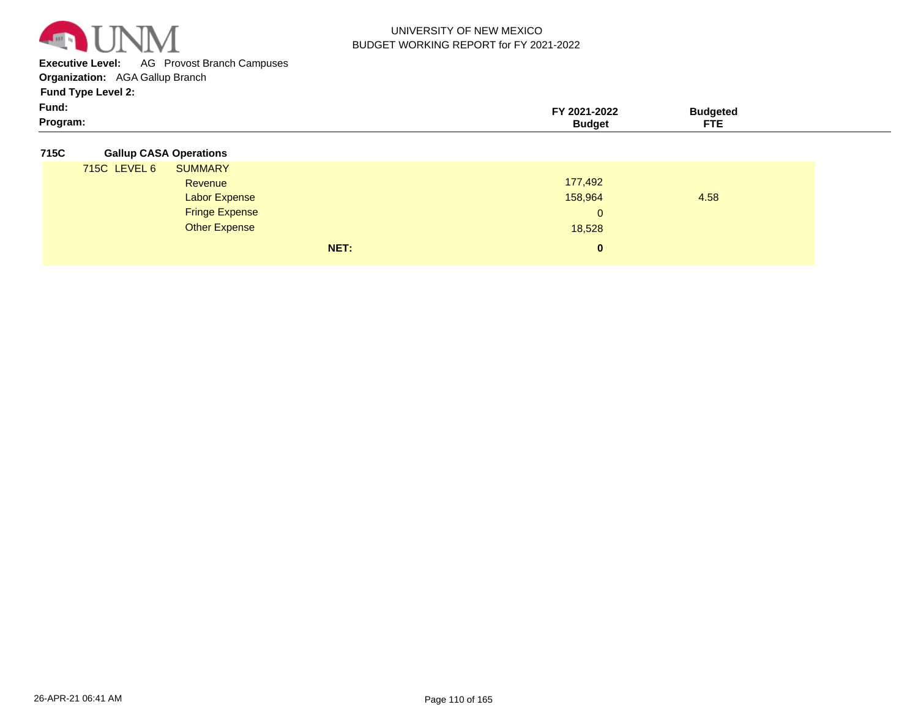

**Executive Level:** AG Provost Branch Campuses

**Organization:**  AGA Gallup Branch

**Fund Type Level 2:**

| Fund:    | 2021-2022 | `'ıdaete⊾ |  |
|----------|-----------|-----------|--|
| Program: | sudaet    | ---       |  |

#### **715C Gallup CASA Operations**

|              | NET:                  | $\mathbf{0}$ |      |
|--------------|-----------------------|--------------|------|
|              | <b>Other Expense</b>  | 18,528       |      |
|              | <b>Fringe Expense</b> | 0            |      |
|              | <b>Labor Expense</b>  | 158,964      | 4.58 |
|              | Revenue               | 177,492      |      |
| 715C LEVEL 6 | <b>SUMMARY</b>        |              |      |
|              |                       |              |      |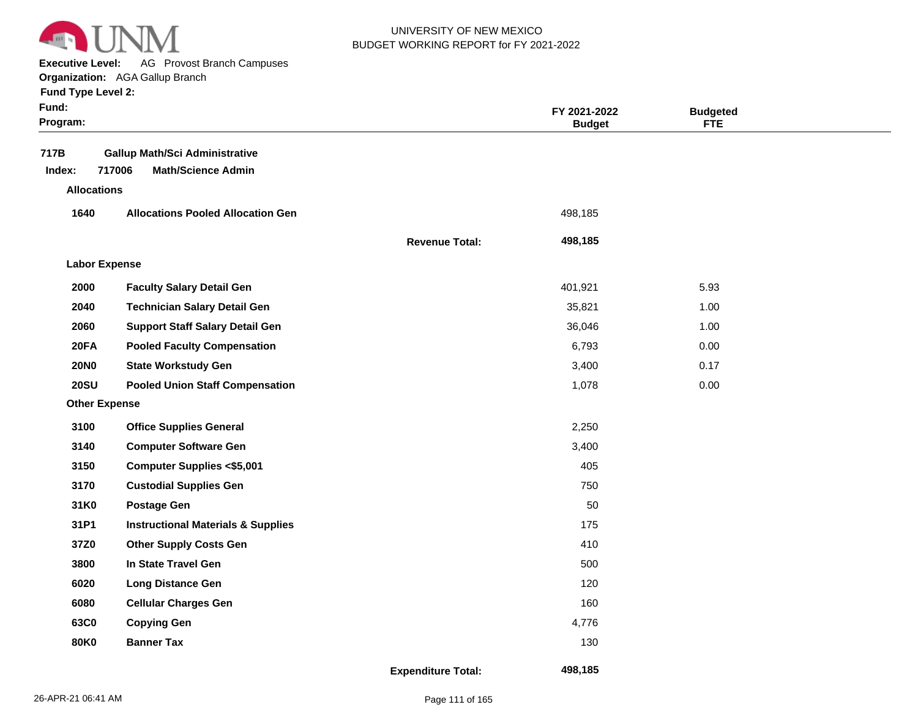

**Executive Level:** AG Provost Branch Campuses

|  | <b>Fund Type Level 2:</b> |  |  |
|--|---------------------------|--|--|
|  |                           |  |  |

| Fund:<br>Program:    |                                                                              |                           | FY 2021-2022<br><b>Budget</b> | <b>Budgeted</b><br><b>FTE</b> |  |
|----------------------|------------------------------------------------------------------------------|---------------------------|-------------------------------|-------------------------------|--|
| 717B<br>Index:       | <b>Gallup Math/Sci Administrative</b><br>717006<br><b>Math/Science Admin</b> |                           |                               |                               |  |
| <b>Allocations</b>   |                                                                              |                           |                               |                               |  |
| 1640                 | <b>Allocations Pooled Allocation Gen</b>                                     |                           | 498,185                       |                               |  |
|                      |                                                                              | <b>Revenue Total:</b>     | 498,185                       |                               |  |
| <b>Labor Expense</b> |                                                                              |                           |                               |                               |  |
| 2000                 | <b>Faculty Salary Detail Gen</b>                                             |                           | 401,921                       | 5.93                          |  |
| 2040                 | <b>Technician Salary Detail Gen</b>                                          |                           | 35,821                        | 1.00                          |  |
| 2060                 | <b>Support Staff Salary Detail Gen</b>                                       |                           | 36,046                        | 1.00                          |  |
| 20FA                 | <b>Pooled Faculty Compensation</b>                                           |                           | 6,793                         | 0.00                          |  |
| <b>20NO</b>          | <b>State Workstudy Gen</b>                                                   |                           | 3,400                         | 0.17                          |  |
| <b>20SU</b>          | <b>Pooled Union Staff Compensation</b>                                       |                           | 1,078                         | 0.00                          |  |
| <b>Other Expense</b> |                                                                              |                           |                               |                               |  |
| 3100                 | <b>Office Supplies General</b>                                               |                           | 2,250                         |                               |  |
| 3140                 | <b>Computer Software Gen</b>                                                 |                           | 3,400                         |                               |  |
| 3150                 | <b>Computer Supplies &lt;\$5,001</b>                                         |                           | 405                           |                               |  |
| 3170                 | <b>Custodial Supplies Gen</b>                                                |                           | 750                           |                               |  |
| 31K0                 | <b>Postage Gen</b>                                                           |                           | 50                            |                               |  |
| 31P1                 | <b>Instructional Materials &amp; Supplies</b>                                |                           | 175                           |                               |  |
| 37Z0                 | <b>Other Supply Costs Gen</b>                                                |                           | 410                           |                               |  |
| 3800                 | In State Travel Gen                                                          |                           | 500                           |                               |  |
| 6020                 | <b>Long Distance Gen</b>                                                     |                           | 120                           |                               |  |
| 6080                 | <b>Cellular Charges Gen</b>                                                  |                           | 160                           |                               |  |
| 63C0                 | <b>Copying Gen</b>                                                           |                           | 4,776                         |                               |  |
| <b>80K0</b>          | <b>Banner Tax</b>                                                            |                           | 130                           |                               |  |
|                      |                                                                              | <b>Expenditure Total:</b> | 498,185                       |                               |  |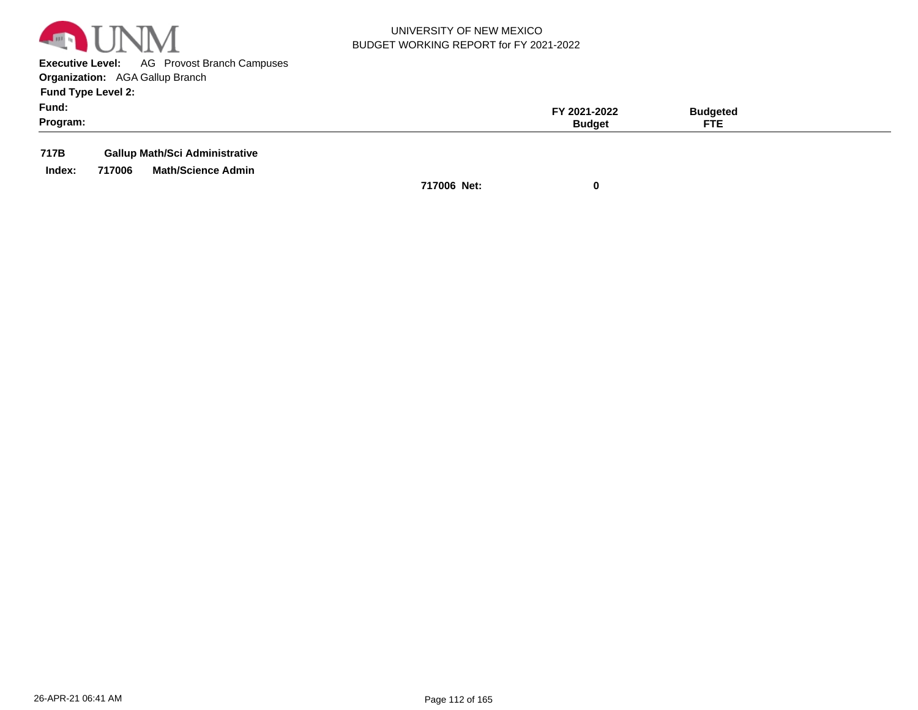

**Executive Level:** AG Provost Branch Campuses **Organization:**  AGA Gallup Branch

**Fund Type Level 2:**

| $ -$<br>Fund:<br>Program: | FY 2021-2022<br><b>Budget</b> | Budgeted<br><b>FTE</b> |  |
|---------------------------|-------------------------------|------------------------|--|
|                           |                               |                        |  |

**717B Gallup Math/Sci Administrative**

**Index: 717006 Math/Science Admin**

**717006 Net: 0**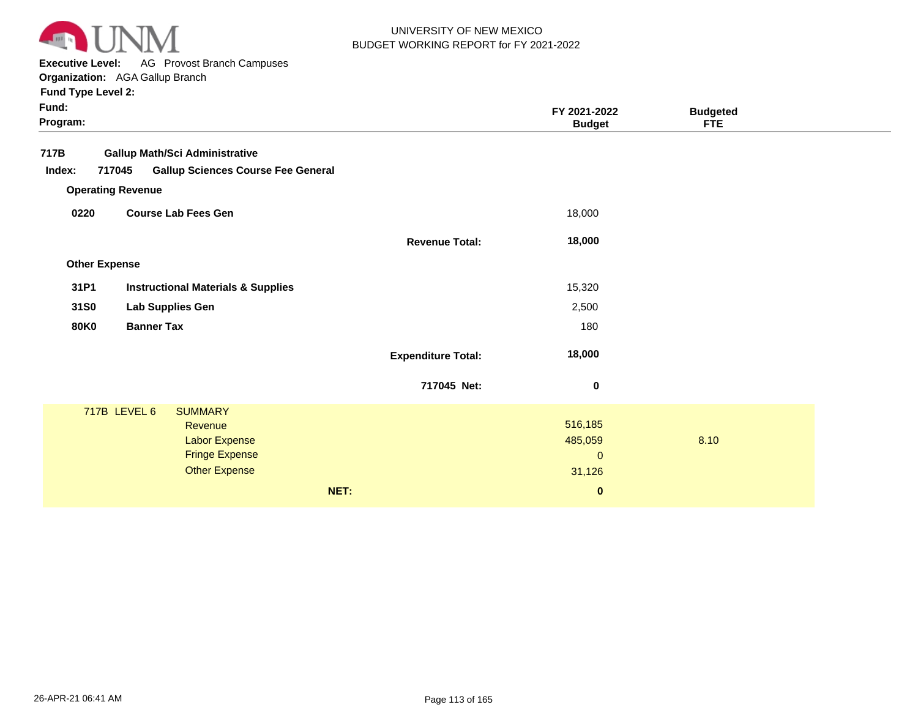

**Executive Level:** AG Provost Branch Campuses

| Fund Type Level 2:   |                                                     |                           |                        |                 |  |
|----------------------|-----------------------------------------------------|---------------------------|------------------------|-----------------|--|
| Fund:                |                                                     |                           | FY 2021-2022           | <b>Budgeted</b> |  |
| Program:             |                                                     |                           | <b>Budget</b>          | <b>FTE</b>      |  |
| 717B                 | <b>Gallup Math/Sci Administrative</b>               |                           |                        |                 |  |
| Index:               | <b>Gallup Sciences Course Fee General</b><br>717045 |                           |                        |                 |  |
|                      | <b>Operating Revenue</b>                            |                           |                        |                 |  |
| 0220                 | <b>Course Lab Fees Gen</b>                          |                           | 18,000                 |                 |  |
|                      |                                                     | <b>Revenue Total:</b>     | 18,000                 |                 |  |
| <b>Other Expense</b> |                                                     |                           |                        |                 |  |
| 31P1                 | <b>Instructional Materials &amp; Supplies</b>       |                           | 15,320                 |                 |  |
| 31S0                 | Lab Supplies Gen                                    |                           | 2,500                  |                 |  |
| <b>80K0</b>          | <b>Banner Tax</b>                                   |                           | 180                    |                 |  |
|                      |                                                     | <b>Expenditure Total:</b> | 18,000                 |                 |  |
|                      |                                                     | 717045 Net:               | $\pmb{0}$              |                 |  |
|                      | 717B LEVEL 6<br><b>SUMMARY</b>                      |                           |                        |                 |  |
|                      | Revenue                                             |                           | 516,185                |                 |  |
|                      | <b>Labor Expense</b><br><b>Fringe Expense</b>       |                           | 485,059<br>$\mathbf 0$ | 8.10            |  |
|                      | <b>Other Expense</b>                                |                           | 31,126                 |                 |  |
|                      | NET:                                                |                           | $\bf{0}$               |                 |  |
|                      |                                                     |                           |                        |                 |  |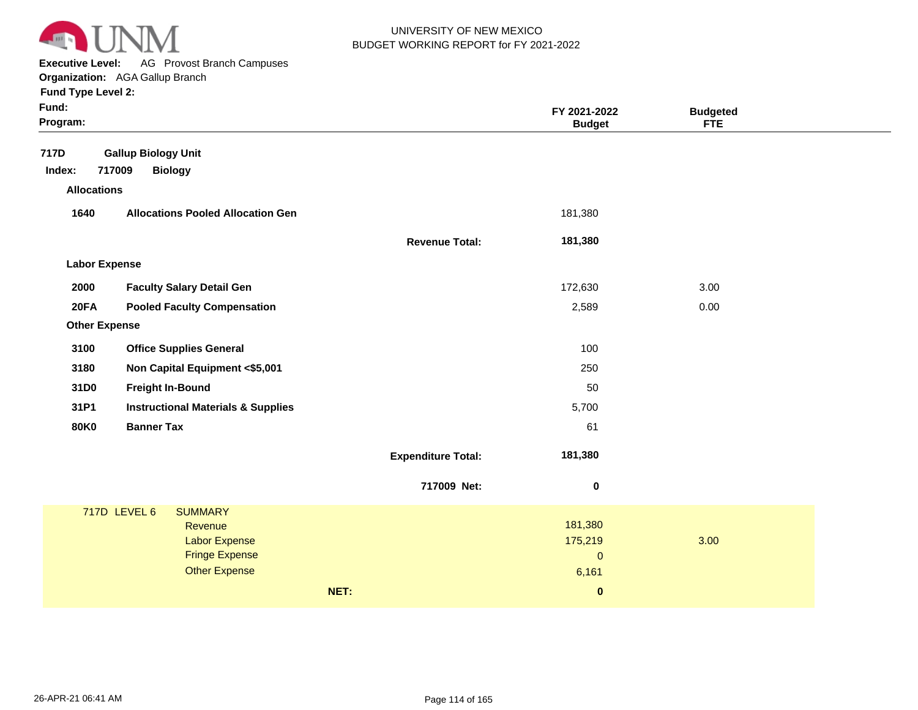

**Executive Level:** AG Provost Branch Campuses

**Organization:**  AGA Gallup Branch **Fund Type Level 2:**

| Fund:<br>Program:                              |                                                                                                                           |                           | FY 2021-2022<br><b>Budget</b>                            | <b>Budgeted</b><br><b>FTE</b> |  |
|------------------------------------------------|---------------------------------------------------------------------------------------------------------------------------|---------------------------|----------------------------------------------------------|-------------------------------|--|
| 717D<br>717009<br>Index:<br><b>Allocations</b> | <b>Gallup Biology Unit</b><br><b>Biology</b>                                                                              |                           |                                                          |                               |  |
| 1640                                           | <b>Allocations Pooled Allocation Gen</b>                                                                                  |                           | 181,380                                                  |                               |  |
|                                                |                                                                                                                           | <b>Revenue Total:</b>     | 181,380                                                  |                               |  |
| <b>Labor Expense</b>                           |                                                                                                                           |                           |                                                          |                               |  |
| 2000                                           | <b>Faculty Salary Detail Gen</b>                                                                                          |                           | 172,630                                                  | 3.00                          |  |
| 20FA                                           | <b>Pooled Faculty Compensation</b>                                                                                        |                           | 2,589                                                    | 0.00                          |  |
| <b>Other Expense</b>                           |                                                                                                                           |                           |                                                          |                               |  |
| 3100                                           | <b>Office Supplies General</b>                                                                                            |                           | 100                                                      |                               |  |
| 3180                                           | Non Capital Equipment <\$5,001                                                                                            |                           | 250                                                      |                               |  |
| 31D0                                           | <b>Freight In-Bound</b>                                                                                                   |                           | 50                                                       |                               |  |
| 31P1                                           | <b>Instructional Materials &amp; Supplies</b>                                                                             |                           | 5,700                                                    |                               |  |
| <b>80K0</b>                                    | <b>Banner Tax</b>                                                                                                         |                           | 61                                                       |                               |  |
|                                                |                                                                                                                           | <b>Expenditure Total:</b> | 181,380                                                  |                               |  |
|                                                |                                                                                                                           | 717009 Net:               | $\pmb{0}$                                                |                               |  |
|                                                | 717D LEVEL 6<br><b>SUMMARY</b><br><b>Revenue</b><br><b>Labor Expense</b><br><b>Fringe Expense</b><br><b>Other Expense</b> | NET:                      | 181,380<br>175,219<br>$\mathbf{0}$<br>6,161<br>$\pmb{0}$ | 3.00                          |  |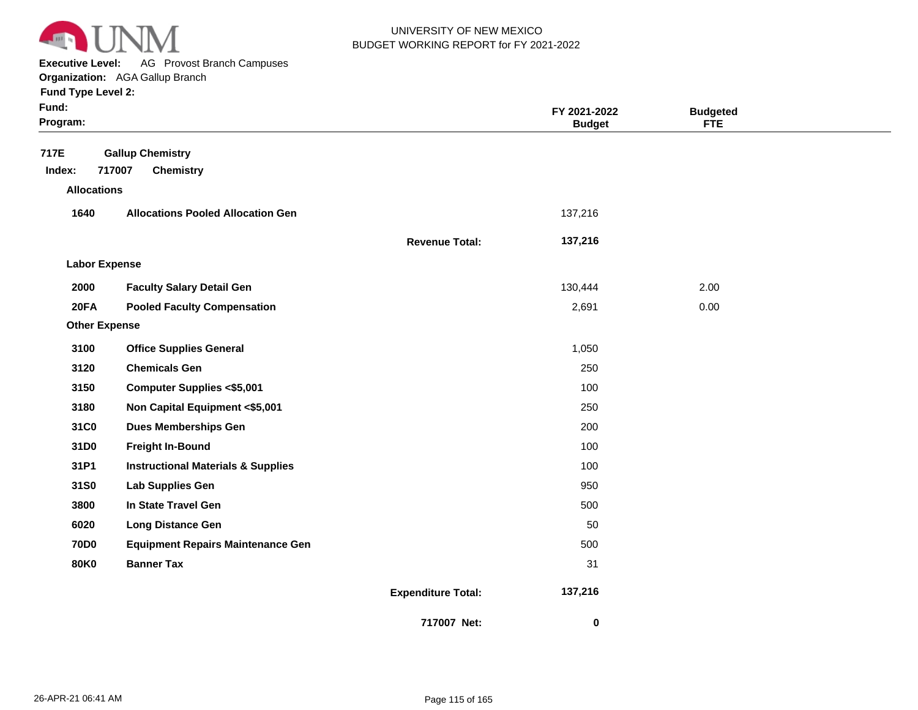

**Executive Level:** AG Provost Branch Campuses

**Organization:**  AGA Gallup Branch **Fund Type Level 2:**

| Fund:<br>Program:                    |                                                       |                           | FY 2021-2022<br><b>Budget</b> | <b>Budgeted</b><br><b>FTE</b> |  |
|--------------------------------------|-------------------------------------------------------|---------------------------|-------------------------------|-------------------------------|--|
| 717E<br>Index:<br><b>Allocations</b> | <b>Gallup Chemistry</b><br>717007<br><b>Chemistry</b> |                           |                               |                               |  |
|                                      |                                                       |                           |                               |                               |  |
| 1640                                 | <b>Allocations Pooled Allocation Gen</b>              |                           | 137,216                       |                               |  |
|                                      |                                                       | <b>Revenue Total:</b>     | 137,216                       |                               |  |
| <b>Labor Expense</b>                 |                                                       |                           |                               |                               |  |
| 2000                                 | <b>Faculty Salary Detail Gen</b>                      |                           | 130,444                       | 2.00                          |  |
| 20FA                                 | <b>Pooled Faculty Compensation</b>                    |                           | 2,691                         | 0.00                          |  |
| <b>Other Expense</b>                 |                                                       |                           |                               |                               |  |
| 3100                                 | <b>Office Supplies General</b>                        |                           | 1,050                         |                               |  |
| 3120                                 | <b>Chemicals Gen</b>                                  |                           | 250                           |                               |  |
| 3150                                 | <b>Computer Supplies &lt;\$5,001</b>                  |                           | 100                           |                               |  |
| 3180                                 | Non Capital Equipment <\$5,001                        |                           | 250                           |                               |  |
| 31C0                                 | <b>Dues Memberships Gen</b>                           |                           | 200                           |                               |  |
| 31D0                                 | <b>Freight In-Bound</b>                               |                           | 100                           |                               |  |
| 31P1                                 | <b>Instructional Materials &amp; Supplies</b>         |                           | 100                           |                               |  |
| 31S0                                 | Lab Supplies Gen                                      |                           | 950                           |                               |  |
| 3800                                 | In State Travel Gen                                   |                           | 500                           |                               |  |
| 6020                                 | <b>Long Distance Gen</b>                              |                           | 50                            |                               |  |
| <b>70D0</b>                          | <b>Equipment Repairs Maintenance Gen</b>              |                           | 500                           |                               |  |
| <b>80K0</b>                          | <b>Banner Tax</b>                                     |                           | 31                            |                               |  |
|                                      |                                                       | <b>Expenditure Total:</b> | 137,216                       |                               |  |
|                                      |                                                       | 717007 Net:               | 0                             |                               |  |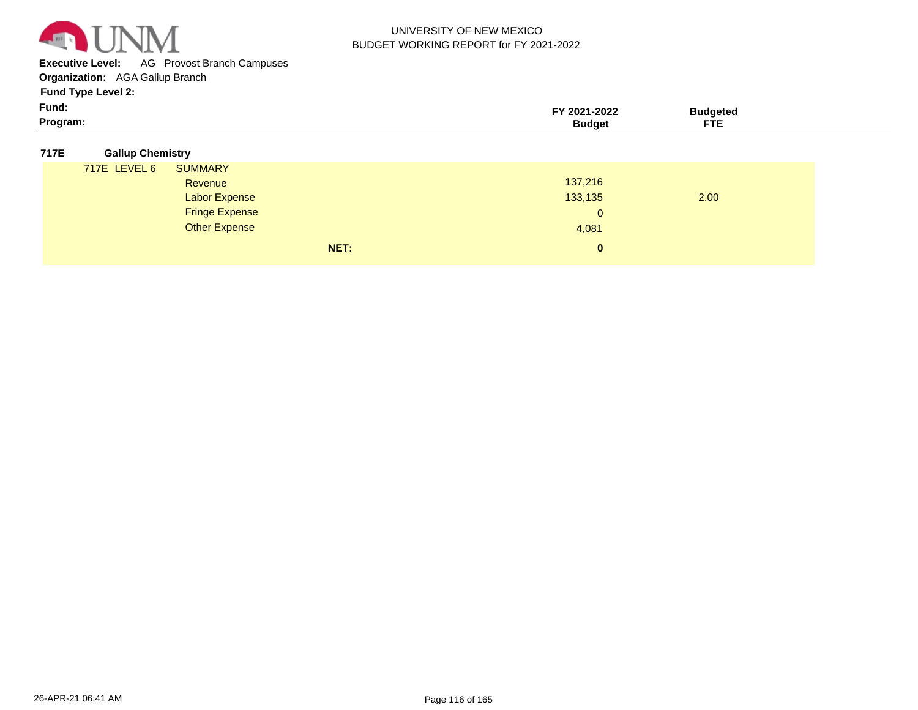

**Executive Level:** AG Provost Branch Campuses

**Organization:**  AGA Gallup Branch

**Fund Type Level 2:**

| Fund:   |            |  |
|---------|------------|--|
| Program | <b>CTC</b> |  |

#### **717E Gallup Chemistry**

| 717E LEVEL 6 | <b>SUMMARY</b>        |              |      |  |
|--------------|-----------------------|--------------|------|--|
|              | Revenue               | 137,216      |      |  |
|              | Labor Expense         | 133,135      | 2.00 |  |
|              | <b>Fringe Expense</b> | $\mathbf{0}$ |      |  |
|              | <b>Other Expense</b>  | 4,081        |      |  |
|              | NET:                  | $\mathbf{0}$ |      |  |
|              |                       |              |      |  |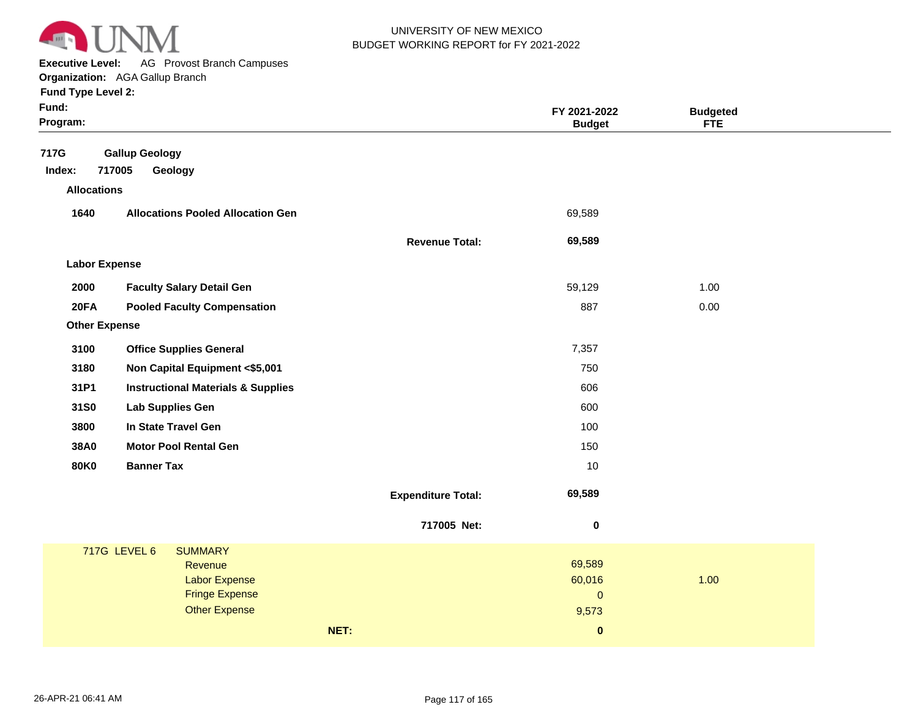

**Executive Level:** AG Provost Branch Campuses **Organization:**  AGA Gallup Branch

| Fund:<br>Program:                    |                                               |                           | FY 2021-2022<br><b>Budget</b> | <b>Budgeted</b><br><b>FTE</b> |  |
|--------------------------------------|-----------------------------------------------|---------------------------|-------------------------------|-------------------------------|--|
| 717G<br>Index:<br><b>Allocations</b> | <b>Gallup Geology</b><br>717005<br>Geology    |                           |                               |                               |  |
| 1640                                 | <b>Allocations Pooled Allocation Gen</b>      |                           | 69,589                        |                               |  |
|                                      |                                               | <b>Revenue Total:</b>     | 69,589                        |                               |  |
| <b>Labor Expense</b>                 |                                               |                           |                               |                               |  |
| 2000                                 | <b>Faculty Salary Detail Gen</b>              |                           | 59,129                        | 1.00                          |  |
| <b>20FA</b>                          | <b>Pooled Faculty Compensation</b>            |                           | 887                           | 0.00                          |  |
| <b>Other Expense</b>                 |                                               |                           |                               |                               |  |
| 3100                                 | <b>Office Supplies General</b>                |                           | 7,357                         |                               |  |
| 3180                                 | Non Capital Equipment <\$5,001                |                           | 750                           |                               |  |
| 31P1                                 | <b>Instructional Materials &amp; Supplies</b> |                           | 606                           |                               |  |
| 31S0                                 | Lab Supplies Gen                              |                           | 600                           |                               |  |
| 3800                                 | In State Travel Gen                           |                           | 100                           |                               |  |
| 38A0                                 | <b>Motor Pool Rental Gen</b>                  |                           | 150                           |                               |  |
| <b>80K0</b>                          | <b>Banner Tax</b>                             |                           | 10                            |                               |  |
|                                      |                                               | <b>Expenditure Total:</b> | 69,589                        |                               |  |
|                                      |                                               | 717005 Net:               | 0                             |                               |  |
|                                      | 717G LEVEL 6<br><b>SUMMARY</b>                |                           |                               |                               |  |
|                                      | Revenue<br><b>Labor Expense</b>               |                           | 69,589<br>60,016              | 1.00                          |  |
|                                      | <b>Fringe Expense</b>                         |                           | $\mathbf{O}$                  |                               |  |
|                                      | <b>Other Expense</b>                          |                           | 9,573                         |                               |  |
|                                      |                                               | NET:                      | $\bf{0}$                      |                               |  |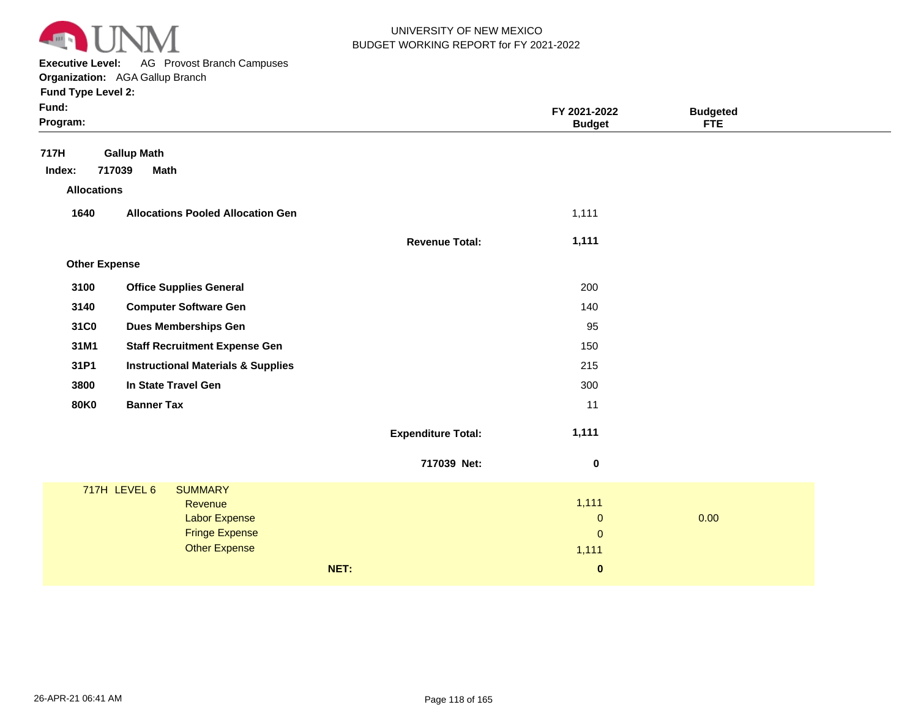

**Executive Level:** AG Provost Branch Campuses **Organization:**  AGA Gallup Branch

| Fund Type Level 2:   |                                                                                                                    |                           |                                             |                 |
|----------------------|--------------------------------------------------------------------------------------------------------------------|---------------------------|---------------------------------------------|-----------------|
| Fund:<br>Program:    |                                                                                                                    |                           | FY 2021-2022                                | <b>Budgeted</b> |
|                      |                                                                                                                    |                           | <b>Budget</b>                               | <b>FTE</b>      |
| 717H                 | <b>Gallup Math</b>                                                                                                 |                           |                                             |                 |
| Index:               | 717039<br><b>Math</b>                                                                                              |                           |                                             |                 |
| <b>Allocations</b>   |                                                                                                                    |                           |                                             |                 |
| 1640                 | <b>Allocations Pooled Allocation Gen</b>                                                                           |                           | 1,111                                       |                 |
|                      |                                                                                                                    | <b>Revenue Total:</b>     | 1,111                                       |                 |
|                      |                                                                                                                    |                           |                                             |                 |
| <b>Other Expense</b> |                                                                                                                    |                           |                                             |                 |
| 3100                 | <b>Office Supplies General</b>                                                                                     |                           | 200                                         |                 |
| 3140                 | <b>Computer Software Gen</b>                                                                                       |                           | 140                                         |                 |
| 31C0                 | <b>Dues Memberships Gen</b>                                                                                        |                           | 95                                          |                 |
| 31M1                 | <b>Staff Recruitment Expense Gen</b>                                                                               |                           | 150                                         |                 |
| 31P1                 | <b>Instructional Materials &amp; Supplies</b>                                                                      |                           | 215                                         |                 |
| 3800                 | In State Travel Gen                                                                                                |                           | 300                                         |                 |
| <b>80K0</b>          | <b>Banner Tax</b>                                                                                                  |                           | 11                                          |                 |
|                      |                                                                                                                    | <b>Expenditure Total:</b> | 1,111                                       |                 |
|                      |                                                                                                                    | 717039 Net:               | $\mathbf 0$                                 |                 |
|                      | 717H LEVEL 6<br><b>SUMMARY</b><br>Revenue<br><b>Labor Expense</b><br><b>Fringe Expense</b><br><b>Other Expense</b> |                           | 1,111<br>$\pmb{0}$<br>$\mathbf{0}$<br>1,111 | 0.00            |
|                      |                                                                                                                    | NET:                      | $\pmb{0}$                                   |                 |
|                      |                                                                                                                    |                           |                                             |                 |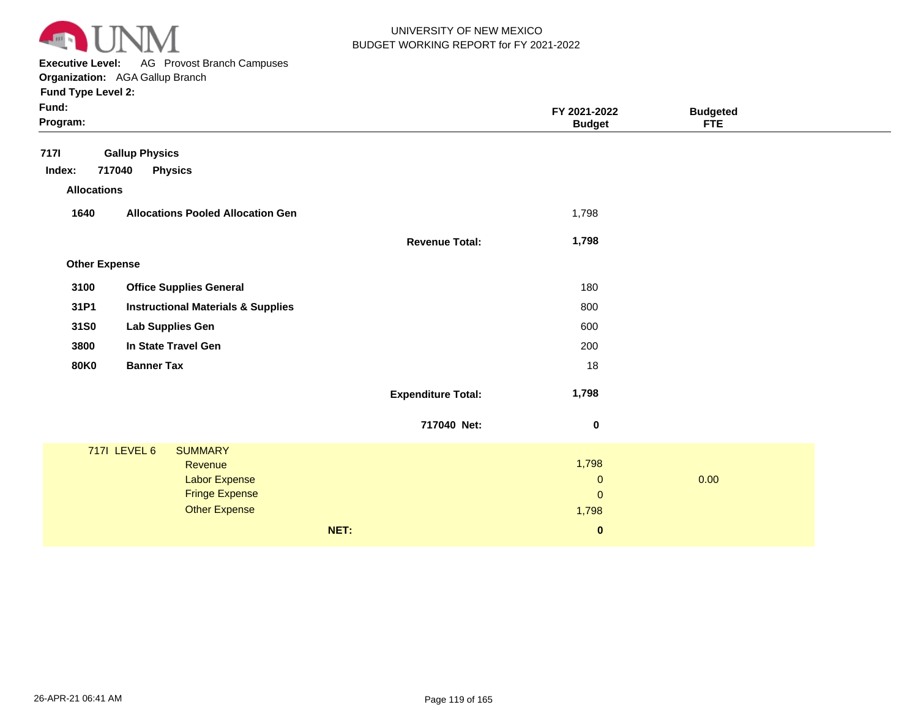

**Executive Level:** AG Provost Branch Campuses **Organization:**  AGA Gallup Branch

| Fund:<br>Program:    |                                               |                           | FY 2021-2022<br><b>Budget</b> | <b>Budgeted</b><br><b>FTE</b> |  |
|----------------------|-----------------------------------------------|---------------------------|-------------------------------|-------------------------------|--|
| <b>7171</b>          | <b>Gallup Physics</b>                         |                           |                               |                               |  |
| Index:               | 717040<br><b>Physics</b>                      |                           |                               |                               |  |
| <b>Allocations</b>   |                                               |                           |                               |                               |  |
| 1640                 | <b>Allocations Pooled Allocation Gen</b>      |                           | 1,798                         |                               |  |
|                      |                                               | <b>Revenue Total:</b>     | 1,798                         |                               |  |
| <b>Other Expense</b> |                                               |                           |                               |                               |  |
| 3100                 | <b>Office Supplies General</b>                |                           | 180                           |                               |  |
| 31P1                 | <b>Instructional Materials &amp; Supplies</b> |                           | 800                           |                               |  |
| 31S0                 | Lab Supplies Gen                              |                           | 600                           |                               |  |
| 3800                 | In State Travel Gen                           |                           | 200                           |                               |  |
| <b>80K0</b>          | <b>Banner Tax</b>                             |                           | 18                            |                               |  |
|                      |                                               | <b>Expenditure Total:</b> | 1,798                         |                               |  |
|                      |                                               | 717040 Net:               | $\boldsymbol{0}$              |                               |  |
|                      | <b>7171 LEVEL 6</b><br><b>SUMMARY</b>         |                           |                               |                               |  |
|                      | Revenue                                       |                           | 1,798                         |                               |  |
|                      | <b>Labor Expense</b><br><b>Fringe Expense</b> |                           | $\pmb{0}$                     | 0.00                          |  |
|                      | <b>Other Expense</b>                          |                           | $\mathbf{0}$<br>1,798         |                               |  |
|                      |                                               | NET:                      | $\bf{0}$                      |                               |  |
|                      |                                               |                           |                               |                               |  |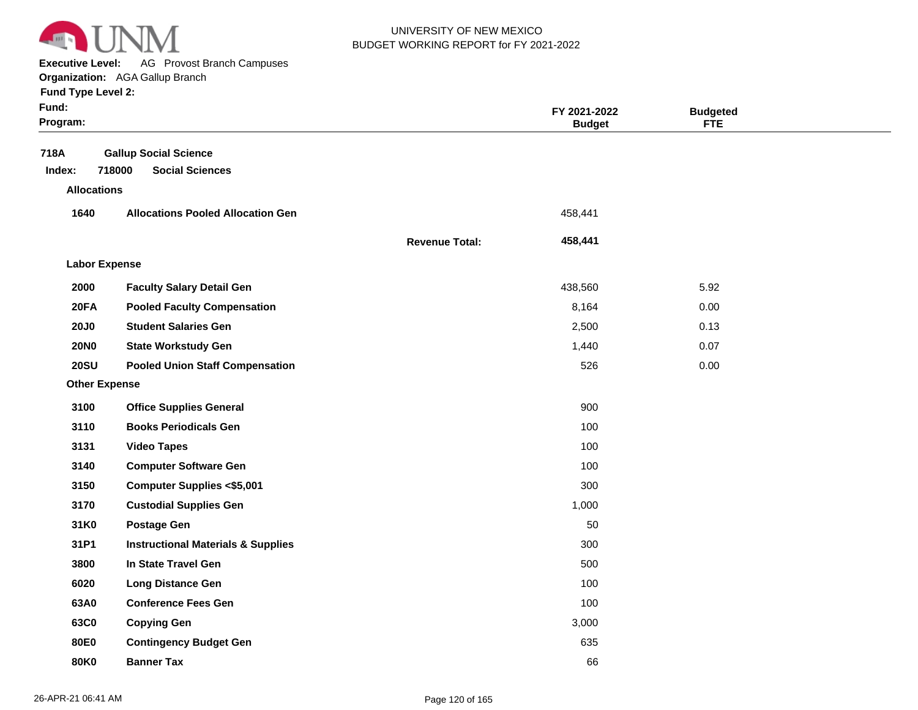

**Executive Level:** AG Provost Branch Campuses

| <b>Fund Type Level 2:</b> |  |
|---------------------------|--|
| Fund:                     |  |
| Program <sup>.</sup>      |  |

| Fund:<br>Program:    |                                                                  |                       | FY 2021-2022<br><b>Budget</b> | <b>Budgeted</b><br><b>FTE</b> |  |
|----------------------|------------------------------------------------------------------|-----------------------|-------------------------------|-------------------------------|--|
| 718A<br>Index:       | <b>Gallup Social Science</b><br>718000<br><b>Social Sciences</b> |                       |                               |                               |  |
| <b>Allocations</b>   |                                                                  |                       |                               |                               |  |
| 1640                 | <b>Allocations Pooled Allocation Gen</b>                         |                       | 458,441                       |                               |  |
|                      |                                                                  | <b>Revenue Total:</b> | 458,441                       |                               |  |
| <b>Labor Expense</b> |                                                                  |                       |                               |                               |  |
| 2000                 | <b>Faculty Salary Detail Gen</b>                                 |                       | 438,560                       | 5.92                          |  |
| 20FA                 | <b>Pooled Faculty Compensation</b>                               |                       | 8,164                         | 0.00                          |  |
| <b>20J0</b>          | <b>Student Salaries Gen</b>                                      |                       | 2,500                         | 0.13                          |  |
| <b>20NO</b>          | <b>State Workstudy Gen</b>                                       |                       | 1,440                         | 0.07                          |  |
| <b>20SU</b>          | <b>Pooled Union Staff Compensation</b>                           |                       | 526                           | 0.00                          |  |
| <b>Other Expense</b> |                                                                  |                       |                               |                               |  |
| 3100                 | <b>Office Supplies General</b>                                   |                       | 900                           |                               |  |
| 3110                 | <b>Books Periodicals Gen</b>                                     |                       | 100                           |                               |  |
| 3131                 | <b>Video Tapes</b>                                               |                       | 100                           |                               |  |
| 3140                 | <b>Computer Software Gen</b>                                     |                       | 100                           |                               |  |
| 3150                 | <b>Computer Supplies &lt;\$5,001</b>                             |                       | 300                           |                               |  |
| 3170                 | <b>Custodial Supplies Gen</b>                                    |                       | 1,000                         |                               |  |
| 31K0                 | <b>Postage Gen</b>                                               |                       | 50                            |                               |  |
| 31P1                 | <b>Instructional Materials &amp; Supplies</b>                    |                       | 300                           |                               |  |
| 3800                 | In State Travel Gen                                              |                       | 500                           |                               |  |
| 6020                 | <b>Long Distance Gen</b>                                         |                       | 100                           |                               |  |
| 63A0                 | <b>Conference Fees Gen</b>                                       |                       | 100                           |                               |  |
| 63C0                 | <b>Copying Gen</b>                                               |                       | 3,000                         |                               |  |
| 80E0                 | <b>Contingency Budget Gen</b>                                    |                       | 635                           |                               |  |
| <b>80K0</b>          | <b>Banner Tax</b>                                                |                       | 66                            |                               |  |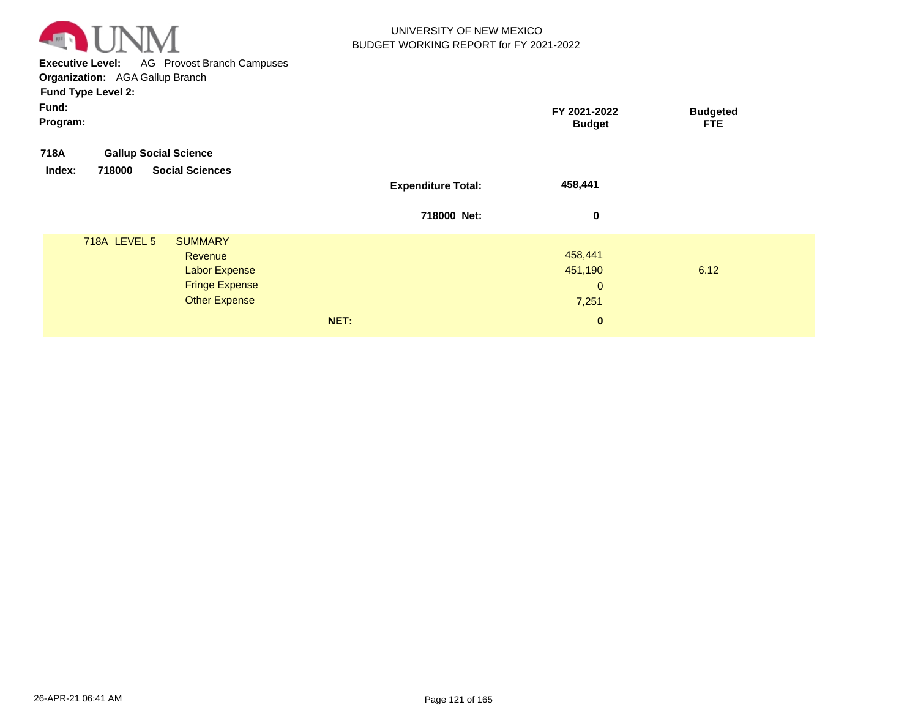

**Executive Level:** AG Provost Branch Campuses **Organization:**  AGA Gallup Branch

| Fund:<br>Program:                                                                          |                           | FY 2021-2022<br><b>Budget</b>     | <b>Budgeted</b><br><b>FTE</b> |
|--------------------------------------------------------------------------------------------|---------------------------|-----------------------------------|-------------------------------|
| <b>Gallup Social Science</b><br>718A                                                       |                           |                                   |                               |
| <b>Social Sciences</b><br>718000<br>Index:                                                 | <b>Expenditure Total:</b> | 458,441                           |                               |
|                                                                                            | 718000 Net:               | $\mathbf 0$                       |                               |
| 718A LEVEL 5<br><b>SUMMARY</b><br>Revenue<br><b>Labor Expense</b><br><b>Fringe Expense</b> |                           | 458,441<br>451,190<br>$\mathbf 0$ | 6.12                          |
| <b>Other Expense</b>                                                                       | NET:                      | 7,251<br>$\mathbf{0}$             |                               |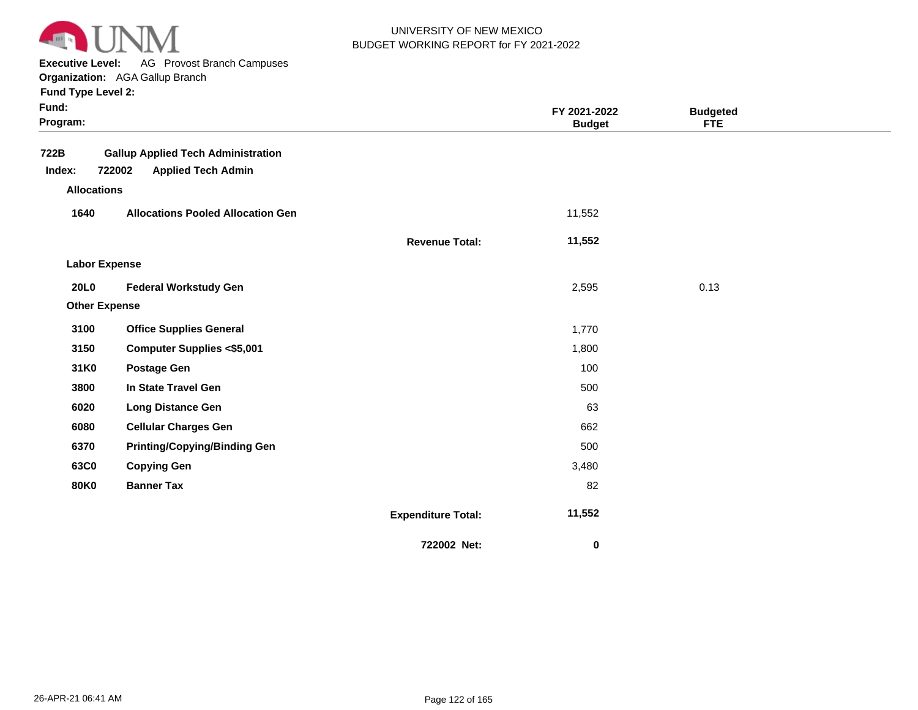

**Executive Level:** AG Provost Branch Campuses

| <b>Fund Type Level 2:</b> |  |  |  |
|---------------------------|--|--|--|
|---------------------------|--|--|--|

| Fund:<br>Program:    |                                                                                  |                           | FY 2021-2022<br><b>Budget</b> | <b>Budgeted</b><br><b>FTE</b> |  |
|----------------------|----------------------------------------------------------------------------------|---------------------------|-------------------------------|-------------------------------|--|
| 722B<br>Index:       | <b>Gallup Applied Tech Administration</b><br>722002<br><b>Applied Tech Admin</b> |                           |                               |                               |  |
| <b>Allocations</b>   |                                                                                  |                           |                               |                               |  |
| 1640                 | <b>Allocations Pooled Allocation Gen</b>                                         |                           | 11,552                        |                               |  |
|                      |                                                                                  | <b>Revenue Total:</b>     | 11,552                        |                               |  |
| <b>Labor Expense</b> |                                                                                  |                           |                               |                               |  |
| <b>20L0</b>          | <b>Federal Workstudy Gen</b>                                                     |                           | 2,595                         | 0.13                          |  |
| <b>Other Expense</b> |                                                                                  |                           |                               |                               |  |
| 3100                 | <b>Office Supplies General</b>                                                   |                           | 1,770                         |                               |  |
| 3150                 | <b>Computer Supplies &lt;\$5,001</b>                                             |                           | 1,800                         |                               |  |
| 31K0                 | <b>Postage Gen</b>                                                               |                           | 100                           |                               |  |
| 3800                 | In State Travel Gen                                                              |                           | 500                           |                               |  |
| 6020                 | <b>Long Distance Gen</b>                                                         |                           | 63                            |                               |  |
| 6080                 | <b>Cellular Charges Gen</b>                                                      |                           | 662                           |                               |  |
| 6370                 | <b>Printing/Copying/Binding Gen</b>                                              |                           | 500                           |                               |  |
| 63C0                 | <b>Copying Gen</b>                                                               |                           | 3,480                         |                               |  |
| <b>80K0</b>          | <b>Banner Tax</b>                                                                |                           | 82                            |                               |  |
|                      |                                                                                  | <b>Expenditure Total:</b> | 11,552                        |                               |  |
|                      |                                                                                  | 722002 Net:               | $\bf{0}$                      |                               |  |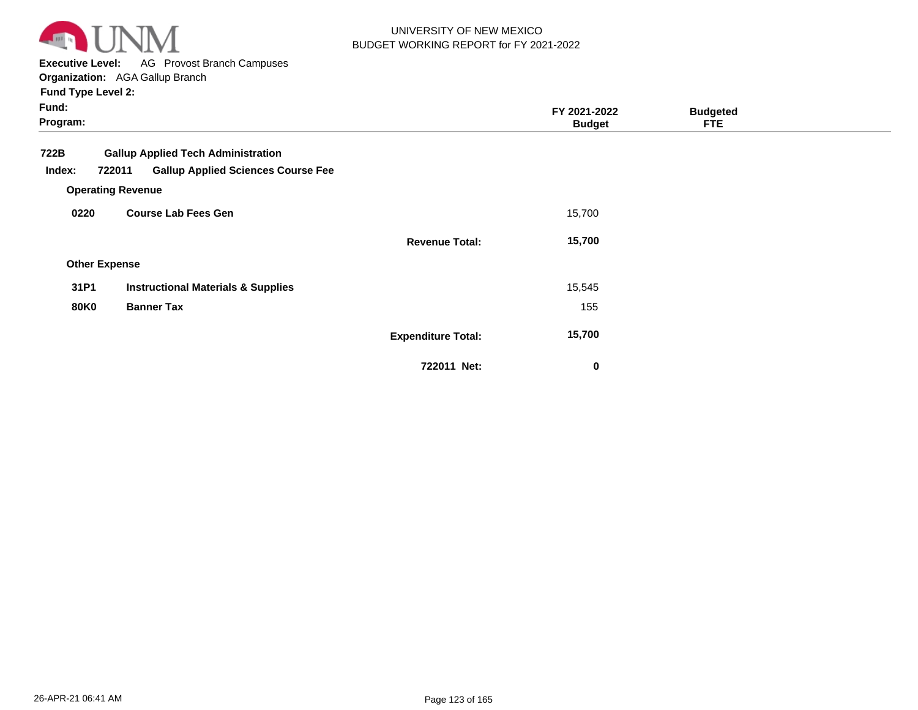

**Executive Level:** AG Provost Branch Campuses

| <b>Fund Type Level 2:</b> |  |  |
|---------------------------|--|--|
|---------------------------|--|--|

| Fund:<br>Program:    |                                                                                                                              |                           | FY 2021-2022<br><b>Budget</b> | <b>Budgeted</b><br><b>FTE</b> |  |
|----------------------|------------------------------------------------------------------------------------------------------------------------------|---------------------------|-------------------------------|-------------------------------|--|
| 722B<br>Index:       | <b>Gallup Applied Tech Administration</b><br><b>Gallup Applied Sciences Course Fee</b><br>722011<br><b>Operating Revenue</b> |                           |                               |                               |  |
| 0220                 | <b>Course Lab Fees Gen</b>                                                                                                   |                           | 15,700                        |                               |  |
|                      |                                                                                                                              | <b>Revenue Total:</b>     | 15,700                        |                               |  |
| <b>Other Expense</b> |                                                                                                                              |                           |                               |                               |  |
| 31P1                 | <b>Instructional Materials &amp; Supplies</b>                                                                                |                           | 15,545                        |                               |  |
| <b>80K0</b>          | <b>Banner Tax</b>                                                                                                            |                           | 155                           |                               |  |
|                      |                                                                                                                              | <b>Expenditure Total:</b> | 15,700                        |                               |  |
|                      |                                                                                                                              | 722011 Net:               | $\bf{0}$                      |                               |  |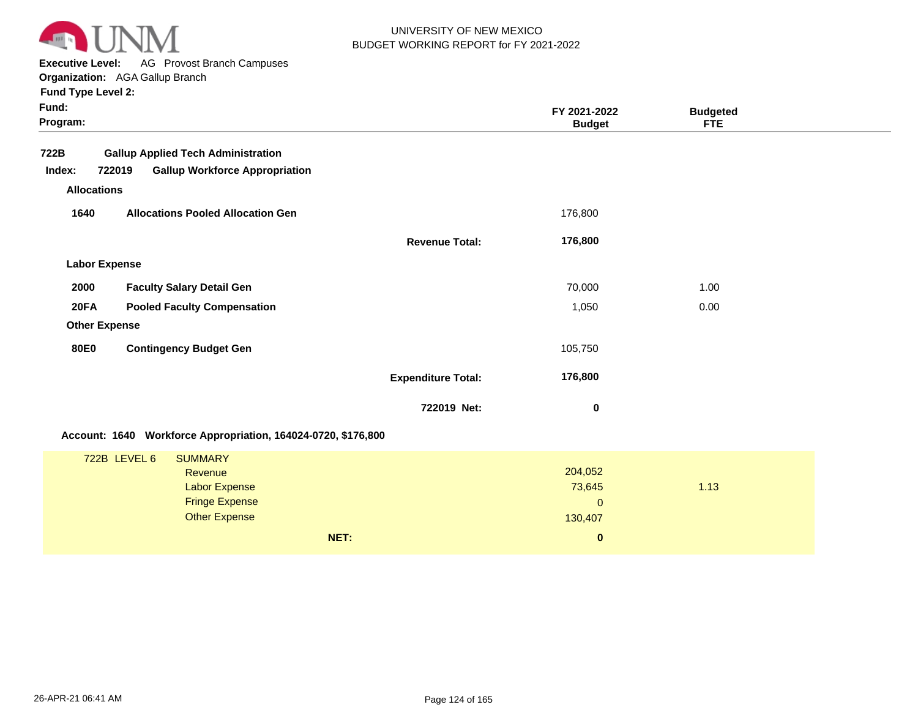

**Executive Level:** AG Provost Branch Campuses

|  | <b>Fund Type Level 2:</b> |  |
|--|---------------------------|--|
|  |                           |  |

| Fund:<br>Program:  |                                                                                                                    |                           | FY 2021-2022<br><b>Budget</b>                | <b>Budgeted</b><br><b>FTE</b> |  |
|--------------------|--------------------------------------------------------------------------------------------------------------------|---------------------------|----------------------------------------------|-------------------------------|--|
| 722B               | <b>Gallup Applied Tech Administration</b>                                                                          |                           |                                              |                               |  |
| Index:             | <b>Gallup Workforce Appropriation</b><br>722019                                                                    |                           |                                              |                               |  |
| <b>Allocations</b> |                                                                                                                    |                           |                                              |                               |  |
| 1640               | <b>Allocations Pooled Allocation Gen</b>                                                                           |                           | 176,800                                      |                               |  |
|                    |                                                                                                                    | <b>Revenue Total:</b>     | 176,800                                      |                               |  |
|                    | <b>Labor Expense</b>                                                                                               |                           |                                              |                               |  |
| 2000               | <b>Faculty Salary Detail Gen</b>                                                                                   |                           | 70,000                                       | 1.00                          |  |
| <b>20FA</b>        | <b>Pooled Faculty Compensation</b>                                                                                 |                           | 1,050                                        | 0.00                          |  |
|                    | <b>Other Expense</b>                                                                                               |                           |                                              |                               |  |
| <b>80E0</b>        | <b>Contingency Budget Gen</b>                                                                                      |                           | 105,750                                      |                               |  |
|                    |                                                                                                                    | <b>Expenditure Total:</b> | 176,800                                      |                               |  |
|                    |                                                                                                                    | 722019 Net:               | 0                                            |                               |  |
|                    | Account: 1640 Workforce Appropriation, 164024-0720, \$176,800                                                      |                           |                                              |                               |  |
|                    | 722B LEVEL 6<br><b>SUMMARY</b><br>Revenue<br><b>Labor Expense</b><br><b>Fringe Expense</b><br><b>Other Expense</b> |                           | 204,052<br>73,645<br>$\mathbf{0}$<br>130,407 | 1.13                          |  |
|                    |                                                                                                                    | NET:                      | $\pmb{0}$                                    |                               |  |
|                    |                                                                                                                    |                           |                                              |                               |  |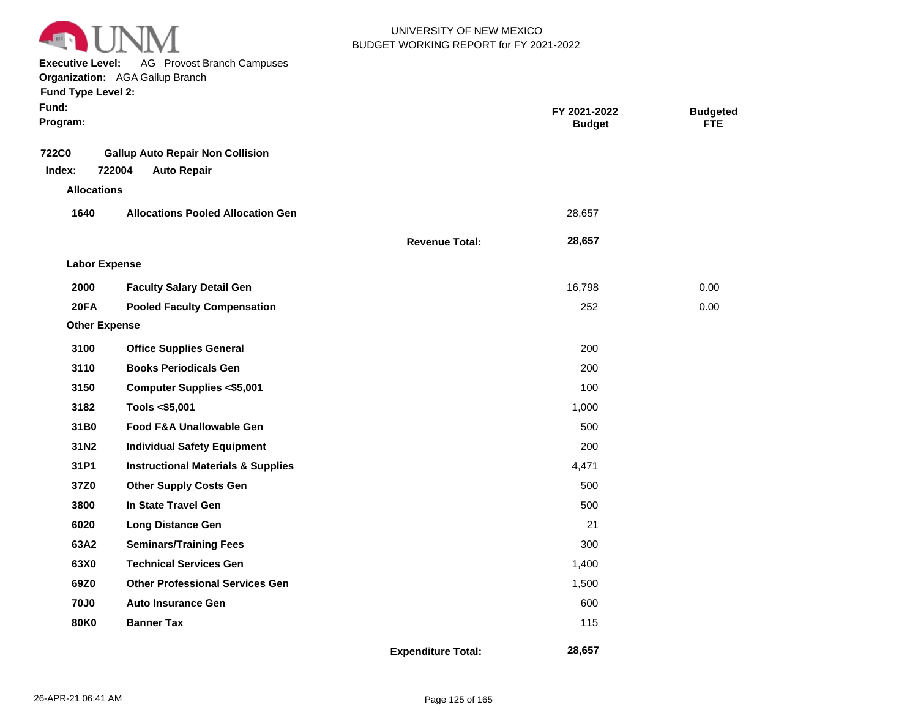

**Executive Level:** AG Provost Branch Campuses

|                           | <b>Organization:</b> AGA Gallup Branch   |                       |               |                 |
|---------------------------|------------------------------------------|-----------------------|---------------|-----------------|
| <b>Fund Type Level 2:</b> |                                          |                       |               |                 |
| Fund:                     |                                          |                       | FY 2021-2022  | <b>Budgeted</b> |
| Program:                  |                                          |                       | <b>Budget</b> | <b>FTE</b>      |
| <b>722C0</b>              | <b>Gallup Auto Repair Non Collision</b>  |                       |               |                 |
| Index:                    | 722004<br><b>Auto Repair</b>             |                       |               |                 |
| <b>Allocations</b>        |                                          |                       |               |                 |
| 1640                      | <b>Allocations Pooled Allocation Gen</b> |                       | 28,657        |                 |
|                           |                                          | <b>Revenue Total:</b> | 28,657        |                 |
| <b>Labor Expense</b>      |                                          |                       |               |                 |
| 2000                      | <b>Faculty Salary Detail Gen</b>         |                       | 16,798        | 0.00            |
| 20FA                      | <b>Pooled Faculty Compensation</b>       |                       | 252           | 0.00            |
| <b>Other Expense</b>      |                                          |                       |               |                 |
| 3100                      | <b>Office Supplies General</b>           |                       | 200           |                 |
| 3110                      | <b>Books Periodicals Gen</b>             |                       | 200           |                 |
| <b>2450</b>               | Computer Supplies -CE 001                |                       | 100           |                 |

| טטו ט | <b>COMPUTER SUPPLIES SPUTS</b>                | 1 U U |
|-------|-----------------------------------------------|-------|
| 3182  | Tools <\$5,001                                | 1,000 |
| 31B0  | <b>Food F&amp;A Unallowable Gen</b>           | 500   |
| 31N2  | <b>Individual Safety Equipment</b>            | 200   |
| 31P1  | <b>Instructional Materials &amp; Supplies</b> | 4,471 |
| 37Z0  | <b>Other Supply Costs Gen</b>                 | 500   |
| 3800  | In State Travel Gen                           | 500   |
| 6020  | <b>Long Distance Gen</b>                      | 21    |
| 63A2  | <b>Seminars/Training Fees</b>                 | 300   |
| 63X0  | <b>Technical Services Gen</b>                 | 1,400 |
| 69Z0  | <b>Other Professional Services Gen</b>        | 1,500 |
| 70J0  | <b>Auto Insurance Gen</b>                     | 600   |
| 80K0  | <b>Banner Tax</b>                             | 115   |
|       |                                               |       |

 **28,657**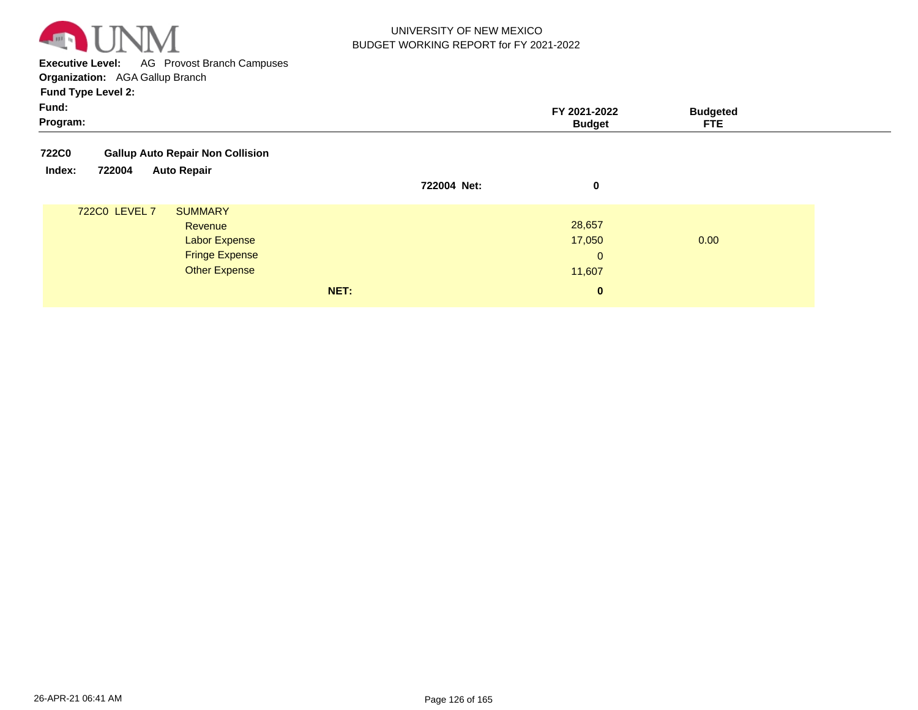

**Executive Level:** AG Provost Branch Campuses **Organization:**  AGA Gallup Branch

| <b>Fund Type Level 2:</b>                               |             |                               |                               |
|---------------------------------------------------------|-------------|-------------------------------|-------------------------------|
| Fund:<br>Program:                                       |             | FY 2021-2022<br><b>Budget</b> | <b>Budgeted</b><br><b>FTE</b> |
| <b>Gallup Auto Repair Non Collision</b><br><b>722C0</b> |             |                               |                               |
| 722004<br><b>Auto Repair</b><br>Index:                  | 722004 Net: | 0                             |                               |
| 722C0 LEVEL 7<br><b>SUMMARY</b>                         |             |                               |                               |
| Revenue                                                 |             | 28,657                        |                               |
| <b>Labor Expense</b>                                    |             | 17,050                        | 0.00                          |
| <b>Fringe Expense</b>                                   |             | $\mathbf{0}$                  |                               |
| <b>Other Expense</b>                                    |             | 11,607                        |                               |
|                                                         | NET:        | $\bf{0}$                      |                               |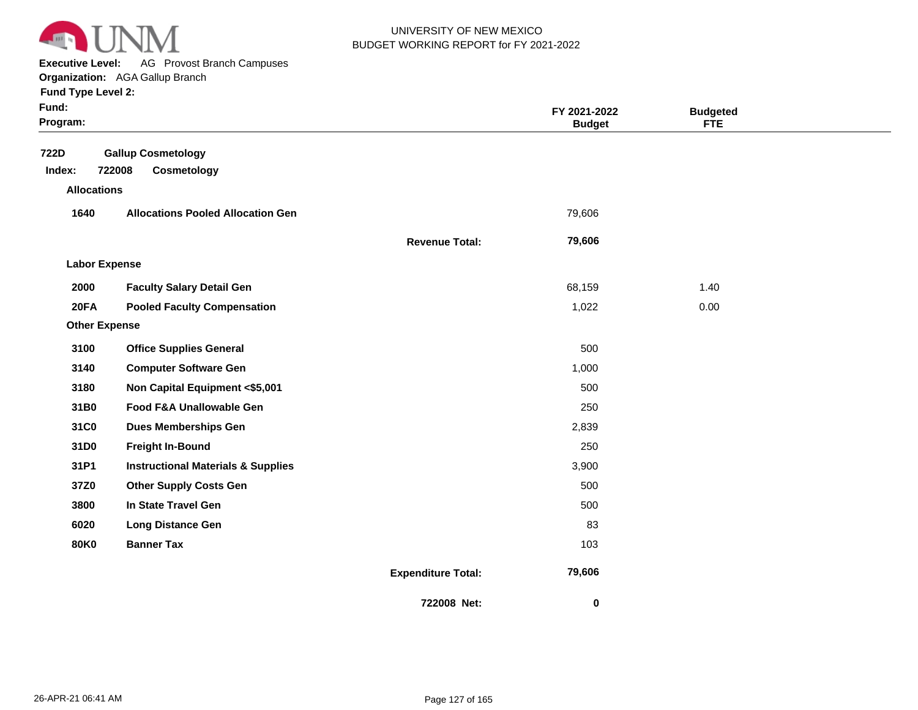

**Executive Level:** AG Provost Branch Campuses

| <b>Fund Type Level 2:</b> |  |  |  |
|---------------------------|--|--|--|
|---------------------------|--|--|--|

| Fund:<br>Program:    |                                               |                           | FY 2021-2022<br><b>Budget</b> | <b>Budgeted</b><br><b>FTE</b> |  |
|----------------------|-----------------------------------------------|---------------------------|-------------------------------|-------------------------------|--|
| 722D<br>Index:       | <b>Gallup Cosmetology</b><br>722008           |                           |                               |                               |  |
| <b>Allocations</b>   | Cosmetology                                   |                           |                               |                               |  |
| 1640                 | <b>Allocations Pooled Allocation Gen</b>      |                           | 79,606                        |                               |  |
|                      |                                               |                           |                               |                               |  |
|                      |                                               | <b>Revenue Total:</b>     | 79,606                        |                               |  |
| <b>Labor Expense</b> |                                               |                           |                               |                               |  |
| 2000                 | <b>Faculty Salary Detail Gen</b>              |                           | 68,159                        | 1.40                          |  |
| 20FA                 | <b>Pooled Faculty Compensation</b>            |                           | 1,022                         | 0.00                          |  |
| <b>Other Expense</b> |                                               |                           |                               |                               |  |
| 3100                 | <b>Office Supplies General</b>                |                           | 500                           |                               |  |
| 3140                 | <b>Computer Software Gen</b>                  |                           | 1,000                         |                               |  |
| 3180                 | Non Capital Equipment <\$5,001                |                           | 500                           |                               |  |
| 31B0                 | Food F&A Unallowable Gen                      |                           | 250                           |                               |  |
| 31C0                 | <b>Dues Memberships Gen</b>                   |                           | 2,839                         |                               |  |
| 31D0                 | <b>Freight In-Bound</b>                       |                           | 250                           |                               |  |
| 31P1                 | <b>Instructional Materials &amp; Supplies</b> |                           | 3,900                         |                               |  |
| 37Z0                 | <b>Other Supply Costs Gen</b>                 |                           | 500                           |                               |  |
| 3800                 | In State Travel Gen                           |                           | 500                           |                               |  |
| 6020                 | <b>Long Distance Gen</b>                      |                           | 83                            |                               |  |
| <b>80K0</b>          | <b>Banner Tax</b>                             |                           | 103                           |                               |  |
|                      |                                               | <b>Expenditure Total:</b> | 79,606                        |                               |  |
|                      |                                               | 722008 Net:               | 0                             |                               |  |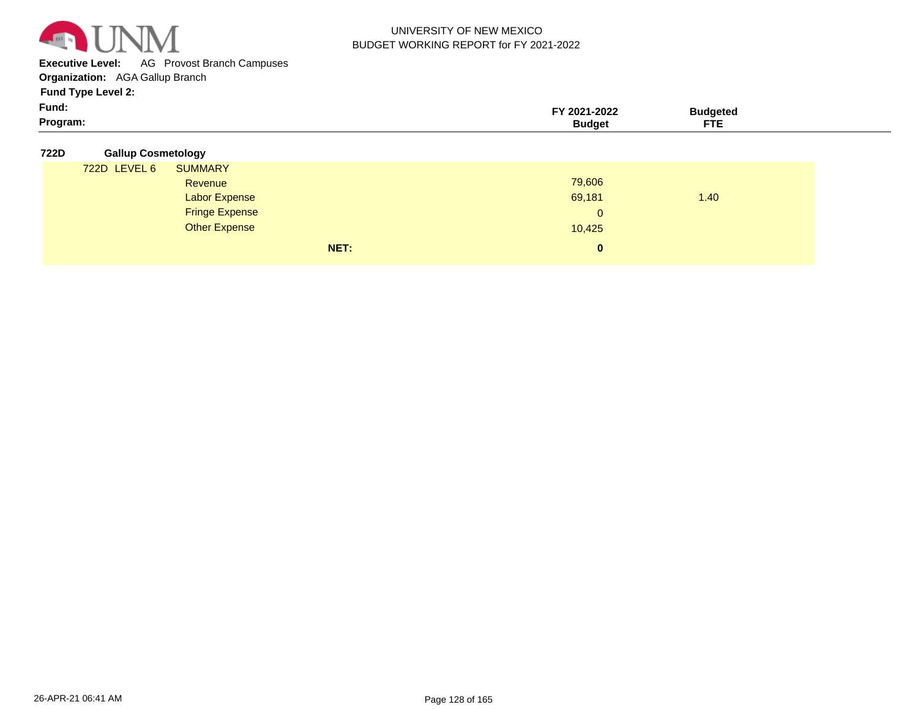

**Executive Level:** AG Provost Branch Campuses

**Organization:**  AGA Gallup Branch

| Program: | <b>Budget</b>    | <b>FTE</b> |  |
|----------|------------------|------------|--|
| Fund:    | -77<br>2021-2022 | Budgeted   |  |
|          |                  |            |  |

| 722D | <b>Gallup Cosmetology</b> |  |
|------|---------------------------|--|
|      |                           |  |

| 722D LEVEL 6 | <b>SUMMARY</b>        |      |          |      |
|--------------|-----------------------|------|----------|------|
|              | Revenue               |      | 79,606   |      |
|              | <b>Labor Expense</b>  |      | 69,181   | 1.40 |
|              | <b>Fringe Expense</b> |      | 0        |      |
|              | <b>Other Expense</b>  |      | 10,425   |      |
|              |                       | NET: | $\bf{0}$ |      |
|              |                       |      |          |      |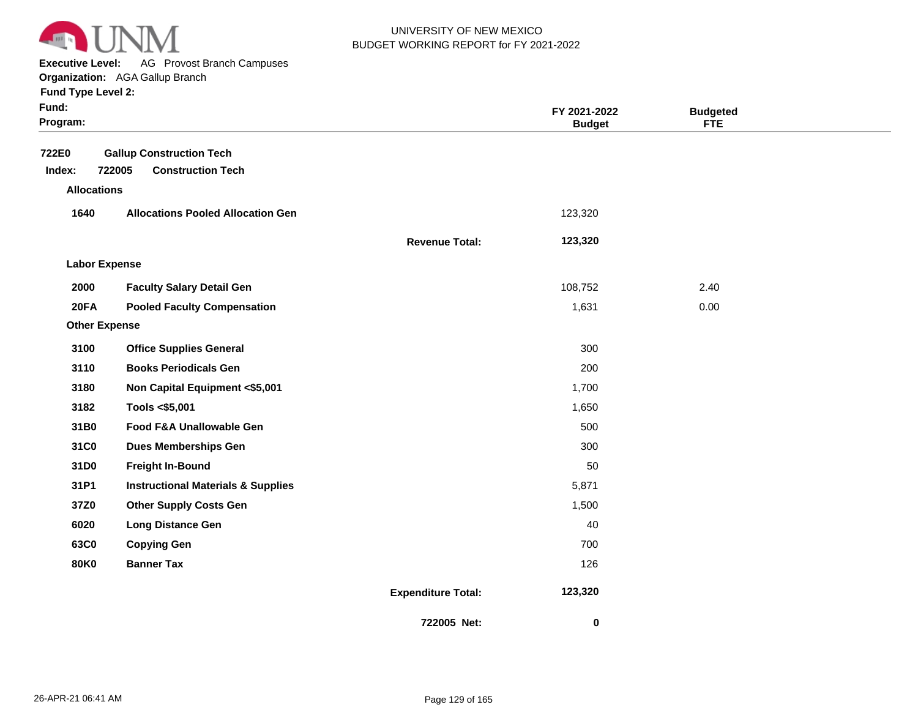

**Executive Level:** AG Provost Branch Campuses

| <b>Fund Type Level 2:</b> |  |  |  |
|---------------------------|--|--|--|
|---------------------------|--|--|--|

| und: |  |
|------|--|
|      |  |

| Fund:<br>Program:    |                                                                       |                           | FY 2021-2022<br><b>Budget</b> | <b>Budgeted</b><br><b>FTE</b> |  |
|----------------------|-----------------------------------------------------------------------|---------------------------|-------------------------------|-------------------------------|--|
| 722E0<br>Index:      | <b>Gallup Construction Tech</b><br>722005<br><b>Construction Tech</b> |                           |                               |                               |  |
| <b>Allocations</b>   |                                                                       |                           |                               |                               |  |
| 1640                 | <b>Allocations Pooled Allocation Gen</b>                              |                           | 123,320                       |                               |  |
|                      |                                                                       | <b>Revenue Total:</b>     | 123,320                       |                               |  |
| <b>Labor Expense</b> |                                                                       |                           |                               |                               |  |
| 2000                 | <b>Faculty Salary Detail Gen</b>                                      |                           | 108,752                       | 2.40                          |  |
| 20FA                 | <b>Pooled Faculty Compensation</b>                                    |                           | 1,631                         | 0.00                          |  |
| <b>Other Expense</b> |                                                                       |                           |                               |                               |  |
| 3100                 | <b>Office Supplies General</b>                                        |                           | 300                           |                               |  |
| 3110                 | <b>Books Periodicals Gen</b>                                          |                           | 200                           |                               |  |
| 3180                 | Non Capital Equipment <\$5,001                                        |                           | 1,700                         |                               |  |
| 3182                 | Tools <\$5,001                                                        |                           | 1,650                         |                               |  |
| 31B0                 | Food F&A Unallowable Gen                                              |                           | 500                           |                               |  |
| 31C0                 | <b>Dues Memberships Gen</b>                                           |                           | 300                           |                               |  |
| 31D0                 | <b>Freight In-Bound</b>                                               |                           | 50                            |                               |  |
| 31P1                 | <b>Instructional Materials &amp; Supplies</b>                         |                           | 5,871                         |                               |  |
| 37Z0                 | <b>Other Supply Costs Gen</b>                                         |                           | 1,500                         |                               |  |
| 6020                 | <b>Long Distance Gen</b>                                              |                           | 40                            |                               |  |
| 63C0                 | <b>Copying Gen</b>                                                    |                           | 700                           |                               |  |
| <b>80K0</b>          | <b>Banner Tax</b>                                                     |                           | 126                           |                               |  |
|                      |                                                                       | <b>Expenditure Total:</b> | 123,320                       |                               |  |
|                      |                                                                       | 722005 Net:               | $\pmb{0}$                     |                               |  |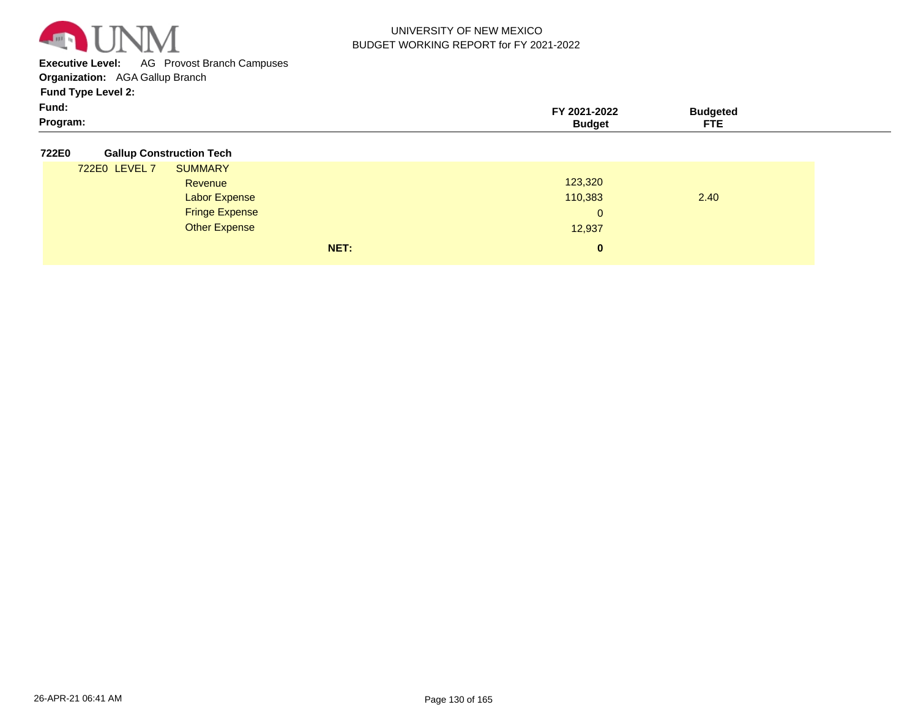

**Executive Level:** AG Provost Branch Campuses

**Organization:**  AGA Gallup Branch

**Fund Type Level 2:**

| Fund:    | 2021-2022 | ∵ıdaeteo |  |
|----------|-----------|----------|--|
| Program: | sudaet    | ctc      |  |

#### **722E0 Gallup Construction Tech**

| ----- |               |                       |      |                |      |
|-------|---------------|-----------------------|------|----------------|------|
|       | 722E0 LEVEL 7 | <b>SUMMARY</b>        |      |                |      |
|       |               | Revenue               |      | 123,320        |      |
|       |               | <b>Labor Expense</b>  |      | 110,383        | 2.40 |
|       |               | <b>Fringe Expense</b> |      | $\overline{0}$ |      |
|       |               | <b>Other Expense</b>  |      | 12,937         |      |
|       |               |                       | NET: | 0              |      |
|       |               |                       |      |                |      |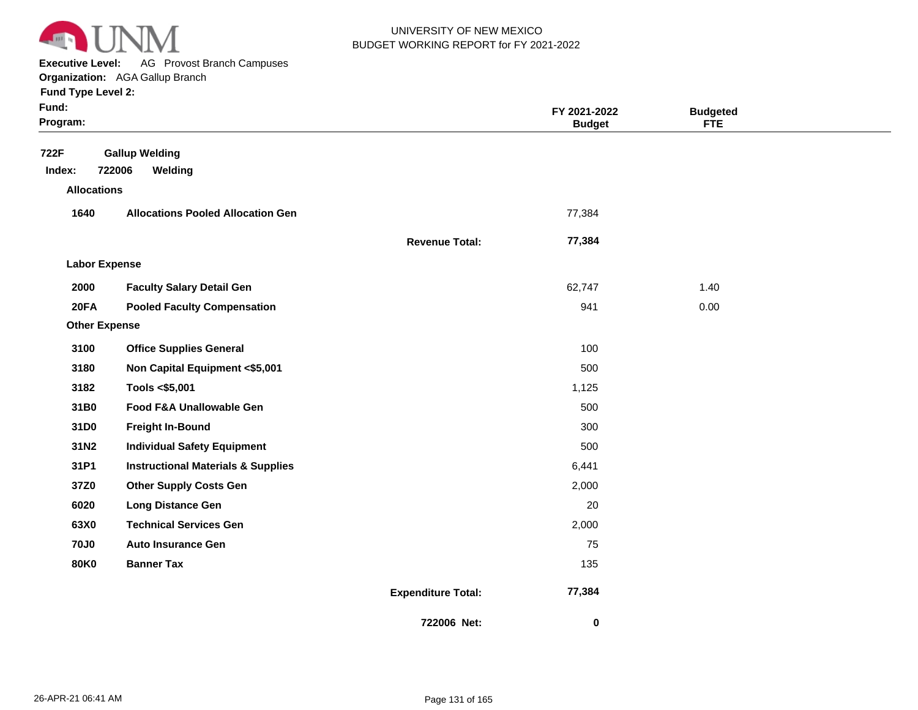

**Executive Level:** AG Provost Branch Campuses

**Organization:**  AGA Gallup Branch **Fund Type Level 2:**

|  | Fund Type Level 2: |  |
|--|--------------------|--|
|  |                    |  |

| Fund:<br>Program:    |                                               |                           | FY 2021-2022<br><b>Budget</b> | <b>Budgeted</b><br><b>FTE</b> |  |
|----------------------|-----------------------------------------------|---------------------------|-------------------------------|-------------------------------|--|
| 722F                 | <b>Gallup Welding</b>                         |                           |                               |                               |  |
| Index:               | 722006<br>Welding                             |                           |                               |                               |  |
| <b>Allocations</b>   |                                               |                           |                               |                               |  |
| 1640                 | <b>Allocations Pooled Allocation Gen</b>      |                           | 77,384                        |                               |  |
|                      |                                               | <b>Revenue Total:</b>     | 77,384                        |                               |  |
| <b>Labor Expense</b> |                                               |                           |                               |                               |  |
| 2000                 | <b>Faculty Salary Detail Gen</b>              |                           | 62,747                        | 1.40                          |  |
| 20FA                 | <b>Pooled Faculty Compensation</b>            |                           | 941                           | 0.00                          |  |
| <b>Other Expense</b> |                                               |                           |                               |                               |  |
| 3100                 | <b>Office Supplies General</b>                |                           | 100                           |                               |  |
| 3180                 | Non Capital Equipment <\$5,001                |                           | 500                           |                               |  |
| 3182                 | Tools <\$5,001                                |                           | 1,125                         |                               |  |
| 31B0                 | Food F&A Unallowable Gen                      |                           | 500                           |                               |  |
| 31D0                 | <b>Freight In-Bound</b>                       |                           | 300                           |                               |  |
| 31N2                 | <b>Individual Safety Equipment</b>            |                           | 500                           |                               |  |
| 31P1                 | <b>Instructional Materials &amp; Supplies</b> |                           | 6,441                         |                               |  |
| 37Z0                 | <b>Other Supply Costs Gen</b>                 |                           | 2,000                         |                               |  |
| 6020                 | <b>Long Distance Gen</b>                      |                           | 20                            |                               |  |
| 63X0                 | <b>Technical Services Gen</b>                 |                           | 2,000                         |                               |  |
| <b>70J0</b>          | <b>Auto Insurance Gen</b>                     |                           | 75                            |                               |  |
| <b>80K0</b>          | <b>Banner Tax</b>                             |                           | 135                           |                               |  |
|                      |                                               | <b>Expenditure Total:</b> | 77,384                        |                               |  |
|                      |                                               | 722006 Net:               | $\mathbf 0$                   |                               |  |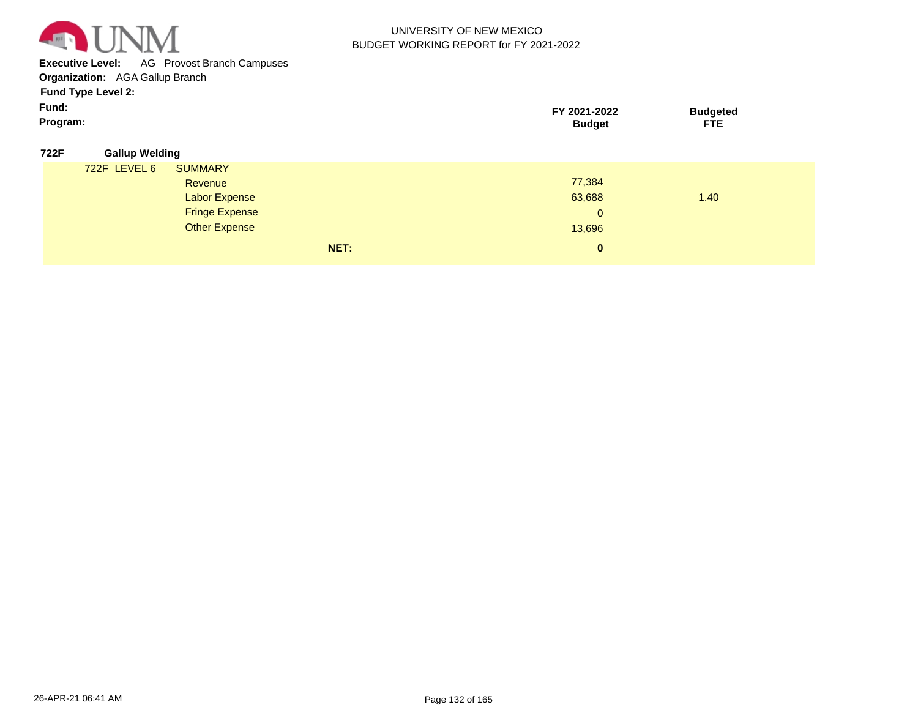

**Executive Level:** AG Provost Branch Campuses

**Organization:**  AGA Gallup Branch

| Fund:    | 2021-2022 | Sudaeteo  |  |
|----------|-----------|-----------|--|
| Program: | 3udae'    | ᇊ<br>- 15 |  |

| 722F | <b>Gallup Welding</b> |
|------|-----------------------|
|      |                       |

| 722F LEVEL 6 | <b>SUMMARY</b>        |              |      |
|--------------|-----------------------|--------------|------|
|              | Revenue               | 77,384       |      |
|              | <b>Labor Expense</b>  | 63,688       | 1.40 |
|              | <b>Fringe Expense</b> | $\mathbf{0}$ |      |
|              | <b>Other Expense</b>  | 13,696       |      |
|              | NET:                  | $\mathbf{0}$ |      |
|              |                       |              |      |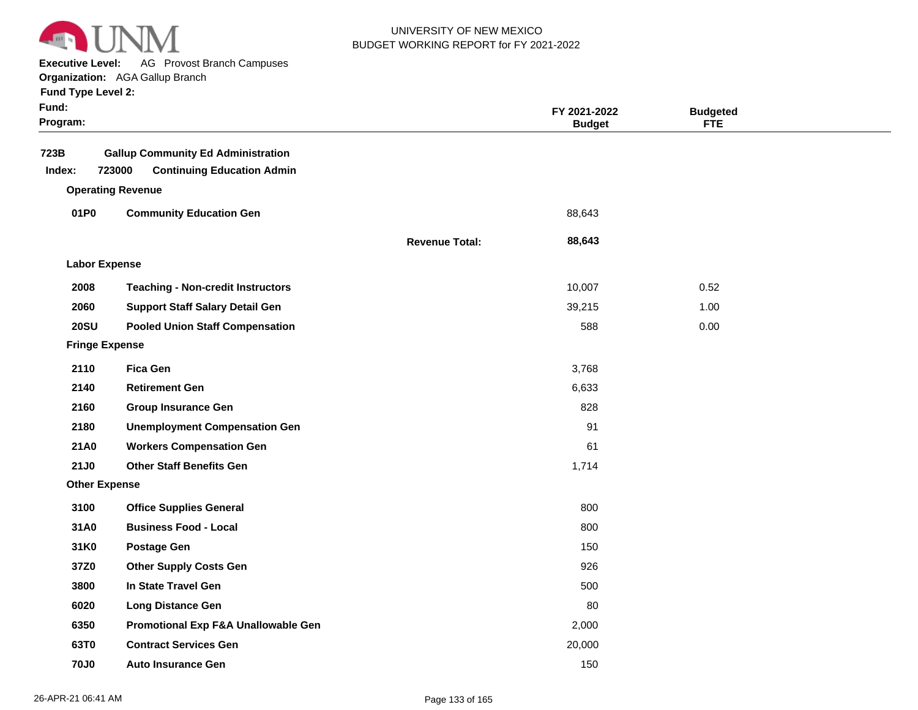

**Executive Level:** AG Provost Branch Campuses

| <b>Fund Type Level 2:</b> |  |
|---------------------------|--|
|                           |  |

| Fund:<br>Program: |                                                                                          |                       | FY 2021-2022<br><b>Budget</b> | <b>Budgeted</b><br><b>FTE</b> |  |
|-------------------|------------------------------------------------------------------------------------------|-----------------------|-------------------------------|-------------------------------|--|
| 723B<br>Index:    | <b>Gallup Community Ed Administration</b><br>723000<br><b>Continuing Education Admin</b> |                       |                               |                               |  |
|                   | <b>Operating Revenue</b>                                                                 |                       |                               |                               |  |
| 01P0              | <b>Community Education Gen</b>                                                           |                       | 88,643                        |                               |  |
|                   |                                                                                          | <b>Revenue Total:</b> | 88,643                        |                               |  |
|                   | <b>Labor Expense</b>                                                                     |                       |                               |                               |  |
| 2008              | <b>Teaching - Non-credit Instructors</b>                                                 |                       | 10,007                        | 0.52                          |  |
| 2060              | <b>Support Staff Salary Detail Gen</b>                                                   |                       | 39,215                        | 1.00                          |  |
| <b>20SU</b>       | <b>Pooled Union Staff Compensation</b>                                                   |                       | 588                           | 0.00                          |  |
|                   | <b>Fringe Expense</b>                                                                    |                       |                               |                               |  |
| 2110              | <b>Fica Gen</b>                                                                          |                       | 3,768                         |                               |  |
| 2140              | <b>Retirement Gen</b>                                                                    |                       | 6,633                         |                               |  |
| 2160              | <b>Group Insurance Gen</b>                                                               |                       | 828                           |                               |  |
| 2180              | <b>Unemployment Compensation Gen</b>                                                     |                       | 91                            |                               |  |
| 21A0              | <b>Workers Compensation Gen</b>                                                          |                       | 61                            |                               |  |
| <b>21J0</b>       | <b>Other Staff Benefits Gen</b>                                                          |                       | 1,714                         |                               |  |
|                   | <b>Other Expense</b>                                                                     |                       |                               |                               |  |
| 3100              | <b>Office Supplies General</b>                                                           |                       | 800                           |                               |  |
| 31A0              | <b>Business Food - Local</b>                                                             |                       | 800                           |                               |  |
| 31K0              | <b>Postage Gen</b>                                                                       |                       | 150                           |                               |  |
| 37Z0              | <b>Other Supply Costs Gen</b>                                                            |                       | 926                           |                               |  |
| 3800              | In State Travel Gen                                                                      |                       | 500                           |                               |  |
| 6020              | <b>Long Distance Gen</b>                                                                 |                       | 80                            |                               |  |
| 6350              | Promotional Exp F&A Unallowable Gen                                                      |                       | 2,000                         |                               |  |
| 63T0              | <b>Contract Services Gen</b>                                                             |                       | 20,000                        |                               |  |
| <b>70J0</b>       | <b>Auto Insurance Gen</b>                                                                |                       | 150                           |                               |  |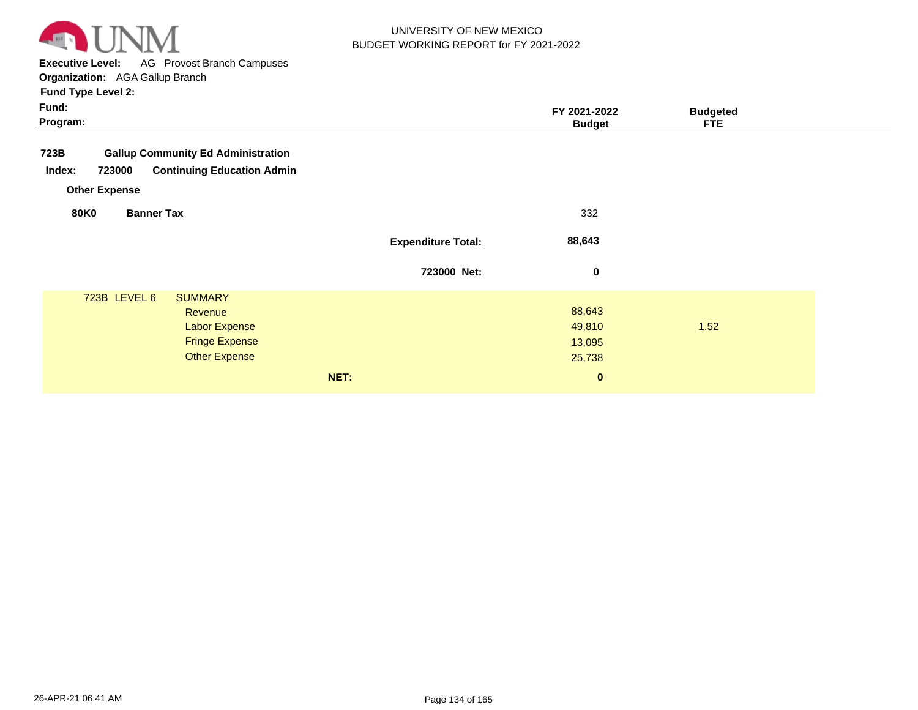

**Executive Level:** AG Provost Branch Campuses

| <b>Fund Type Level 2:</b> |  |
|---------------------------|--|
|---------------------------|--|

| Fund:<br>Program:                                     |                           | FY 2021-2022<br><b>Budget</b> | <b>Budgeted</b><br><b>FTE</b> |  |
|-------------------------------------------------------|---------------------------|-------------------------------|-------------------------------|--|
| 723B<br><b>Gallup Community Ed Administration</b>     |                           |                               |                               |  |
| <b>Continuing Education Admin</b><br>Index:<br>723000 |                           |                               |                               |  |
| <b>Other Expense</b>                                  |                           |                               |                               |  |
| <b>80K0</b><br><b>Banner Tax</b>                      |                           | 332                           |                               |  |
|                                                       | <b>Expenditure Total:</b> | 88,643                        |                               |  |
|                                                       | 723000 Net:               | $\mathbf 0$                   |                               |  |
| 723B LEVEL 6<br><b>SUMMARY</b>                        |                           |                               |                               |  |
| Revenue                                               |                           | 88,643                        |                               |  |
| <b>Labor Expense</b>                                  |                           | 49,810                        | 1.52                          |  |
| <b>Fringe Expense</b>                                 |                           | 13,095                        |                               |  |
| <b>Other Expense</b>                                  |                           | 25,738                        |                               |  |
| NET:                                                  |                           | $\mathbf 0$                   |                               |  |
|                                                       |                           |                               |                               |  |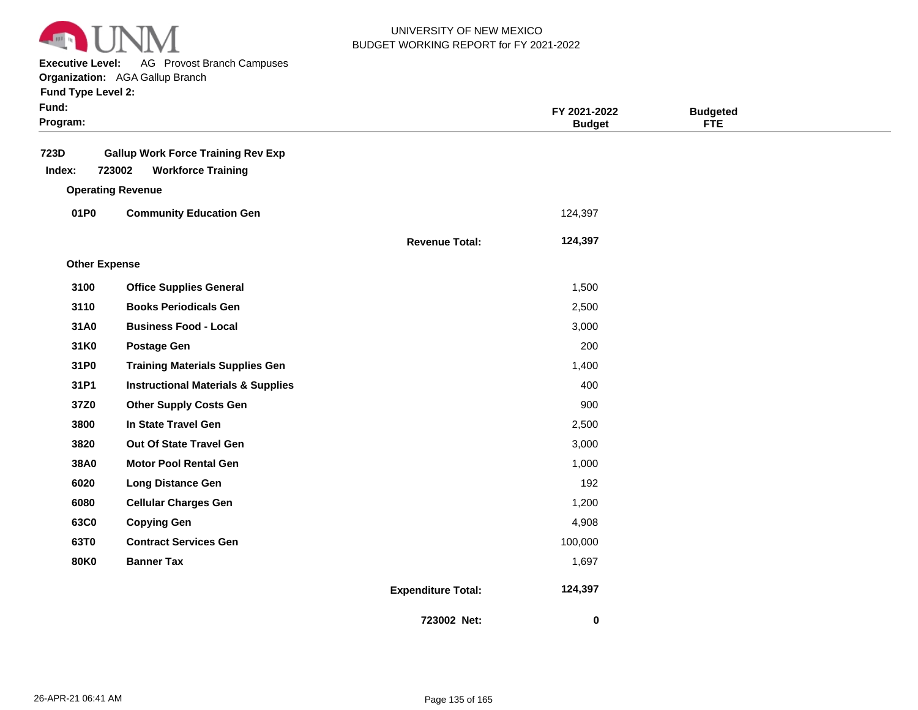

**Executive Level:** AG Provost Branch Campuses

**Organization:**  AGA Gallup Branch **Fund Type Level 2:**

| Fund:<br>Program:    |                                               |                           | FY 2021-2022<br><b>Budget</b> | <b>Budgeted</b><br><b>FTE</b> |  |
|----------------------|-----------------------------------------------|---------------------------|-------------------------------|-------------------------------|--|
| 723D                 | <b>Gallup Work Force Training Rev Exp</b>     |                           |                               |                               |  |
| Index:               | 723002<br><b>Workforce Training</b>           |                           |                               |                               |  |
|                      | <b>Operating Revenue</b>                      |                           |                               |                               |  |
| 01P0                 | <b>Community Education Gen</b>                |                           | 124,397                       |                               |  |
|                      |                                               | <b>Revenue Total:</b>     | 124,397                       |                               |  |
| <b>Other Expense</b> |                                               |                           |                               |                               |  |
| 3100                 | <b>Office Supplies General</b>                |                           | 1,500                         |                               |  |
| 3110                 | <b>Books Periodicals Gen</b>                  |                           | 2,500                         |                               |  |
| 31A0                 | <b>Business Food - Local</b>                  |                           | 3,000                         |                               |  |
| 31K0                 | <b>Postage Gen</b>                            |                           | 200                           |                               |  |
| 31P0                 | <b>Training Materials Supplies Gen</b>        |                           | 1,400                         |                               |  |
| 31P1                 | <b>Instructional Materials &amp; Supplies</b> |                           | 400                           |                               |  |
| 37Z0                 | <b>Other Supply Costs Gen</b>                 |                           | 900                           |                               |  |
| 3800                 | In State Travel Gen                           |                           | 2,500                         |                               |  |
| 3820                 | Out Of State Travel Gen                       |                           | 3,000                         |                               |  |
| 38A0                 | <b>Motor Pool Rental Gen</b>                  |                           | 1,000                         |                               |  |
| 6020                 | <b>Long Distance Gen</b>                      |                           | 192                           |                               |  |
| 6080                 | <b>Cellular Charges Gen</b>                   |                           | 1,200                         |                               |  |
| 63C0                 | <b>Copying Gen</b>                            |                           | 4,908                         |                               |  |
| 63T0                 | <b>Contract Services Gen</b>                  |                           | 100,000                       |                               |  |
| <b>80K0</b>          | <b>Banner Tax</b>                             |                           | 1,697                         |                               |  |
|                      |                                               | <b>Expenditure Total:</b> | 124,397                       |                               |  |
|                      |                                               | 723002 Net:               | $\mathbf 0$                   |                               |  |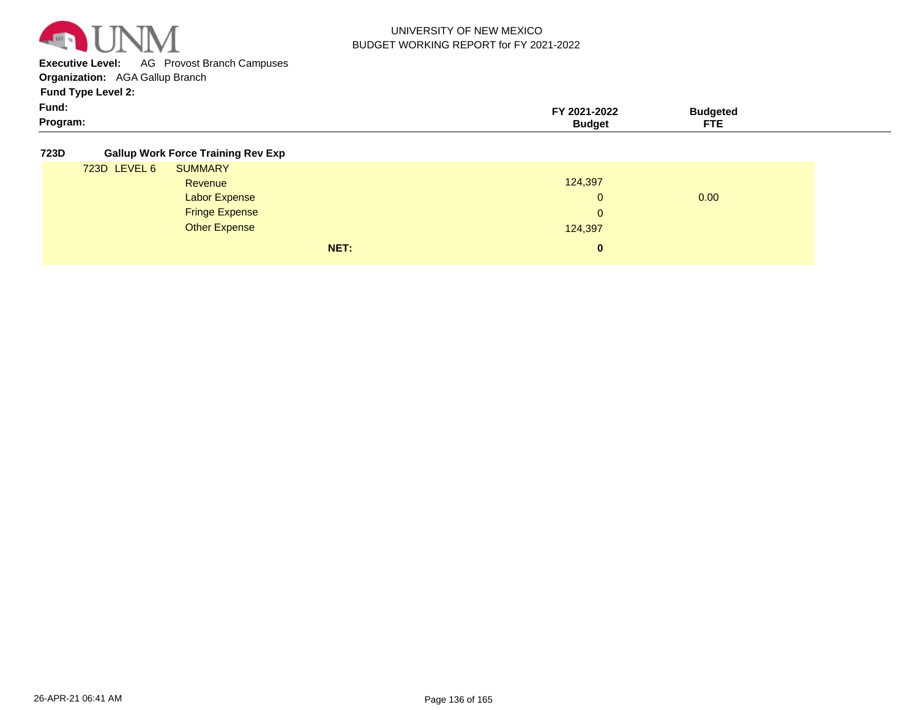

**Executive Level:** AG Provost Branch Campuses

**Organization:**  AGA Gallup Branch

**Fund Type Level 2:**

| Fund:    | TY 2021-<br>$-2022$ | Budgeted |
|----------|---------------------|----------|
| Program: | sudge'              | .<br>--  |

#### **723D Gallup Work Force Training Rev Exp**

| 723D LEVEL 6 | <b>SUMMARY</b>        |              |      |
|--------------|-----------------------|--------------|------|
|              | Revenue               | 124,397      |      |
|              | <b>Labor Expense</b>  | $\Omega$     | 0.00 |
|              | <b>Fringe Expense</b> | $\mathbf{0}$ |      |
|              | <b>Other Expense</b>  | 124,397      |      |
|              | NET:                  | $\bf{0}$     |      |
|              |                       |              |      |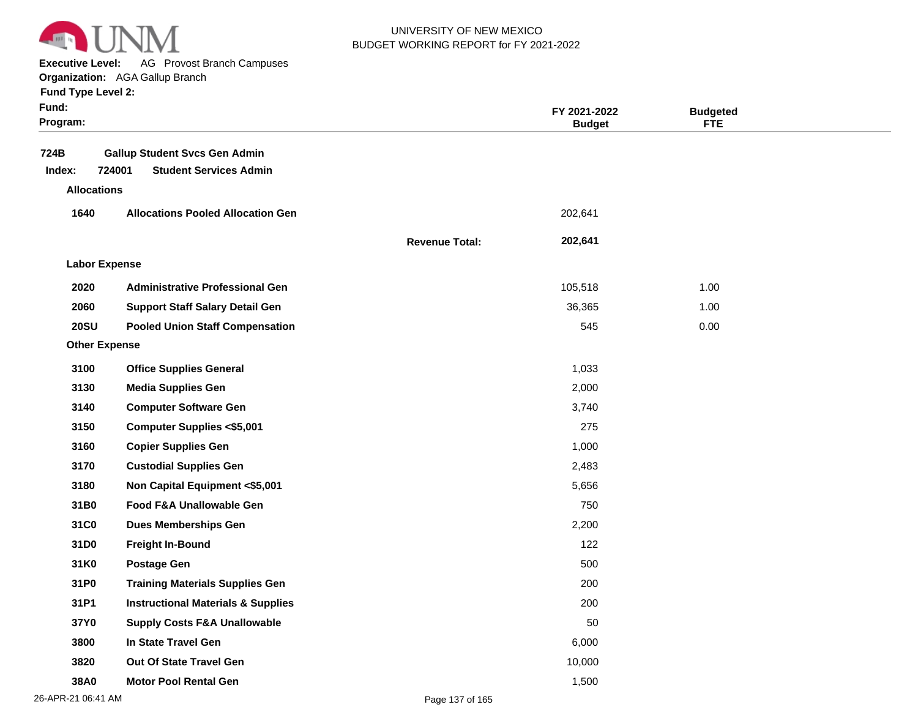

**Executive Level:** AG Provost Branch Campuses

| <b>Fund Type Level 2:</b> |  |  |  |
|---------------------------|--|--|--|
|---------------------------|--|--|--|

| Fund:<br>Program:    |                                                                                 |                       | FY 2021-2022<br><b>Budget</b> | <b>Budgeted</b><br><b>FTE</b> |  |
|----------------------|---------------------------------------------------------------------------------|-----------------------|-------------------------------|-------------------------------|--|
| 724B<br>Index:       | <b>Gallup Student Svcs Gen Admin</b><br>724001<br><b>Student Services Admin</b> |                       |                               |                               |  |
| <b>Allocations</b>   |                                                                                 |                       |                               |                               |  |
| 1640                 | <b>Allocations Pooled Allocation Gen</b>                                        |                       | 202,641                       |                               |  |
|                      |                                                                                 |                       |                               |                               |  |
|                      |                                                                                 | <b>Revenue Total:</b> | 202,641                       |                               |  |
| <b>Labor Expense</b> |                                                                                 |                       |                               |                               |  |
| 2020                 | <b>Administrative Professional Gen</b>                                          |                       | 105,518                       | 1.00                          |  |
| 2060                 | <b>Support Staff Salary Detail Gen</b>                                          |                       | 36,365                        | 1.00                          |  |
| <b>20SU</b>          | <b>Pooled Union Staff Compensation</b>                                          |                       | 545                           | 0.00                          |  |
| <b>Other Expense</b> |                                                                                 |                       |                               |                               |  |
| 3100                 | <b>Office Supplies General</b>                                                  |                       | 1,033                         |                               |  |
| 3130                 | <b>Media Supplies Gen</b>                                                       |                       | 2,000                         |                               |  |
| 3140                 | <b>Computer Software Gen</b>                                                    |                       | 3,740                         |                               |  |
| 3150                 | <b>Computer Supplies &lt;\$5,001</b>                                            |                       | 275                           |                               |  |
| 3160                 | <b>Copier Supplies Gen</b>                                                      |                       | 1,000                         |                               |  |
| 3170                 | <b>Custodial Supplies Gen</b>                                                   |                       | 2,483                         |                               |  |
| 3180                 | Non Capital Equipment <\$5,001                                                  |                       | 5,656                         |                               |  |
| 31B0                 | Food F&A Unallowable Gen                                                        |                       | 750                           |                               |  |
| 31C0                 | <b>Dues Memberships Gen</b>                                                     |                       | 2,200                         |                               |  |
| 31D0                 | <b>Freight In-Bound</b>                                                         |                       | 122                           |                               |  |
| 31K0                 | <b>Postage Gen</b>                                                              |                       | 500                           |                               |  |
| 31P0                 | <b>Training Materials Supplies Gen</b>                                          |                       | 200                           |                               |  |
| 31P1                 | <b>Instructional Materials &amp; Supplies</b>                                   |                       | 200                           |                               |  |
| 37Y0                 | <b>Supply Costs F&amp;A Unallowable</b>                                         |                       | 50                            |                               |  |
| 3800                 | In State Travel Gen                                                             |                       | 6,000                         |                               |  |
| 3820                 | Out Of State Travel Gen                                                         |                       | 10,000                        |                               |  |
| 38A0                 | <b>Motor Pool Rental Gen</b>                                                    |                       | 1,500                         |                               |  |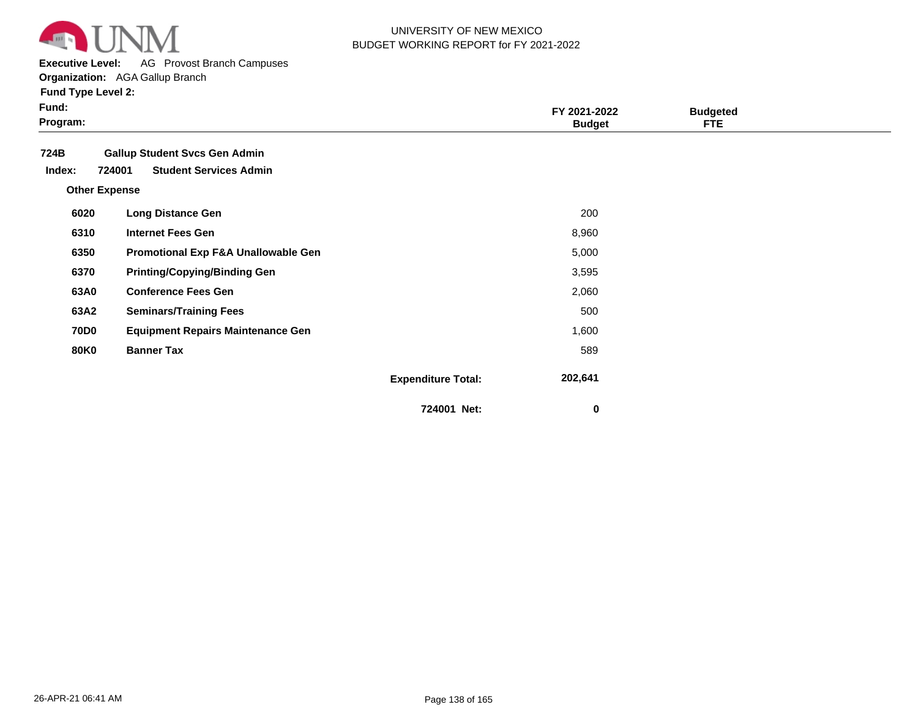

**Executive Level:** AG Provost Branch Campuses

|  |  | <b>Fund Type Level 2:</b> |  |
|--|--|---------------------------|--|
|--|--|---------------------------|--|

| × | × |  |
|---|---|--|
|   |   |  |

| Fund:<br>Program:    |                                          |                           | FY 2021-2022<br><b>Budget</b> | <b>Budgeted</b><br><b>FTE</b> |  |
|----------------------|------------------------------------------|---------------------------|-------------------------------|-------------------------------|--|
| 724B                 | <b>Gallup Student Svcs Gen Admin</b>     |                           |                               |                               |  |
| Index:               | 724001<br><b>Student Services Admin</b>  |                           |                               |                               |  |
| <b>Other Expense</b> |                                          |                           |                               |                               |  |
| 6020                 | <b>Long Distance Gen</b>                 |                           | 200                           |                               |  |
| 6310                 | <b>Internet Fees Gen</b>                 |                           | 8,960                         |                               |  |
| 6350                 | Promotional Exp F&A Unallowable Gen      |                           | 5,000                         |                               |  |
| 6370                 | <b>Printing/Copying/Binding Gen</b>      |                           | 3,595                         |                               |  |
| 63A0                 | <b>Conference Fees Gen</b>               |                           | 2,060                         |                               |  |
| 63A2                 | <b>Seminars/Training Fees</b>            |                           | 500                           |                               |  |
| <b>70D0</b>          | <b>Equipment Repairs Maintenance Gen</b> |                           | 1,600                         |                               |  |
| <b>80K0</b>          | <b>Banner Tax</b>                        |                           | 589                           |                               |  |
|                      |                                          | <b>Expenditure Total:</b> | 202,641                       |                               |  |
|                      |                                          | 724001 Net:               | 0                             |                               |  |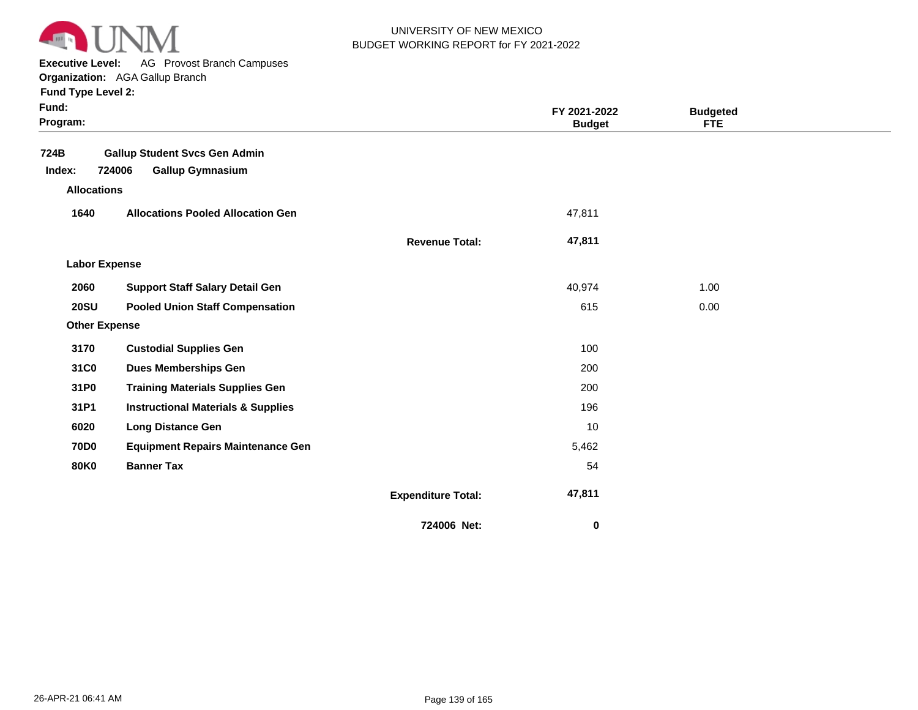

**Executive Level:** AG Provost Branch Campuses

| <b>Fund Type Level 2:</b> |  |
|---------------------------|--|
|---------------------------|--|

| Fund:<br>Program:    |                                               |                           | FY 2021-2022<br><b>Budget</b> | <b>Budgeted</b><br><b>FTE</b> |  |
|----------------------|-----------------------------------------------|---------------------------|-------------------------------|-------------------------------|--|
| 724B                 | <b>Gallup Student Svcs Gen Admin</b>          |                           |                               |                               |  |
| Index:               | 724006<br><b>Gallup Gymnasium</b>             |                           |                               |                               |  |
| <b>Allocations</b>   |                                               |                           |                               |                               |  |
| 1640                 | <b>Allocations Pooled Allocation Gen</b>      |                           | 47,811                        |                               |  |
|                      |                                               | <b>Revenue Total:</b>     | 47,811                        |                               |  |
| <b>Labor Expense</b> |                                               |                           |                               |                               |  |
| 2060                 | <b>Support Staff Salary Detail Gen</b>        |                           | 40,974                        | 1.00                          |  |
| <b>20SU</b>          | <b>Pooled Union Staff Compensation</b>        |                           | 615                           | 0.00                          |  |
| <b>Other Expense</b> |                                               |                           |                               |                               |  |
| 3170                 | <b>Custodial Supplies Gen</b>                 |                           | 100                           |                               |  |
| 31C0                 | <b>Dues Memberships Gen</b>                   |                           | 200                           |                               |  |
| 31P0                 | <b>Training Materials Supplies Gen</b>        |                           | 200                           |                               |  |
| 31P1                 | <b>Instructional Materials &amp; Supplies</b> |                           | 196                           |                               |  |
| 6020                 | <b>Long Distance Gen</b>                      |                           | 10                            |                               |  |
| <b>70D0</b>          | <b>Equipment Repairs Maintenance Gen</b>      |                           | 5,462                         |                               |  |
| <b>80K0</b>          | <b>Banner Tax</b>                             |                           | 54                            |                               |  |
|                      |                                               | <b>Expenditure Total:</b> | 47,811                        |                               |  |
|                      |                                               | 724006 Net:               | $\bf{0}$                      |                               |  |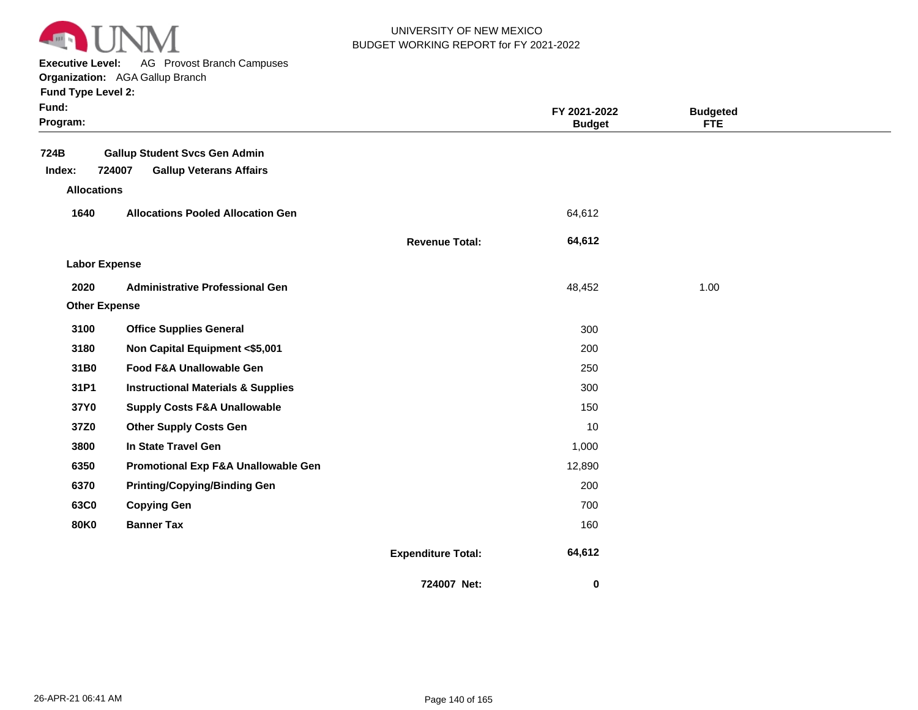

**Executive Level:** AG Provost Branch Campuses

| Fund:<br>Program:    |                                                                                  |                           | FY 2021-2022<br><b>Budget</b> | <b>Budgeted</b><br><b>FTE</b> |  |
|----------------------|----------------------------------------------------------------------------------|---------------------------|-------------------------------|-------------------------------|--|
| 724B<br>Index:       | <b>Gallup Student Svcs Gen Admin</b><br>724007<br><b>Gallup Veterans Affairs</b> |                           |                               |                               |  |
| <b>Allocations</b>   |                                                                                  |                           |                               |                               |  |
| 1640                 | <b>Allocations Pooled Allocation Gen</b>                                         |                           | 64,612                        |                               |  |
|                      |                                                                                  | <b>Revenue Total:</b>     | 64,612                        |                               |  |
| <b>Labor Expense</b> |                                                                                  |                           |                               |                               |  |
| 2020                 | <b>Administrative Professional Gen</b>                                           |                           | 48,452                        | 1.00                          |  |
| <b>Other Expense</b> |                                                                                  |                           |                               |                               |  |
| 3100                 | <b>Office Supplies General</b>                                                   |                           | 300                           |                               |  |
| 3180                 | Non Capital Equipment <\$5,001                                                   |                           | 200                           |                               |  |
| 31B0                 | Food F&A Unallowable Gen                                                         |                           | 250                           |                               |  |
| 31P1                 | <b>Instructional Materials &amp; Supplies</b>                                    |                           | 300                           |                               |  |
| 37Y0                 | <b>Supply Costs F&amp;A Unallowable</b>                                          |                           | 150                           |                               |  |
| 37Z0                 | <b>Other Supply Costs Gen</b>                                                    |                           | 10                            |                               |  |
| 3800                 | In State Travel Gen                                                              |                           | 1,000                         |                               |  |
| 6350                 | <b>Promotional Exp F&amp;A Unallowable Gen</b>                                   |                           | 12,890                        |                               |  |
| 6370                 | <b>Printing/Copying/Binding Gen</b>                                              |                           | 200                           |                               |  |
| 63C0                 | <b>Copying Gen</b>                                                               |                           | 700                           |                               |  |
| <b>80K0</b>          | <b>Banner Tax</b>                                                                |                           | 160                           |                               |  |
|                      |                                                                                  | <b>Expenditure Total:</b> | 64,612                        |                               |  |
|                      |                                                                                  | 724007 Net:               | 0                             |                               |  |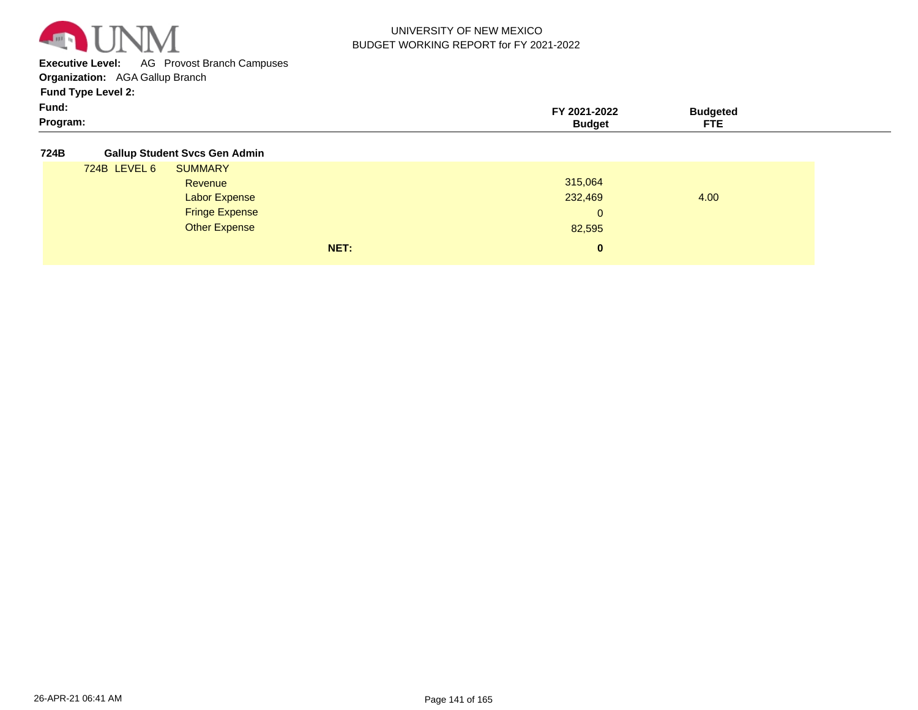

**Executive Level:** AG Provost Branch Campuses

**Organization:**  AGA Gallup Branch

**Fund Type Level 2:**

| Fund:    | -2022  | <b>Hageter</b>                  |  |
|----------|--------|---------------------------------|--|
| Program: | sunne- | $\overline{\phantom{a}}$<br>--- |  |

**724B Gallup Student Svcs Gen Admin**

| . |              | $S1$ , $S2$ , $S3$ , $S4$ , $S5$ , $S6$ , $S7$ , $S8$ , $S1$ , $S1$ , $S1$ , $S1$ , $S1$ , $S2$ , $S1$ , $S2$ , $S2$ , $S3$ , $S$ |      |              |      |
|---|--------------|-----------------------------------------------------------------------------------------------------------------------------------|------|--------------|------|
|   | 724B LEVEL 6 | <b>SUMMARY</b>                                                                                                                    |      |              |      |
|   |              | Revenue                                                                                                                           |      | 315,064      |      |
|   |              | <b>Labor Expense</b>                                                                                                              |      | 232,469      | 4.00 |
|   |              | <b>Fringe Expense</b>                                                                                                             |      | $\mathbf{0}$ |      |
|   |              | <b>Other Expense</b>                                                                                                              |      | 82,595       |      |
|   |              |                                                                                                                                   | NET: | $\mathbf{0}$ |      |
|   |              |                                                                                                                                   |      |              |      |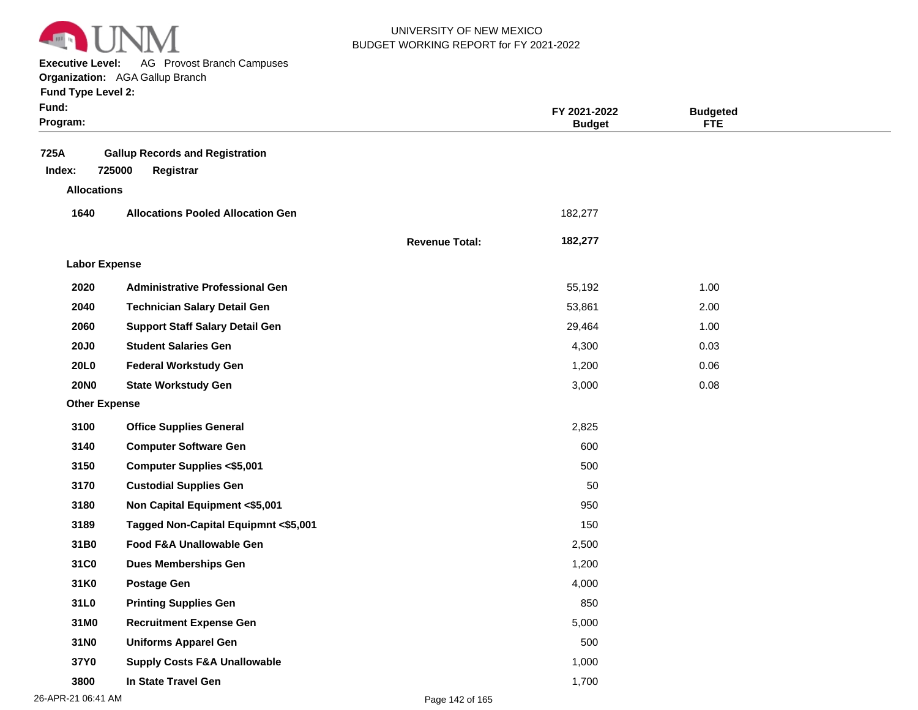

**Executive Level:** AG Provost Branch Campuses **Organization:**  AGA Gallup Branch

| Fund:<br>Program:    |                                                               |                       | FY 2021-2022<br><b>Budget</b> | <b>Budgeted</b><br><b>FTE</b> |  |
|----------------------|---------------------------------------------------------------|-----------------------|-------------------------------|-------------------------------|--|
| 725A<br>Index:       | <b>Gallup Records and Registration</b><br>725000<br>Registrar |                       |                               |                               |  |
| <b>Allocations</b>   |                                                               |                       |                               |                               |  |
| 1640                 | <b>Allocations Pooled Allocation Gen</b>                      |                       | 182,277                       |                               |  |
|                      |                                                               | <b>Revenue Total:</b> | 182,277                       |                               |  |
| <b>Labor Expense</b> |                                                               |                       |                               |                               |  |
| 2020                 | <b>Administrative Professional Gen</b>                        |                       | 55,192                        | 1.00                          |  |
| 2040                 | <b>Technician Salary Detail Gen</b>                           |                       | 53,861                        | 2.00                          |  |
| 2060                 | <b>Support Staff Salary Detail Gen</b>                        |                       | 29,464                        | 1.00                          |  |
| <b>20J0</b>          | <b>Student Salaries Gen</b>                                   |                       | 4,300                         | 0.03                          |  |
| <b>20L0</b>          | <b>Federal Workstudy Gen</b>                                  |                       | 1,200                         | 0.06                          |  |
| <b>20NO</b>          | <b>State Workstudy Gen</b>                                    |                       | 3,000                         | 0.08                          |  |
| <b>Other Expense</b> |                                                               |                       |                               |                               |  |
| 3100                 | <b>Office Supplies General</b>                                |                       | 2,825                         |                               |  |
| 3140                 | <b>Computer Software Gen</b>                                  |                       | 600                           |                               |  |
| 3150                 | <b>Computer Supplies &lt;\$5,001</b>                          |                       | 500                           |                               |  |
| 3170                 | <b>Custodial Supplies Gen</b>                                 |                       | 50                            |                               |  |
| 3180                 | Non Capital Equipment <\$5,001                                |                       | 950                           |                               |  |
| 3189                 | Tagged Non-Capital Equipmnt <\$5,001                          |                       | 150                           |                               |  |
| 31B0                 | Food F&A Unallowable Gen                                      |                       | 2,500                         |                               |  |
| 31C0                 | <b>Dues Memberships Gen</b>                                   |                       | 1,200                         |                               |  |
| 31K0                 | <b>Postage Gen</b>                                            |                       | 4,000                         |                               |  |
| 31L0                 | <b>Printing Supplies Gen</b>                                  |                       | 850                           |                               |  |
| 31M0                 | <b>Recruitment Expense Gen</b>                                |                       | 5,000                         |                               |  |
| 31N0                 | <b>Uniforms Apparel Gen</b>                                   |                       | 500                           |                               |  |
| 37Y0                 | <b>Supply Costs F&amp;A Unallowable</b>                       |                       | 1,000                         |                               |  |
| 3800                 | In State Travel Gen                                           |                       | 1,700                         |                               |  |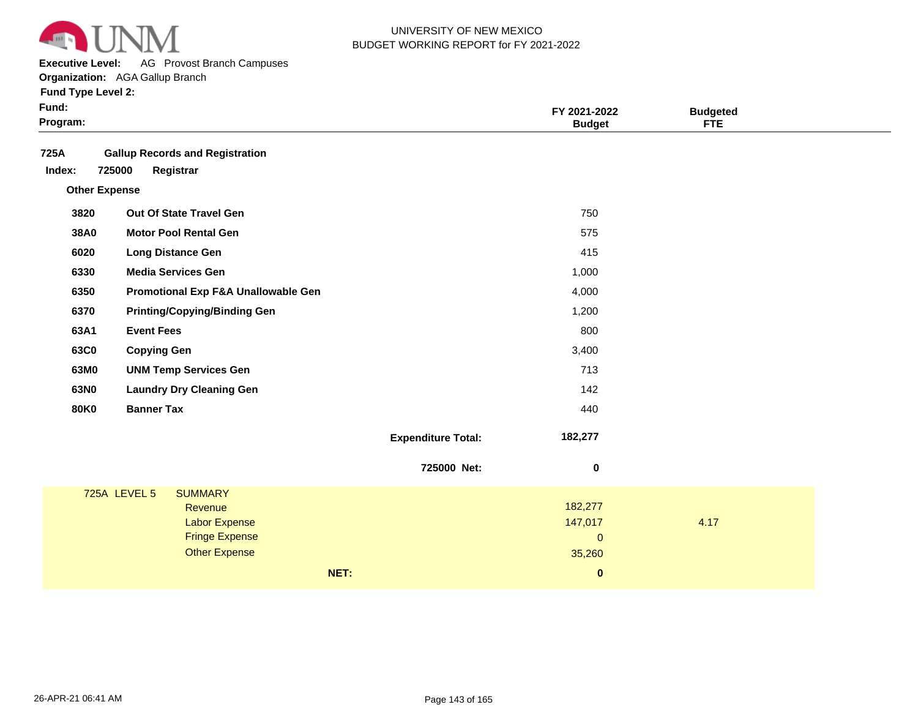

**Executive Level:** AG Provost Branch Campuses

|  |  | <b>Fund Type Level 2:</b> |  |
|--|--|---------------------------|--|
|--|--|---------------------------|--|

| ×<br>× |  |
|--------|--|
|--------|--|

| Program:                                                                                                           |                           | <b>Budget</b>                                | <b>Budgeted</b><br><b>FTE</b> |
|--------------------------------------------------------------------------------------------------------------------|---------------------------|----------------------------------------------|-------------------------------|
| 725A<br><b>Gallup Records and Registration</b><br>725000<br>Registrar<br>Index:                                    |                           |                                              |                               |
| <b>Other Expense</b>                                                                                               |                           |                                              |                               |
| Out Of State Travel Gen<br>3820                                                                                    |                           | 750                                          |                               |
| <b>Motor Pool Rental Gen</b><br>38A0                                                                               |                           | 575                                          |                               |
| 6020<br><b>Long Distance Gen</b>                                                                                   |                           | 415                                          |                               |
| 6330<br><b>Media Services Gen</b>                                                                                  |                           | 1,000                                        |                               |
| 6350<br>Promotional Exp F&A Unallowable Gen                                                                        |                           | 4,000                                        |                               |
| 6370<br><b>Printing/Copying/Binding Gen</b>                                                                        |                           | 1,200                                        |                               |
| 63A1<br><b>Event Fees</b>                                                                                          |                           | 800                                          |                               |
| 63C0<br><b>Copying Gen</b>                                                                                         |                           | 3,400                                        |                               |
| 63M0<br><b>UNM Temp Services Gen</b>                                                                               |                           | 713                                          |                               |
| 63N0<br><b>Laundry Dry Cleaning Gen</b>                                                                            |                           | 142                                          |                               |
| <b>Banner Tax</b><br><b>80K0</b>                                                                                   |                           | 440                                          |                               |
|                                                                                                                    | <b>Expenditure Total:</b> | 182,277                                      |                               |
|                                                                                                                    | 725000 Net:               | 0                                            |                               |
| 725A LEVEL 5<br><b>SUMMARY</b><br>Revenue<br><b>Labor Expense</b><br><b>Fringe Expense</b><br><b>Other Expense</b> |                           | 182,277<br>147,017<br>$\mathbf{0}$<br>35,260 | 4.17                          |
| NET:                                                                                                               |                           | $\bf{0}$                                     |                               |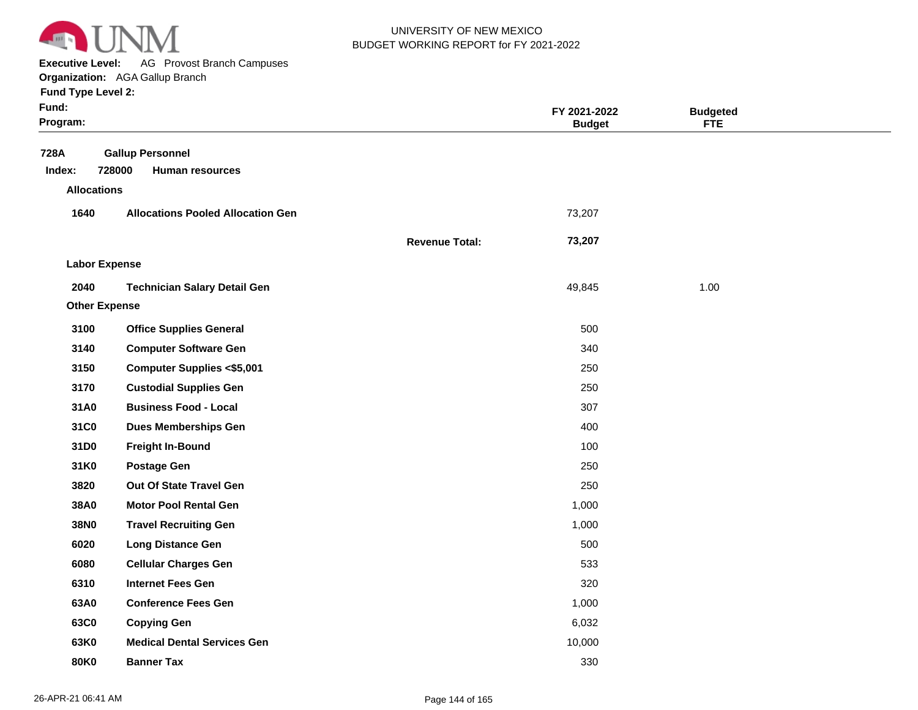

**Executive Level:** AG Provost Branch Campuses

**Organization:**  AGA Gallup Branch

| Fund:<br>Program:    |                                                             |                       | FY 2021-2022<br><b>Budget</b> | <b>Budgeted</b><br><b>FTE</b> |  |
|----------------------|-------------------------------------------------------------|-----------------------|-------------------------------|-------------------------------|--|
| 728A<br>Index:       | <b>Gallup Personnel</b><br>728000<br><b>Human resources</b> |                       |                               |                               |  |
| <b>Allocations</b>   |                                                             |                       |                               |                               |  |
| 1640                 | <b>Allocations Pooled Allocation Gen</b>                    |                       | 73,207                        |                               |  |
|                      |                                                             | <b>Revenue Total:</b> | 73,207                        |                               |  |
| <b>Labor Expense</b> |                                                             |                       |                               |                               |  |
| 2040                 | <b>Technician Salary Detail Gen</b>                         |                       | 49,845                        | 1.00                          |  |
| <b>Other Expense</b> |                                                             |                       |                               |                               |  |
| 3100                 | <b>Office Supplies General</b>                              |                       | 500                           |                               |  |
| 3140                 | <b>Computer Software Gen</b>                                |                       | 340                           |                               |  |
| 3150                 | <b>Computer Supplies &lt;\$5,001</b>                        |                       | 250                           |                               |  |
| 3170                 | <b>Custodial Supplies Gen</b>                               |                       | 250                           |                               |  |
| 31A0                 | <b>Business Food - Local</b>                                |                       | 307                           |                               |  |
| 31C0                 | <b>Dues Memberships Gen</b>                                 |                       | 400                           |                               |  |
| 31D0                 | <b>Freight In-Bound</b>                                     |                       | 100                           |                               |  |
| 31K0                 | <b>Postage Gen</b>                                          |                       | 250                           |                               |  |
| 3820                 | Out Of State Travel Gen                                     |                       | 250                           |                               |  |
| 38A0                 | <b>Motor Pool Rental Gen</b>                                |                       | 1,000                         |                               |  |
| 38N0                 | <b>Travel Recruiting Gen</b>                                |                       | 1,000                         |                               |  |
| 6020                 | <b>Long Distance Gen</b>                                    |                       | 500                           |                               |  |
| 6080                 | <b>Cellular Charges Gen</b>                                 |                       | 533                           |                               |  |
| 6310                 | <b>Internet Fees Gen</b>                                    |                       | 320                           |                               |  |
| 63A0                 | <b>Conference Fees Gen</b>                                  |                       | 1,000                         |                               |  |
| 63C0                 | <b>Copying Gen</b>                                          |                       | 6,032                         |                               |  |
| 63K0                 | <b>Medical Dental Services Gen</b>                          |                       | 10,000                        |                               |  |
| <b>80K0</b>          | <b>Banner Tax</b>                                           |                       | 330                           |                               |  |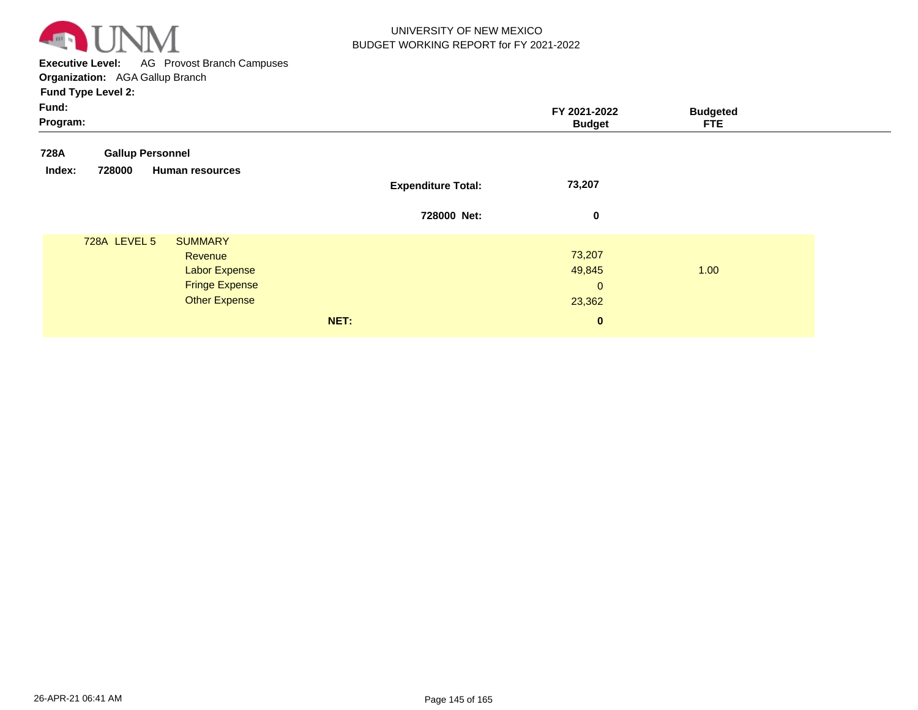

**Executive Level:** AG Provost Branch Campuses **Organization:**  AGA Gallup Branch

**Fund Type Level 2:**

| ×<br>× |  |
|--------|--|
|--------|--|

| Fund:<br>Program: |                                               |                           | FY 2021-2022<br><b>Budget</b> | <b>Budgeted</b><br><b>FTE</b> |
|-------------------|-----------------------------------------------|---------------------------|-------------------------------|-------------------------------|
| 728A              | <b>Gallup Personnel</b>                       |                           |                               |                               |
| Index:            | 728000<br><b>Human resources</b>              | <b>Expenditure Total:</b> | 73,207                        |                               |
|                   |                                               | 728000 Net:               | 0                             |                               |
|                   | 728A LEVEL 5<br><b>SUMMARY</b><br>Revenue     |                           | 73,207                        |                               |
|                   | <b>Labor Expense</b><br><b>Fringe Expense</b> |                           | 49,845<br>$\mathbf{0}$        | 1.00                          |
|                   | <b>Other Expense</b>                          |                           | 23,362                        |                               |
|                   |                                               | NET:                      | $\bf{0}$                      |                               |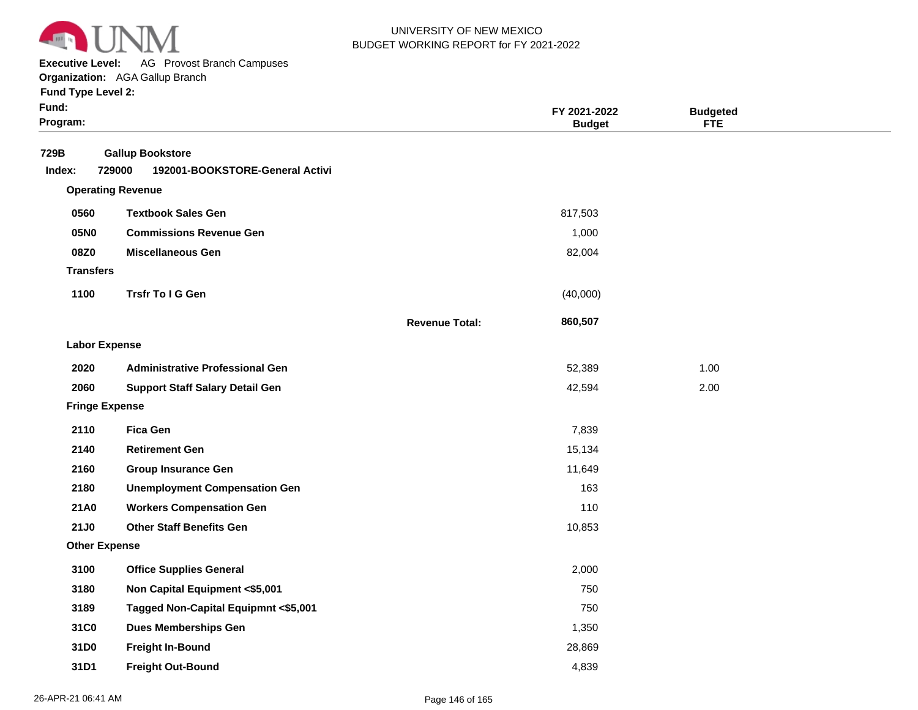

**Executive Level:** AG Provost Branch Campuses

|  |  | <b>Fund Type Level 2:</b> |  |
|--|--|---------------------------|--|
|--|--|---------------------------|--|

| Fund:<br>Program:     |                                                                      |                       | FY 2021-2022<br><b>Budget</b> | <b>Budgeted</b><br><b>FTE</b> |  |
|-----------------------|----------------------------------------------------------------------|-----------------------|-------------------------------|-------------------------------|--|
| 729B<br>Index:        | <b>Gallup Bookstore</b><br>729000<br>192001-BOOKSTORE-General Activi |                       |                               |                               |  |
|                       | <b>Operating Revenue</b>                                             |                       |                               |                               |  |
| 0560                  | <b>Textbook Sales Gen</b>                                            |                       | 817,503                       |                               |  |
| 05N0                  | <b>Commissions Revenue Gen</b>                                       |                       | 1,000                         |                               |  |
| 08Z0                  | <b>Miscellaneous Gen</b>                                             |                       | 82,004                        |                               |  |
| <b>Transfers</b>      |                                                                      |                       |                               |                               |  |
| 1100                  | Trsfr To I G Gen                                                     |                       | (40,000)                      |                               |  |
|                       |                                                                      | <b>Revenue Total:</b> | 860,507                       |                               |  |
| <b>Labor Expense</b>  |                                                                      |                       |                               |                               |  |
| 2020                  | <b>Administrative Professional Gen</b>                               |                       | 52,389                        | 1.00                          |  |
| 2060                  | <b>Support Staff Salary Detail Gen</b>                               |                       | 42,594                        | 2.00                          |  |
| <b>Fringe Expense</b> |                                                                      |                       |                               |                               |  |
| 2110                  | <b>Fica Gen</b>                                                      |                       | 7,839                         |                               |  |
| 2140                  | <b>Retirement Gen</b>                                                |                       | 15,134                        |                               |  |
| 2160                  | <b>Group Insurance Gen</b>                                           |                       | 11,649                        |                               |  |
| 2180                  | <b>Unemployment Compensation Gen</b>                                 |                       | 163                           |                               |  |
| 21A0                  | <b>Workers Compensation Gen</b>                                      |                       | 110                           |                               |  |
| <b>21J0</b>           | <b>Other Staff Benefits Gen</b>                                      |                       | 10,853                        |                               |  |
| <b>Other Expense</b>  |                                                                      |                       |                               |                               |  |
| 3100                  | <b>Office Supplies General</b>                                       |                       | 2,000                         |                               |  |
| 3180                  | Non Capital Equipment <\$5,001                                       |                       | 750                           |                               |  |
| 3189                  | Tagged Non-Capital Equipmnt <\$5,001                                 |                       | 750                           |                               |  |
| 31C0                  | <b>Dues Memberships Gen</b>                                          |                       | 1,350                         |                               |  |
| 31D0                  | <b>Freight In-Bound</b>                                              |                       | 28,869                        |                               |  |
| 31D1                  | <b>Freight Out-Bound</b>                                             |                       | 4,839                         |                               |  |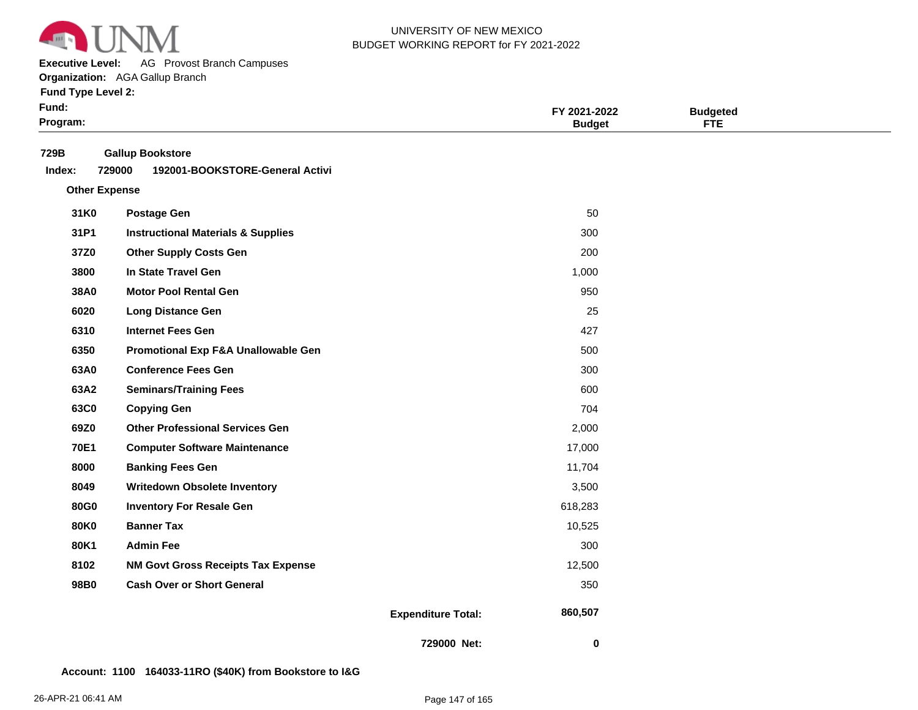

**Executive Level:** AG Provost Branch Campuses

**Organization:**  AGA Gallup Branch

**Fund Type Level 2:**

| Fund:<br>Program: |                                                                      |                           | FY 2021-2022<br><b>Budget</b> | <b>Budgeted</b><br><b>FTE</b> |  |
|-------------------|----------------------------------------------------------------------|---------------------------|-------------------------------|-------------------------------|--|
| 729B<br>Index:    | <b>Gallup Bookstore</b><br>729000<br>192001-BOOKSTORE-General Activi |                           |                               |                               |  |
|                   | <b>Other Expense</b>                                                 |                           |                               |                               |  |
| 31K0              | <b>Postage Gen</b>                                                   |                           | 50                            |                               |  |
| 31P1              | <b>Instructional Materials &amp; Supplies</b>                        |                           | 300                           |                               |  |
| 37Z0              | <b>Other Supply Costs Gen</b>                                        |                           | 200                           |                               |  |
| 3800              | In State Travel Gen                                                  |                           | 1,000                         |                               |  |
| 38A0              | <b>Motor Pool Rental Gen</b>                                         |                           | 950                           |                               |  |
| 6020              | <b>Long Distance Gen</b>                                             |                           | 25                            |                               |  |
| 6310              | <b>Internet Fees Gen</b>                                             |                           | 427                           |                               |  |
| 6350              | Promotional Exp F&A Unallowable Gen                                  |                           | 500                           |                               |  |
| 63A0              | <b>Conference Fees Gen</b>                                           |                           | 300                           |                               |  |
| 63A2              | <b>Seminars/Training Fees</b>                                        |                           | 600                           |                               |  |
| 63C0              | <b>Copying Gen</b>                                                   |                           | 704                           |                               |  |
| 69Z0              | <b>Other Professional Services Gen</b>                               |                           | 2,000                         |                               |  |
| <b>70E1</b>       | <b>Computer Software Maintenance</b>                                 |                           | 17,000                        |                               |  |
| 8000              | <b>Banking Fees Gen</b>                                              |                           | 11,704                        |                               |  |
| 8049              | <b>Writedown Obsolete Inventory</b>                                  |                           | 3,500                         |                               |  |
| <b>80G0</b>       | <b>Inventory For Resale Gen</b>                                      |                           | 618,283                       |                               |  |
| <b>80K0</b>       | <b>Banner Tax</b>                                                    |                           | 10,525                        |                               |  |
| 80K1              | <b>Admin Fee</b>                                                     |                           | 300                           |                               |  |
| 8102              | <b>NM Govt Gross Receipts Tax Expense</b>                            |                           | 12,500                        |                               |  |
| 98B0              | <b>Cash Over or Short General</b>                                    |                           | 350                           |                               |  |
|                   |                                                                      | <b>Expenditure Total:</b> | 860,507                       |                               |  |

**729000 Net:**

 **0** 

**Account: 1100 164033-11RO (\$40K) from Bookstore to I&G**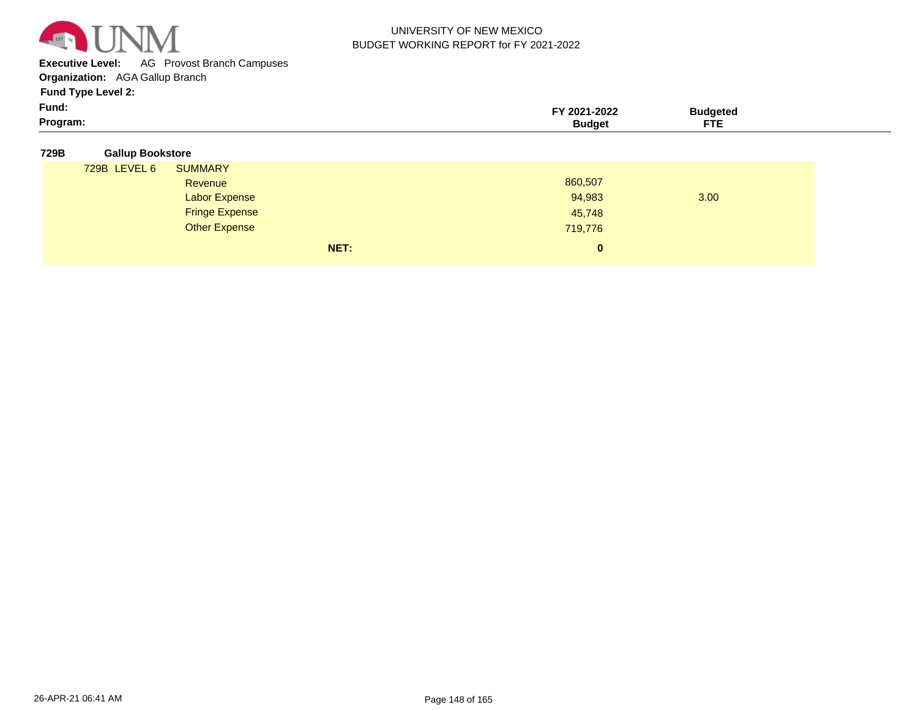

**Executive Level:** AG Provost Branch Campuses

**Organization:**  AGA Gallup Branch

**Fund Type Level 2:**

| Program: | 2021-2022 | `udaeteo<br>--- |  |
|----------|-----------|-----------------|--|
| Fund:    |           |                 |  |

| <b>Gallup Bookstore</b><br>729B |
|---------------------------------|
|---------------------------------|

| 729B LEVEL 6 | <b>SUMMARY</b>        |          |      |
|--------------|-----------------------|----------|------|
|              | Revenue               | 860,507  |      |
|              | <b>Labor Expense</b>  | 94,983   | 3.00 |
|              | <b>Fringe Expense</b> | 45,748   |      |
|              | <b>Other Expense</b>  | 719,776  |      |
|              | NET:                  | $\bf{0}$ |      |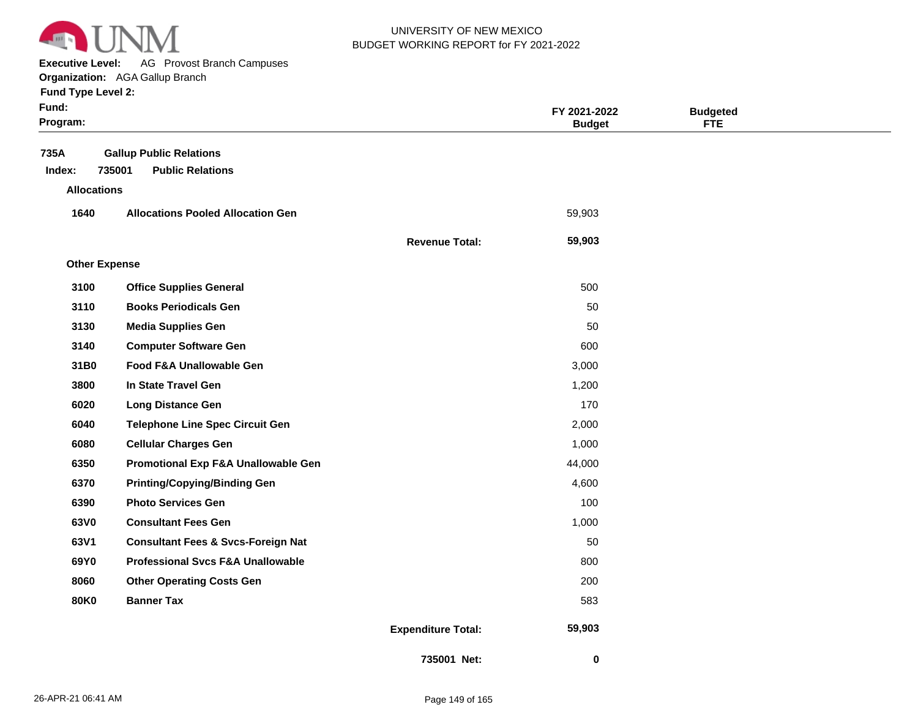

**Executive Level:** AG Provost Branch Campuses

#### **Organization:**  AGA Gallup Branch

| <b>Fund Type Level 2:</b> |  |
|---------------------------|--|
|---------------------------|--|

| Fund:<br>Program:    |                                               |                           | FY 2021-2022<br><b>Budget</b> | <b>Budgeted</b><br><b>FTE</b> |  |
|----------------------|-----------------------------------------------|---------------------------|-------------------------------|-------------------------------|--|
| 735A                 | <b>Gallup Public Relations</b>                |                           |                               |                               |  |
| Index:               | 735001<br><b>Public Relations</b>             |                           |                               |                               |  |
| <b>Allocations</b>   |                                               |                           |                               |                               |  |
| 1640                 | <b>Allocations Pooled Allocation Gen</b>      |                           | 59,903                        |                               |  |
|                      |                                               | <b>Revenue Total:</b>     | 59,903                        |                               |  |
| <b>Other Expense</b> |                                               |                           |                               |                               |  |
| 3100                 | <b>Office Supplies General</b>                |                           | 500                           |                               |  |
| 3110                 | <b>Books Periodicals Gen</b>                  |                           | 50                            |                               |  |
| 3130                 | <b>Media Supplies Gen</b>                     |                           | 50                            |                               |  |
| 3140                 | <b>Computer Software Gen</b>                  |                           | 600                           |                               |  |
| 31B0                 | Food F&A Unallowable Gen                      |                           | 3,000                         |                               |  |
| 3800                 | In State Travel Gen                           |                           | 1,200                         |                               |  |
| 6020                 | <b>Long Distance Gen</b>                      |                           | 170                           |                               |  |
| 6040                 | <b>Telephone Line Spec Circuit Gen</b>        |                           | 2,000                         |                               |  |
| 6080                 | <b>Cellular Charges Gen</b>                   |                           | 1,000                         |                               |  |
| 6350                 | Promotional Exp F&A Unallowable Gen           |                           | 44,000                        |                               |  |
| 6370                 | <b>Printing/Copying/Binding Gen</b>           |                           | 4,600                         |                               |  |
| 6390                 | <b>Photo Services Gen</b>                     |                           | 100                           |                               |  |
| 63V0                 | <b>Consultant Fees Gen</b>                    |                           | 1,000                         |                               |  |
| 63V1                 | <b>Consultant Fees &amp; Svcs-Foreign Nat</b> |                           | 50                            |                               |  |
| 69Y0                 | <b>Professional Svcs F&amp;A Unallowable</b>  |                           | 800                           |                               |  |
| 8060                 | <b>Other Operating Costs Gen</b>              |                           | 200                           |                               |  |
| <b>80K0</b>          | <b>Banner Tax</b>                             |                           | 583                           |                               |  |
|                      |                                               | <b>Expenditure Total:</b> | 59,903                        |                               |  |

 **0**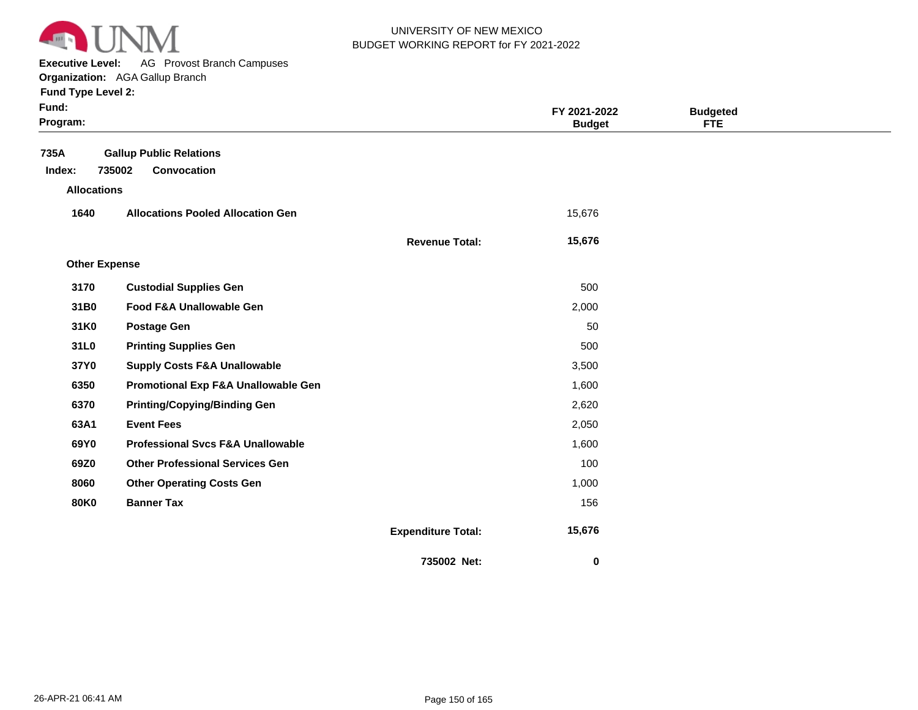

**Executive Level:** AG Provost Branch Campuses

**Organization:**  AGA Gallup Branch **Fund Type Level 2:**

| Fund:<br>Program:    |                                              |                           | FY 2021-2022<br><b>Budget</b> | <b>Budgeted</b><br><b>FTE</b> |  |
|----------------------|----------------------------------------------|---------------------------|-------------------------------|-------------------------------|--|
| 735A                 | <b>Gallup Public Relations</b>               |                           |                               |                               |  |
| Index:               | 735002<br>Convocation                        |                           |                               |                               |  |
| <b>Allocations</b>   |                                              |                           |                               |                               |  |
| 1640                 | <b>Allocations Pooled Allocation Gen</b>     |                           | 15,676                        |                               |  |
|                      |                                              | <b>Revenue Total:</b>     | 15,676                        |                               |  |
| <b>Other Expense</b> |                                              |                           |                               |                               |  |
| 3170                 | <b>Custodial Supplies Gen</b>                |                           | 500                           |                               |  |
| 31B0                 | Food F&A Unallowable Gen                     |                           | 2,000                         |                               |  |
| 31K0                 | <b>Postage Gen</b>                           |                           | 50                            |                               |  |
| 31L0                 | <b>Printing Supplies Gen</b>                 |                           | 500                           |                               |  |
| 37Y0                 | <b>Supply Costs F&amp;A Unallowable</b>      |                           | 3,500                         |                               |  |
| 6350                 | Promotional Exp F&A Unallowable Gen          |                           | 1,600                         |                               |  |
| 6370                 | <b>Printing/Copying/Binding Gen</b>          |                           | 2,620                         |                               |  |
| 63A1                 | <b>Event Fees</b>                            |                           | 2,050                         |                               |  |
| 69Y0                 | <b>Professional Svcs F&amp;A Unallowable</b> |                           | 1,600                         |                               |  |
| 69Z0                 | <b>Other Professional Services Gen</b>       |                           | 100                           |                               |  |
| 8060                 | <b>Other Operating Costs Gen</b>             |                           | 1,000                         |                               |  |
| <b>80K0</b>          | <b>Banner Tax</b>                            |                           | 156                           |                               |  |
|                      |                                              | <b>Expenditure Total:</b> | 15,676                        |                               |  |
|                      |                                              | 735002 Net:               | $\bf{0}$                      |                               |  |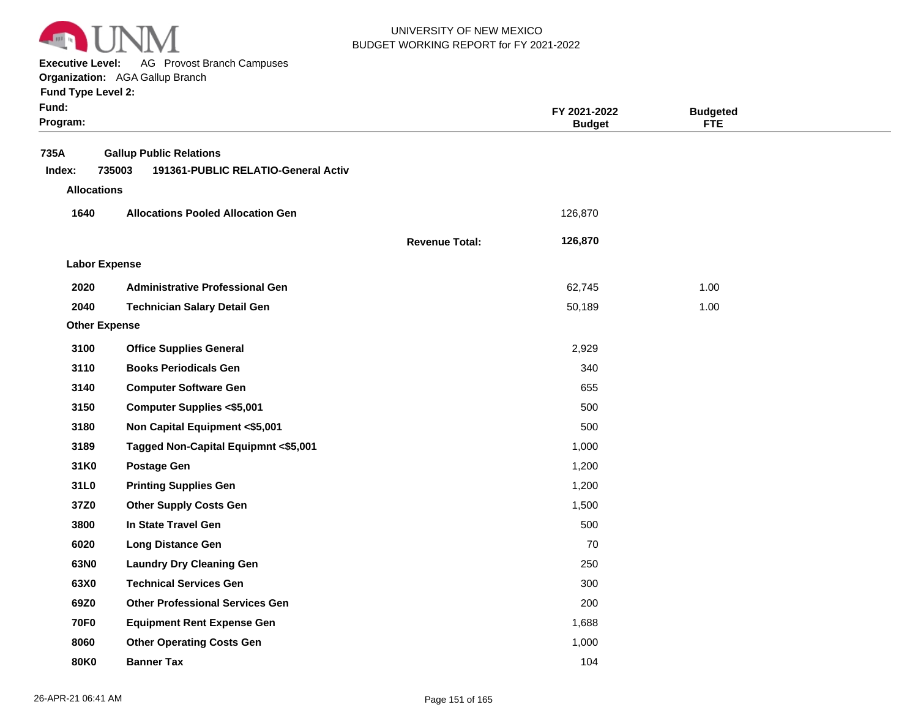

**Executive Level:** AG Provost Branch Campuses

| <b>Fund Type Level 2:</b> |  |
|---------------------------|--|
|---------------------------|--|

| Fund:<br>Program:    |                                               |                       | FY 2021-2022<br><b>Budget</b> | <b>Budgeted</b><br><b>FTE</b> |  |
|----------------------|-----------------------------------------------|-----------------------|-------------------------------|-------------------------------|--|
| 735A                 | <b>Gallup Public Relations</b>                |                       |                               |                               |  |
| Index:               | 735003<br>191361-PUBLIC RELATIO-General Activ |                       |                               |                               |  |
| <b>Allocations</b>   |                                               |                       |                               |                               |  |
| 1640                 | <b>Allocations Pooled Allocation Gen</b>      |                       | 126,870                       |                               |  |
|                      |                                               | <b>Revenue Total:</b> | 126,870                       |                               |  |
| <b>Labor Expense</b> |                                               |                       |                               |                               |  |
| 2020                 | <b>Administrative Professional Gen</b>        |                       | 62,745                        | 1.00                          |  |
| 2040                 | <b>Technician Salary Detail Gen</b>           |                       | 50,189                        | 1.00                          |  |
| <b>Other Expense</b> |                                               |                       |                               |                               |  |
| 3100                 | <b>Office Supplies General</b>                |                       | 2,929                         |                               |  |
| 3110                 | <b>Books Periodicals Gen</b>                  |                       | 340                           |                               |  |
| 3140                 | <b>Computer Software Gen</b>                  |                       | 655                           |                               |  |
| 3150                 | <b>Computer Supplies &lt;\$5,001</b>          |                       | 500                           |                               |  |
| 3180                 | Non Capital Equipment <\$5,001                |                       | 500                           |                               |  |
| 3189                 | Tagged Non-Capital Equipmnt <\$5,001          |                       | 1,000                         |                               |  |
| 31K0                 | <b>Postage Gen</b>                            |                       | 1,200                         |                               |  |
| 31L0                 | <b>Printing Supplies Gen</b>                  |                       | 1,200                         |                               |  |
| 37Z0                 | <b>Other Supply Costs Gen</b>                 |                       | 1,500                         |                               |  |
| 3800                 | In State Travel Gen                           |                       | 500                           |                               |  |
| 6020                 | <b>Long Distance Gen</b>                      |                       | 70                            |                               |  |
| 63N0                 | <b>Laundry Dry Cleaning Gen</b>               |                       | 250                           |                               |  |
| 63X0                 | <b>Technical Services Gen</b>                 |                       | 300                           |                               |  |
| 69Z0                 | <b>Other Professional Services Gen</b>        |                       | 200                           |                               |  |
| <b>70F0</b>          | <b>Equipment Rent Expense Gen</b>             |                       | 1,688                         |                               |  |
| 8060                 | <b>Other Operating Costs Gen</b>              |                       | 1,000                         |                               |  |
| 80K0                 | <b>Banner Tax</b>                             |                       | 104                           |                               |  |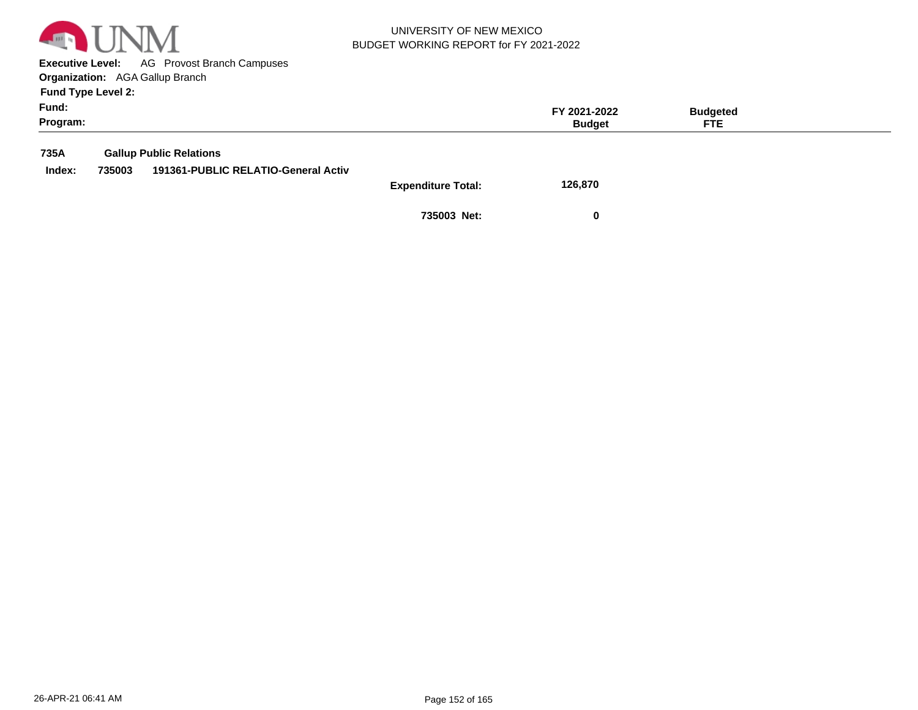

**Executive Level:** AG Provost Branch Campuses **Organization:**  AGA Gallup Branch

**Fund Type Level 2:**

| Fund:<br>Program: |        |                                     |                           | FY 2021-2022<br><b>Budget</b> | <b>Budgeted</b><br>FTE. |  |
|-------------------|--------|-------------------------------------|---------------------------|-------------------------------|-------------------------|--|
| 735A              |        | <b>Gallup Public Relations</b>      |                           |                               |                         |  |
| Index:            | 735003 | 191361-PUBLIC RELATIO-General Activ |                           |                               |                         |  |
|                   |        |                                     | <b>Expenditure Total:</b> | 126,870                       |                         |  |

**735003 Net: 0**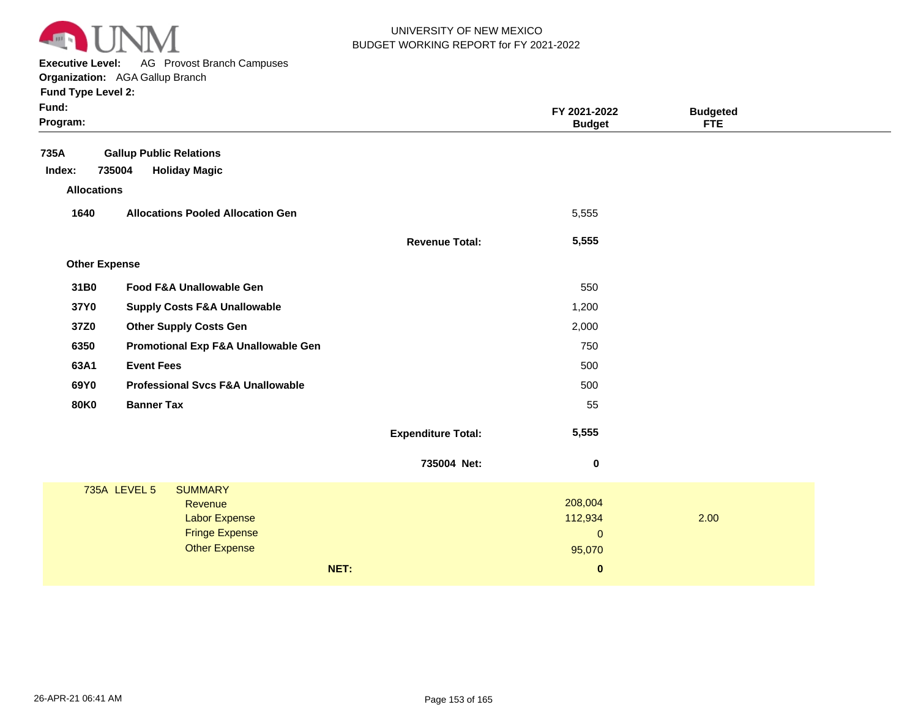

**Executive Level:** AG Provost Branch Campuses

#### **Organization:**  AGA Gallup Branch **Fund Type Level 2:**

| Fund:<br>Program: |                      |                                                                                                    |                           | FY 2021-2022<br><b>Budget</b>                         | <b>Budgeted</b><br><b>FTE</b> |  |
|-------------------|----------------------|----------------------------------------------------------------------------------------------------|---------------------------|-------------------------------------------------------|-------------------------------|--|
| 735A<br>Index:    | 735004               | <b>Gallup Public Relations</b><br><b>Holiday Magic</b>                                             |                           |                                                       |                               |  |
|                   | <b>Allocations</b>   |                                                                                                    |                           |                                                       |                               |  |
| 1640              |                      | <b>Allocations Pooled Allocation Gen</b>                                                           |                           | 5,555                                                 |                               |  |
|                   |                      |                                                                                                    | <b>Revenue Total:</b>     | 5,555                                                 |                               |  |
|                   | <b>Other Expense</b> |                                                                                                    |                           |                                                       |                               |  |
| 31B0              |                      | Food F&A Unallowable Gen                                                                           |                           | 550                                                   |                               |  |
| 37Y0              |                      | <b>Supply Costs F&amp;A Unallowable</b>                                                            |                           | 1,200                                                 |                               |  |
| 37Z0              |                      | <b>Other Supply Costs Gen</b>                                                                      |                           | 2,000                                                 |                               |  |
| 6350              |                      | Promotional Exp F&A Unallowable Gen                                                                |                           | 750                                                   |                               |  |
| 63A1              |                      | <b>Event Fees</b>                                                                                  |                           | 500                                                   |                               |  |
| 69Y0              |                      | <b>Professional Svcs F&amp;A Unallowable</b>                                                       |                           | 500                                                   |                               |  |
| <b>80K0</b>       |                      | <b>Banner Tax</b>                                                                                  |                           | 55                                                    |                               |  |
|                   |                      |                                                                                                    | <b>Expenditure Total:</b> | 5,555                                                 |                               |  |
|                   |                      |                                                                                                    | 735004 Net:               | $\bf{0}$                                              |                               |  |
|                   | <b>735A LEVEL 5</b>  | <b>SUMMARY</b><br>Revenue<br><b>Labor Expense</b><br><b>Fringe Expense</b><br><b>Other Expense</b> | NET:                      | 208,004<br>112,934<br>$\Omega$<br>95,070<br>$\pmb{0}$ | 2.00                          |  |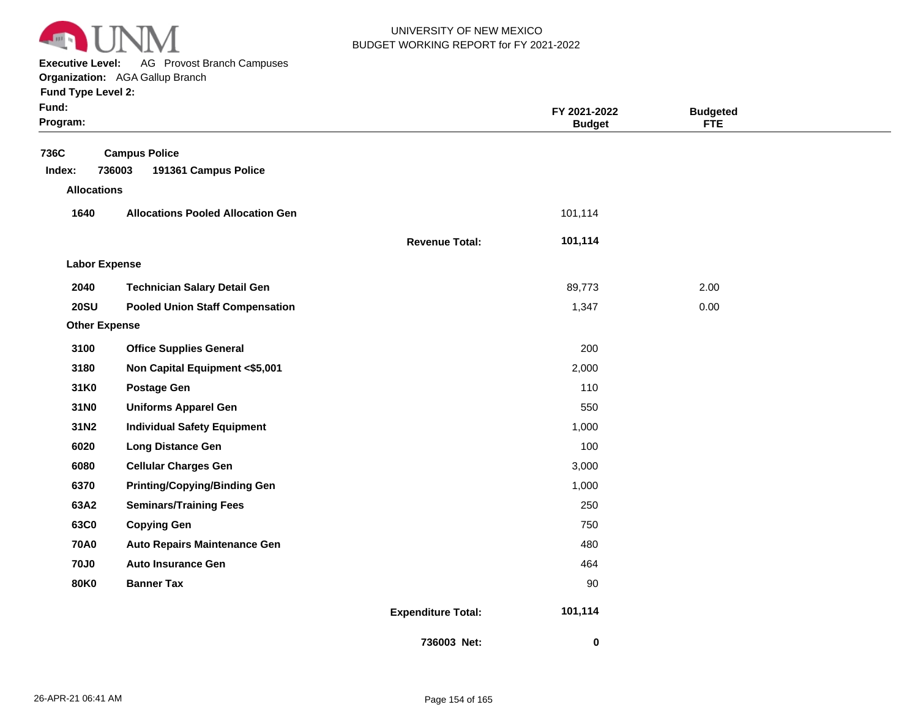

**Executive Level:** AG Provost Branch Campuses

|  | <b>Fund Type Level 2:</b> |  |  |
|--|---------------------------|--|--|
|  |                           |  |  |

| Fund:<br>Program:    |                                                        |                           | FY 2021-2022<br><b>Budget</b> | <b>Budgeted</b><br><b>FTE</b> |  |
|----------------------|--------------------------------------------------------|---------------------------|-------------------------------|-------------------------------|--|
| 736C<br>Index:       | <b>Campus Police</b><br>736003<br>191361 Campus Police |                           |                               |                               |  |
| <b>Allocations</b>   |                                                        |                           |                               |                               |  |
| 1640                 | <b>Allocations Pooled Allocation Gen</b>               |                           | 101,114                       |                               |  |
|                      |                                                        | <b>Revenue Total:</b>     | 101,114                       |                               |  |
| <b>Labor Expense</b> |                                                        |                           |                               |                               |  |
| 2040                 | <b>Technician Salary Detail Gen</b>                    |                           | 89,773                        | 2.00                          |  |
| <b>20SU</b>          | <b>Pooled Union Staff Compensation</b>                 |                           | 1,347                         | 0.00                          |  |
| <b>Other Expense</b> |                                                        |                           |                               |                               |  |
| 3100                 | <b>Office Supplies General</b>                         |                           | 200                           |                               |  |
| 3180                 | Non Capital Equipment <\$5,001                         |                           | 2,000                         |                               |  |
| 31K0                 | <b>Postage Gen</b>                                     |                           | 110                           |                               |  |
| 31N0                 | <b>Uniforms Apparel Gen</b>                            |                           | 550                           |                               |  |
| 31N2                 | <b>Individual Safety Equipment</b>                     |                           | 1,000                         |                               |  |
| 6020                 | <b>Long Distance Gen</b>                               |                           | 100                           |                               |  |
| 6080                 | <b>Cellular Charges Gen</b>                            |                           | 3,000                         |                               |  |
| 6370                 | <b>Printing/Copying/Binding Gen</b>                    |                           | 1,000                         |                               |  |
| 63A2                 | <b>Seminars/Training Fees</b>                          |                           | 250                           |                               |  |
| 63C0                 | <b>Copying Gen</b>                                     |                           | 750                           |                               |  |
| <b>70A0</b>          | <b>Auto Repairs Maintenance Gen</b>                    |                           | 480                           |                               |  |
| <b>70J0</b>          | <b>Auto Insurance Gen</b>                              |                           | 464                           |                               |  |
| <b>80K0</b>          | <b>Banner Tax</b>                                      |                           | 90                            |                               |  |
|                      |                                                        | <b>Expenditure Total:</b> | 101,114                       |                               |  |
|                      |                                                        | 736003 Net:               | 0                             |                               |  |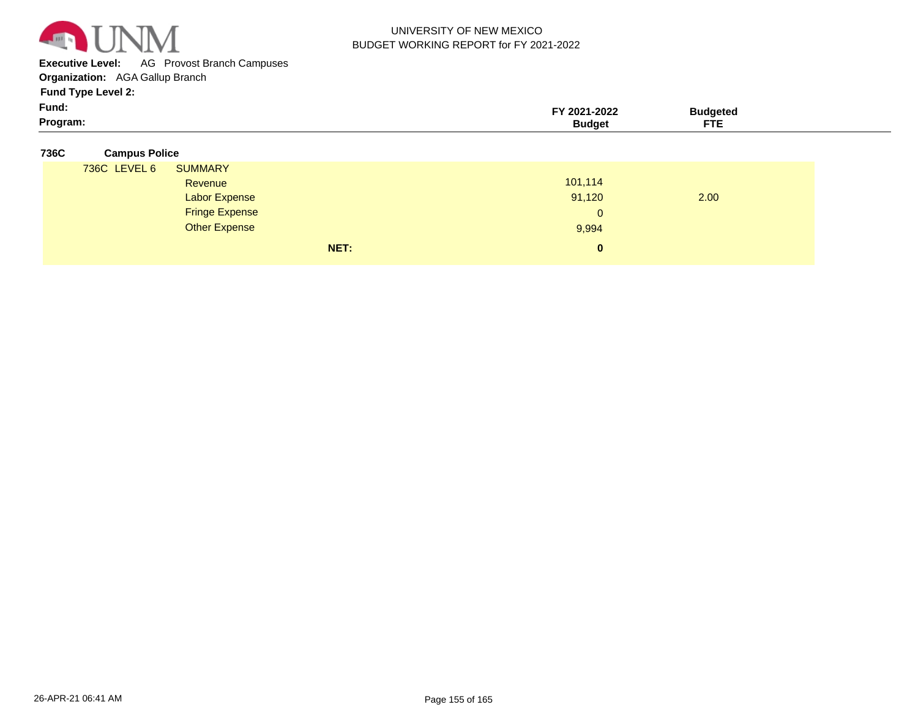

**Executive Level:** AG Provost Branch Campuses

**Organization:**  AGA Gallup Branch

**Fund Type Level 2:**

| - -<br>Fund: | -2022<br>$202^{\circ}$ | ™idaete⊾                  |  |
|--------------|------------------------|---------------------------|--|
| Program:     | udaerـ                 | $\sim$ $\sim$<br>---<br>. |  |

#### **736C Campus Police**

| 736C LEVEL 6 | <b>SUMMARY</b>        |              |      |  |
|--------------|-----------------------|--------------|------|--|
|              | Revenue               | 101,114      |      |  |
|              | <b>Labor Expense</b>  | 91,120       | 2.00 |  |
|              | <b>Fringe Expense</b> | $\mathbf{0}$ |      |  |
|              | <b>Other Expense</b>  | 9,994        |      |  |
|              | NET:                  | $\bf{0}$     |      |  |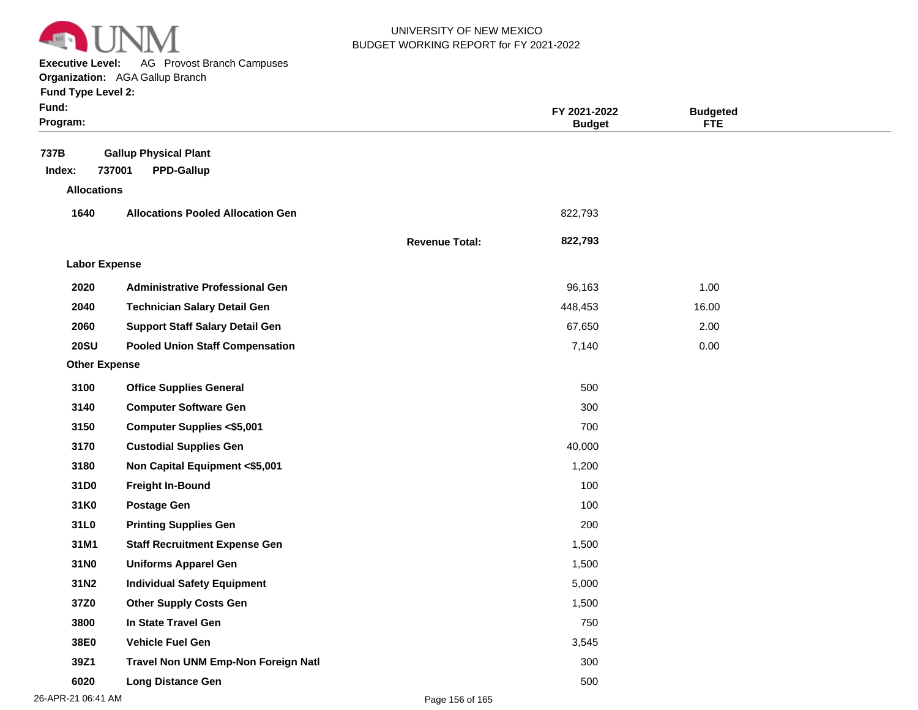

**Executive Level:** AG Provost Branch Campuses

| <b>Fund Type Level 2:</b> |  |
|---------------------------|--|
|---------------------------|--|

| × | × |  |
|---|---|--|
|   |   |  |

| Fund:<br>Program:    |                                                             |                       | FY 2021-2022<br><b>Budget</b> | <b>Budgeted</b><br><b>FTE</b> |  |
|----------------------|-------------------------------------------------------------|-----------------------|-------------------------------|-------------------------------|--|
| 737B<br>Index:       | <b>Gallup Physical Plant</b><br>737001<br><b>PPD-Gallup</b> |                       |                               |                               |  |
| <b>Allocations</b>   |                                                             |                       |                               |                               |  |
| 1640                 | <b>Allocations Pooled Allocation Gen</b>                    |                       | 822,793                       |                               |  |
|                      |                                                             | <b>Revenue Total:</b> | 822,793                       |                               |  |
| <b>Labor Expense</b> |                                                             |                       |                               |                               |  |
| 2020                 | <b>Administrative Professional Gen</b>                      |                       | 96,163                        | 1.00                          |  |
| 2040                 | <b>Technician Salary Detail Gen</b>                         |                       | 448,453                       | 16.00                         |  |
| 2060                 | <b>Support Staff Salary Detail Gen</b>                      |                       | 67,650                        | 2.00                          |  |
| <b>20SU</b>          | <b>Pooled Union Staff Compensation</b>                      |                       | 7,140                         | 0.00                          |  |
| <b>Other Expense</b> |                                                             |                       |                               |                               |  |
| 3100                 | <b>Office Supplies General</b>                              |                       | 500                           |                               |  |
| 3140                 | <b>Computer Software Gen</b>                                |                       | 300                           |                               |  |
| 3150                 | <b>Computer Supplies &lt;\$5,001</b>                        |                       | 700                           |                               |  |
| 3170                 | <b>Custodial Supplies Gen</b>                               |                       | 40,000                        |                               |  |
| 3180                 | Non Capital Equipment <\$5,001                              |                       | 1,200                         |                               |  |
| 31D0                 | <b>Freight In-Bound</b>                                     |                       | 100                           |                               |  |
| 31K0                 | <b>Postage Gen</b>                                          |                       | 100                           |                               |  |
| 31L0                 | <b>Printing Supplies Gen</b>                                |                       | 200                           |                               |  |
| 31M1                 | <b>Staff Recruitment Expense Gen</b>                        |                       | 1,500                         |                               |  |
| 31N0                 | <b>Uniforms Apparel Gen</b>                                 |                       | 1,500                         |                               |  |
| 31N2                 | <b>Individual Safety Equipment</b>                          |                       | 5,000                         |                               |  |
| 37Z0                 | <b>Other Supply Costs Gen</b>                               |                       | 1,500                         |                               |  |
| 3800                 | In State Travel Gen                                         |                       | 750                           |                               |  |
| 38E0                 | <b>Vehicle Fuel Gen</b>                                     |                       | 3,545                         |                               |  |
| 39Z1                 | Travel Non UNM Emp-Non Foreign Natl                         |                       | 300                           |                               |  |
| 6020                 | <b>Long Distance Gen</b>                                    |                       | 500                           |                               |  |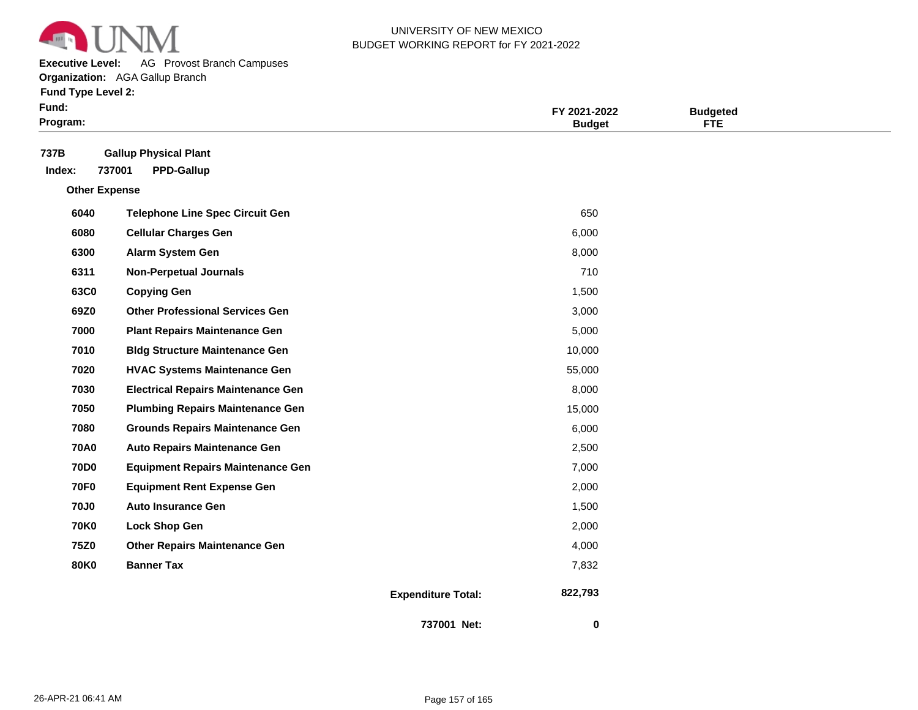

**Executive Level:** AG Provost Branch Campuses

**Organization:**  AGA Gallup Branch

|  |  | <b>Fund Type Level 2:</b> |  |
|--|--|---------------------------|--|
|--|--|---------------------------|--|

| Fund:<br>Program:    |                                                             | FY 2021-2022<br><b>Budget</b>        | <b>Budgeted</b><br><b>FTE</b> |
|----------------------|-------------------------------------------------------------|--------------------------------------|-------------------------------|
| 737B<br>Index:       | <b>Gallup Physical Plant</b><br>737001<br><b>PPD-Gallup</b> |                                      |                               |
| <b>Other Expense</b> |                                                             |                                      |                               |
| 6040                 | <b>Telephone Line Spec Circuit Gen</b>                      | 650                                  |                               |
| 6080                 | <b>Cellular Charges Gen</b>                                 | 6,000                                |                               |
| 6300                 | Alarm System Gen                                            | 8,000                                |                               |
| 6311                 | <b>Non-Perpetual Journals</b>                               | 710                                  |                               |
| 63C0                 | <b>Copying Gen</b>                                          | 1,500                                |                               |
| 69Z0                 | <b>Other Professional Services Gen</b>                      | 3,000                                |                               |
| 7000                 | <b>Plant Repairs Maintenance Gen</b>                        | 5,000                                |                               |
| 7010                 | <b>Bldg Structure Maintenance Gen</b>                       | 10,000                               |                               |
| 7020                 | <b>HVAC Systems Maintenance Gen</b>                         | 55,000                               |                               |
| 7030                 | <b>Electrical Repairs Maintenance Gen</b>                   | 8,000                                |                               |
| 7050                 | <b>Plumbing Repairs Maintenance Gen</b>                     | 15,000                               |                               |
| 7080                 | <b>Grounds Repairs Maintenance Gen</b>                      | 6,000                                |                               |
| <b>70A0</b>          | <b>Auto Repairs Maintenance Gen</b>                         | 2,500                                |                               |
| <b>70D0</b>          | <b>Equipment Repairs Maintenance Gen</b>                    | 7,000                                |                               |
| <b>70F0</b>          | <b>Equipment Rent Expense Gen</b>                           | 2,000                                |                               |
| <b>70J0</b>          | <b>Auto Insurance Gen</b>                                   | 1,500                                |                               |
| <b>70K0</b>          | <b>Lock Shop Gen</b>                                        | 2,000                                |                               |
| 75Z0                 | <b>Other Repairs Maintenance Gen</b>                        | 4,000                                |                               |
| <b>80K0</b>          | <b>Banner Tax</b>                                           | 7,832                                |                               |
|                      |                                                             | 822,793<br><b>Expenditure Total:</b> |                               |

 **0**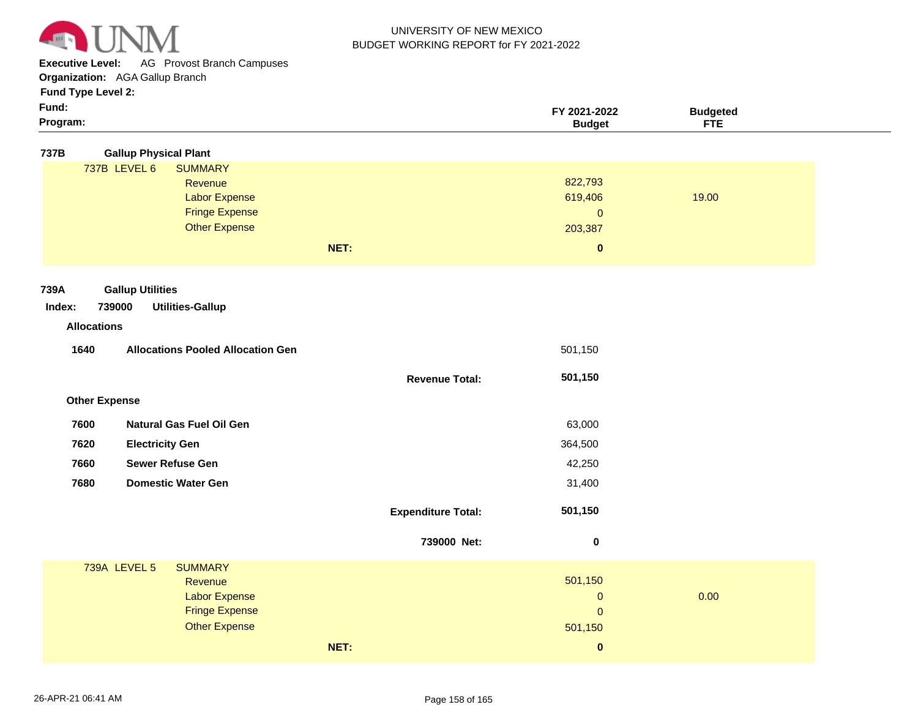

**Executive Level:** AG Provost Branch Campuses

**Organization:**  AGA Gallup Branch

# **Fund Type Level 2:**

| × | × |  |
|---|---|--|
|   |   |  |

| Fund:              |                                          |                           | FY 2021-2022  | <b>Budgeted</b> |
|--------------------|------------------------------------------|---------------------------|---------------|-----------------|
| Program:           |                                          |                           | <b>Budget</b> | <b>FTE</b>      |
| 737B               | <b>Gallup Physical Plant</b>             |                           |               |                 |
|                    | 737B LEVEL 6<br><b>SUMMARY</b>           |                           |               |                 |
|                    | Revenue                                  |                           | 822,793       |                 |
|                    | <b>Labor Expense</b>                     |                           | 619,406       | 19.00           |
|                    | <b>Fringe Expense</b>                    |                           | $\pmb{0}$     |                 |
|                    | <b>Other Expense</b>                     |                           | 203,387       |                 |
|                    |                                          | NET:                      | $\pmb{0}$     |                 |
|                    |                                          |                           |               |                 |
| 739A               | <b>Gallup Utilities</b>                  |                           |               |                 |
| Index:             | 739000<br><b>Utilities-Gallup</b>        |                           |               |                 |
| <b>Allocations</b> |                                          |                           |               |                 |
|                    |                                          |                           |               |                 |
| 1640               | <b>Allocations Pooled Allocation Gen</b> |                           | 501,150       |                 |
|                    |                                          | <b>Revenue Total:</b>     | 501,150       |                 |
|                    | <b>Other Expense</b>                     |                           |               |                 |
|                    |                                          |                           |               |                 |
| 7600               | <b>Natural Gas Fuel Oil Gen</b>          |                           | 63,000        |                 |
| 7620               | <b>Electricity Gen</b>                   |                           | 364,500       |                 |
| 7660               | Sewer Refuse Gen                         |                           | 42,250        |                 |
| 7680               | <b>Domestic Water Gen</b>                |                           | 31,400        |                 |
|                    |                                          | <b>Expenditure Total:</b> | 501,150       |                 |
|                    |                                          | 739000 Net:               | $\pmb{0}$     |                 |
|                    |                                          |                           |               |                 |
|                    | 739A LEVEL 5<br><b>SUMMARY</b>           |                           | 501,150       |                 |
|                    | Revenue<br><b>Labor Expense</b>          |                           | $\mathbf{0}$  | 0.00            |
|                    | <b>Fringe Expense</b>                    |                           | $\mathbf{0}$  |                 |
|                    | <b>Other Expense</b>                     |                           | 501,150       |                 |
|                    |                                          |                           |               |                 |
|                    |                                          | NET:                      | $\bf{0}$      |                 |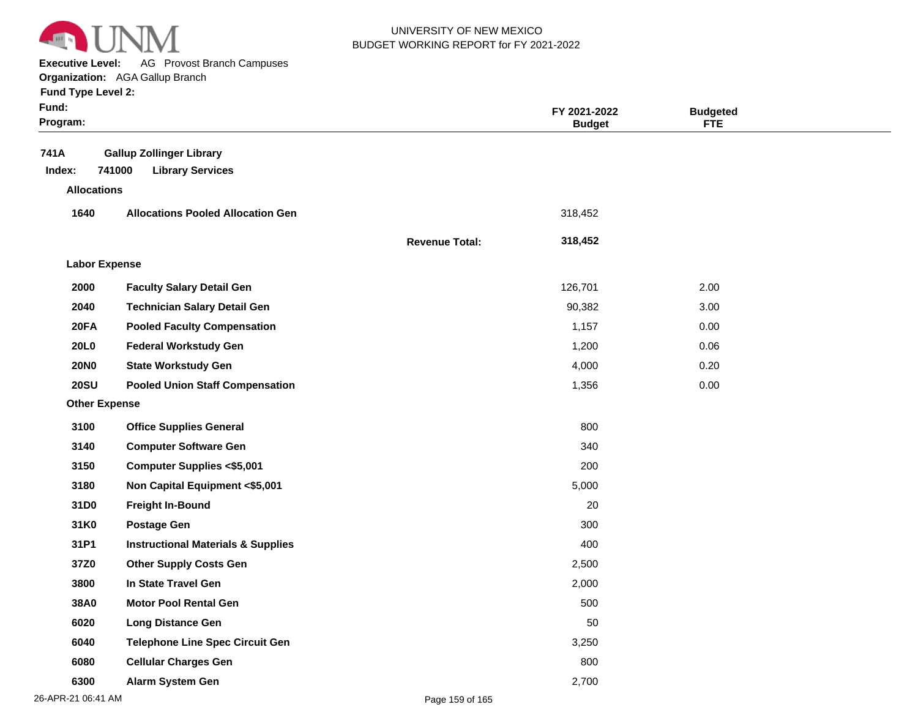

**Executive Level:** AG Provost Branch Campuses

| <b>Fund Type Level 2:</b> |  |  |  |
|---------------------------|--|--|--|
|---------------------------|--|--|--|

| Fund:<br>Program:    |                                                                      |                       | FY 2021-2022<br><b>Budget</b> | <b>Budgeted</b><br><b>FTE</b> |  |
|----------------------|----------------------------------------------------------------------|-----------------------|-------------------------------|-------------------------------|--|
| 741A<br>Index:       | <b>Gallup Zollinger Library</b><br>741000<br><b>Library Services</b> |                       |                               |                               |  |
| <b>Allocations</b>   |                                                                      |                       |                               |                               |  |
| 1640                 | <b>Allocations Pooled Allocation Gen</b>                             |                       | 318,452                       |                               |  |
|                      |                                                                      | <b>Revenue Total:</b> | 318,452                       |                               |  |
| <b>Labor Expense</b> |                                                                      |                       |                               |                               |  |
| 2000                 | <b>Faculty Salary Detail Gen</b>                                     |                       | 126,701                       | 2.00                          |  |
| 2040                 | <b>Technician Salary Detail Gen</b>                                  |                       | 90,382                        | 3.00                          |  |
| <b>20FA</b>          | <b>Pooled Faculty Compensation</b>                                   |                       | 1,157                         | 0.00                          |  |
| <b>20L0</b>          | <b>Federal Workstudy Gen</b>                                         |                       | 1,200                         | 0.06                          |  |
| <b>20NO</b>          | <b>State Workstudy Gen</b>                                           |                       | 4,000                         | 0.20                          |  |
| <b>20SU</b>          | <b>Pooled Union Staff Compensation</b>                               |                       | 1,356                         | 0.00                          |  |
| <b>Other Expense</b> |                                                                      |                       |                               |                               |  |
| 3100                 | <b>Office Supplies General</b>                                       |                       | 800                           |                               |  |
| 3140                 | <b>Computer Software Gen</b>                                         |                       | 340                           |                               |  |
| 3150                 | <b>Computer Supplies &lt;\$5,001</b>                                 |                       | 200                           |                               |  |
| 3180                 | Non Capital Equipment <\$5,001                                       |                       | 5,000                         |                               |  |
| 31D0                 | <b>Freight In-Bound</b>                                              |                       | 20                            |                               |  |
| 31K0                 | <b>Postage Gen</b>                                                   |                       | 300                           |                               |  |
| 31P1                 | <b>Instructional Materials &amp; Supplies</b>                        |                       | 400                           |                               |  |
| 37Z0                 | <b>Other Supply Costs Gen</b>                                        |                       | 2,500                         |                               |  |
| 3800                 | In State Travel Gen                                                  |                       | 2,000                         |                               |  |
| 38A0                 | <b>Motor Pool Rental Gen</b>                                         |                       | 500                           |                               |  |
| 6020                 | <b>Long Distance Gen</b>                                             |                       | 50                            |                               |  |
| 6040                 | <b>Telephone Line Spec Circuit Gen</b>                               |                       | 3,250                         |                               |  |
| 6080                 | <b>Cellular Charges Gen</b>                                          |                       | 800                           |                               |  |
| 6300                 | Alarm System Gen                                                     |                       | 2,700                         |                               |  |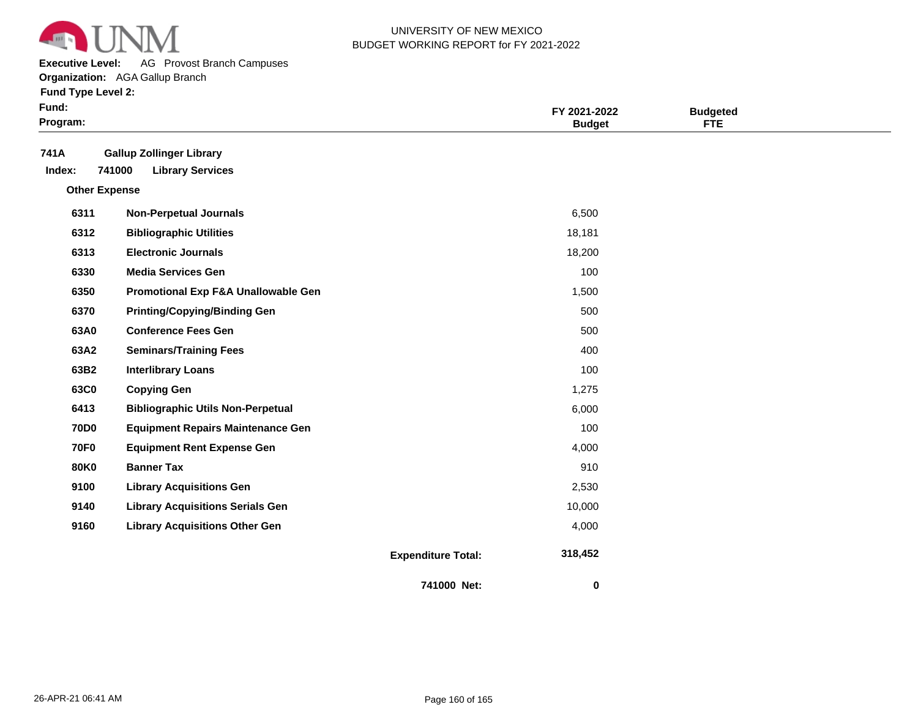

**Executive Level:** AG Provost Branch Campuses

**Organization:**  AGA Gallup Branch

**Fund Type Level 2:**

| Fund:<br>Program:    |                                                                      |                           | FY 2021-2022<br><b>Budget</b> | <b>Budgeted</b><br>FTE |  |
|----------------------|----------------------------------------------------------------------|---------------------------|-------------------------------|------------------------|--|
| 741A<br>Index:       | <b>Gallup Zollinger Library</b><br>741000<br><b>Library Services</b> |                           |                               |                        |  |
| <b>Other Expense</b> |                                                                      |                           |                               |                        |  |
| 6311                 | <b>Non-Perpetual Journals</b>                                        |                           | 6,500                         |                        |  |
| 6312                 | <b>Bibliographic Utilities</b>                                       |                           | 18,181                        |                        |  |
| 6313                 | <b>Electronic Journals</b>                                           |                           | 18,200                        |                        |  |
| 6330                 | <b>Media Services Gen</b>                                            |                           | 100                           |                        |  |
| 6350                 | Promotional Exp F&A Unallowable Gen                                  |                           | 1,500                         |                        |  |
| 6370                 | <b>Printing/Copying/Binding Gen</b>                                  |                           | 500                           |                        |  |
| 63A0                 | <b>Conference Fees Gen</b>                                           |                           | 500                           |                        |  |
| 63A2                 | <b>Seminars/Training Fees</b>                                        |                           | 400                           |                        |  |
| 63B2                 | <b>Interlibrary Loans</b>                                            |                           | 100                           |                        |  |
| 63C0                 | <b>Copying Gen</b>                                                   |                           | 1,275                         |                        |  |
| 6413                 | <b>Bibliographic Utils Non-Perpetual</b>                             |                           | 6,000                         |                        |  |
| <b>70D0</b>          | <b>Equipment Repairs Maintenance Gen</b>                             |                           | 100                           |                        |  |
| <b>70F0</b>          | <b>Equipment Rent Expense Gen</b>                                    |                           | 4,000                         |                        |  |
| <b>80K0</b>          | <b>Banner Tax</b>                                                    |                           | 910                           |                        |  |
| 9100                 | <b>Library Acquisitions Gen</b>                                      |                           | 2,530                         |                        |  |
| 9140                 | <b>Library Acquisitions Serials Gen</b>                              |                           | 10,000                        |                        |  |
| 9160                 | <b>Library Acquisitions Other Gen</b>                                |                           | 4,000                         |                        |  |
|                      |                                                                      | <b>Expenditure Total:</b> | 318,452                       |                        |  |

**741000 Net:**

 **0**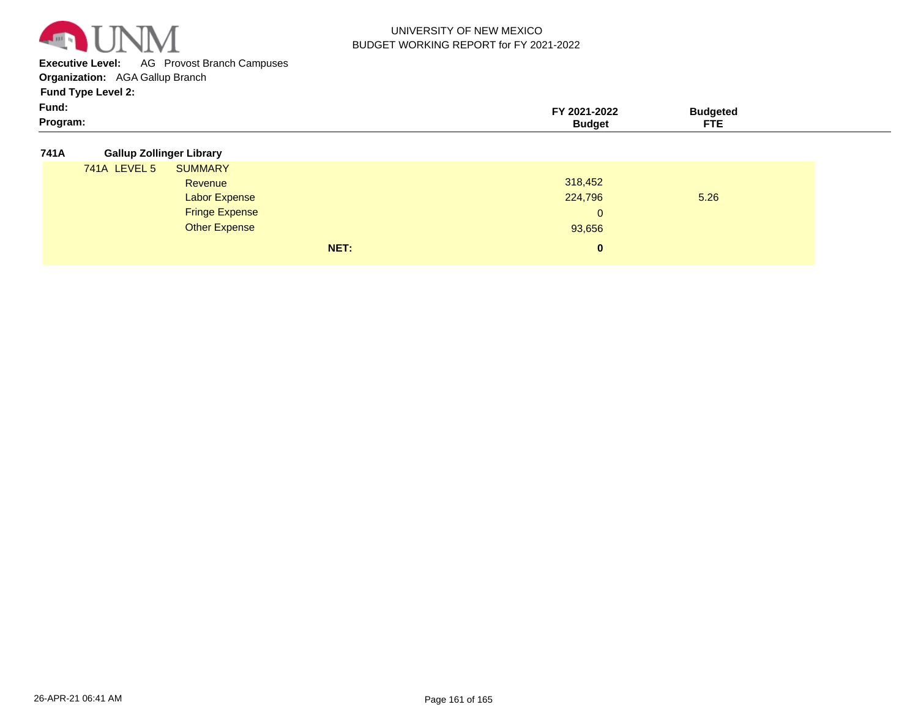

**Executive Level:** AG Provost Branch Campuses

**Organization:**  AGA Gallup Branch

**Fund Type Level 2:**

| Program:                 | Budget    | <b>CTC</b> |  |
|--------------------------|-----------|------------|--|
| Fund:                    | 2021-2022 | '''dqeteu  |  |
| $1$ and $1$ ypo Loror L. |           |            |  |

#### **741A Gallup Zollinger Library**

| . |                     |                       |      |              |      |  |
|---|---------------------|-----------------------|------|--------------|------|--|
|   | <b>741A LEVEL 5</b> | <b>SUMMARY</b>        |      |              |      |  |
|   |                     | Revenue               |      | 318,452      |      |  |
|   |                     | <b>Labor Expense</b>  |      | 224,796      | 5.26 |  |
|   |                     | <b>Fringe Expense</b> |      | $\mathbf{0}$ |      |  |
|   |                     | <b>Other Expense</b>  |      | 93,656       |      |  |
|   |                     |                       | NET: | $\bf{0}$     |      |  |
|   |                     |                       |      |              |      |  |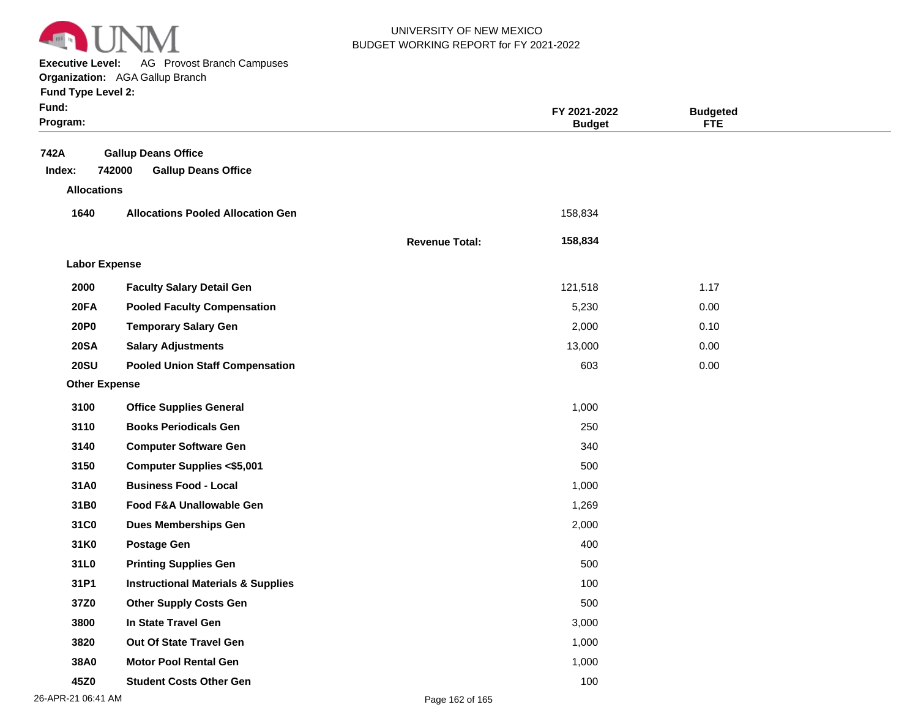

**Executive Level:** AG Provost Branch Campuses

**Organization:**  AGA Gallup Branch

| Fund Type Level 2:   | <b>Organization:</b> AGA Gallup Branch        |                       |                               |                               |  |
|----------------------|-----------------------------------------------|-----------------------|-------------------------------|-------------------------------|--|
| Fund:<br>Program:    |                                               |                       | FY 2021-2022<br><b>Budget</b> | <b>Budgeted</b><br><b>FTE</b> |  |
| 742A                 | <b>Gallup Deans Office</b>                    |                       |                               |                               |  |
| Index:               | 742000<br><b>Gallup Deans Office</b>          |                       |                               |                               |  |
| <b>Allocations</b>   |                                               |                       |                               |                               |  |
| 1640                 | <b>Allocations Pooled Allocation Gen</b>      |                       | 158,834                       |                               |  |
|                      |                                               | <b>Revenue Total:</b> | 158,834                       |                               |  |
| <b>Labor Expense</b> |                                               |                       |                               |                               |  |
| 2000                 | <b>Faculty Salary Detail Gen</b>              |                       | 121,518                       | 1.17                          |  |
| <b>20FA</b>          | <b>Pooled Faculty Compensation</b>            |                       | 5,230                         | 0.00                          |  |
| <b>20P0</b>          | <b>Temporary Salary Gen</b>                   |                       | 2,000                         | 0.10                          |  |
| <b>20SA</b>          | <b>Salary Adjustments</b>                     |                       | 13,000                        | 0.00                          |  |
| <b>20SU</b>          | <b>Pooled Union Staff Compensation</b>        |                       | 603                           | 0.00                          |  |
| <b>Other Expense</b> |                                               |                       |                               |                               |  |
| 3100                 | <b>Office Supplies General</b>                |                       | 1,000                         |                               |  |
| 3110                 | <b>Books Periodicals Gen</b>                  |                       | 250                           |                               |  |
| 3140                 | <b>Computer Software Gen</b>                  |                       | 340                           |                               |  |
| 3150                 | <b>Computer Supplies &lt;\$5,001</b>          |                       | 500                           |                               |  |
| 31A0                 | <b>Business Food - Local</b>                  |                       | 1,000                         |                               |  |
| 31B0                 | Food F&A Unallowable Gen                      |                       | 1,269                         |                               |  |
| 31C0                 | <b>Dues Memberships Gen</b>                   |                       | 2,000                         |                               |  |
| 31K0                 | <b>Postage Gen</b>                            |                       | 400                           |                               |  |
| 31L0                 | <b>Printing Supplies Gen</b>                  |                       | 500                           |                               |  |
| 31P1                 | <b>Instructional Materials &amp; Supplies</b> |                       | 100                           |                               |  |

**37Z0 3800 3820 38A0 45Z0 Other Supply Costs Gen In State Travel Gen Out Of State Travel Gen Motor Pool Rental Gen Student Costs Other Gen** 500 3,000 1,000 1,000 100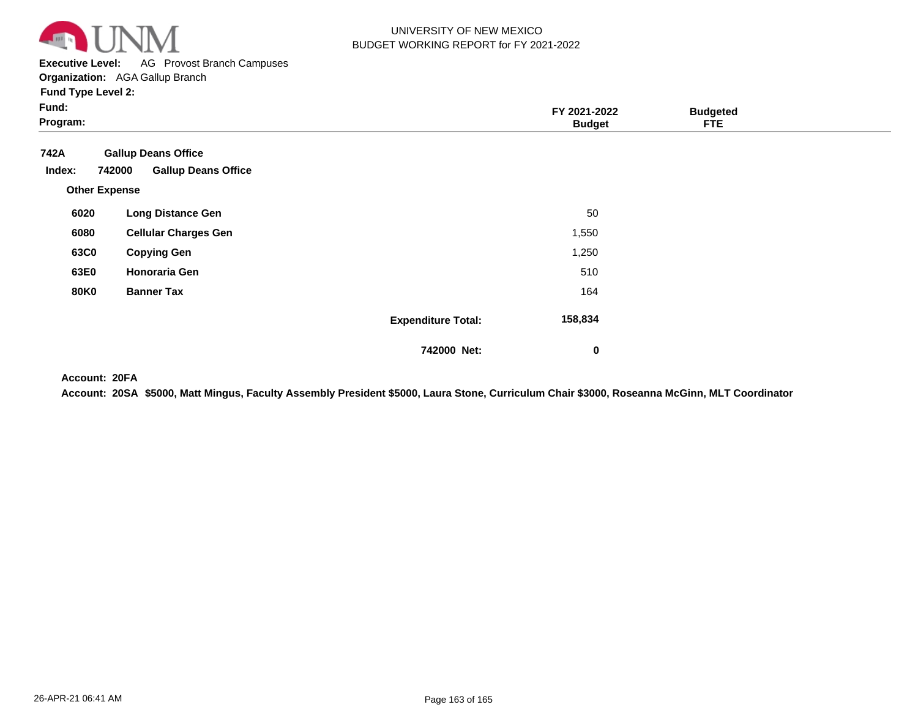

**Executive Level:** AG Provost Branch Campuses

**Organization:**  AGA Gallup Branch

| <b>Fund Type Level 2:</b> |
|---------------------------|
|---------------------------|

| Fund:<br>Program:                                |                                                          |                           | FY 2021-2022<br><b>Budget</b> | <b>Budgeted</b><br><b>FTE</b> |  |
|--------------------------------------------------|----------------------------------------------------------|---------------------------|-------------------------------|-------------------------------|--|
| 742A<br>742000<br>Index:<br><b>Other Expense</b> | <b>Gallup Deans Office</b><br><b>Gallup Deans Office</b> |                           |                               |                               |  |
| 6020                                             | <b>Long Distance Gen</b>                                 |                           | 50                            |                               |  |
| 6080                                             | <b>Cellular Charges Gen</b>                              |                           | 1,550                         |                               |  |
| 63C0                                             | <b>Copying Gen</b>                                       |                           | 1,250                         |                               |  |
| 63E0                                             | <b>Honoraria Gen</b>                                     |                           | 510                           |                               |  |
| <b>80K0</b>                                      | <b>Banner Tax</b>                                        |                           | 164                           |                               |  |
|                                                  |                                                          | <b>Expenditure Total:</b> | 158,834                       |                               |  |
|                                                  |                                                          | 742000 Net:               | $\mathbf 0$                   |                               |  |

**20FA Account:**

**20SA \$5000, Matt Mingus, Faculty Assembly President \$5000, Laura Stone, Curriculum Chair \$3000, Roseanna McGinn, MLT Coordinator Account:**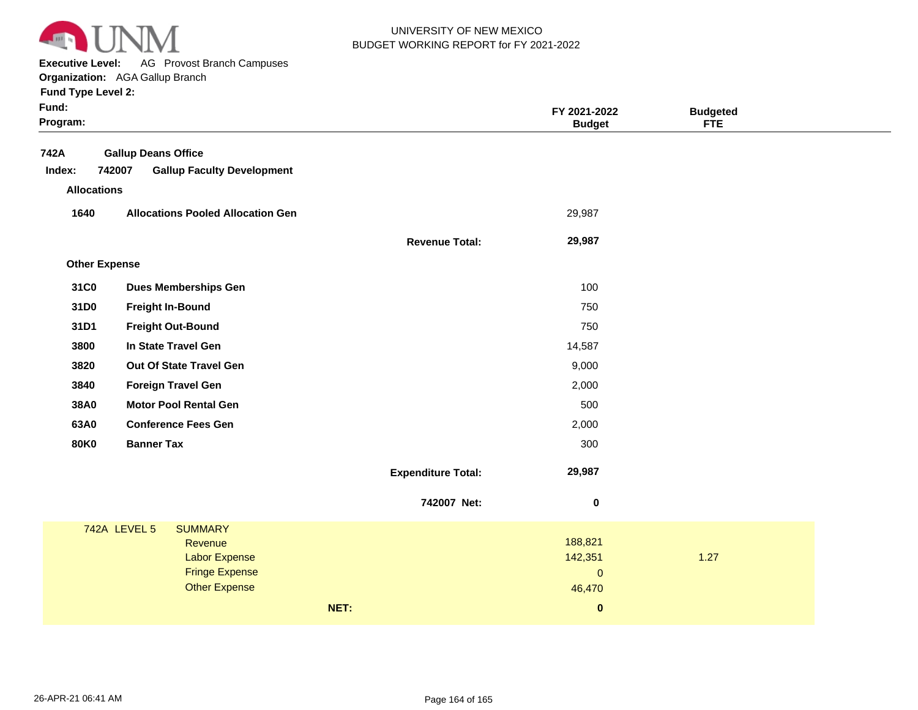

**Executive Level:** AG Provost Branch Campuses

| <b>Fund Type Level 2:</b> |  |
|---------------------------|--|
|---------------------------|--|

| Fund:<br>Program:    |                                               |                           | FY 2021-2022<br><b>Budget</b> | <b>Budgeted</b><br><b>FTE</b> |  |
|----------------------|-----------------------------------------------|---------------------------|-------------------------------|-------------------------------|--|
| 742A                 | <b>Gallup Deans Office</b>                    |                           |                               |                               |  |
| Index:               | 742007<br><b>Gallup Faculty Development</b>   |                           |                               |                               |  |
| <b>Allocations</b>   |                                               |                           |                               |                               |  |
| 1640                 | <b>Allocations Pooled Allocation Gen</b>      |                           | 29,987                        |                               |  |
|                      |                                               | <b>Revenue Total:</b>     | 29,987                        |                               |  |
| <b>Other Expense</b> |                                               |                           |                               |                               |  |
| 31C0                 | <b>Dues Memberships Gen</b>                   |                           | 100                           |                               |  |
| 31D0                 | <b>Freight In-Bound</b>                       |                           | 750                           |                               |  |
| 31D1                 | <b>Freight Out-Bound</b>                      |                           | 750                           |                               |  |
| 3800                 | In State Travel Gen                           |                           | 14,587                        |                               |  |
| 3820                 | Out Of State Travel Gen                       |                           | 9,000                         |                               |  |
| 3840                 | <b>Foreign Travel Gen</b>                     |                           | 2,000                         |                               |  |
| 38A0                 | <b>Motor Pool Rental Gen</b>                  |                           | 500                           |                               |  |
| 63A0                 | <b>Conference Fees Gen</b>                    |                           | 2,000                         |                               |  |
| <b>80K0</b>          | <b>Banner Tax</b>                             |                           | 300                           |                               |  |
|                      |                                               | <b>Expenditure Total:</b> | 29,987                        |                               |  |
|                      |                                               | 742007 Net:               | $\pmb{0}$                     |                               |  |
|                      | 742A LEVEL 5<br><b>SUMMARY</b>                |                           |                               |                               |  |
|                      | Revenue                                       |                           | 188,821                       |                               |  |
|                      | <b>Labor Expense</b><br><b>Fringe Expense</b> |                           | 142,351<br>$\overline{0}$     | 1.27                          |  |
|                      | <b>Other Expense</b>                          |                           | 46,470                        |                               |  |
|                      |                                               | NET:                      | $\bf{0}$                      |                               |  |
|                      |                                               |                           |                               |                               |  |